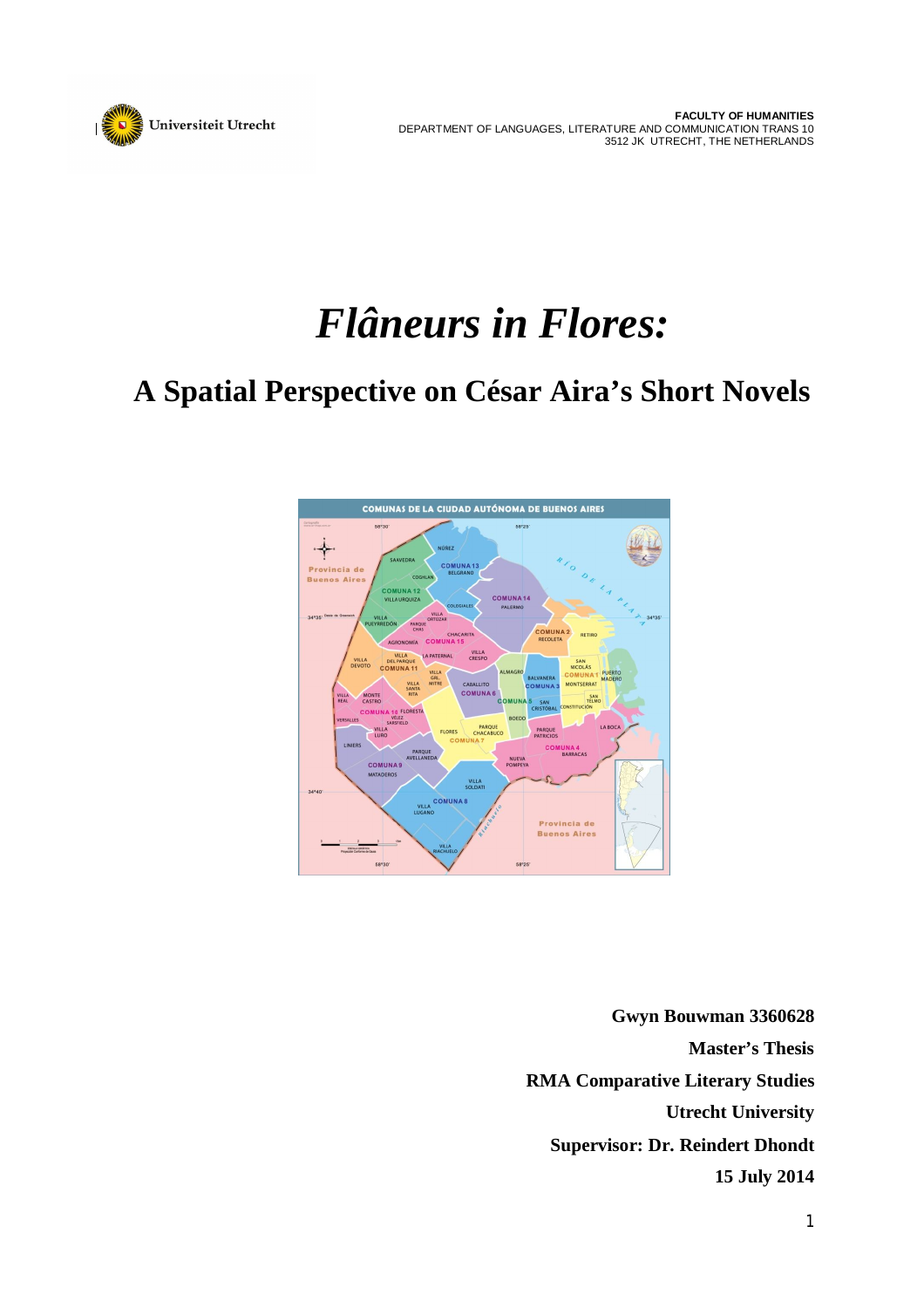

# *Flâneurs in Flores:*

## **A Spatial Perspective on César Aira's Short Novels**



**Gwyn Bouwman 3360628 Master's Thesis RMA Comparative Literary Studies Utrecht University Supervisor: Dr. Reindert Dhondt 15 July 2014**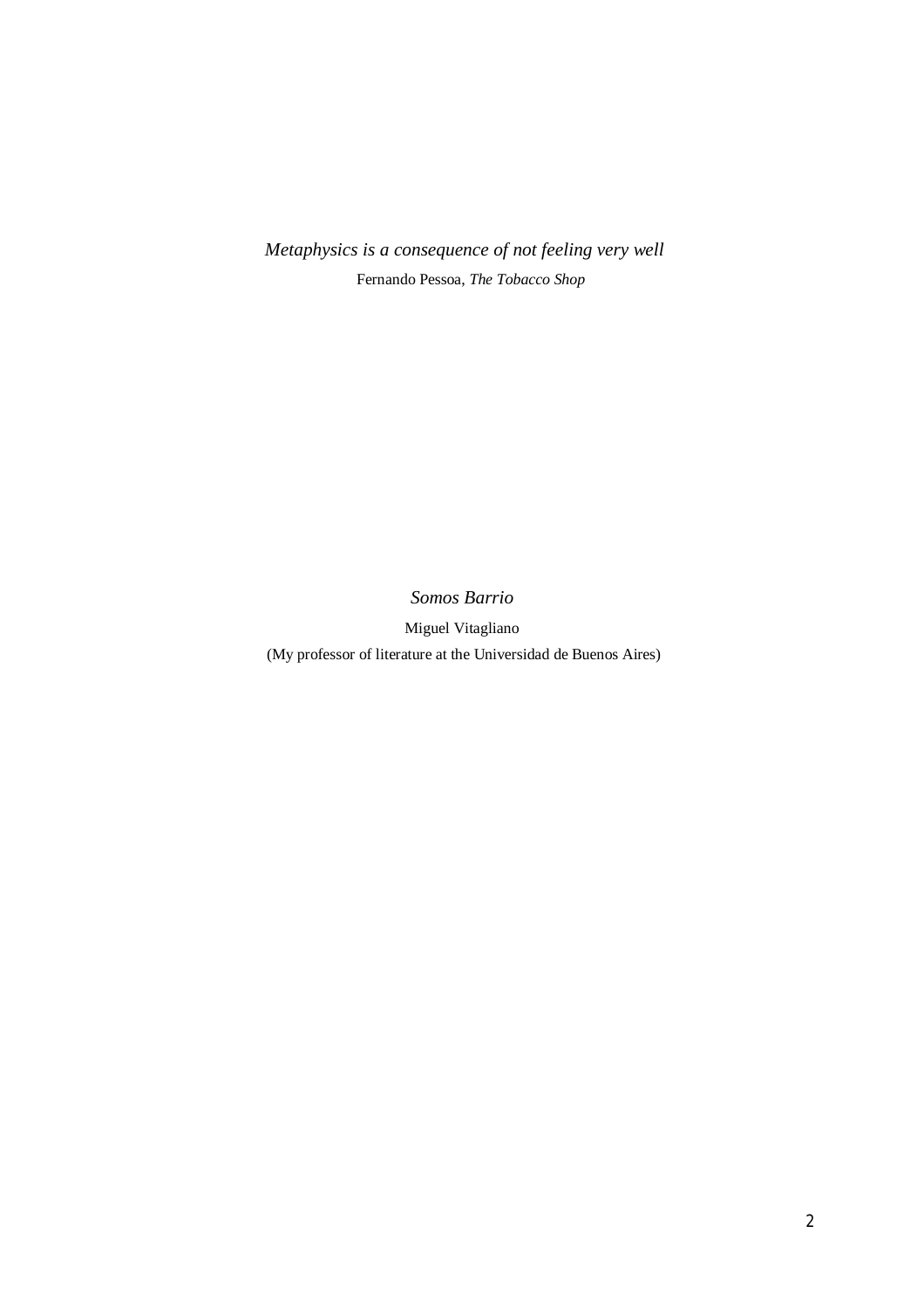*Metaphysics is a consequence of not feeling very well* Fernando Pessoa, *The Tobacco Shop*

*Somos Barrio*

Miguel Vitagliano

(My professor of literature at the Universidad de Buenos Aires)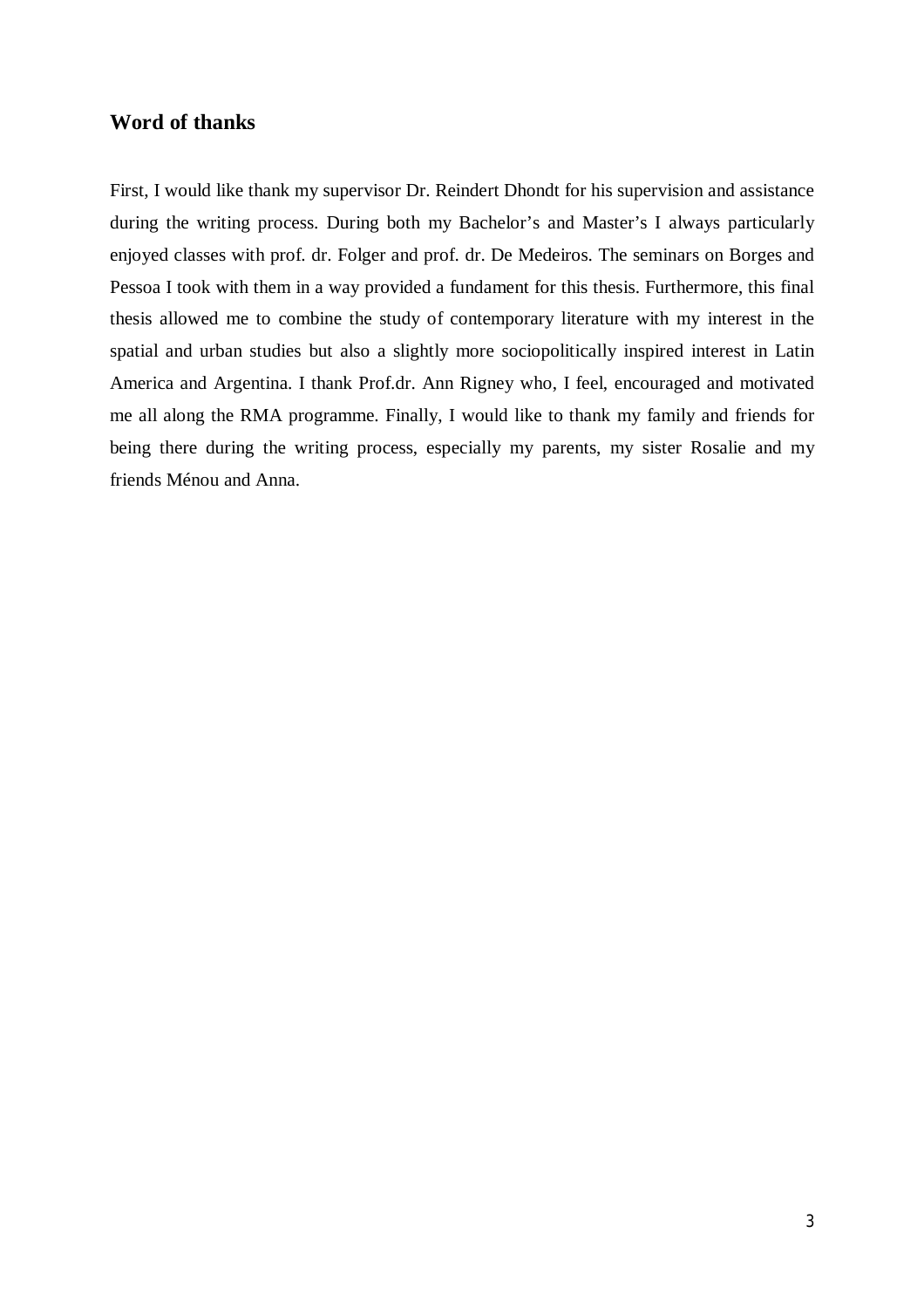## **Word of thanks**

First, I would like thank my supervisor Dr. Reindert Dhondt for his supervision and assistance during the writing process. During both my Bachelor's and Master's I always particularly enjoyed classes with prof. dr. Folger and prof. dr. De Medeiros. The seminars on Borges and Pessoa I took with them in a way provided a fundament for this thesis. Furthermore, this final thesis allowed me to combine the study of contemporary literature with my interest in the spatial and urban studies but also a slightly more sociopolitically inspired interest in Latin America and Argentina. I thank Prof.dr. Ann Rigney who, I feel, encouraged and motivated me all along the RMA programme. Finally, I would like to thank my family and friends for being there during the writing process, especially my parents, my sister Rosalie and my friends Ménou and Anna.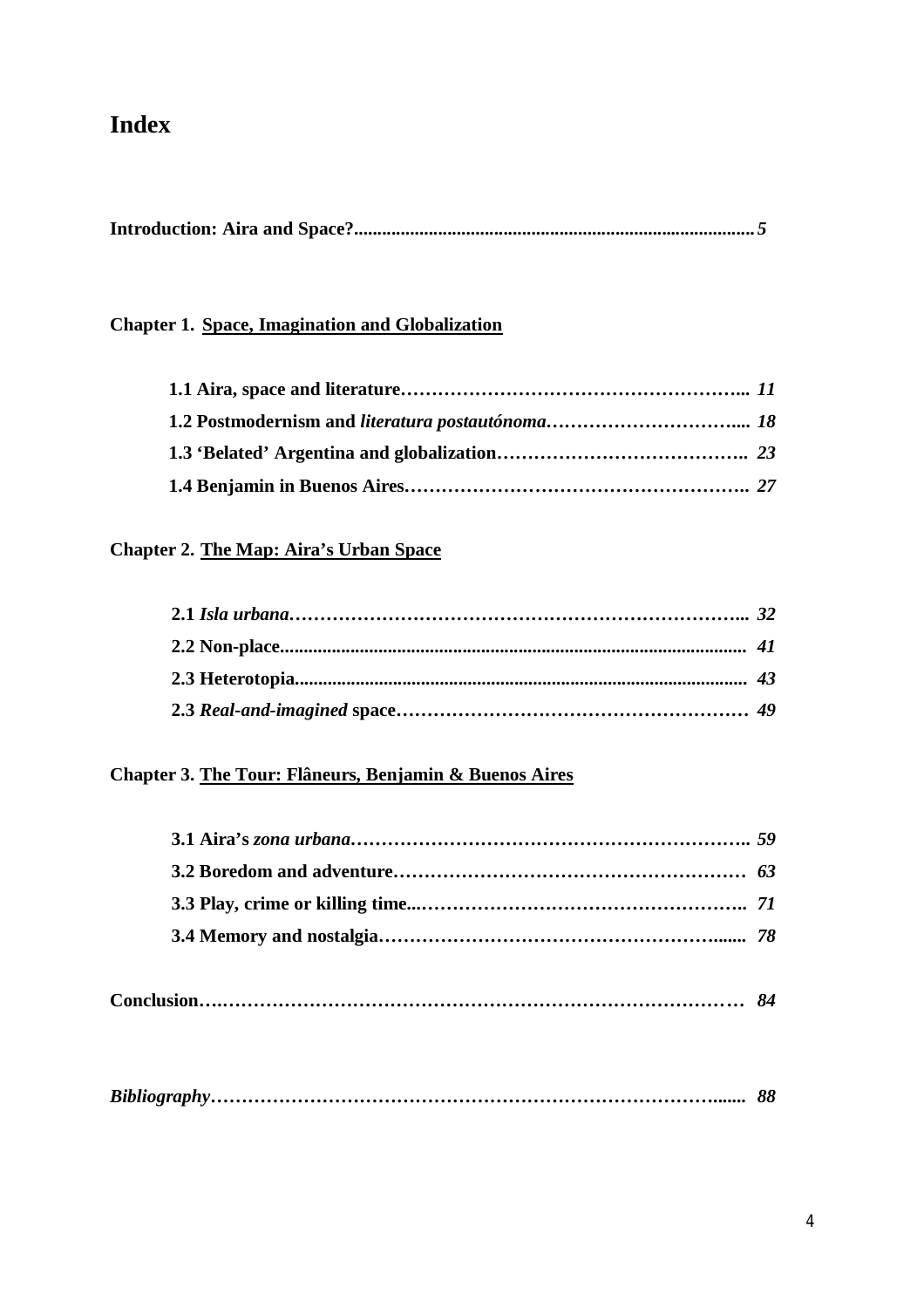## **Index**

|--|

## **Chapter 1. Space, Imagination and Globalization**

## **Chapter 2. The Map: Aira's Urban Space**

## **Chapter 3. The Tour: Flâneurs, Benjamin & Buenos Aires**

|--|--|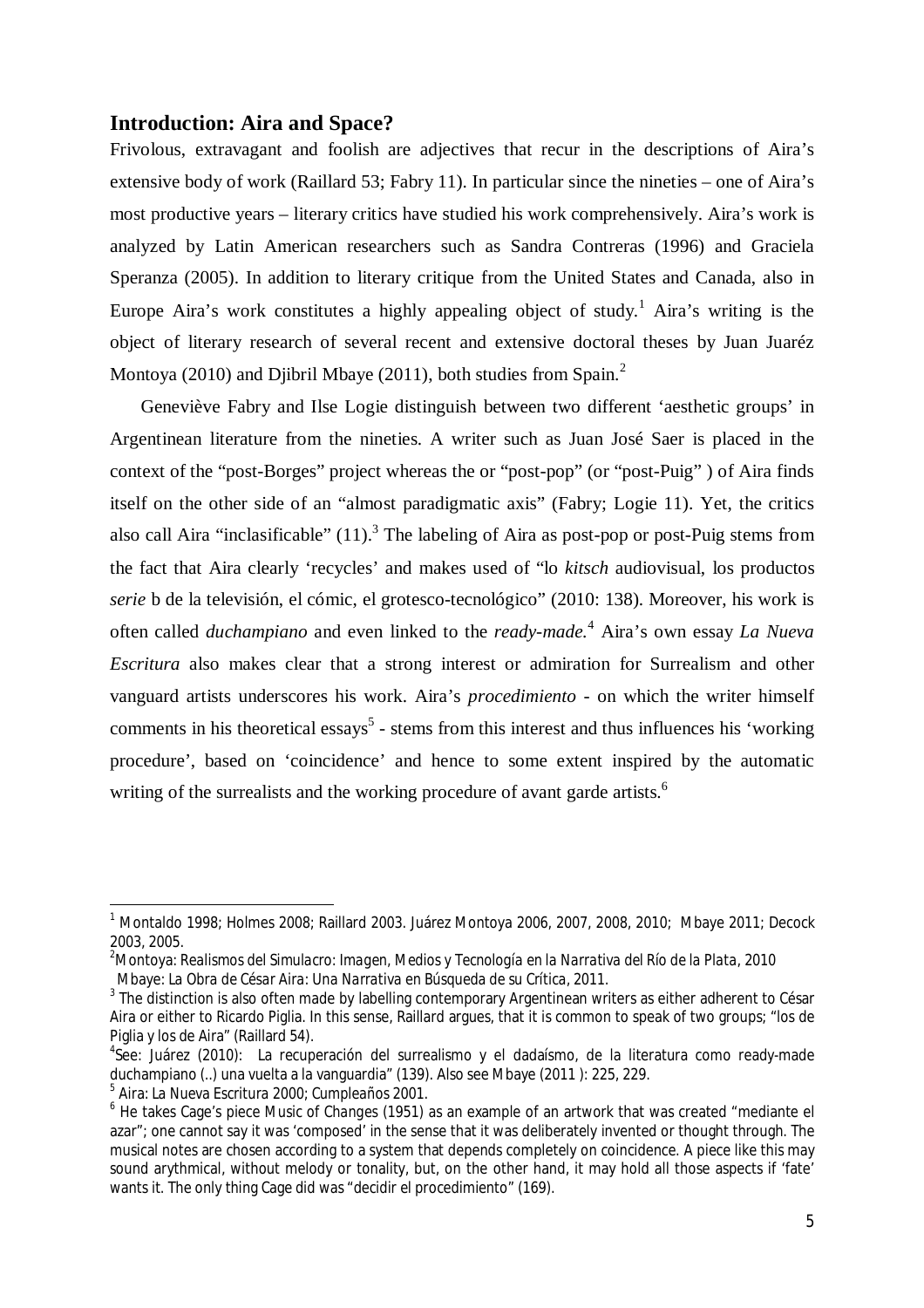### **Introduction: Aira and Space?**

Frivolous, extravagant and foolish are adjectives that recur in the descriptions of Aira's extensive body of work (Raillard 53; Fabry 11). In particular since the nineties – one of Aira's most productive years – literary critics have studied his work comprehensively. Aira's work is analyzed by Latin American researchers such as Sandra Contreras (1996) and Graciela Speranza (2005). In addition to literary critique from the United States and Canada, also in Europe Aira's work constitutes a highly appealing object of study.<sup>1</sup> Aira's writing is the object of literary research of several recent and extensive doctoral theses by Juan Juaréz Montoya (2010) and Djibril Mbaye (2011), both studies from Spain.<sup>2</sup>

Geneviève Fabry and Ilse Logie distinguish between two different 'aesthetic groups' in Argentinean literature from the nineties. A writer such as Juan José Saer is placed in the context of the "post-Borges" project whereas the or "post-pop" (or "post-Puig" ) of Aira finds itself on the other side of an "almost paradigmatic axis" (Fabry; Logie 11). Yet, the critics also call Aira "inclasificable"  $(11)$ .<sup>3</sup> The labeling of Aira as post-pop or post-Puig stems from the fact that Aira clearly 'recycles' and makes used of "lo *kitsch* audiovisual, los productos *serie* b de la televisión, el cómic, el grotesco-tecnológico" (2010: 138). Moreover, his work is often called *duchampiano* and even linked to the *ready-made.*<sup>4</sup> Aira's own essay *La Nueva Escritura* also makes clear that a strong interest or admiration for Surrealism and other vanguard artists underscores his work. Aira's *procedimiento* - on which the writer himself comments in his theoretical essays<sup>5</sup> - stems from this interest and thus influences his 'working procedure', based on 'coincidence' and hence to some extent inspired by the automatic writing of the surrealists and the working procedure of avant garde artists.<sup>6</sup>

 $^1$  Montaldo 1998; Holmes 2008; Raillard 2003. Juárez Montoya 2006, 2007, 2008, 2010; Mbaye 2011; Decock 2003, 2005.

<sup>2</sup>Montoya: *Realismos del Simulacro: Imagen, Medios y Tecnología en la Narrativa del Río de la Plata,* 2010 Mbaye*: La Obra de César Aira: Una Narrativa en Búsqueda de su Crítica,* 2011.

 $^3$  The distinction is also often made by labelling contemporary Argentinean writers as either adherent to César Aira or either to Ricardo Piglia. In this sense, Raillard argues, that it is common to speak of two groups; "los de Piglia y los de Aira" (Raillard 54).

<sup>&</sup>lt;sup>4</sup>See: Juárez (2010): La recuperación del surrealismo y el dadaísmo, de la literatura como ready-made duchampiano (..) una vuelta a la vanguardia" (139). Also see Mbaye (2011 ): 225, 229.

<sup>5</sup> Aira: *La Nueva Escritura* 2000; *Cumpleaños* 2001.

<sup>6</sup> He takes Cage's piece *Music of Changes* (1951) as an example of an artwork that was created "mediante el azar"; one cannot say it was 'composed' in the sense that it was deliberately invented or thought through. The musical notes are chosen according to a system that depends completely on coincidence. A piece like this may sound arythmical, without melody or tonality, but, on the other hand, it may hold all those aspects if 'fate' wants it. The only thing Cage did was "decidir el procedimiento" (169).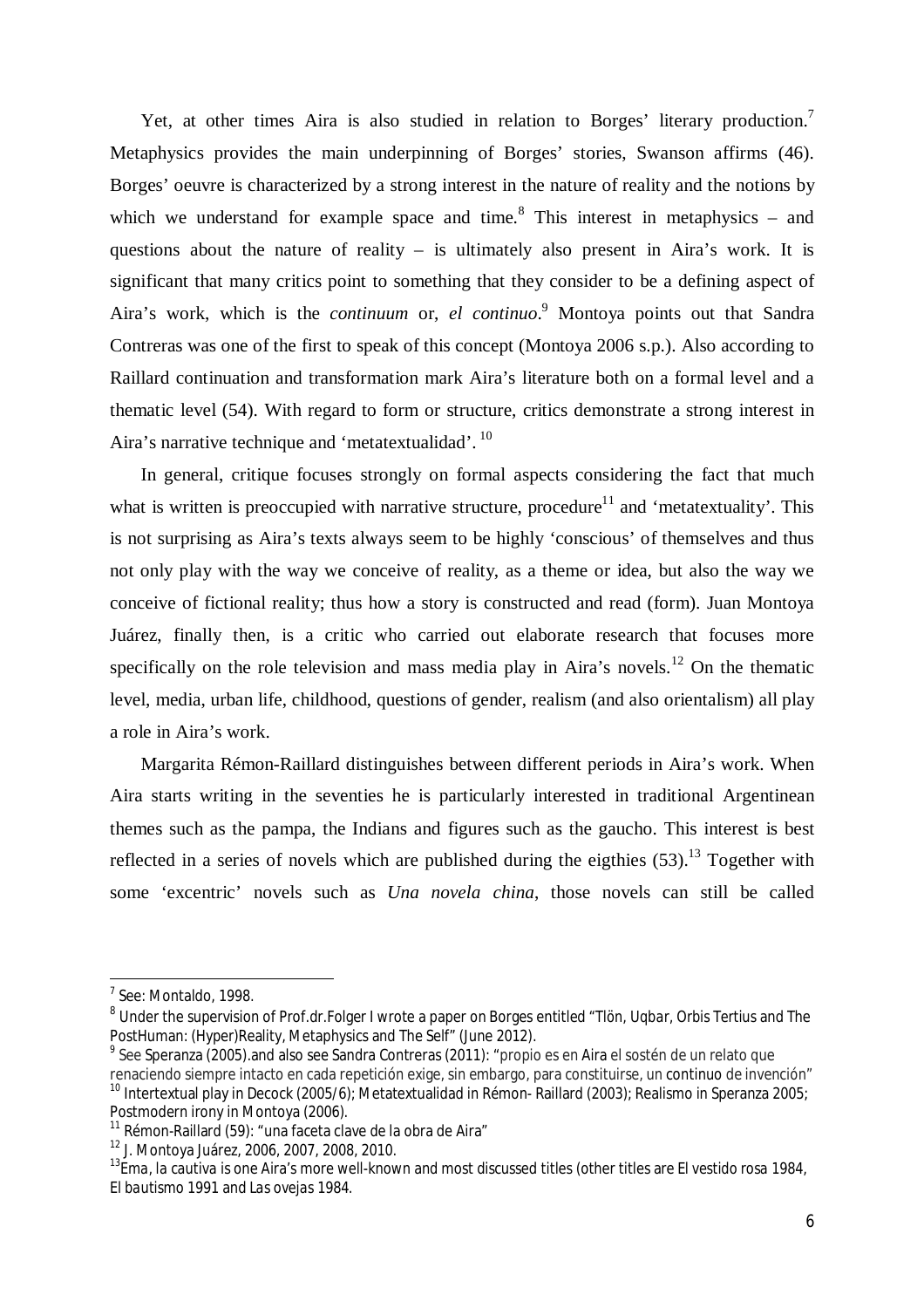Yet, at other times Aira is also studied in relation to Borges' literary production.<sup>7</sup> Metaphysics provides the main underpinning of Borges' stories, Swanson affirms (46). Borges' oeuvre is characterized by a strong interest in the nature of reality and the notions by which we understand for example space and time. $8$  This interest in metaphysics – and questions about the nature of reality – is ultimately also present in Aira's work. It is significant that many critics point to something that they consider to be a defining aspect of Aira's work, which is the *continuum* or, *el continuo*. <sup>9</sup> Montoya points out that Sandra Contreras was one of the first to speak of this concept (Montoya 2006 s.p.). Also according to Raillard continuation and transformation mark Aira's literature both on a formal level and a thematic level (54). With regard to form or structure, critics demonstrate a strong interest in Aira's narrative technique and 'metatextualidad'.<sup>10</sup>

In general, critique focuses strongly on formal aspects considering the fact that much what is written is preoccupied with narrative structure, procedure<sup>11</sup> and 'metatextuality'. This is not surprising as Aira's texts always seem to be highly 'conscious' of themselves and thus not only play with the way we conceive of reality, as a theme or idea, but also the way we conceive of fictional reality; thus how a story is constructed and read (form). Juan Montoya Juárez, finally then, is a critic who carried out elaborate research that focuses more specifically on the role television and mass media play in Aira's novels.<sup>12</sup> On the thematic level, media, urban life, childhood, questions of gender, realism (and also orientalism) all play a role in Aira's work.

Margarita Rémon-Raillard distinguishes between different periods in Aira's work. When Aira starts writing in the seventies he is particularly interested in traditional Argentinean themes such as the pampa, the Indians and figures such as the gaucho. This interest is best reflected in a series of novels which are published during the eigthies  $(53)$ .<sup>13</sup> Together with some 'excentric' novels such as *Una novela china*, those novels can still be called

1

<sup>7</sup> See: Montaldo, 1998.

<sup>8</sup> Under the supervision of Prof.dr.Folger I wrote a paper on Borges entitled *"Tlön, Uqbar, Orbis Tertius* and The PostHuman: (Hyper)Reality, Metaphysics and The Self" (June 2012).

 $^9$  See Speranza (2005).and also see Sandra Contreras (2011): "propio es en Aira el sostén de un relato que renaciendo siempre intacto en cada repetición exige, sin embargo, para constituirse, un continuo de invención" <sup>10</sup> Intertextual play in Decock (2005/6); Metatextualidad in Rémon- Raillard (2003); Realismo in Speranza 2005; Postmodern irony in Montoya (2006).

 $11$  Rémon-Raillard (59): "una faceta clave de la obra de Aira"

<sup>12</sup> J. Montoya Juárez, 2006, 2007, 2008, 2010.

<sup>13</sup>*Ema, la cautiva* is one Aira's more well-known and most discussed titles (other titles are *El vestido rosa* 1984, *El bautismo* 1991 and *Las ovejas* 1984.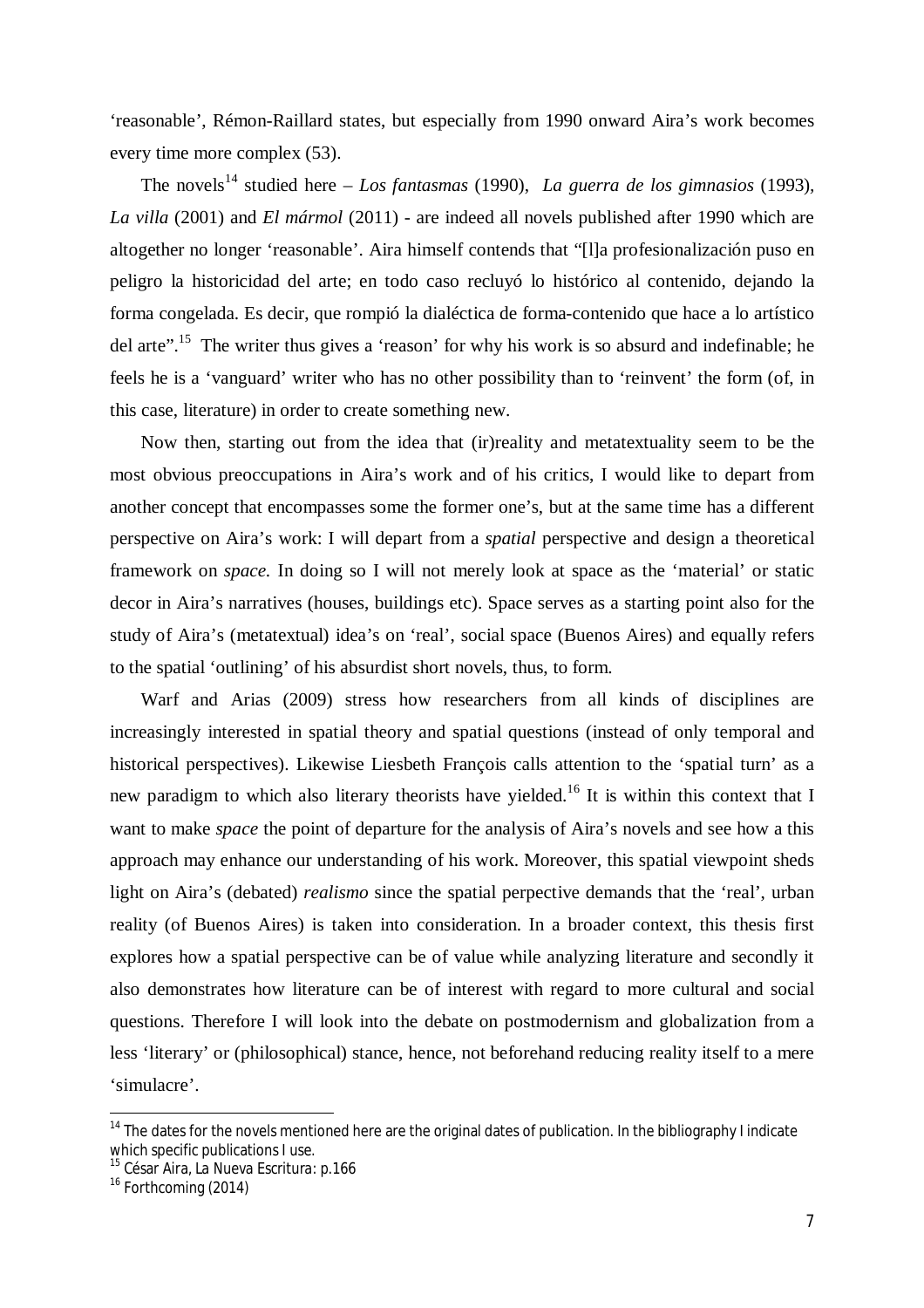'reasonable', Rémon-Raillard states, but especially from 1990 onward Aira's work becomes every time more complex (53).

The novels<sup>14</sup> studied here – *Los fantasmas* (1990), *La guerra de los gimnasios* (1993), *La villa* (2001) and *El mármol* (2011) - are indeed all novels published after 1990 which are altogether no longer 'reasonable'. Aira himself contends that "[l]a profesionalización puso en peligro la historicidad del arte; en todo caso recluyó lo histórico al contenido, dejando la forma congelada. Es decir, que rompió la dialéctica de forma-contenido que hace a lo artístico del arte".<sup>15</sup> The writer thus gives a 'reason' for why his work is so absurd and indefinable; he feels he is a 'vanguard' writer who has no other possibility than to 'reinvent' the form (of, in this case, literature) in order to create something new.

Now then, starting out from the idea that (ir)reality and metatextuality seem to be the most obvious preoccupations in Aira's work and of his critics, I would like to depart from another concept that encompasses some the former one's, but at the same time has a different perspective on Aira's work: I will depart from a *spatial* perspective and design a theoretical framework on *space.* In doing so I will not merely look at space as the 'material' or static decor in Aira's narratives (houses, buildings etc). Space serves as a starting point also for the study of Aira's (metatextual) idea's on 'real', social space (Buenos Aires) and equally refers to the spatial 'outlining' of his absurdist short novels, thus, to form.

Warf and Arias (2009) stress how researchers from all kinds of disciplines are increasingly interested in spatial theory and spatial questions (instead of only temporal and historical perspectives). Likewise Liesbeth François calls attention to the 'spatial turn' as a new paradigm to which also literary theorists have yielded.<sup>16</sup> It is within this context that I want to make *space* the point of departure for the analysis of Aira's novels and see how a this approach may enhance our understanding of his work. Moreover, this spatial viewpoint sheds light on Aira's (debated) *realismo* since the spatial perpective demands that the 'real', urban reality (of Buenos Aires) is taken into consideration. In a broader context, this thesis first explores how a spatial perspective can be of value while analyzing literature and secondly it also demonstrates how literature can be of interest with regard to more cultural and social questions. Therefore I will look into the debate on postmodernism and globalization from a less 'literary' or (philosophical) stance, hence, not beforehand reducing reality itself to a mere 'simulacre'.

<sup>&</sup>lt;sup>14</sup> The dates for the novels mentioned here are the original dates of publication. In the bibliography I indicate which specific publications I use.

<sup>15</sup> César Aira, *La Nueva Escritura:* p.166

<sup>&</sup>lt;sup>16</sup> Forthcoming (2014)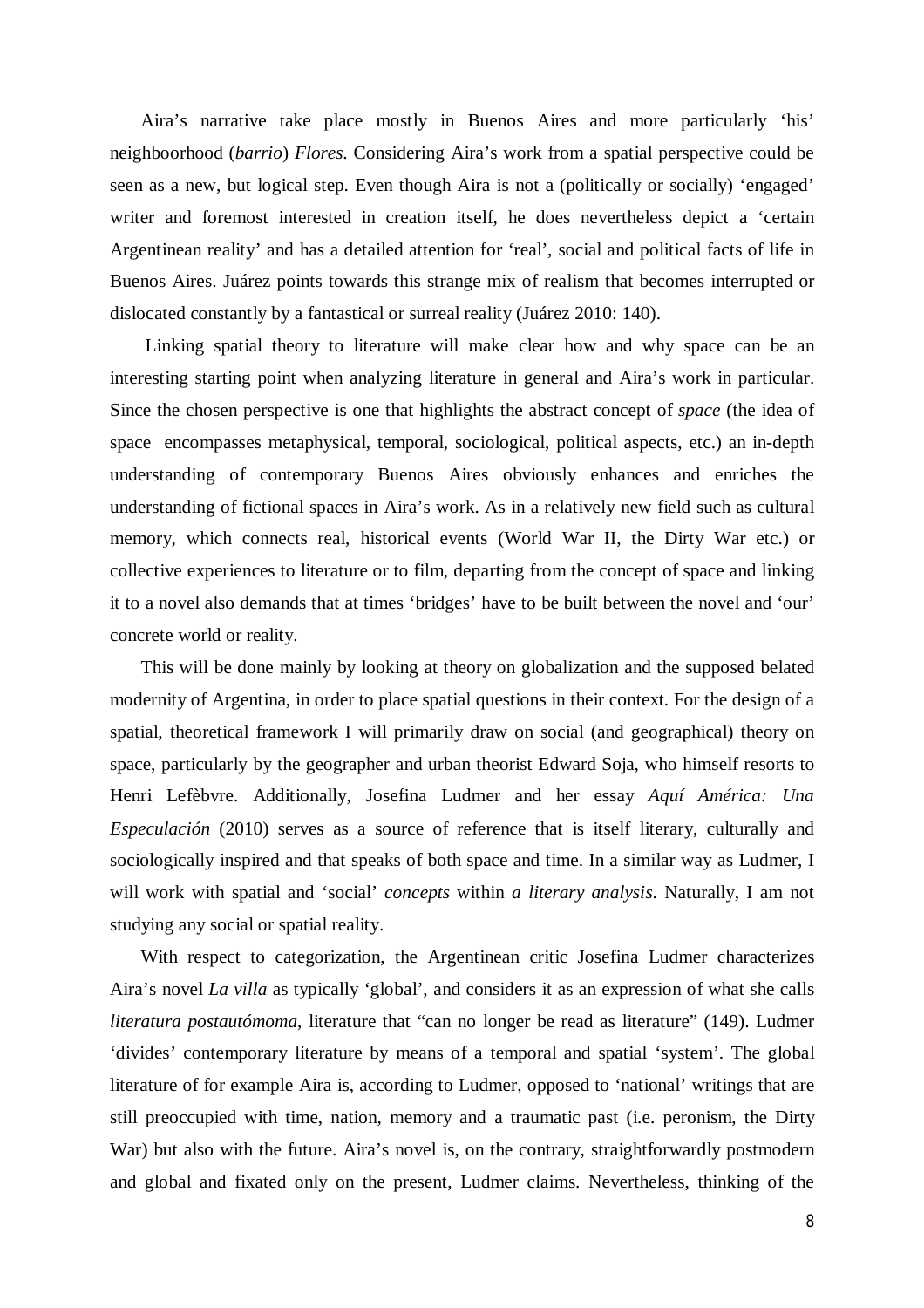Aira's narrative take place mostly in Buenos Aires and more particularly 'his' neighboorhood (*barrio*) *Flores*. Considering Aira's work from a spatial perspective could be seen as a new, but logical step. Even though Aira is not a (politically or socially) 'engaged' writer and foremost interested in creation itself, he does nevertheless depict a 'certain Argentinean reality' and has a detailed attention for 'real', social and political facts of life in Buenos Aires. Juárez points towards this strange mix of realism that becomes interrupted or dislocated constantly by a fantastical or surreal reality (Juárez 2010: 140).

Linking spatial theory to literature will make clear how and why space can be an interesting starting point when analyzing literature in general and Aira's work in particular. Since the chosen perspective is one that highlights the abstract concept of *space* (the idea of space encompasses metaphysical, temporal, sociological, political aspects, etc.) an in-depth understanding of contemporary Buenos Aires obviously enhances and enriches the understanding of fictional spaces in Aira's work. As in a relatively new field such as cultural memory, which connects real, historical events (World War II, the Dirty War etc.) or collective experiences to literature or to film, departing from the concept of space and linking it to a novel also demands that at times 'bridges' have to be built between the novel and 'our' concrete world or reality.

This will be done mainly by looking at theory on globalization and the supposed belated modernity of Argentina, in order to place spatial questions in their context. For the design of a spatial, theoretical framework I will primarily draw on social (and geographical) theory on space, particularly by the geographer and urban theorist Edward Soja, who himself resorts to Henri Lefèbvre. Additionally, Josefina Ludmer and her essay *Aquí América: Una Especulación* (2010) serves as a source of reference that is itself literary, culturally and sociologically inspired and that speaks of both space and time. In a similar way as Ludmer, I will work with spatial and 'social' *concepts* within *a literary analysis*. Naturally, I am not studying any social or spatial reality.

With respect to categorization, the Argentinean critic Josefina Ludmer characterizes Aira's novel *La villa* as typically 'global', and considers it as an expression of what she calls *literatura postautómoma*, literature that "can no longer be read as literature" (149). Ludmer 'divides' contemporary literature by means of a temporal and spatial 'system'. The global literature of for example Aira is, according to Ludmer, opposed to 'national' writings that are still preoccupied with time, nation, memory and a traumatic past (i.e. peronism, the Dirty War) but also with the future. Aira's novel is, on the contrary, straightforwardly postmodern and global and fixated only on the present, Ludmer claims. Nevertheless, thinking of the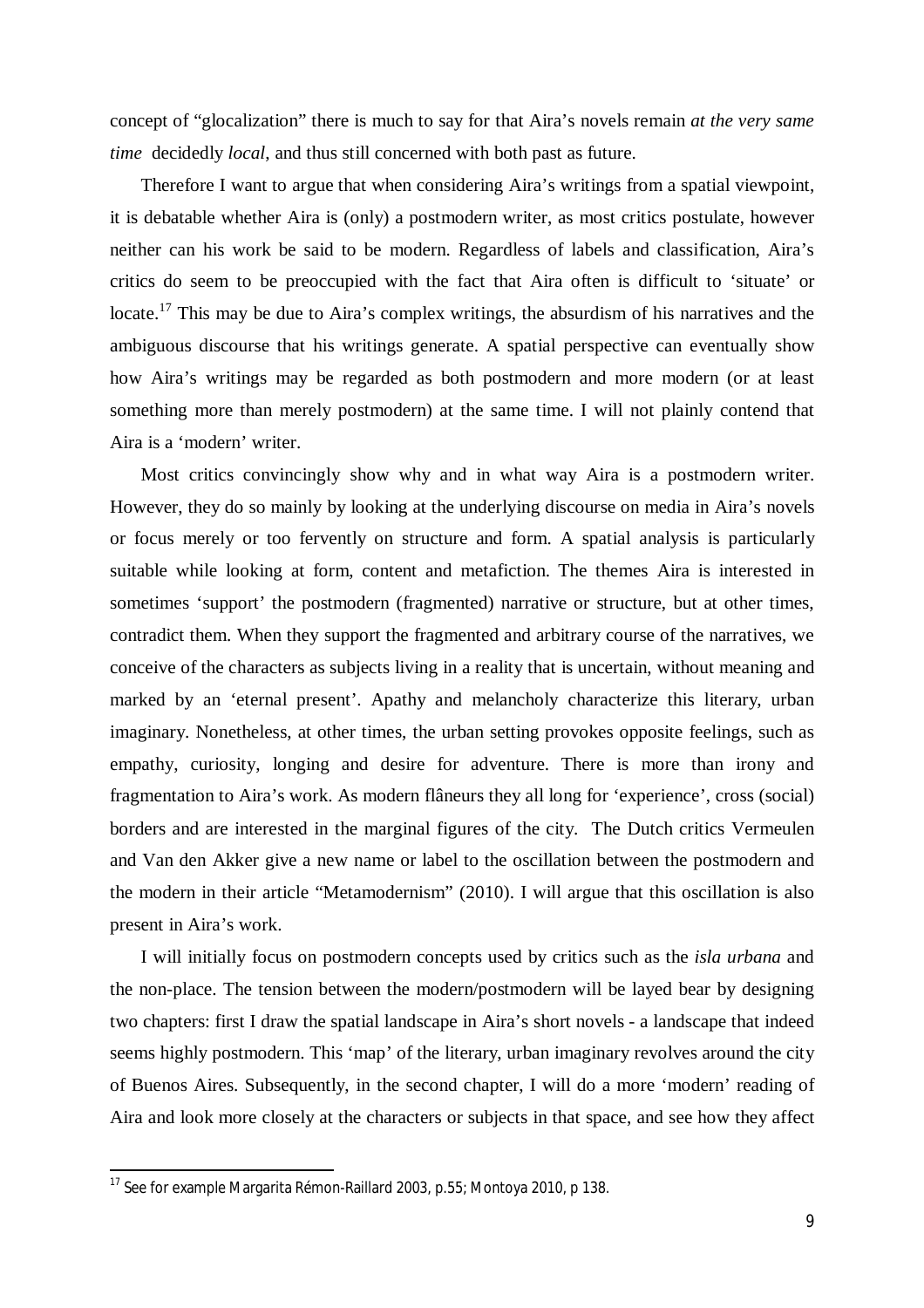concept of "glocalization" there is much to say for that Aira's novels remain *at the very same time* decidedly *local*, and thus still concerned with both past as future.

Therefore I want to argue that when considering Aira's writings from a spatial viewpoint, it is debatable whether Aira is (only) a postmodern writer, as most critics postulate, however neither can his work be said to be modern. Regardless of labels and classification, Aira's critics do seem to be preoccupied with the fact that Aira often is difficult to 'situate' or locate.<sup>17</sup> This may be due to Aira's complex writings, the absurdism of his narratives and the ambiguous discourse that his writings generate. A spatial perspective can eventually show how Aira's writings may be regarded as both postmodern and more modern (or at least something more than merely postmodern) at the same time. I will not plainly contend that Aira is a 'modern' writer.

Most critics convincingly show why and in what way Aira is a postmodern writer. However, they do so mainly by looking at the underlying discourse on media in Aira's novels or focus merely or too fervently on structure and form. A spatial analysis is particularly suitable while looking at form, content and metafiction. The themes Aira is interested in sometimes 'support' the postmodern (fragmented) narrative or structure, but at other times, contradict them. When they support the fragmented and arbitrary course of the narratives, we conceive of the characters as subjects living in a reality that is uncertain, without meaning and marked by an 'eternal present'. Apathy and melancholy characterize this literary, urban imaginary. Nonetheless, at other times, the urban setting provokes opposite feelings, such as empathy, curiosity, longing and desire for adventure. There is more than irony and fragmentation to Aira's work. As modern flâneurs they all long for 'experience', cross (social) borders and are interested in the marginal figures of the city. The Dutch critics Vermeulen and Van den Akker give a new name or label to the oscillation between the postmodern and the modern in their article "Metamodernism" (2010). I will argue that this oscillation is also present in Aira's work.

I will initially focus on postmodern concepts used by critics such as the *isla urbana* and the non-place. The tension between the modern/postmodern will be layed bear by designing two chapters: first I draw the spatial landscape in Aira's short novels - a landscape that indeed seems highly postmodern. This 'map' of the literary, urban imaginary revolves around the city of Buenos Aires. Subsequently, in the second chapter, I will do a more 'modern' reading of Aira and look more closely at the characters or subjects in that space, and see how they affect

1

 $^{17}$  See for example Margarita Rémon-Raillard 2003, p.55; Montoya 2010, p 138.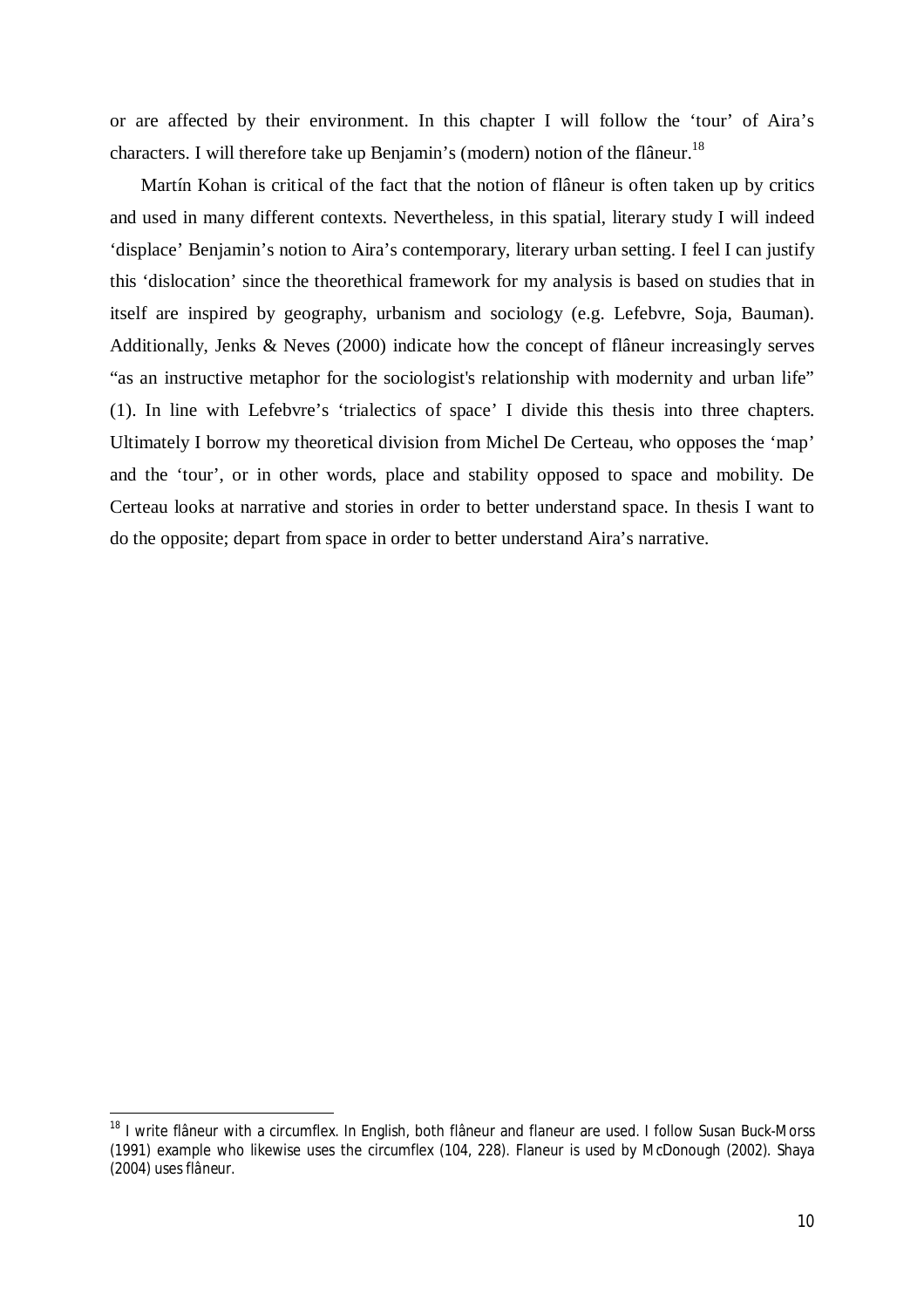or are affected by their environment. In this chapter I will follow the 'tour' of Aira's characters. I will therefore take up Benjamin's (modern) notion of the flâneur.<sup>18</sup>

Martín Kohan is critical of the fact that the notion of flâneur is often taken up by critics and used in many different contexts. Nevertheless, in this spatial, literary study I will indeed 'displace' Benjamin's notion to Aira's contemporary, literary urban setting. I feel I can justify this 'dislocation' since the theorethical framework for my analysis is based on studies that in itself are inspired by geography, urbanism and sociology (e.g. Lefebvre, Soja, Bauman). Additionally, Jenks & Neves (2000) indicate how the concept of flâneur increasingly serves "as an instructive metaphor for the sociologist's relationship with modernity and urban life" (1). In line with Lefebvre's 'trialectics of space' I divide this thesis into three chapters. Ultimately I borrow my theoretical division from Michel De Certeau, who opposes the 'map' and the 'tour', or in other words, place and stability opposed to space and mobility. De Certeau looks at narrative and stories in order to better understand space. In thesis I want to do the opposite; depart from space in order to better understand Aira's narrative.

<sup>&</sup>lt;sup>18</sup> I write flâneur with a circumflex. In English, both flâneur and flaneur are used. I follow Susan Buck-Morss (1991) example who likewise uses the circumflex (104, 228). Flaneur is used by McDonough (2002). Shaya (2004) uses *flâneur.*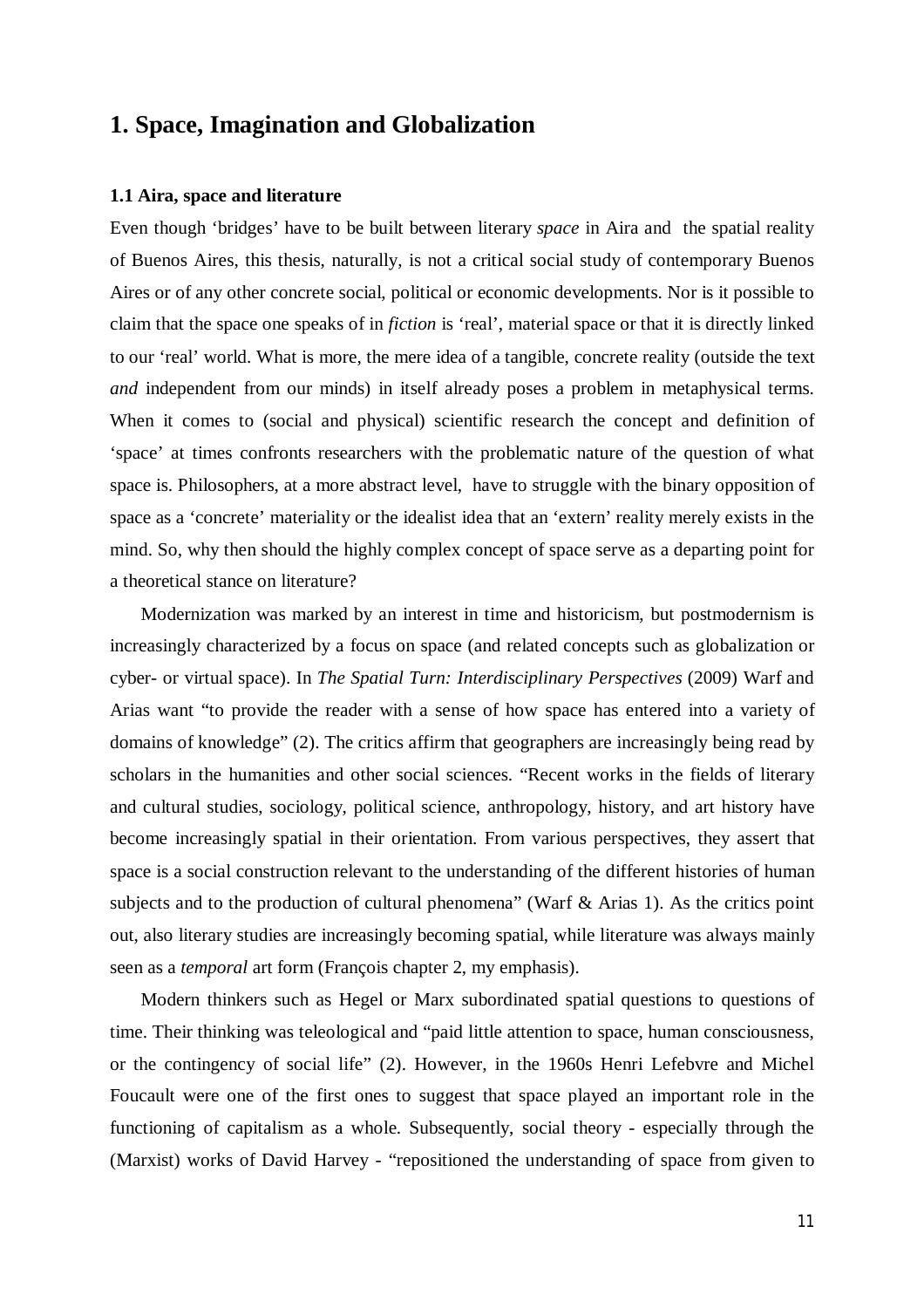## **1. Space, Imagination and Globalization**

#### **1.1 Aira, space and literature**

Even though 'bridges' have to be built between literary *space* in Aira and the spatial reality of Buenos Aires, this thesis, naturally, is not a critical social study of contemporary Buenos Aires or of any other concrete social, political or economic developments. Nor is it possible to claim that the space one speaks of in *fiction* is 'real', material space or that it is directly linked to our 'real' world. What is more, the mere idea of a tangible, concrete reality (outside the text *and* independent from our minds) in itself already poses a problem in metaphysical terms. When it comes to (social and physical) scientific research the concept and definition of 'space' at times confronts researchers with the problematic nature of the question of what space is. Philosophers, at a more abstract level, have to struggle with the binary opposition of space as a 'concrete' materiality or the idealist idea that an 'extern' reality merely exists in the mind. So, why then should the highly complex concept of space serve as a departing point for a theoretical stance on literature?

Modernization was marked by an interest in time and historicism, but postmodernism is increasingly characterized by a focus on space (and related concepts such as globalization or cyber- or virtual space). In *The Spatial Turn: Interdisciplinary Perspectives* (2009) Warf and Arias want "to provide the reader with a sense of how space has entered into a variety of domains of knowledge" (2). The critics affirm that geographers are increasingly being read by scholars in the humanities and other social sciences. "Recent works in the fields of literary and cultural studies, sociology, political science, anthropology, history, and art history have become increasingly spatial in their orientation. From various perspectives, they assert that space is a social construction relevant to the understanding of the different histories of human subjects and to the production of cultural phenomena" (Warf & Arias 1). As the critics point out, also literary studies are increasingly becoming spatial, while literature was always mainly seen as a *temporal* art form (François chapter 2, my emphasis).

Modern thinkers such as Hegel or Marx subordinated spatial questions to questions of time. Their thinking was teleological and "paid little attention to space, human consciousness, or the contingency of social life" (2). However, in the 1960s Henri Lefebvre and Michel Foucault were one of the first ones to suggest that space played an important role in the functioning of capitalism as a whole. Subsequently, social theory - especially through the (Marxist) works of David Harvey - "repositioned the understanding of space from given to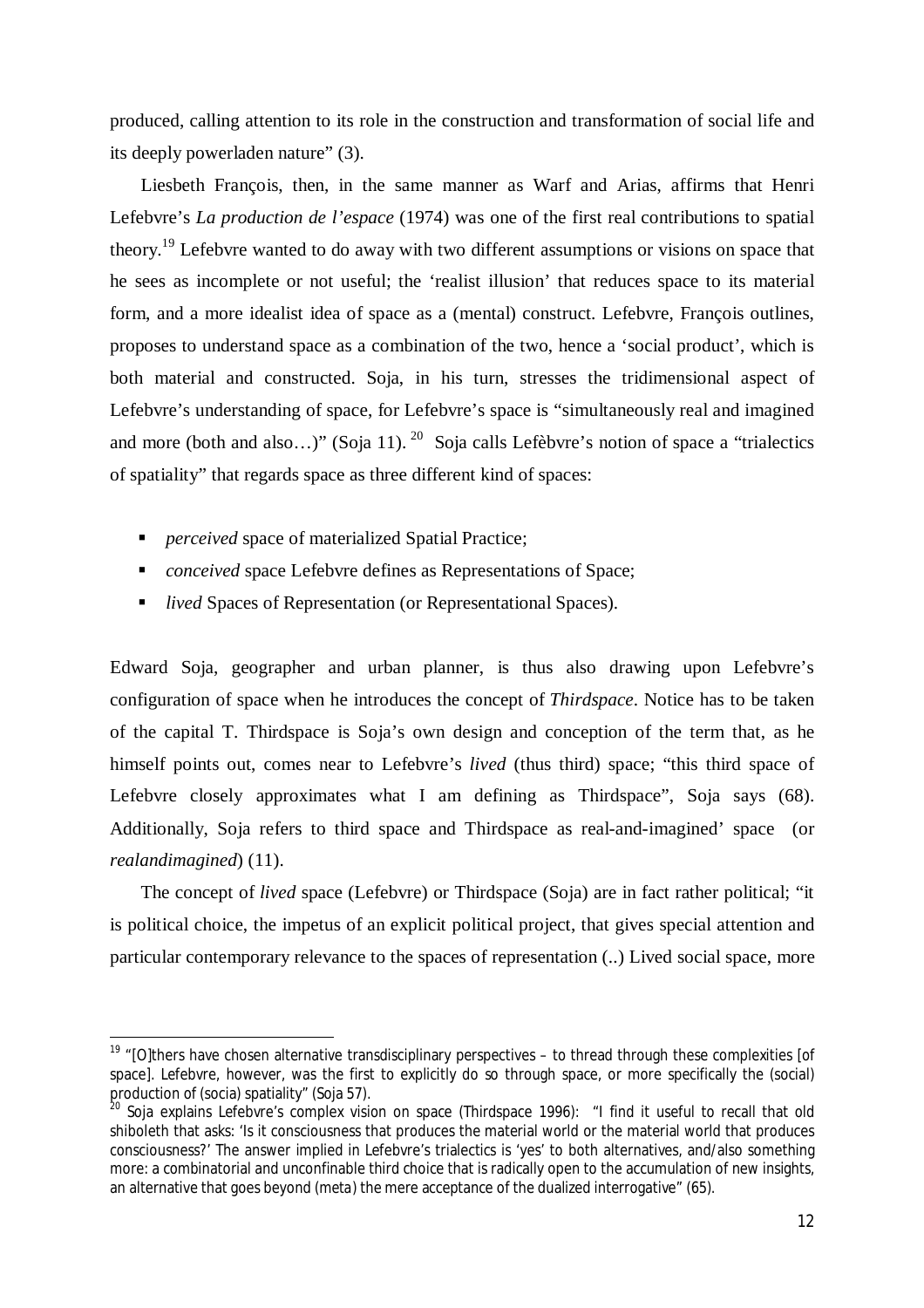produced, calling attention to its role in the construction and transformation of social life and its deeply powerladen nature" (3).

Liesbeth François, then, in the same manner as Warf and Arias, affirms that Henri Lefebvre's *La production de l'espace* (1974) was one of the first real contributions to spatial theory.<sup>19</sup> Lefebvre wanted to do away with two different assumptions or visions on space that he sees as incomplete or not useful; the 'realist illusion' that reduces space to its material form, and a more idealist idea of space as a (mental) construct. Lefebvre, François outlines, proposes to understand space as a combination of the two, hence a 'social product', which is both material and constructed. Soja, in his turn, stresses the tridimensional aspect of Lefebvre's understanding of space, for Lefebvre's space is "simultaneously real and imagined and more (both and also...)" (Soja 11). <sup>20</sup> Soja calls Lefèbvre's notion of space a "trialectics" of spatiality" that regards space as three different kind of spaces:

■ *perceived* space of materialized Spatial Practice;

 $\overline{a}$ 

- *conceived* space Lefebvre defines as Representations of Space;
- *lived* Spaces of Representation (or Representational Spaces).

Edward Soja, geographer and urban planner, is thus also drawing upon Lefebvre's configuration of space when he introduces the concept of *Thirdspace*. Notice has to be taken of the capital T. Thirdspace is Soja's own design and conception of the term that, as he himself points out, comes near to Lefebvre's *lived* (thus third) space; "this third space of Lefebvre closely approximates what I am defining as Thirdspace", Soja says (68). Additionally, Soja refers to third space and Thirdspace as real-and-imagined' space (or *realandimagined*) (11).

The concept of *lived* space (Lefebvre) or Thirdspace (Soja) are in fact rather political; "it is political choice, the impetus of an explicit political project, that gives special attention and particular contemporary relevance to the spaces of representation (..) Lived social space, more

<sup>&</sup>lt;sup>19</sup> "[O]thers have chosen alternative transdisciplinary perspectives – to thread through these complexities [of space]. Lefebvre, however, was the first to explicitly do so through space, or more specifically the (social) production of (socia) spatiality" (Soja 57).

<sup>&</sup>lt;sup>20</sup> Soja explains Lefebvre's complex vision on space (Thirdspace 1996): "I find it useful to recall that old shiboleth that asks: 'Is it consciousness that produces the material world or the material world that produces consciousness?' The answer implied in Lefebvre's trialectics is 'yes' to both alternatives, and/also something more: a combinatorial and unconfinable third choice that is radically open to the accumulation of new insights, an alternative that goes beyond (*meta*) the mere acceptance of the dualized interrogative" (65).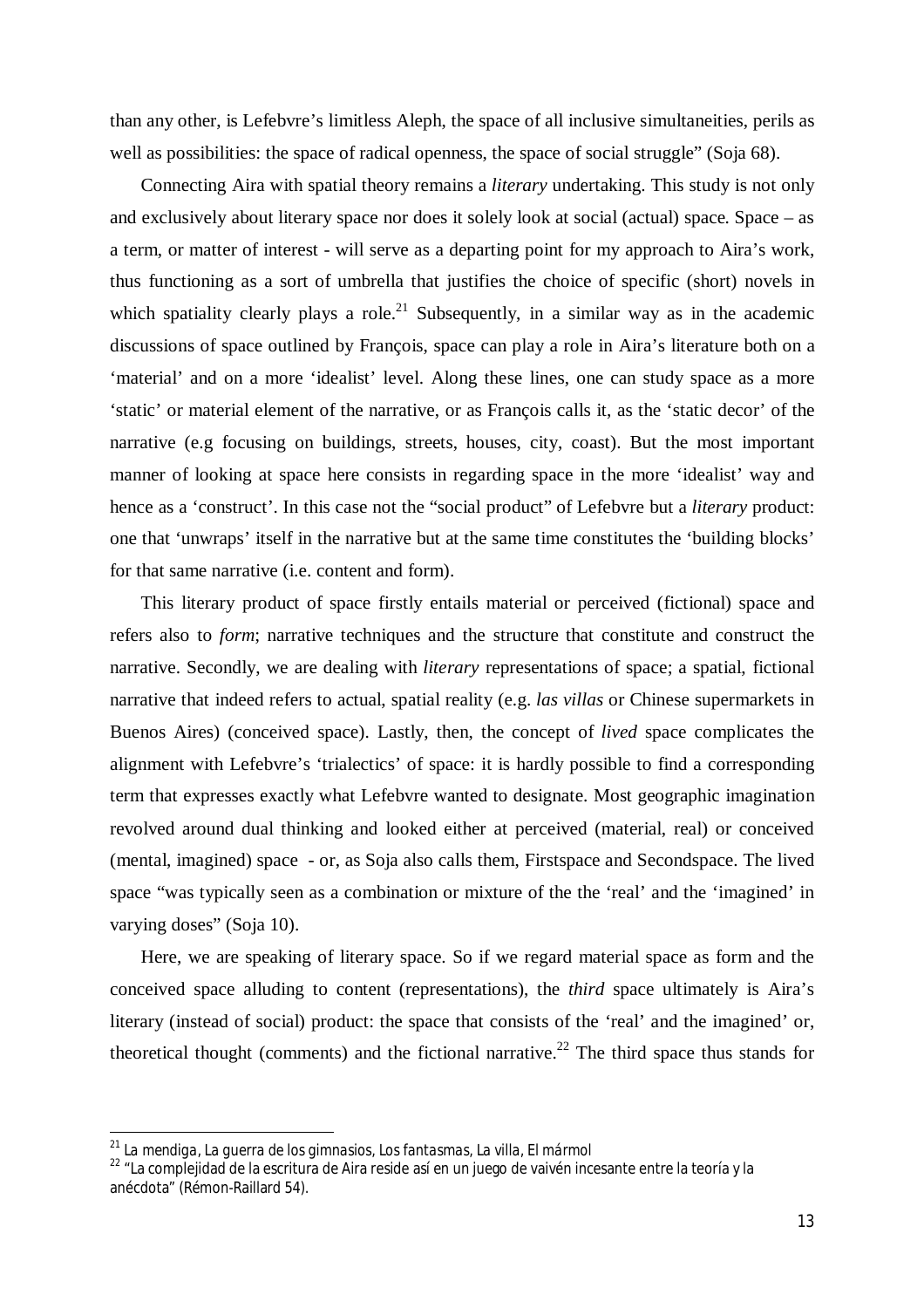than any other, is Lefebvre's limitless Aleph, the space of all inclusive simultaneities, perils as well as possibilities: the space of radical openness, the space of social struggle" (Soja 68).

Connecting Aira with spatial theory remains a *literary* undertaking. This study is not only and exclusively about literary space nor does it solely look at social (actual) space. Space – as a term, or matter of interest - will serve as a departing point for my approach to Aira's work, thus functioning as a sort of umbrella that justifies the choice of specific (short) novels in which spatiality clearly plays a role.<sup>21</sup> Subsequently, in a similar way as in the academic discussions of space outlined by François, space can play a role in Aira's literature both on a 'material' and on a more 'idealist' level. Along these lines, one can study space as a more 'static' or material element of the narrative, or as François calls it, as the 'static decor' of the narrative (e.g focusing on buildings, streets, houses, city, coast). But the most important manner of looking at space here consists in regarding space in the more 'idealist' way and hence as a 'construct'. In this case not the "social product" of Lefebvre but a *literary* product: one that 'unwraps' itself in the narrative but at the same time constitutes the 'building blocks' for that same narrative (i.e. content and form).

This literary product of space firstly entails material or perceived (fictional) space and refers also to *form*; narrative techniques and the structure that constitute and construct the narrative. Secondly, we are dealing with *literary* representations of space; a spatial, fictional narrative that indeed refers to actual, spatial reality (e.g. *las villas* or Chinese supermarkets in Buenos Aires) (conceived space). Lastly, then, the concept of *lived* space complicates the alignment with Lefebvre's 'trialectics' of space: it is hardly possible to find a corresponding term that expresses exactly what Lefebvre wanted to designate. Most geographic imagination revolved around dual thinking and looked either at perceived (material, real) or conceived (mental, imagined) space - or, as Soja also calls them, Firstspace and Secondspace. The lived space "was typically seen as a combination or mixture of the the 'real' and the 'imagined' in varying doses" (Soja 10).

Here, we are speaking of literary space. So if we regard material space as form and the conceived space alluding to content (representations), the *third* space ultimately is Aira's literary (instead of social) product: the space that consists of the 'real' and the imagined' or, theoretical thought (comments) and the fictional narrative.<sup>22</sup> The third space thus stands for

<sup>21</sup> *La mendiga, La guerra de los gimnasios, Los fantasmas, La villa, El mármol*

<sup>&</sup>lt;sup>22</sup> "La compleiidad de la escritura de Aira reside así en un juego de vaivén incesante entre la teoría y la anécdota" (Rémon-Raillard 54).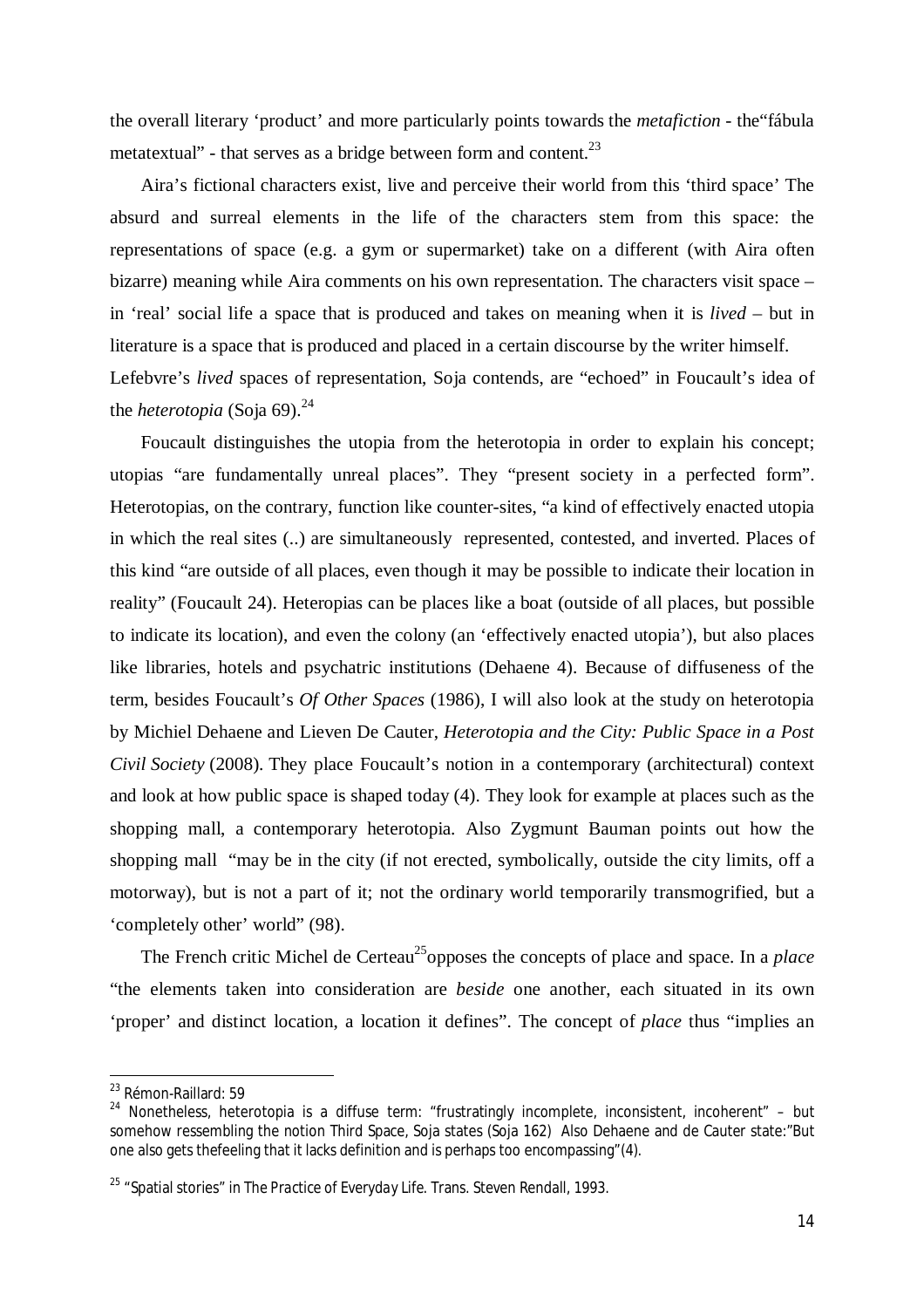the overall literary 'product' and more particularly points towards the *metafiction* - the"fábula metatextual" - that serves as a bridge between form and content.<sup>23</sup>

Aira's fictional characters exist, live and perceive their world from this 'third space' The absurd and surreal elements in the life of the characters stem from this space: the representations of space (e.g. a gym or supermarket) take on a different (with Aira often bizarre) meaning while Aira comments on his own representation. The characters visit space – in 'real' social life a space that is produced and takes on meaning when it is *lived* – but in literature is a space that is produced and placed in a certain discourse by the writer himself. Lefebvre's *lived* spaces of representation, Soja contends, are "echoed" in Foucault's idea of the *heterotopia* (Soja 69).<sup>24</sup>

Foucault distinguishes the utopia from the heterotopia in order to explain his concept; utopias "are fundamentally unreal places". They "present society in a perfected form". Heterotopias, on the contrary, function like counter-sites, "a kind of effectively enacted utopia in which the real sites (..) are simultaneously represented, contested, and inverted. Places of this kind "are outside of all places, even though it may be possible to indicate their location in reality" (Foucault 24). Heteropias can be places like a boat (outside of all places, but possible to indicate its location), and even the colony (an 'effectively enacted utopia'), but also places like libraries, hotels and psychatric institutions (Dehaene 4). Because of diffuseness of the term, besides Foucault's *Of Other Spaces* (1986), I will also look at the study on heterotopia by Michiel Dehaene and Lieven De Cauter, *Heterotopia and the City: Public Space in a Post Civil Society* (2008). They place Foucault's notion in a contemporary (architectural) context and look at how public space is shaped today (4). They look for example at places such as the shopping mall, a contemporary heterotopia. Also Zygmunt Bauman points out how the shopping mall "may be in the city (if not erected, symbolically, outside the city limits, off a motorway), but is not a part of it; not the ordinary world temporarily transmogrified, but a 'completely other' world" (98).

The French critic Michel de Certeau<sup>25</sup> opposes the concepts of place and space. In a *place* "the elements taken into consideration are *beside* one another, each situated in its own 'proper' and distinct location, a location it defines". The concept of *place* thus "implies an

<sup>23</sup> Rémon-Raillard: 59

 $24$  Nonetheless, heterotopia is a diffuse term: "frustratingly incomplete, inconsistent, incoherent" – but somehow ressembling the notion Third Space, Soja states (Soja 162) Also Dehaene and de Cauter state:"But one also gets thefeeling that it lacks definition and is perhaps too encompassing"(4).

<sup>25</sup> "Spatial stories" in *The Practice of Everyday Life*. Trans. Steven Rendall, 1993.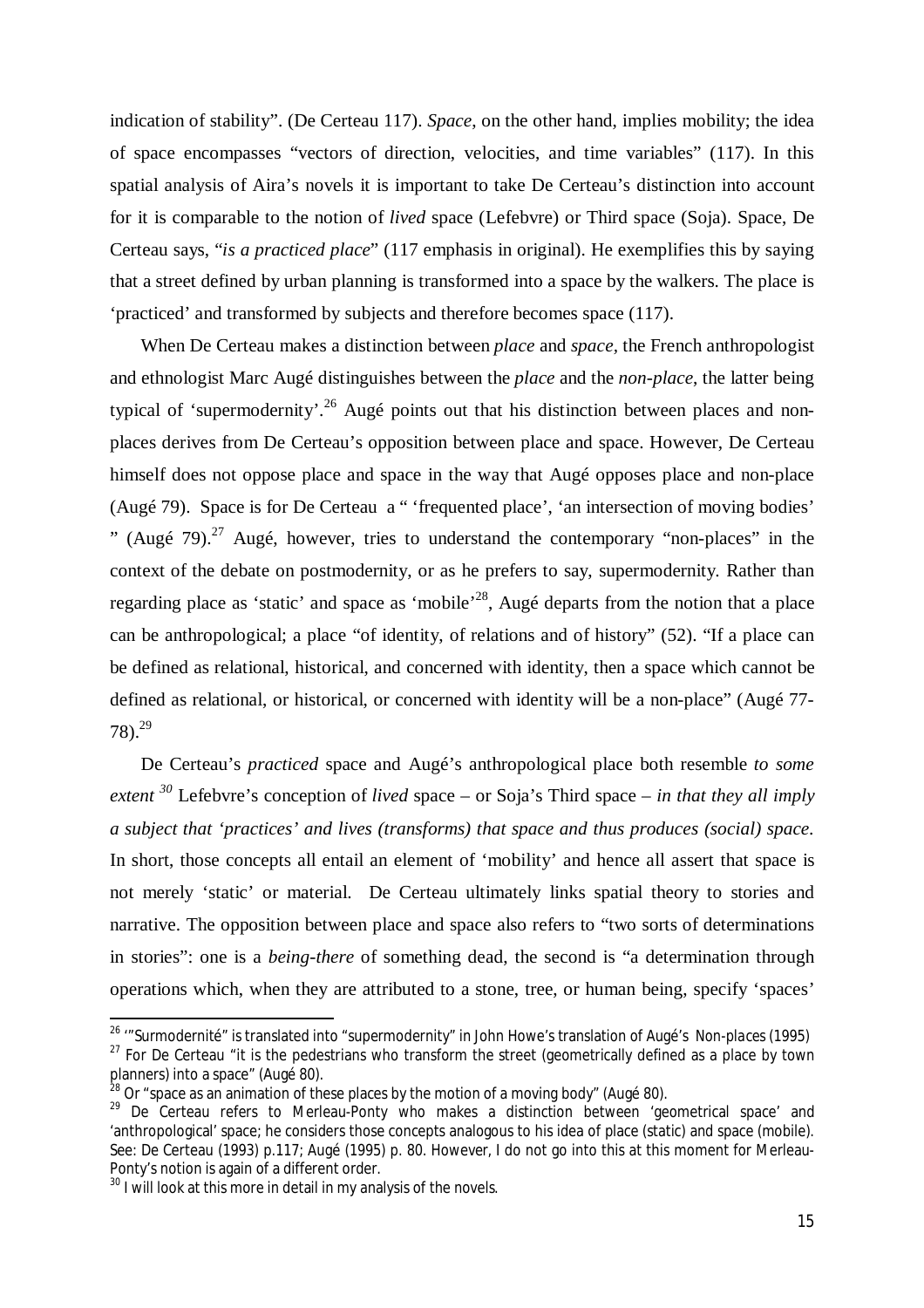indication of stability". (De Certeau 117). *Space*, on the other hand, implies mobility; the idea of space encompasses "vectors of direction, velocities, and time variables" (117). In this spatial analysis of Aira's novels it is important to take De Certeau's distinction into account for it is comparable to the notion of *lived* space (Lefebvre) or Third space (Soja). Space, De Certeau says, "*is a practiced place*" (117 emphasis in original). He exemplifies this by saying that a street defined by urban planning is transformed into a space by the walkers. The place is 'practiced' and transformed by subjects and therefore becomes space (117).

When De Certeau makes a distinction between *place* and *space,* the French anthropologist and ethnologist Marc Augé distinguishes between the *place* and the *non-place*, the latter being typical of 'supermodernity'.<sup>26</sup> Augé points out that his distinction between places and nonplaces derives from De Certeau's opposition between place and space. However, De Certeau himself does not oppose place and space in the way that Augé opposes place and non-place (Augé 79). Space is for De Certeau a " 'frequented place', 'an intersection of moving bodies' " (Augé  $79$ ).<sup>27</sup> Augé, however, tries to understand the contemporary "non-places" in the context of the debate on postmodernity, or as he prefers to say, supermodernity. Rather than regarding place as 'static' and space as 'mobile'<sup>28</sup>, Augé departs from the notion that a place can be anthropological; a place "of identity, of relations and of history" (52). "If a place can be defined as relational, historical, and concerned with identity, then a space which cannot be defined as relational, or historical, or concerned with identity will be a non-place" (Augé 77-  $78)$ <sup>29</sup>

De Certeau's *practiced* space and Augé's anthropological place both resemble *to some extent <sup>30</sup>* Lefebvre's conception of *lived* space – or Soja's Third space – *in that they all imply a subject that 'practices' and lives (transforms) that space and thus produces (social) space*. In short, those concepts all entail an element of 'mobility' and hence all assert that space is not merely 'static' or material. De Certeau ultimately links spatial theory to stories and narrative. The opposition between place and space also refers to "two sorts of determinations in stories": one is a *being-there* of something dead, the second is "a determination through operations which, when they are attributed to a stone, tree, or human being, specify 'spaces'

<sup>26</sup> '"Surmodernité" is translated into "supermodernity" in John Howe's translation of Augé's *Non-places* (1995)  $27$  For De Certeau "it is the pedestrians who transform the street (geometrically defined as a place by town planners) into a space" (Augé 80).

 $^{28}$  Or "space as an animation of these places by the motion of a moving body" (Augé 80).

 $29$  De Certeau refers to Merleau-Ponty who makes a distinction between 'geometrical space' and 'anthropological' space; he considers those concepts analogous to his idea of place (static) and space (mobile). See: De Certeau (1993) p.117; Augé (1995) p. 80. However, I do not go into this at this moment for Merleau-Ponty's notion is again of a different order.

 $30$  I will look at this more in detail in my analysis of the novels.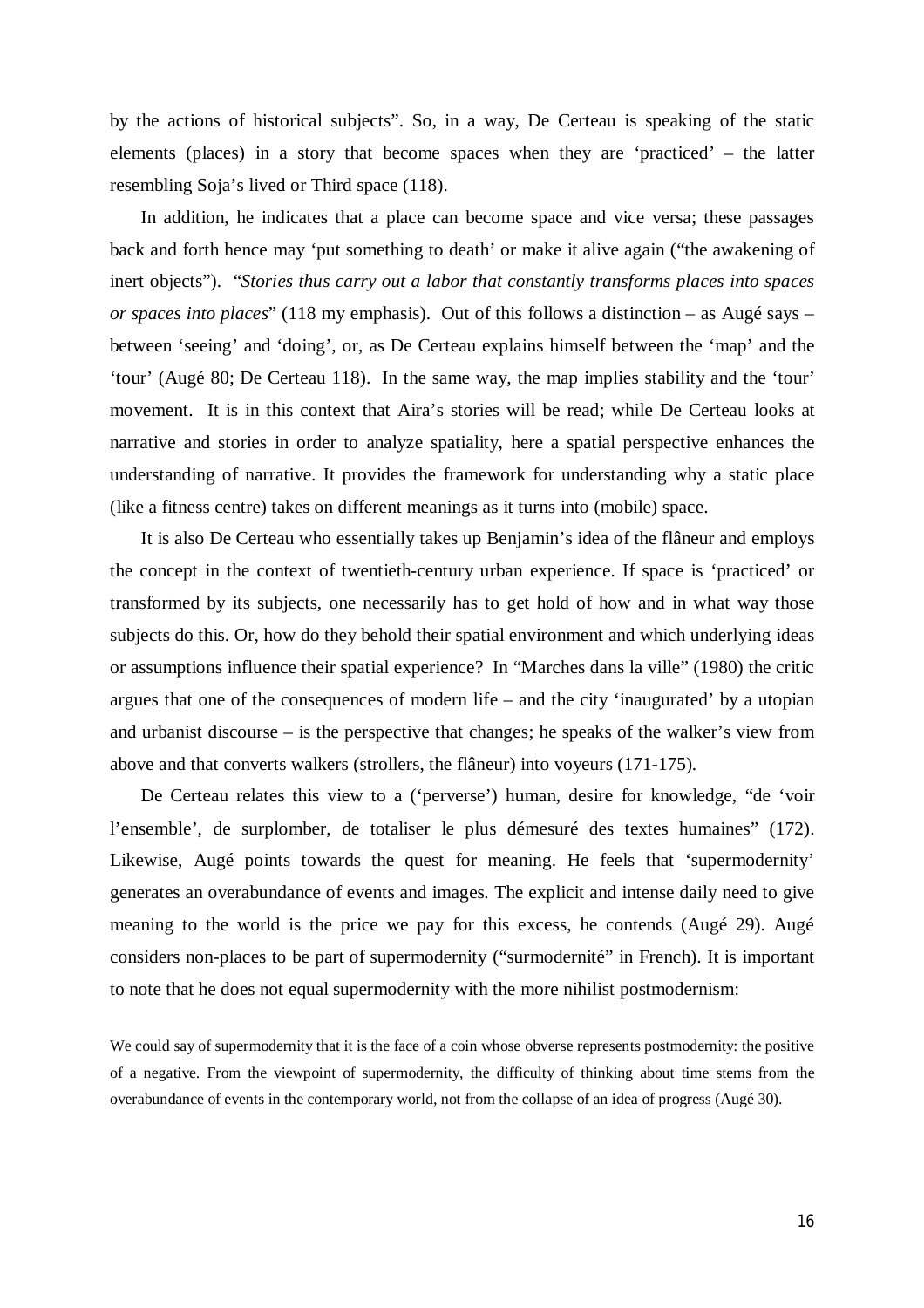by the actions of historical subjects". So, in a way, De Certeau is speaking of the static elements (places) in a story that become spaces when they are 'practiced' – the latter resembling Soja's lived or Third space (118).

In addition, he indicates that a place can become space and vice versa; these passages back and forth hence may 'put something to death' or make it alive again ("the awakening of inert objects"). "*Stories thus carry out a labor that constantly transforms places into spaces or spaces into places*" (118 my emphasis). Out of this follows a distinction – as Augé says – between 'seeing' and 'doing', or, as De Certeau explains himself between the 'map' and the 'tour' (Augé 80; De Certeau 118). In the same way, the map implies stability and the 'tour' movement. It is in this context that Aira's stories will be read; while De Certeau looks at narrative and stories in order to analyze spatiality, here a spatial perspective enhances the understanding of narrative. It provides the framework for understanding why a static place (like a fitness centre) takes on different meanings as it turns into (mobile) space.

It is also De Certeau who essentially takes up Benjamin's idea of the flâneur and employs the concept in the context of twentieth-century urban experience. If space is 'practiced' or transformed by its subjects, one necessarily has to get hold of how and in what way those subjects do this. Or, how do they behold their spatial environment and which underlying ideas or assumptions influence their spatial experience? In "Marches dans la ville" (1980) the critic argues that one of the consequences of modern life – and the city 'inaugurated' by a utopian and urbanist discourse – is the perspective that changes; he speaks of the walker's view from above and that converts walkers (strollers, the flâneur) into voyeurs (171-175).

De Certeau relates this view to a ('perverse') human, desire for knowledge, "de 'voir l'ensemble', de surplomber, de totaliser le plus démesuré des textes humaines" (172). Likewise, Augé points towards the quest for meaning. He feels that 'supermodernity' generates an overabundance of events and images. The explicit and intense daily need to give meaning to the world is the price we pay for this excess, he contends (Augé 29). Augé considers non-places to be part of supermodernity ("surmodernité" in French). It is important to note that he does not equal supermodernity with the more nihilist postmodernism:

We could say of supermodernity that it is the face of a coin whose obverse represents postmodernity: the positive of a negative. From the viewpoint of supermodernity, the difficulty of thinking about time stems from the overabundance of events in the contemporary world, not from the collapse of an idea of progress (Augé 30).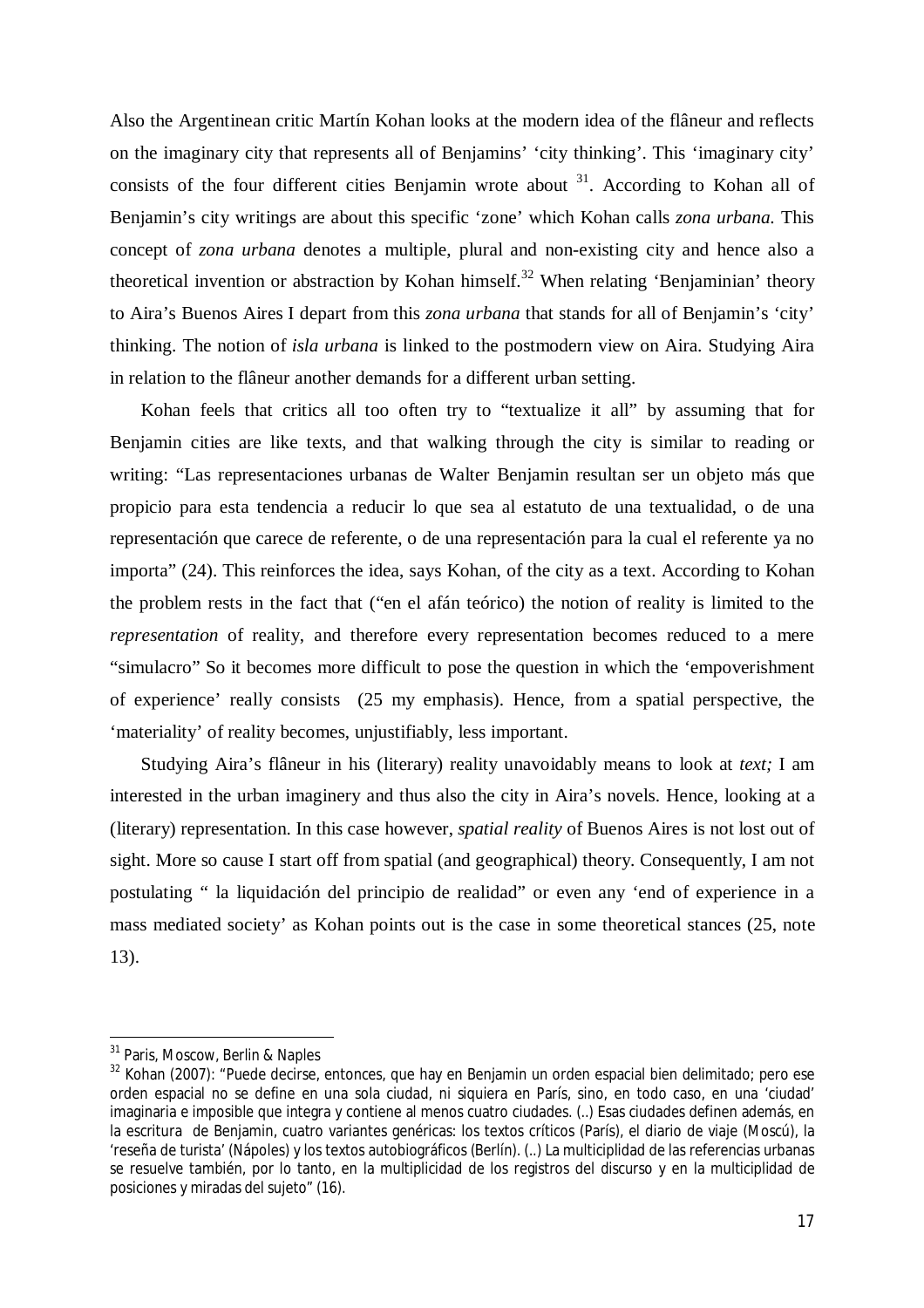Also the Argentinean critic Martín Kohan looks at the modern idea of the flâneur and reflects on the imaginary city that represents all of Benjamins' 'city thinking'. This 'imaginary city' consists of the four different cities Benjamin wrote about  $3<sup>1</sup>$ . According to Kohan all of Benjamin's city writings are about this specific 'zone' which Kohan calls *zona urbana.* This concept of *zona urbana* denotes a multiple, plural and non-existing city and hence also a theoretical invention or abstraction by Kohan himself.<sup>32</sup> When relating 'Benjaminian' theory to Aira's Buenos Aires I depart from this *zona urbana* that stands for all of Benjamin's 'city' thinking. The notion of *isla urbana* is linked to the postmodern view on Aira. Studying Aira in relation to the flâneur another demands for a different urban setting.

Kohan feels that critics all too often try to "textualize it all" by assuming that for Benjamin cities are like texts, and that walking through the city is similar to reading or writing: "Las representaciones urbanas de Walter Benjamin resultan ser un objeto más que propicio para esta tendencia a reducir lo que sea al estatuto de una textualidad, o de una representación que carece de referente, o de una representación para la cual el referente ya no importa" (24). This reinforces the idea, says Kohan, of the city as a text. According to Kohan the problem rests in the fact that ("en el afán teórico) the notion of reality is limited to the *representation* of reality, and therefore every representation becomes reduced to a mere "simulacro" So it becomes more difficult to pose the question in which the 'empoverishment of experience' really consists (25 my emphasis). Hence, from a spatial perspective, the 'materiality' of reality becomes, unjustifiably, less important.

Studying Aira's flâneur in his (literary) reality unavoidably means to look at *text;* I am interested in the urban imaginery and thus also the city in Aira's novels. Hence, looking at a (literary) representation. In this case however, *spatial reality* of Buenos Aires is not lost out of sight. More so cause I start off from spatial (and geographical) theory. Consequently, I am not postulating " la liquidación del principio de realidad" or even any 'end of experience in a mass mediated society' as Kohan points out is the case in some theoretical stances (25, note 13).

<sup>&</sup>lt;sup>31</sup> Paris, Moscow, Berlin & Naples

<sup>&</sup>lt;sup>32</sup> Kohan (2007): "Puede decirse, entonces, que hay en Benjamin un orden espacial bien delimitado; pero ese orden espacial no se define en una sola ciudad, ni siquiera en París, sino, en todo caso, en una 'ciudad' imaginaria e imposible que integra y contiene al menos cuatro ciudades. (..) Esas ciudades definen además, en la escritura de Benjamin, cuatro variantes genéricas: los textos críticos (París), el diario de viaje (Moscú), la 'reseña de turista' (Nápoles) y los textos autobiográficos (Berlín). (..) La multiciplidad de las referencias urbanas se resuelve también, por lo tanto, en la multiplicidad de los registros del discurso y en la multiciplidad de posiciones y miradas del sujeto" (16).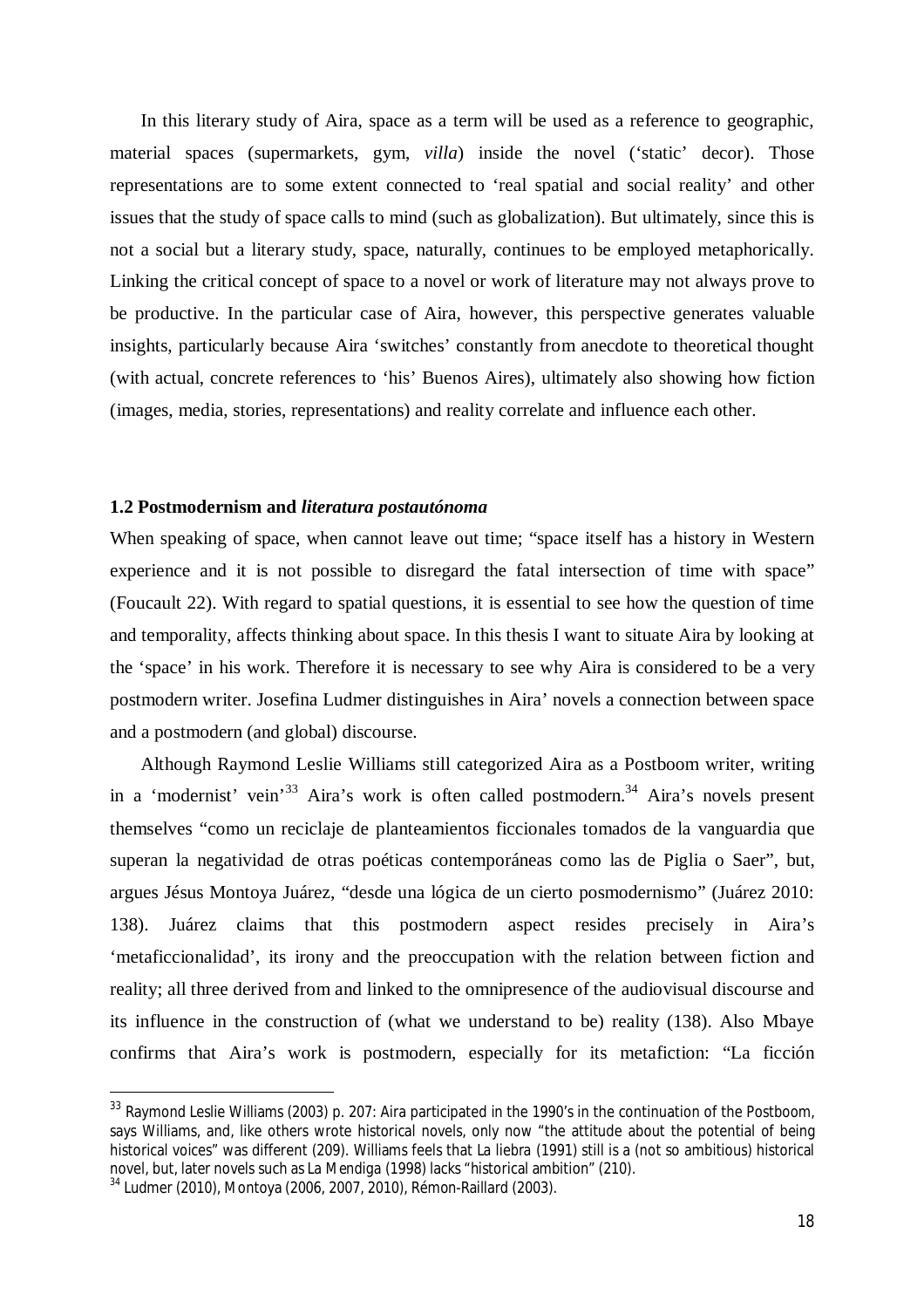In this literary study of Aira, space as a term will be used as a reference to geographic, material spaces (supermarkets, gym, *villa*) inside the novel ('static' decor). Those representations are to some extent connected to 'real spatial and social reality' and other issues that the study of space calls to mind (such as globalization). But ultimately, since this is not a social but a literary study, space, naturally, continues to be employed metaphorically. Linking the critical concept of space to a novel or work of literature may not always prove to be productive. In the particular case of Aira, however, this perspective generates valuable insights, particularly because Aira 'switches' constantly from anecdote to theoretical thought (with actual, concrete references to 'his' Buenos Aires), ultimately also showing how fiction (images, media, stories, representations) and reality correlate and influence each other.

#### **1.2 Postmodernism and** *literatura postautónoma*

When speaking of space, when cannot leave out time; "space itself has a history in Western experience and it is not possible to disregard the fatal intersection of time with space" (Foucault 22). With regard to spatial questions, it is essential to see how the question of time and temporality*,* affects thinking about space. In this thesis I want to situate Aira by looking at the 'space' in his work. Therefore it is necessary to see why Aira is considered to be a very postmodern writer. Josefina Ludmer distinguishes in Aira' novels a connection between space and a postmodern (and global) discourse.

Although Raymond Leslie Williams still categorized Aira as a Postboom writer, writing in a 'modernist' vein<sup>'33</sup> Aira's work is often called postmodern.<sup>34</sup> Aira's novels present themselves "como un reciclaje de planteamientos ficcionales tomados de la vanguardia que superan la negatividad de otras poéticas contemporáneas como las de Piglia o Saer", but, argues Jésus Montoya Juárez, "desde una lógica de un cierto posmodernismo" (Juárez 2010: 138). Juárez claims that this postmodern aspect resides precisely in Aira's 'metaficcionalidad', its irony and the preoccupation with the relation between fiction and reality; all three derived from and linked to the omnipresence of the audiovisual discourse and its influence in the construction of (what we understand to be) reality (138). Also Mbaye confirms that Aira's work is postmodern, especially for its metafiction: "La ficción

<sup>33</sup> Ravmond Leslie Williams (2003) p. 207: Aira participated in the 1990's in the continuation of the Postboom, says Williams, and, like others wrote historical novels, only now "the attitude about the potential of being historical voices" was different (209). Williams feels that *La liebra* (1991) still is a (not so ambitious) historical novel, but, later novels such as *La Mendiga* (1998) lacks "historical ambition" (210).

<sup>34</sup> Ludmer (2010), Montoya (2006, 2007, 2010), Rémon-Raillard (2003).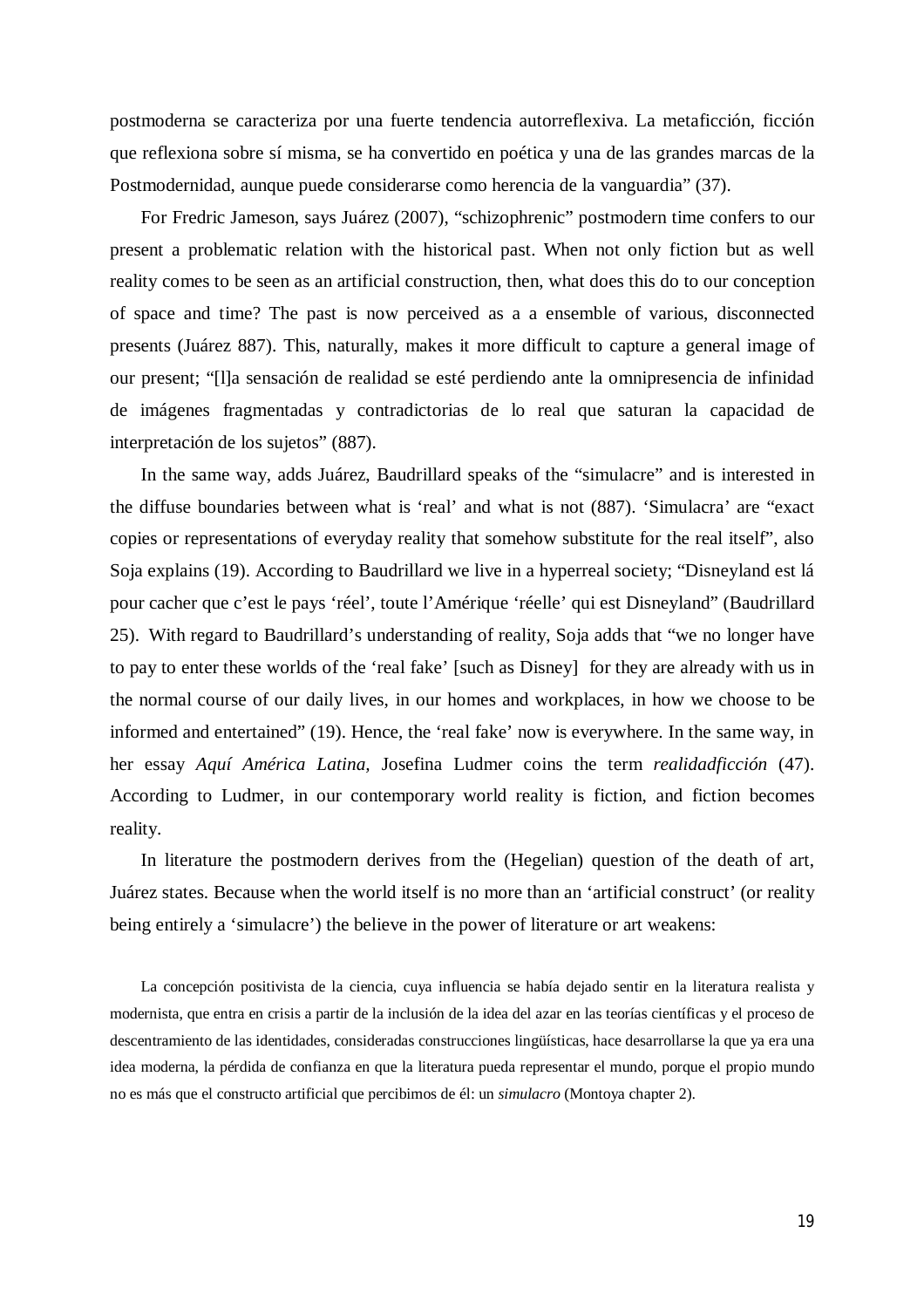postmoderna se caracteriza por una fuerte tendencia autorreflexiva. La metaficción, ficción que reflexiona sobre sí misma, se ha convertido en poética y una de las grandes marcas de la Postmodernidad, aunque puede considerarse como herencia de la vanguardia" (37).

For Fredric Jameson, says Juárez (2007), "schizophrenic" postmodern time confers to our present a problematic relation with the historical past. When not only fiction but as well reality comes to be seen as an artificial construction, then, what does this do to our conception of space and time? The past is now perceived as a a ensemble of various, disconnected presents (Juárez 887). This, naturally, makes it more difficult to capture a general image of our present; "[l]a sensación de realidad se esté perdiendo ante la omnipresencia de infinidad de imágenes fragmentadas y contradictorias de lo real que saturan la capacidad de interpretación de los sujetos" (887).

In the same way, adds Juárez, Baudrillard speaks of the "simulacre" and is interested in the diffuse boundaries between what is 'real' and what is not (887). 'Simulacra' are "exact copies or representations of everyday reality that somehow substitute for the real itself", also Soja explains (19). According to Baudrillard we live in a hyperreal society; "Disneyland est lá pour cacher que c'est le pays 'réel', toute l'Amérique 'réelle' qui est Disneyland" (Baudrillard 25). With regard to Baudrillard's understanding of reality, Soja adds that "we no longer have to pay to enter these worlds of the 'real fake' [such as Disney] for they are already with us in the normal course of our daily lives, in our homes and workplaces, in how we choose to be informed and entertained" (19). Hence, the 'real fake' now is everywhere. In the same way, in her essay *Aquí América Latina,* Josefina Ludmer coins the term *realidadficción* (47). According to Ludmer, in our contemporary world reality is fiction, and fiction becomes reality.

In literature the postmodern derives from the (Hegelian) question of the death of art, Juárez states. Because when the world itself is no more than an 'artificial construct' (or reality being entirely a 'simulacre') the believe in the power of literature or art weakens:

La concepción positivista de la ciencia, cuya influencia se había dejado sentir en la literatura realista y modernista, que entra en crisis a partir de la inclusión de la idea del azar en las teorías científicas y el proceso de descentramiento de las identidades, consideradas construcciones lingüísticas, hace desarrollarse la que ya era una idea moderna, la pérdida de confianza en que la literatura pueda representar el mundo, porque el propio mundo no es más que el constructo artificial que percibimos de él: un *simulacro* (Montoya chapter 2).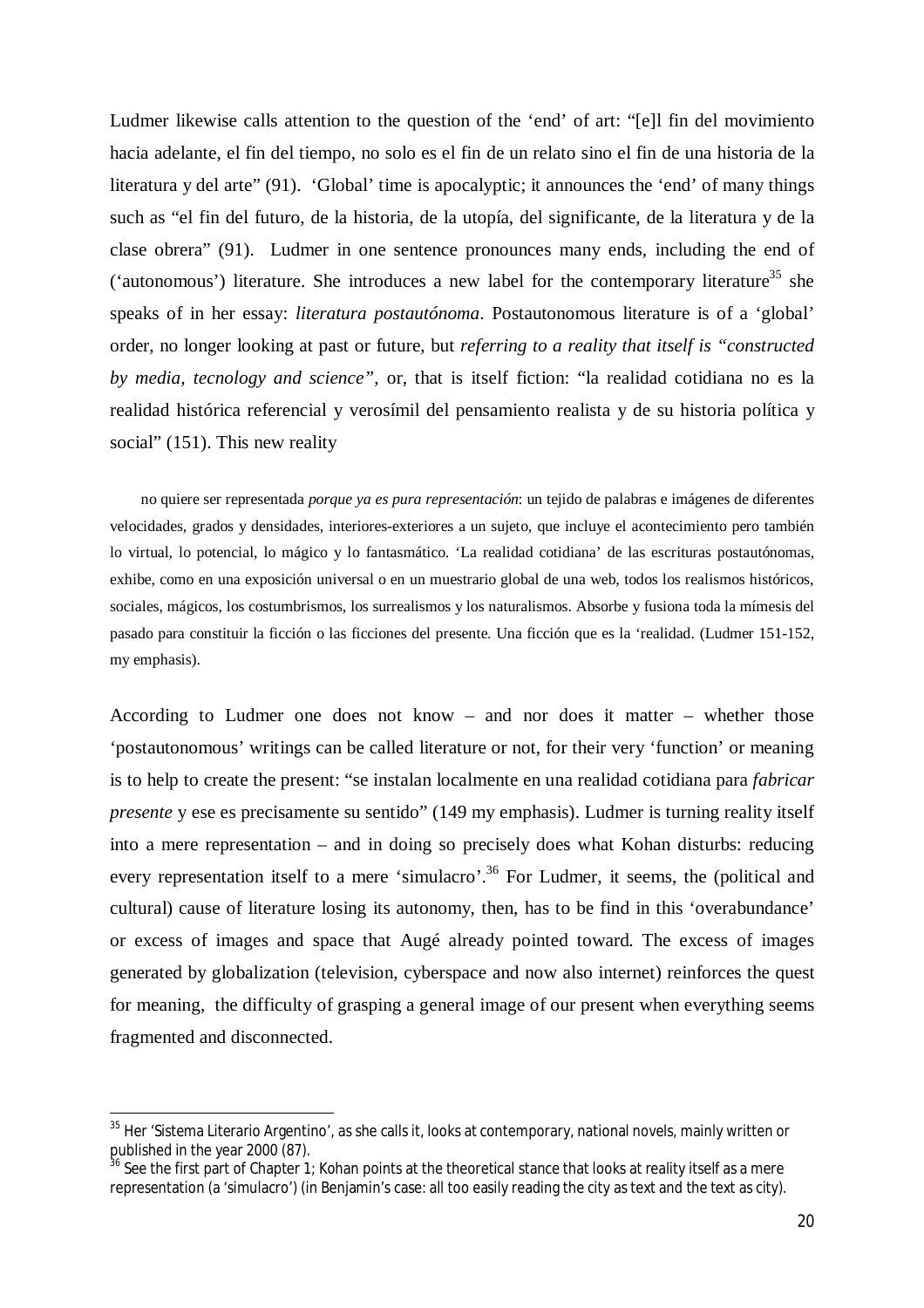Ludmer likewise calls attention to the question of the 'end' of art: "[e]l fin del movimiento hacia adelante, el fin del tiempo, no solo es el fin de un relato sino el fin de una historia de la literatura y del arte" (91). 'Global' time is apocalyptic; it announces the 'end' of many things such as "el fin del futuro, de la historia, de la utopía, del significante, de la literatura y de la clase obrera" (91). Ludmer in one sentence pronounces many ends, including the end of ('autonomous') literature. She introduces a new label for the contemporary literature<sup>35</sup> she speaks of in her essay: *literatura postautónoma*. Postautonomous literature is of a 'global' order, no longer looking at past or future, but *referring to a reality that itself is "constructed by media, tecnology and science"*, or, that is itself fiction: "la realidad cotidiana no es la realidad histórica referencial y verosímil del pensamiento realista y de su historia política y social" (151). This new reality

no quiere ser representada *porque ya es pura representación*: un tejido de palabras e imágenes de diferentes velocidades, grados y densidades, interiores-exteriores a un sujeto, que incluye el acontecimiento pero también lo virtual, lo potencial, lo mágico y lo fantasmático. 'La realidad cotidiana' de las escrituras postautónomas, exhibe, como en una exposición universal o en un muestrario global de una web, todos los realismos históricos, sociales, mágicos, los costumbrismos, los surrealismos y los naturalismos. Absorbe y fusiona toda la mímesis del pasado para constituir la ficción o las ficciones del presente. Una ficción que es la 'realidad. (Ludmer 151-152, my emphasis).

According to Ludmer one does not know – and nor does it matter – whether those 'postautonomous' writings can be called literature or not, for their very 'function' or meaning is to help to create the present: "se instalan localmente en una realidad cotidiana para *fabricar presente* y ese es precisamente su sentido" (149 my emphasis). Ludmer is turning reality itself into a mere representation – and in doing so precisely does what Kohan disturbs: reducing every representation itself to a mere 'simulacro'.<sup>36</sup> For Ludmer, it seems, the (political and cultural) cause of literature losing its autonomy, then, has to be find in this 'overabundance' or excess of images and space that Augé already pointed toward. The excess of images generated by globalization (television, cyberspace and now also internet) reinforces the quest for meaning, the difficulty of grasping a general image of our present when everything seems fragmented and disconnected.

 $^{\rm 35}$  Her 'Sistema Literario Argentino', as she calls it, looks at contemporary, national novels, mainly written or published in the year 2000 (87).

<sup>&</sup>lt;sup>36</sup> See the first part of Chapter 1; Kohan points at the theoretical stance that looks at reality itself as a mere representation (a 'simulacro') (in Benjamin's case: all too easily reading the city as text and the text as city).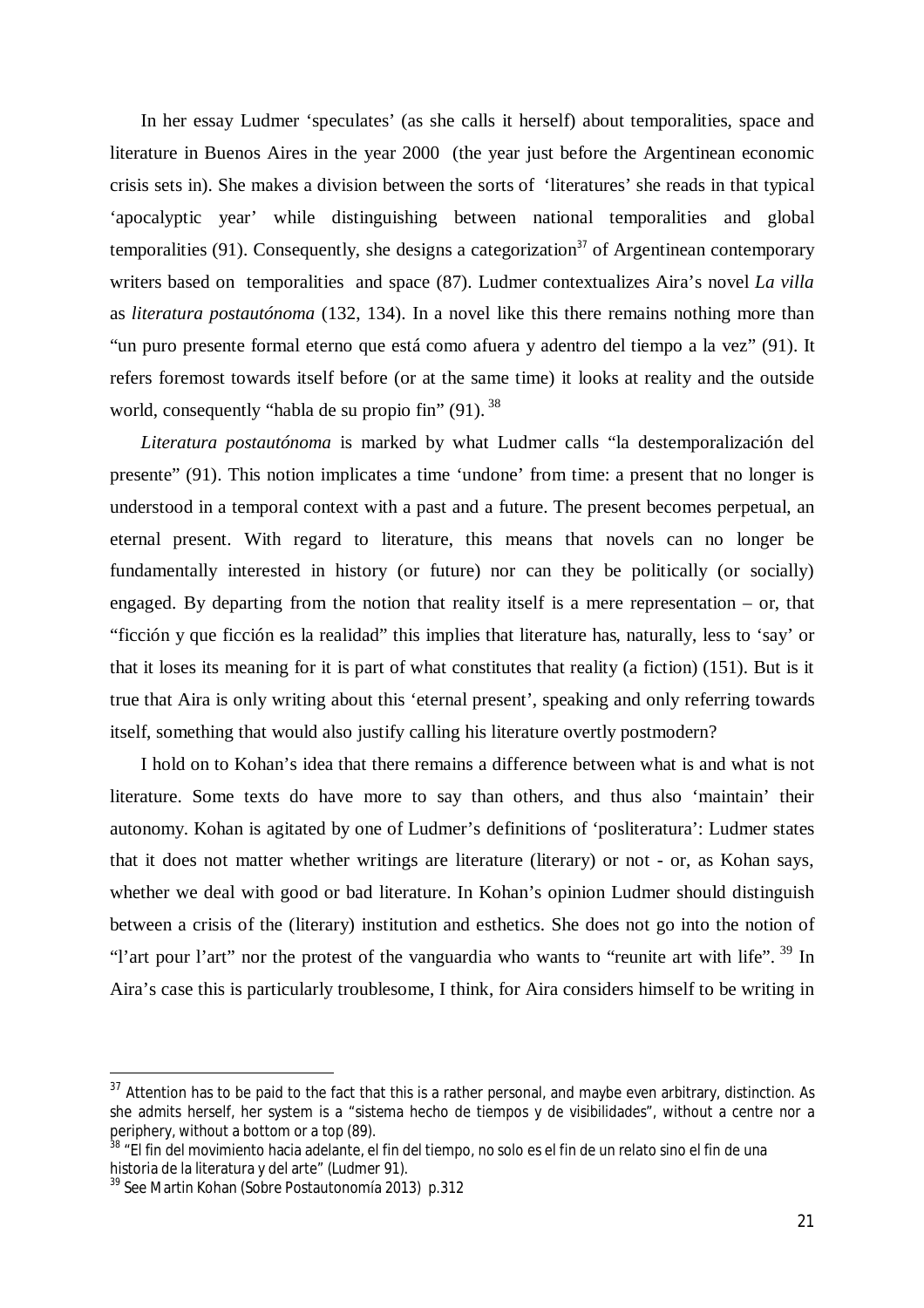In her essay Ludmer 'speculates' (as she calls it herself) about temporalities, space and literature in Buenos Aires in the year 2000 (the year just before the Argentinean economic crisis sets in). She makes a division between the sorts of 'literatures' she reads in that typical 'apocalyptic year' while distinguishing between national temporalities and global temporalities  $(91)$ . Consequently, she designs a categorization<sup>37</sup> of Argentinean contemporary writers based on temporalities and space (87). Ludmer contextualizes Aira's novel *La villa* as *literatura postautónoma* (132, 134). In a novel like this there remains nothing more than "un puro presente formal eterno que está como afuera y adentro del tiempo a la vez" (91). It refers foremost towards itself before (or at the same time) it looks at reality and the outside world, consequently "habla de su propio fin" (91). <sup>38</sup>

*Literatura postautónoma* is marked by what Ludmer calls "la destemporalización del presente" (91). This notion implicates a time 'undone' from time: a present that no longer is understood in a temporal context with a past and a future. The present becomes perpetual, an eternal present. With regard to literature, this means that novels can no longer be fundamentally interested in history (or future) nor can they be politically (or socially) engaged. By departing from the notion that reality itself is a mere representation – or, that "ficción y que ficción es la realidad" this implies that literature has, naturally, less to 'say' or that it loses its meaning for it is part of what constitutes that reality (a fiction) (151). But is it true that Aira is only writing about this 'eternal present', speaking and only referring towards itself, something that would also justify calling his literature overtly postmodern?

I hold on to Kohan's idea that there remains a difference between what is and what is not literature. Some texts do have more to say than others, and thus also 'maintain' their autonomy. Kohan is agitated by one of Ludmer's definitions of 'posliteratura': Ludmer states that it does not matter whether writings are literature (literary) or not - or, as Kohan says, whether we deal with good or bad literature. In Kohan's opinion Ludmer should distinguish between a crisis of the (literary) institution and esthetics. She does not go into the notion of "l'art pour l'art" nor the protest of the vanguardia who wants to "reunite art with life". <sup>39</sup> In Aira's case this is particularly troublesome, I think, for Aira considers himself to be writing in

 $37$  Attention has to be paid to the fact that this is a rather personal, and maybe even arbitrary, distinction. As she admits herself, her system is a "sistema hecho de tiempos y de visibilidades", without a centre nor a periphery, without a bottom or a top (89).

<sup>&</sup>lt;sup>38</sup> "El fin del movimiento hacia adelante, el fin del tiempo, no solo es el fin de un relato sino el fin de una historia de la literatura y del arte" (Ludmer 91).

<sup>39</sup> See Martin Kohan (Sobre Postautonomía 2013) p.312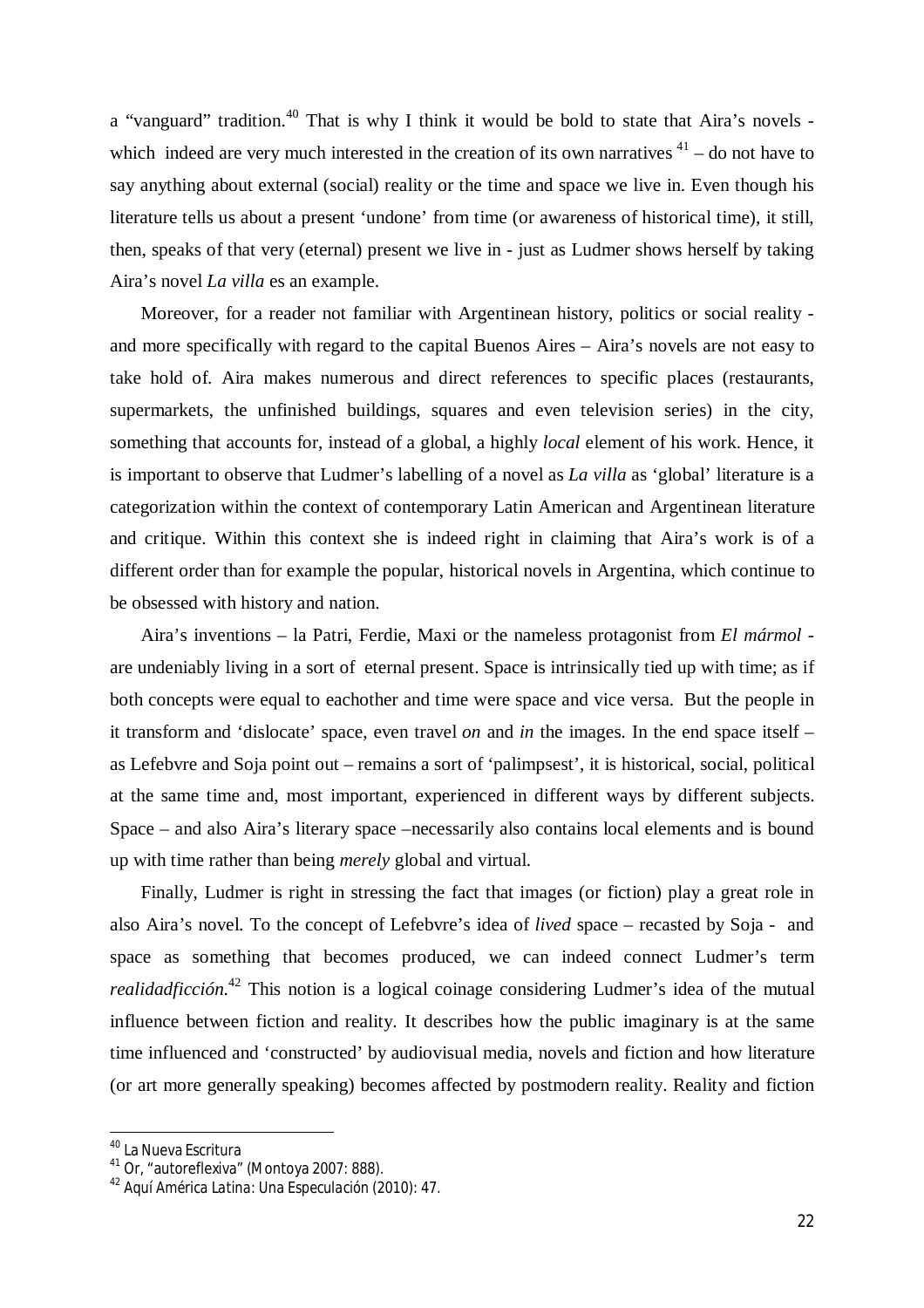a "vanguard" tradition.<sup>40</sup> That is why I think it would be bold to state that Aira's novels which indeed are very much interested in the creation of its own narratives  $41 -$  do not have to say anything about external (social) reality or the time and space we live in. Even though his literature tells us about a present 'undone' from time (or awareness of historical time), it still, then, speaks of that very (eternal) present we live in - just as Ludmer shows herself by taking Aira's novel *La villa* es an example.

Moreover, for a reader not familiar with Argentinean history, politics or social reality and more specifically with regard to the capital Buenos Aires – Aira's novels are not easy to take hold of. Aira makes numerous and direct references to specific places (restaurants, supermarkets, the unfinished buildings, squares and even television series) in the city, something that accounts for, instead of a global, a highly *local* element of his work. Hence, it is important to observe that Ludmer's labelling of a novel as *La villa* as 'global' literature is a categorization within the context of contemporary Latin American and Argentinean literature and critique. Within this context she is indeed right in claiming that Aira's work is of a different order than for example the popular, historical novels in Argentina, which continue to be obsessed with history and nation.

Aira's inventions – la Patri, Ferdie, Maxi or the nameless protagonist from *El mármol* are undeniably living in a sort of eternal present. Space is intrinsically tied up with time; as if both concepts were equal to eachother and time were space and vice versa. But the people in it transform and 'dislocate' space, even travel *on* and *in* the images. In the end space itself – as Lefebvre and Soja point out – remains a sort of 'palimpsest', it is historical, social, political at the same time and, most important, experienced in different ways by different subjects. Space – and also Aira's literary space –necessarily also contains local elements and is bound up with time rather than being *merely* global and virtual.

Finally, Ludmer is right in stressing the fact that images (or fiction) play a great role in also Aira's novel. To the concept of Lefebvre's idea of *lived* space – recasted by Soja - and space as something that becomes produced, we can indeed connect Ludmer's term *realidadficción.*<sup>42</sup> This notion is a logical coinage considering Ludmer's idea of the mutual influence between fiction and reality. It describes how the public imaginary is at the same time influenced and 'constructed' by audiovisual media, novels and fiction and how literature (or art more generally speaking) becomes affected by postmodern reality. Reality and fiction

<sup>&</sup>lt;sup>40</sup> La Nueva Escritura

<sup>41</sup> Or, "autoreflexiva" (Montoya 2007: 888).

<sup>42</sup> *Aquí América Latina: Una Especulación (*2010): 47.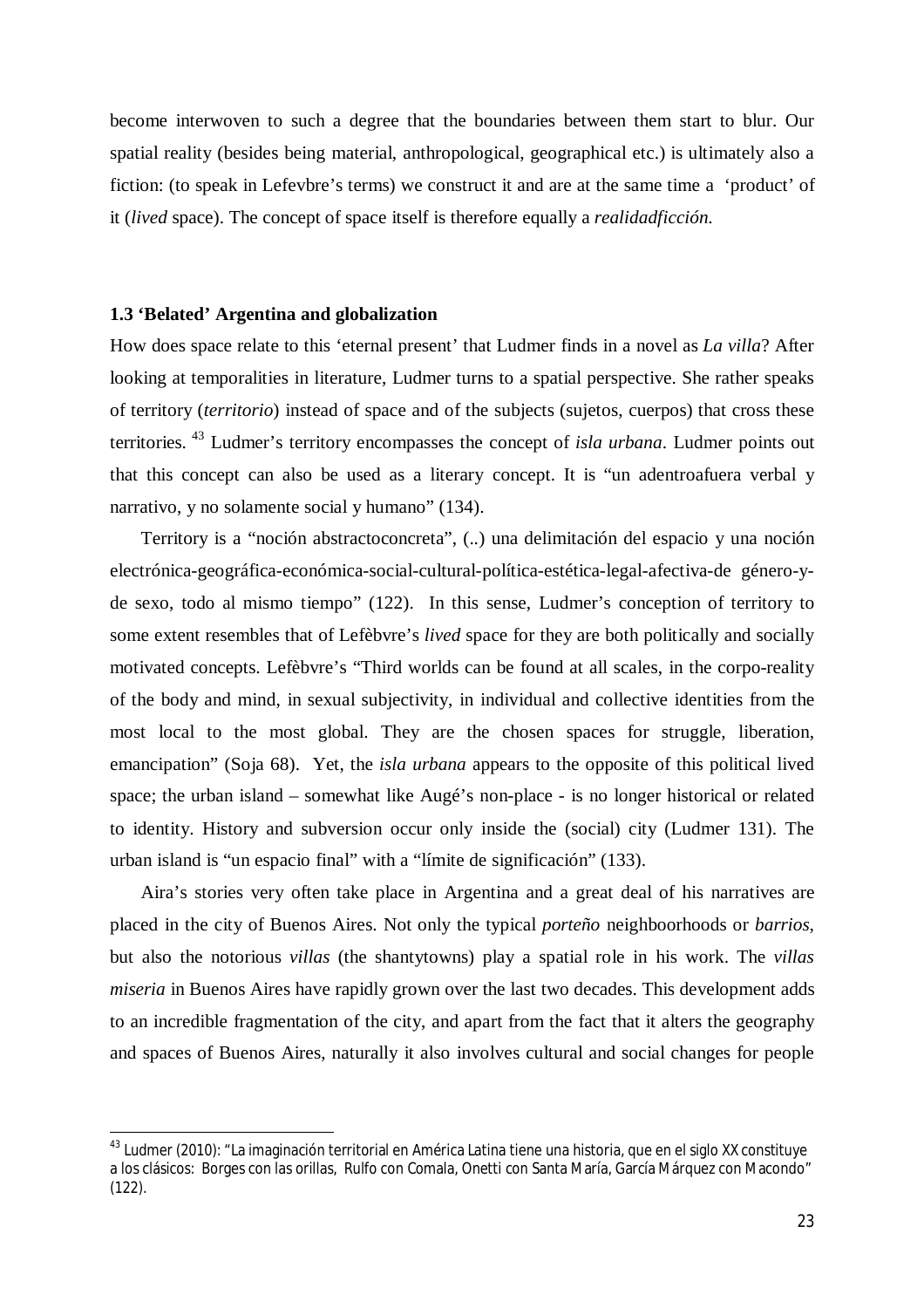become interwoven to such a degree that the boundaries between them start to blur. Our spatial reality (besides being material, anthropological, geographical etc.) is ultimately also a fiction: (to speak in Lefevbre's terms) we construct it and are at the same time a 'product' of it (*lived* space). The concept of space itself is therefore equally a *realidadficción.*

#### **1.3 'Belated' Argentina and globalization**

 $\overline{a}$ 

How does space relate to this 'eternal present' that Ludmer finds in a novel as *La villa*? After looking at temporalities in literature, Ludmer turns to a spatial perspective. She rather speaks of territory (*territorio*) instead of space and of the subjects (sujetos, cuerpos) that cross these territories. <sup>43</sup> Ludmer's territory encompasses the concept of *isla urbana*. Ludmer points out that this concept can also be used as a literary concept. It is "un adentroafuera verbal y narrativo, y no solamente social y humano" (134).

Territory is a "noción abstractoconcreta", (..) una delimitación del espacio y una noción electrónica-geográfica-económica-social-cultural-política-estética-legal-afectiva-de género-yde sexo, todo al mismo tiempo" (122). In this sense, Ludmer's conception of territory to some extent resembles that of Lefèbvre's *lived* space for they are both politically and socially motivated concepts. Lefèbvre's "Third worlds can be found at all scales, in the corpo-reality of the body and mind, in sexual subjectivity, in individual and collective identities from the most local to the most global. They are the chosen spaces for struggle, liberation, emancipation" (Soja 68). Yet, the *isla urbana* appears to the opposite of this political lived space; the urban island – somewhat like Augé's non-place - is no longer historical or related to identity. History and subversion occur only inside the (social) city (Ludmer 131). The urban island is "un espacio final" with a "límite de significación" (133).

Aira's stories very often take place in Argentina and a great deal of his narratives are placed in the city of Buenos Aires. Not only the typical *porteño* neighboorhoods or *barrios*, but also the notorious *villas* (the shantytowns) play a spatial role in his work. The *villas miseria* in Buenos Aires have rapidly grown over the last two decades. This development adds to an incredible fragmentation of the city, and apart from the fact that it alters the geography and spaces of Buenos Aires, naturally it also involves cultural and social changes for people

<sup>&</sup>lt;sup>43</sup> Ludmer (2010): "La imaginación territorial en América Latina tiene una historia, que en el siglo XX constituye a los clásicos: Borges con las orillas, Rulfo con Comala, Onetti con Santa María, García Márquez con Macondo" (122).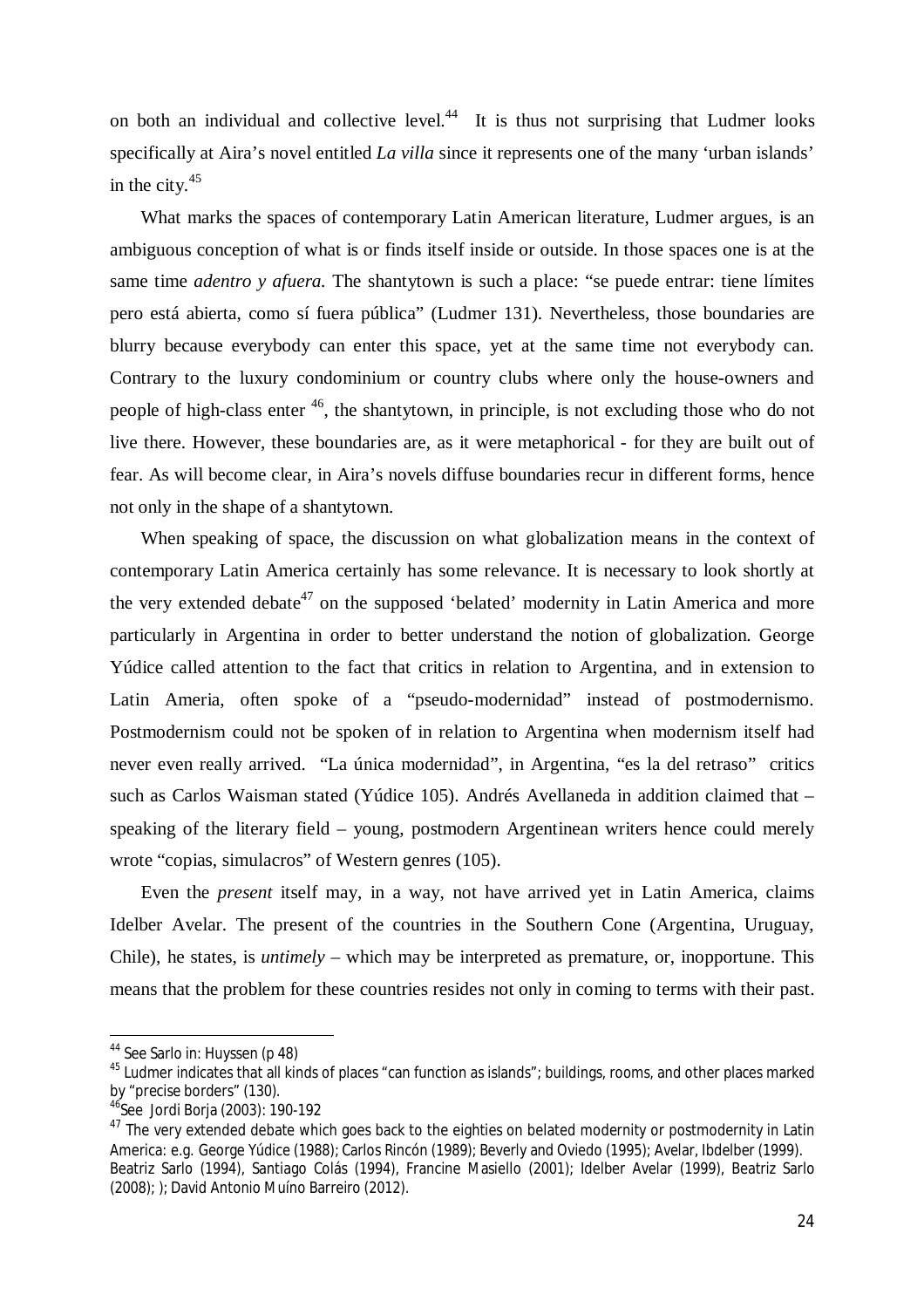on both an individual and collective level. $44$  It is thus not surprising that Ludmer looks specifically at Aira's novel entitled *La villa* since it represents one of the many 'urban islands' in the city.<sup>45</sup>

What marks the spaces of contemporary Latin American literature, Ludmer argues, is an ambiguous conception of what is or finds itself inside or outside. In those spaces one is at the same time *adentro y afuera.* The shantytown is such a place: "se puede entrar: tiene límites pero está abierta, como sí fuera pública" (Ludmer 131). Nevertheless, those boundaries are blurry because everybody can enter this space, yet at the same time not everybody can. Contrary to the luxury condominium or country clubs where only the house-owners and people of high-class enter  $46$ , the shantytown, in principle, is not excluding those who do not live there. However, these boundaries are, as it were metaphorical - for they are built out of fear. As will become clear, in Aira's novels diffuse boundaries recur in different forms, hence not only in the shape of a shantytown.

When speaking of space, the discussion on what globalization means in the context of contemporary Latin America certainly has some relevance. It is necessary to look shortly at the very extended debate<sup>47</sup> on the supposed 'belated' modernity in Latin America and more particularly in Argentina in order to better understand the notion of globalization. George Yúdice called attention to the fact that critics in relation to Argentina, and in extension to Latin Ameria, often spoke of a "pseudo-modernidad" instead of postmodernismo. Postmodernism could not be spoken of in relation to Argentina when modernism itself had never even really arrived. "La única modernidad", in Argentina, "es la del retraso" critics such as Carlos Waisman stated (Yúdice 105). Andrés Avellaneda in addition claimed that – speaking of the literary field – young, postmodern Argentinean writers hence could merely wrote "copias, simulacros" of Western genres (105).

Even the *present* itself may, in a way, not have arrived yet in Latin America, claims Idelber Avelar. The present of the countries in the Southern Cone (Argentina, Uruguay, Chile), he states, is *untimely* – which may be interpreted as premature, or, inopportune. This means that the problem for these countries resides not only in coming to terms with their past.

<sup>&</sup>lt;sup>44</sup> See Sarlo in: Huyssen (p 48)

<sup>&</sup>lt;sup>45</sup> Ludmer indicates that all kinds of places "can function as islands"; buildings, rooms, and other places marked by "precise borders" (130).

<sup>46</sup>See Jordi Borja (2003): 190-192

<sup>&</sup>lt;sup>47</sup> The very extended debate which goes back to the eighties on belated modernity or postmodernity in Latin America: e.g. George Yúdice (1988); Carlos Rincón (1989); Beverly and Oviedo (1995); Avelar, Ibdelber (1999). Beatriz Sarlo (1994), Santiago Colás (1994), Francine Masiello (2001); Idelber Avelar (1999), Beatriz Sarlo (2008); ); David Antonio Muíno Barreiro (2012).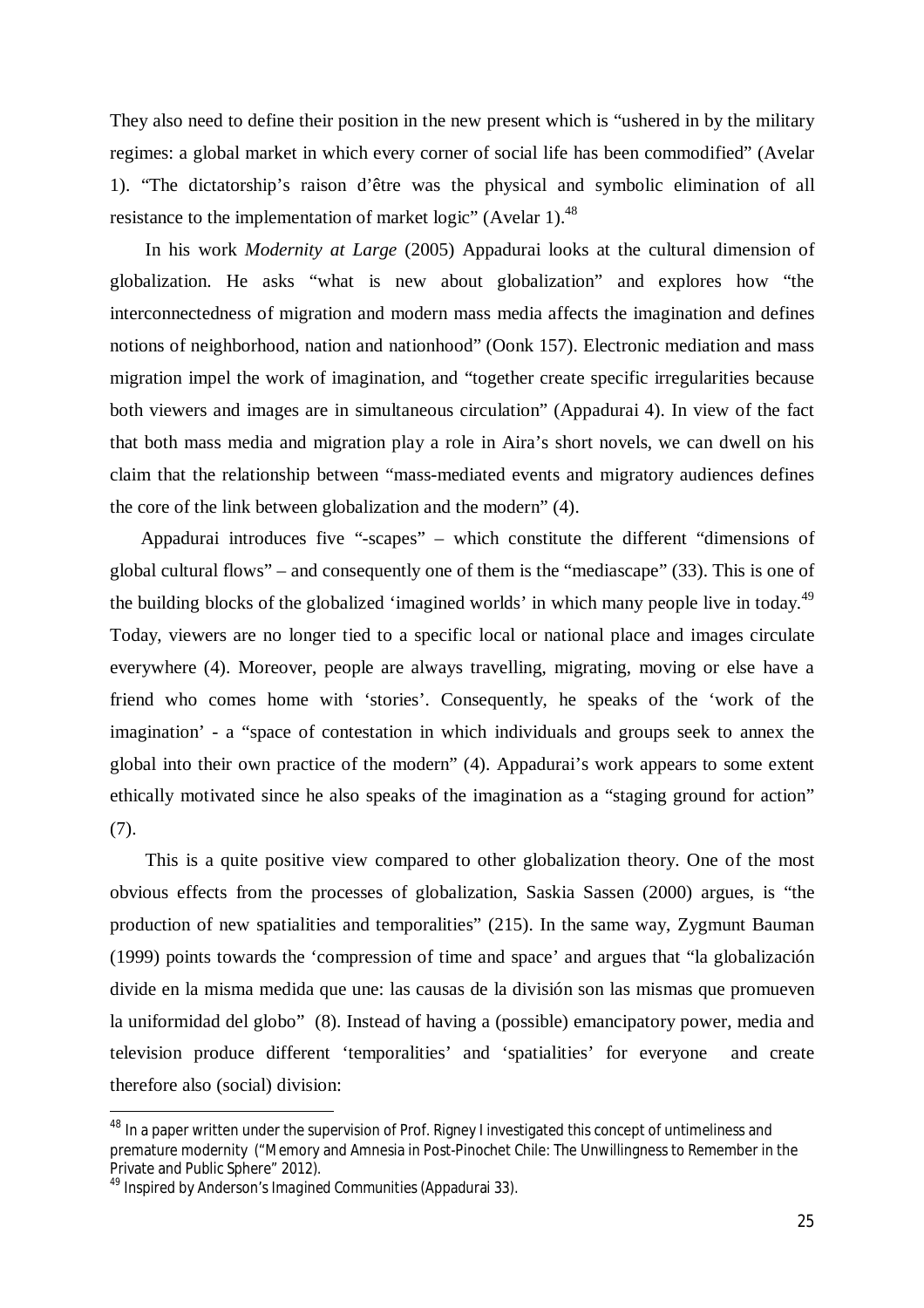They also need to define their position in the new present which is "ushered in by the military regimes: a global market in which every corner of social life has been commodified" (Avelar 1). "The dictatorship's raison d'être was the physical and symbolic elimination of all resistance to the implementation of market logic" (Avelar 1).<sup>48</sup>

In his work *Modernity at Large* (2005) Appadurai looks at the cultural dimension of globalization. He asks "what is new about globalization" and explores how "the interconnectedness of migration and modern mass media affects the imagination and defines notions of neighborhood, nation and nationhood" (Oonk 157). Electronic mediation and mass migration impel the work of imagination, and "together create specific irregularities because both viewers and images are in simultaneous circulation" (Appadurai 4). In view of the fact that both mass media and migration play a role in Aira's short novels, we can dwell on his claim that the relationship between "mass-mediated events and migratory audiences defines the core of the link between globalization and the modern" (4).

Appadurai introduces five "-scapes" – which constitute the different "dimensions of global cultural flows" – and consequently one of them is the "mediascape" (33). This is one of the building blocks of the globalized 'imagined worlds' in which many people live in today.<sup>49</sup> Today, viewers are no longer tied to a specific local or national place and images circulate everywhere (4). Moreover, people are always travelling, migrating, moving or else have a friend who comes home with 'stories'. Consequently, he speaks of the 'work of the imagination' - a "space of contestation in which individuals and groups seek to annex the global into their own practice of the modern" (4). Appadurai's work appears to some extent ethically motivated since he also speaks of the imagination as a "staging ground for action" (7).

This is a quite positive view compared to other globalization theory. One of the most obvious effects from the processes of globalization, Saskia Sassen (2000) argues, is "the production of new spatialities and temporalities" (215). In the same way, Zygmunt Bauman (1999) points towards the 'compression of time and space' and argues that "la globalización divide en la misma medida que une: las causas de la división son las mismas que promueven la uniformidad del globo" (8). Instead of having a (possible) emancipatory power, media and television produce different 'temporalities' and 'spatialities' for everyone and create therefore also (social) division:

<sup>&</sup>lt;sup>48</sup> In a paper written under the supervision of Prof. Rigney I investigated this concept of untimeliness and premature modernity ("Memory and Amnesia in Post-Pinochet Chile: The Unwillingness to Remember in the Private and Public Sphere" 2012).

<sup>49</sup> Inspired by Anderson's *Imagined Communities* (Appadurai 33).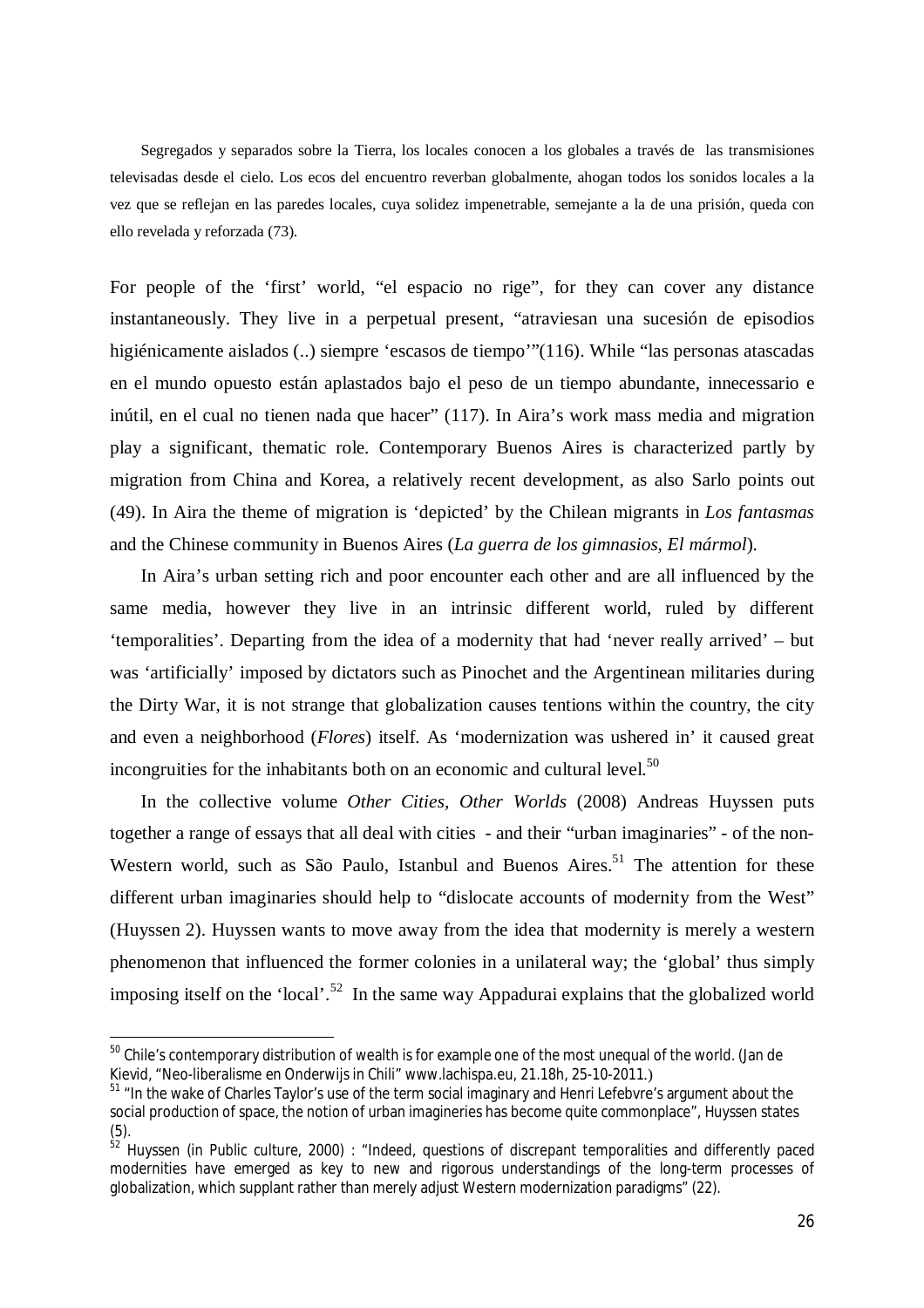Segregados y separados sobre la Tierra, los locales conocen a los globales a través de las transmisiones televisadas desde el cielo. Los ecos del encuentro reverban globalmente, ahogan todos los sonidos locales a la vez que se reflejan en las paredes locales, cuya solidez impenetrable, semejante a la de una prisión, queda con ello revelada y reforzada (73).

For people of the 'first' world, "el espacio no rige", for they can cover any distance instantaneously. They live in a perpetual present, "atraviesan una sucesión de episodios higiénicamente aislados (..) siempre 'escasos de tiempo'"(116). While "las personas atascadas en el mundo opuesto están aplastados bajo el peso de un tiempo abundante, innecessario e inútil, en el cual no tienen nada que hacer" (117). In Aira's work mass media and migration play a significant, thematic role. Contemporary Buenos Aires is characterized partly by migration from China and Korea, a relatively recent development, as also Sarlo points out (49). In Aira the theme of migration is 'depicted' by the Chilean migrants in *Los fantasmas* and the Chinese community in Buenos Aires (*La guerra de los gimnasios*, *El mármol*).

In Aira's urban setting rich and poor encounter each other and are all influenced by the same media, however they live in an intrinsic different world, ruled by different 'temporalities'. Departing from the idea of a modernity that had 'never really arrived' – but was 'artificially' imposed by dictators such as Pinochet and the Argentinean militaries during the Dirty War, it is not strange that globalization causes tentions within the country, the city and even a neighborhood (*Flores*) itself. As 'modernization was ushered in' it caused great incongruities for the inhabitants both on an economic and cultural level.<sup>50</sup>

In the collective volume *Other Cities, Other Worlds* (2008) Andreas Huyssen puts together a range of essays that all deal with cities - and their "urban imaginaries" - of the non-Western world, such as São Paulo, Istanbul and Buenos Aires.<sup>51</sup> The attention for these different urban imaginaries should help to "dislocate accounts of modernity from the West" (Huyssen 2). Huyssen wants to move away from the idea that modernity is merely a western phenomenon that influenced the former colonies in a unilateral way; the 'global' thus simply imposing itself on the 'local'.<sup>52</sup> In the same way Appadurai explains that the globalized world

<sup>&</sup>lt;sup>50</sup> Chile's contemporary distribution of wealth is for example one of the most unequal of the world. (Jan de Kievid, "Neo-liberalisme en Onderwijs in Chili" www.lachispa.eu, 21.18h, 25-10-2011.)

<sup>&</sup>lt;sup>51</sup> "In the wake of Charles Taylor's use of the term social imaginary and Henri Lefebvre's argument about the social production of space, the notion of urban imagineries has become quite commonplace", Huyssen states (5).

<sup>52</sup> Huyssen (in *Public culture*, 2000) : "Indeed, questions of discrepant temporalities and differently paced modernities have emerged as key to new and rigorous understandings of the long-term processes of globalization, which supplant rather than merely adjust Western modernization paradigms" (22).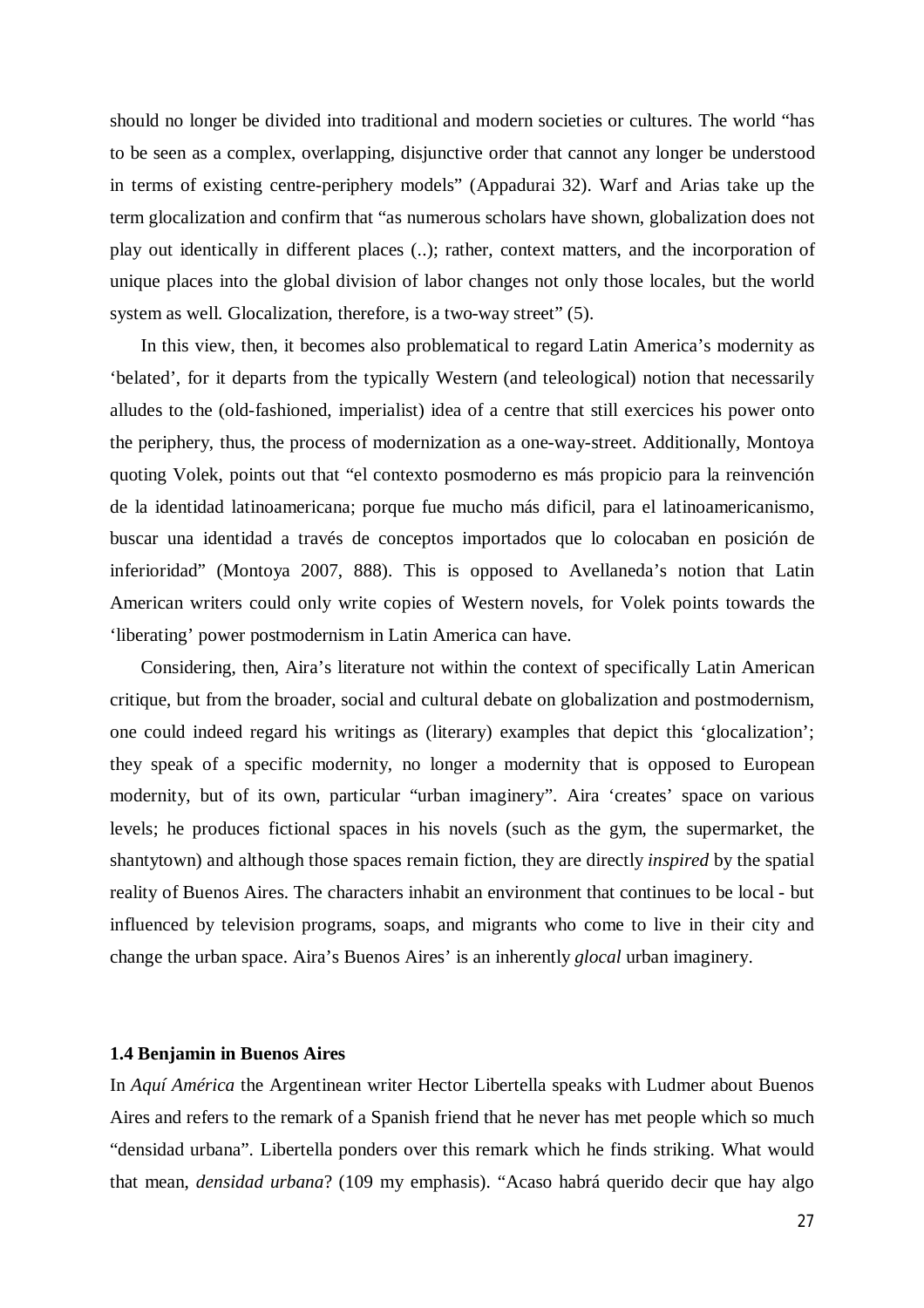should no longer be divided into traditional and modern societies or cultures. The world "has to be seen as a complex, overlapping, disjunctive order that cannot any longer be understood in terms of existing centre-periphery models" (Appadurai 32). Warf and Arias take up the term glocalization and confirm that "as numerous scholars have shown, globalization does not play out identically in different places (..); rather, context matters, and the incorporation of unique places into the global division of labor changes not only those locales, but the world system as well. Glocalization, therefore, is a two-way street" (5).

In this view, then, it becomes also problematical to regard Latin America's modernity as 'belated', for it departs from the typically Western (and teleological) notion that necessarily alludes to the (old-fashioned, imperialist) idea of a centre that still exercices his power onto the periphery, thus, the process of modernization as a one-way-street. Additionally, Montoya quoting Volek, points out that "el contexto posmoderno es más propicio para la reinvención de la identidad latinoamericana; porque fue mucho más dificil, para el latinoamericanismo, buscar una identidad a través de conceptos importados que lo colocaban en posición de inferioridad" (Montoya 2007, 888). This is opposed to Avellaneda's notion that Latin American writers could only write copies of Western novels, for Volek points towards the 'liberating' power postmodernism in Latin America can have.

Considering, then, Aira's literature not within the context of specifically Latin American critique, but from the broader, social and cultural debate on globalization and postmodernism, one could indeed regard his writings as (literary) examples that depict this 'glocalization'; they speak of a specific modernity, no longer a modernity that is opposed to European modernity, but of its own, particular "urban imaginery". Aira 'creates' space on various levels; he produces fictional spaces in his novels (such as the gym, the supermarket, the shantytown) and although those spaces remain fiction, they are directly *inspired* by the spatial reality of Buenos Aires. The characters inhabit an environment that continues to be local - but influenced by television programs, soaps, and migrants who come to live in their city and change the urban space. Aira's Buenos Aires' is an inherently *glocal* urban imaginery.

#### **1.4 Benjamin in Buenos Aires**

In *Aquí América* the Argentinean writer Hector Libertella speaks with Ludmer about Buenos Aires and refers to the remark of a Spanish friend that he never has met people which so much "densidad urbana". Libertella ponders over this remark which he finds striking. What would that mean, *densidad urbana*? (109 my emphasis). "Acaso habrá querido decir que hay algo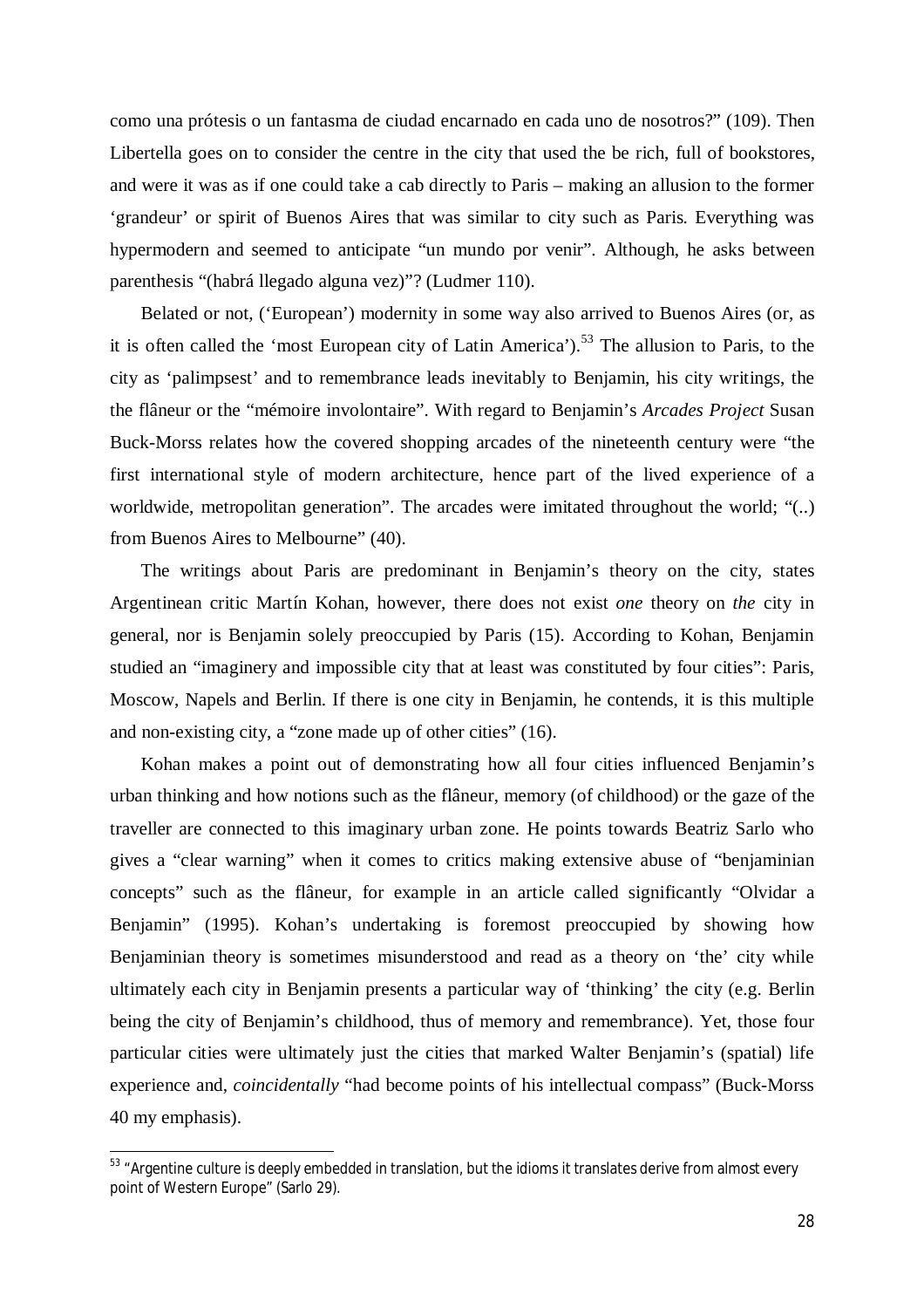como una prótesis o un fantasma de ciudad encarnado en cada uno de nosotros?" (109). Then Libertella goes on to consider the centre in the city that used the be rich, full of bookstores, and were it was as if one could take a cab directly to Paris – making an allusion to the former 'grandeur' or spirit of Buenos Aires that was similar to city such as Paris. Everything was hypermodern and seemed to anticipate "un mundo por venir". Although, he asks between parenthesis "(habrá llegado alguna vez)"? (Ludmer 110).

Belated or not, ('European') modernity in some way also arrived to Buenos Aires (or, as it is often called the 'most European city of Latin America').<sup>53</sup> The allusion to Paris, to the city as 'palimpsest' and to remembrance leads inevitably to Benjamin, his city writings, the the flâneur or the "mémoire involontaire". With regard to Benjamin's *Arcades Project* Susan Buck-Morss relates how the covered shopping arcades of the nineteenth century were "the first international style of modern architecture, hence part of the lived experience of a worldwide, metropolitan generation". The arcades were imitated throughout the world; "(..) from Buenos Aires to Melbourne" (40).

The writings about Paris are predominant in Benjamin's theory on the city, states Argentinean critic Martín Kohan, however, there does not exist *one* theory on *the* city in general, nor is Benjamin solely preoccupied by Paris (15). According to Kohan, Benjamin studied an "imaginery and impossible city that at least was constituted by four cities": Paris, Moscow, Napels and Berlin. If there is one city in Benjamin, he contends, it is this multiple and non-existing city, a "zone made up of other cities" (16).

Kohan makes a point out of demonstrating how all four cities influenced Benjamin's urban thinking and how notions such as the flâneur, memory (of childhood) or the gaze of the traveller are connected to this imaginary urban zone. He points towards Beatriz Sarlo who gives a "clear warning" when it comes to critics making extensive abuse of "benjaminian concepts" such as the flâneur, for example in an article called significantly "Olvidar a Benjamin" (1995). Kohan's undertaking is foremost preoccupied by showing how Benjaminian theory is sometimes misunderstood and read as a theory on 'the' city while ultimately each city in Benjamin presents a particular way of 'thinking' the city (e.g. Berlin being the city of Benjamin's childhood, thus of memory and remembrance). Yet, those four particular cities were ultimately just the cities that marked Walter Benjamin's (spatial) life experience and, *coincidentally* "had become points of his intellectual compass" (Buck-Morss 40 my emphasis).

<sup>&</sup>lt;sup>53</sup> "Argentine culture is deeply embedded in translation, but the idioms it translates derive from almost every point of Western Europe" (Sarlo 29).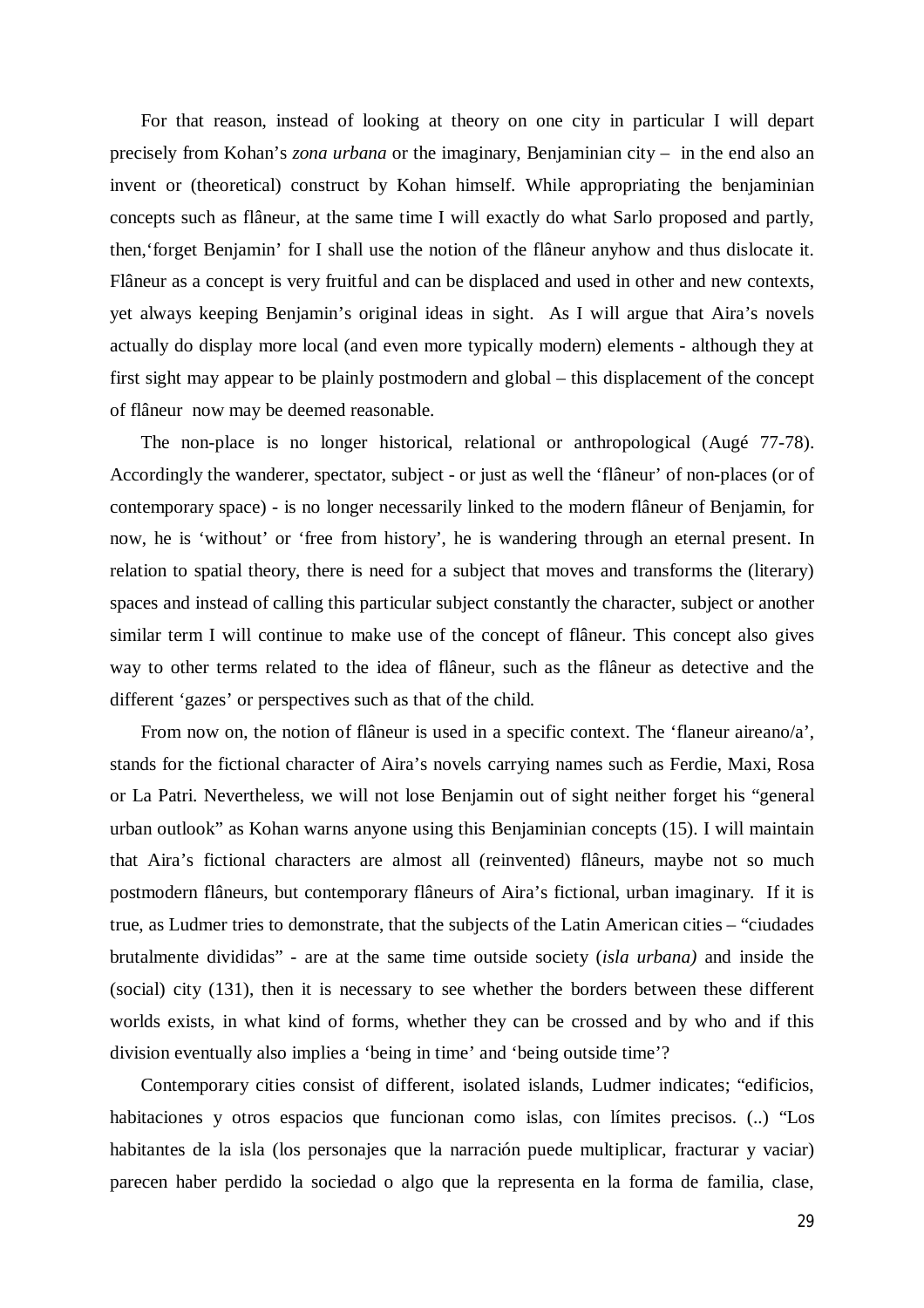For that reason, instead of looking at theory on one city in particular I will depart precisely from Kohan's *zona urbana* or the imaginary, Benjaminian city – in the end also an invent or (theoretical) construct by Kohan himself. While appropriating the benjaminian concepts such as flâneur, at the same time I will exactly do what Sarlo proposed and partly, then,'forget Benjamin' for I shall use the notion of the flâneur anyhow and thus dislocate it. Flâneur as a concept is very fruitful and can be displaced and used in other and new contexts, yet always keeping Benjamin's original ideas in sight. As I will argue that Aira's novels actually do display more local (and even more typically modern) elements - although they at first sight may appear to be plainly postmodern and global – this displacement of the concept of flâneur now may be deemed reasonable.

The non-place is no longer historical, relational or anthropological (Augé 77-78). Accordingly the wanderer, spectator, subject - or just as well the 'flâneur' of non-places (or of contemporary space) - is no longer necessarily linked to the modern flâneur of Benjamin, for now, he is 'without' or 'free from history', he is wandering through an eternal present. In relation to spatial theory, there is need for a subject that moves and transforms the (literary) spaces and instead of calling this particular subject constantly the character, subject or another similar term I will continue to make use of the concept of flâneur. This concept also gives way to other terms related to the idea of flâneur, such as the flâneur as detective and the different 'gazes' or perspectives such as that of the child.

From now on, the notion of flâneur is used in a specific context. The 'flaneur aireano/a', stands for the fictional character of Aira's novels carrying names such as Ferdie, Maxi, Rosa or La Patri. Nevertheless, we will not lose Benjamin out of sight neither forget his "general urban outlook" as Kohan warns anyone using this Benjaminian concepts (15). I will maintain that Aira's fictional characters are almost all (reinvented) flâneurs, maybe not so much postmodern flâneurs, but contemporary flâneurs of Aira's fictional, urban imaginary. If it is true, as Ludmer tries to demonstrate, that the subjects of the Latin American cities – "ciudades brutalmente divididas" - are at the same time outside society (*isla urbana)* and inside the (social) city (131), then it is necessary to see whether the borders between these different worlds exists, in what kind of forms, whether they can be crossed and by who and if this division eventually also implies a 'being in time' and 'being outside time'?

Contemporary cities consist of different, isolated islands, Ludmer indicates; "edificios, habitaciones y otros espacios que funcionan como islas, con límites precisos. (..) "Los habitantes de la isla (los personajes que la narración puede multiplicar, fracturar y vaciar) parecen haber perdido la sociedad o algo que la representa en la forma de familia, clase,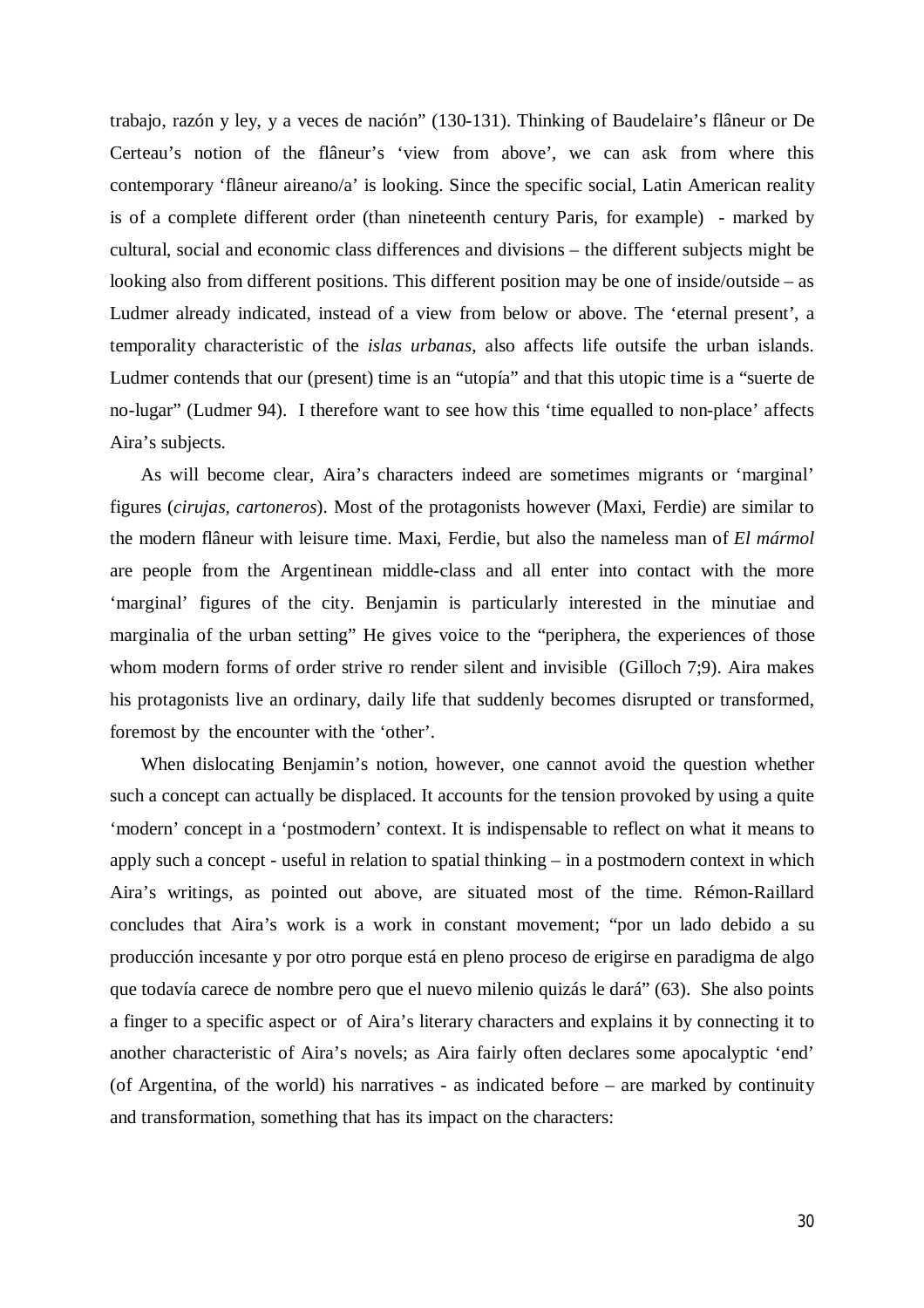trabajo, razón y ley, y a veces de nación" (130-131). Thinking of Baudelaire's flâneur or De Certeau's notion of the flâneur's 'view from above', we can ask from where this contemporary 'flâneur aireano/a' is looking. Since the specific social, Latin American reality is of a complete different order (than nineteenth century Paris, for example) - marked by cultural, social and economic class differences and divisions – the different subjects might be looking also from different positions. This different position may be one of inside/outside – as Ludmer already indicated, instead of a view from below or above. The 'eternal present', a temporality characteristic of the *islas urbanas*, also affects life outsife the urban islands. Ludmer contends that our (present) time is an "utopía" and that this utopic time is a "suerte de no-lugar" (Ludmer 94). I therefore want to see how this 'time equalled to non-place' affects Aira's subjects.

As will become clear, Aira's characters indeed are sometimes migrants or 'marginal' figures (*cirujas, cartoneros*). Most of the protagonists however (Maxi, Ferdie) are similar to the modern flâneur with leisure time. Maxi, Ferdie, but also the nameless man of *El mármol* are people from the Argentinean middle-class and all enter into contact with the more 'marginal' figures of the city. Benjamin is particularly interested in the minutiae and marginalia of the urban setting" He gives voice to the "periphera, the experiences of those whom modern forms of order strive ro render silent and invisible (Gilloch 7;9). Aira makes his protagonists live an ordinary, daily life that suddenly becomes disrupted or transformed, foremost by the encounter with the 'other'.

When dislocating Benjamin's notion, however, one cannot avoid the question whether such a concept can actually be displaced. It accounts for the tension provoked by using a quite 'modern' concept in a 'postmodern' context. It is indispensable to reflect on what it means to apply such a concept - useful in relation to spatial thinking – in a postmodern context in which Aira's writings, as pointed out above, are situated most of the time. Rémon-Raillard concludes that Aira's work is a work in constant movement; "por un lado debido a su producción incesante y por otro porque está en pleno proceso de erigirse en paradigma de algo que todavía carece de nombre pero que el nuevo milenio quizás le dará" (63). She also points a finger to a specific aspect or of Aira's literary characters and explains it by connecting it to another characteristic of Aira's novels; as Aira fairly often declares some apocalyptic 'end' (of Argentina, of the world) his narratives - as indicated before – are marked by continuity and transformation, something that has its impact on the characters: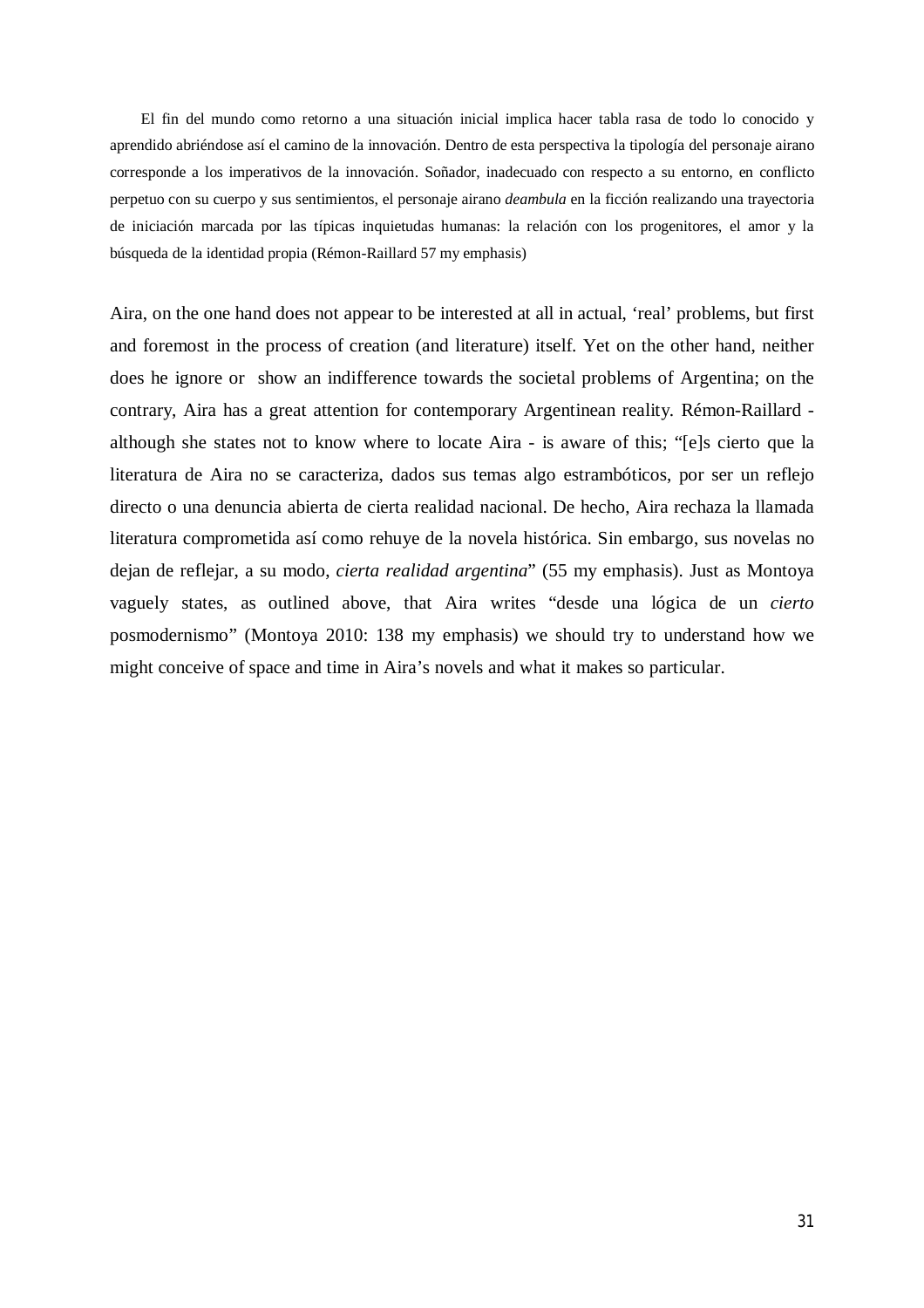El fin del mundo como retorno a una situación inicial implica hacer tabla rasa de todo lo conocido y aprendido abriéndose así el camino de la innovación. Dentro de esta perspectiva la tipología del personaje airano corresponde a los imperativos de la innovación. Soñador, inadecuado con respecto a su entorno, en conflicto perpetuo con su cuerpo y sus sentimientos, el personaje airano *deambula* en la ficción realizando una trayectoria de iniciación marcada por las típicas inquietudas humanas: la relación con los progenitores, el amor y la búsqueda de la identidad propia (Rémon-Raillard 57 my emphasis)

Aira, on the one hand does not appear to be interested at all in actual, 'real' problems, but first and foremost in the process of creation (and literature) itself. Yet on the other hand, neither does he ignore or show an indifference towards the societal problems of Argentina; on the contrary, Aira has a great attention for contemporary Argentinean reality. Rémon-Raillard although she states not to know where to locate Aira - is aware of this; "[e]s cierto que la literatura de Aira no se caracteriza, dados sus temas algo estrambóticos, por ser un reflejo directo o una denuncia abierta de cierta realidad nacional. De hecho, Aira rechaza la llamada literatura comprometida así como rehuye de la novela histórica. Sin embargo, sus novelas no dejan de reflejar, a su modo, *cierta realidad argentina*" (55 my emphasis). Just as Montoya vaguely states, as outlined above, that Aira writes "desde una lógica de un *cierto* posmodernismo" (Montoya 2010: 138 my emphasis) we should try to understand how we might conceive of space and time in Aira's novels and what it makes so particular.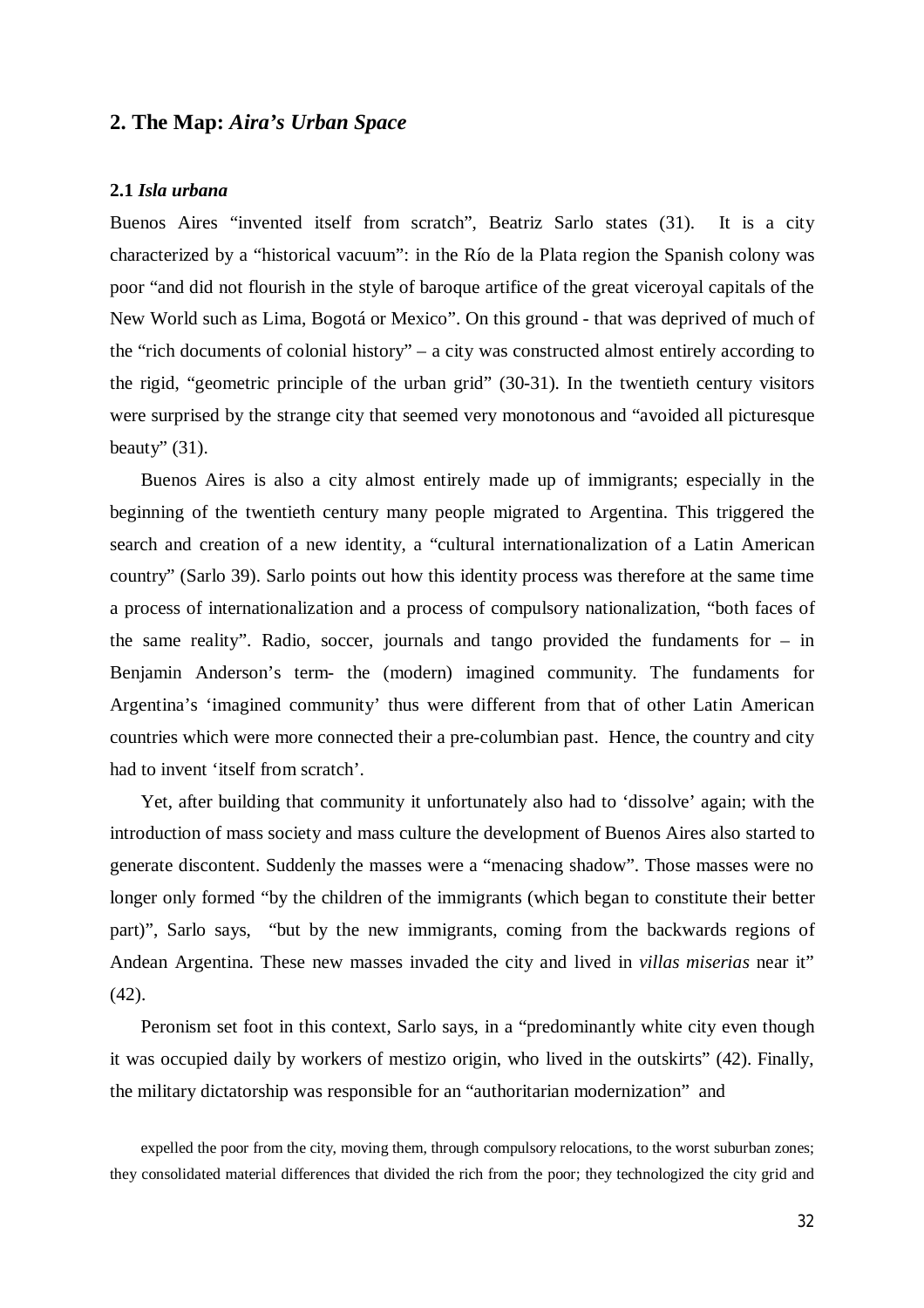### **2. The Map:** *Aira's Urban Space*

#### **2.1** *Isla urbana*

Buenos Aires "invented itself from scratch", Beatriz Sarlo states (31). It is a city characterized by a "historical vacuum": in the Río de la Plata region the Spanish colony was poor "and did not flourish in the style of baroque artifice of the great viceroyal capitals of the New World such as Lima, Bogotá or Mexico". On this ground - that was deprived of much of the "rich documents of colonial history" – a city was constructed almost entirely according to the rigid, "geometric principle of the urban grid" (30-31). In the twentieth century visitors were surprised by the strange city that seemed very monotonous and "avoided all picturesque beauty"  $(31)$ .

Buenos Aires is also a city almost entirely made up of immigrants; especially in the beginning of the twentieth century many people migrated to Argentina. This triggered the search and creation of a new identity, a "cultural internationalization of a Latin American country" (Sarlo 39). Sarlo points out how this identity process was therefore at the same time a process of internationalization and a process of compulsory nationalization, "both faces of the same reality". Radio, soccer, journals and tango provided the fundaments for – in Benjamin Anderson's term- the (modern) imagined community. The fundaments for Argentina's 'imagined community' thus were different from that of other Latin American countries which were more connected their a pre-columbian past. Hence, the country and city had to invent 'itself from scratch'.

Yet, after building that community it unfortunately also had to 'dissolve' again; with the introduction of mass society and mass culture the development of Buenos Aires also started to generate discontent. Suddenly the masses were a "menacing shadow". Those masses were no longer only formed "by the children of the immigrants (which began to constitute their better part)", Sarlo says, "but by the new immigrants, coming from the backwards regions of Andean Argentina. These new masses invaded the city and lived in *villas miserias* near it" (42).

Peronism set foot in this context, Sarlo says, in a "predominantly white city even though it was occupied daily by workers of mestizo origin, who lived in the outskirts" (42). Finally, the military dictatorship was responsible for an "authoritarian modernization" and

expelled the poor from the city, moving them, through compulsory relocations, to the worst suburban zones; they consolidated material differences that divided the rich from the poor; they technologized the city grid and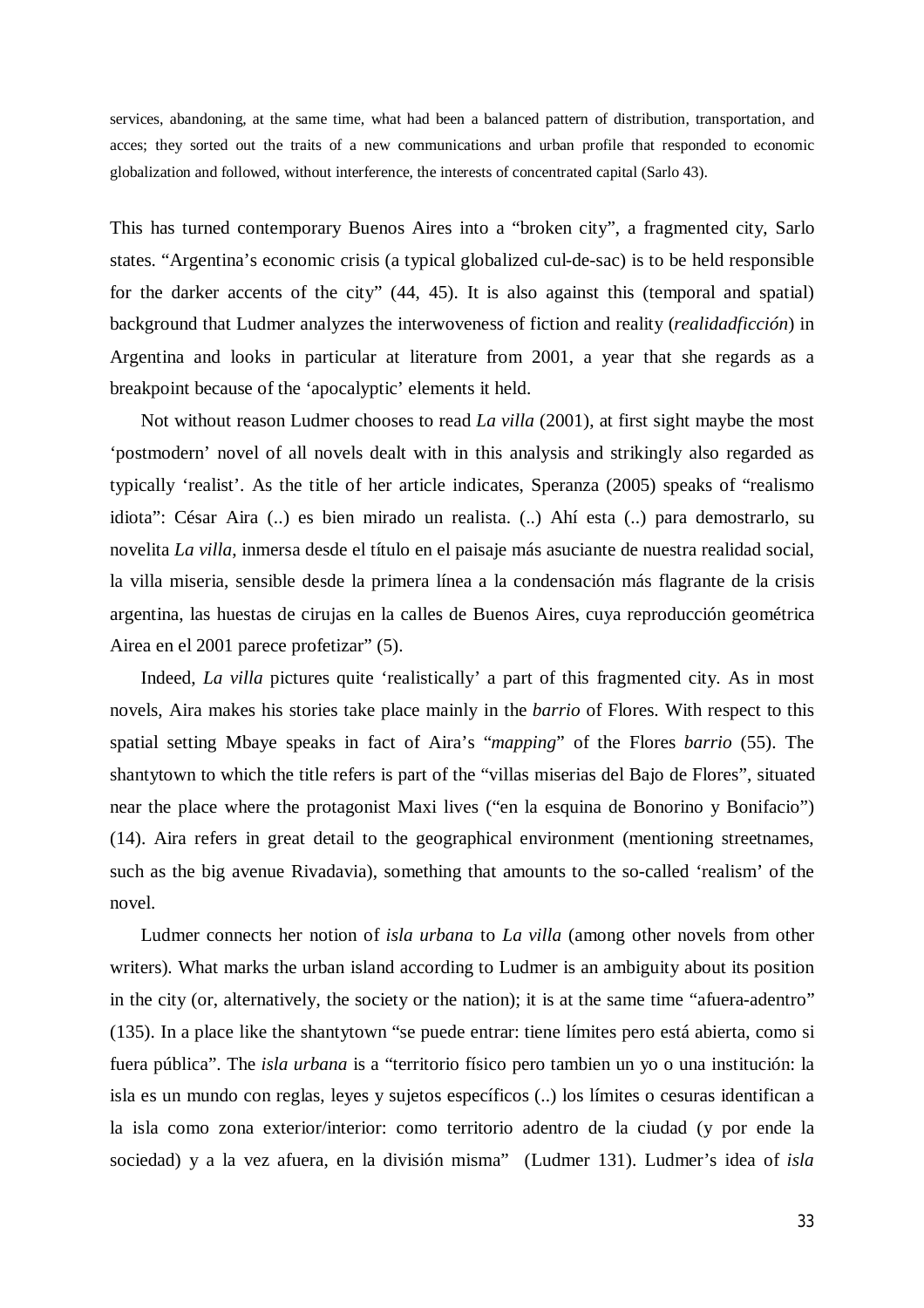services, abandoning, at the same time, what had been a balanced pattern of distribution, transportation, and acces; they sorted out the traits of a new communications and urban profile that responded to economic globalization and followed, without interference, the interests of concentrated capital (Sarlo 43).

This has turned contemporary Buenos Aires into a "broken city", a fragmented city, Sarlo states. "Argentina's economic crisis (a typical globalized cul-de-sac) is to be held responsible for the darker accents of the city" (44, 45). It is also against this (temporal and spatial) background that Ludmer analyzes the interwoveness of fiction and reality (*realidadficción*) in Argentina and looks in particular at literature from 2001, a year that she regards as a breakpoint because of the 'apocalyptic' elements it held.

Not without reason Ludmer chooses to read *La villa* (2001), at first sight maybe the most 'postmodern' novel of all novels dealt with in this analysis and strikingly also regarded as typically 'realist'. As the title of her article indicates, Speranza (2005) speaks of "realismo idiota": César Aira (..) es bien mirado un realista. (..) Ahí esta (..) para demostrarlo, su novelita *La villa*, inmersa desde el título en el paisaje más asuciante de nuestra realidad social, la villa miseria, sensible desde la primera línea a la condensación más flagrante de la crisis argentina, las huestas de cirujas en la calles de Buenos Aires, cuya reproducción geométrica Airea en el 2001 parece profetizar" (5).

Indeed, *La villa* pictures quite 'realistically' a part of this fragmented city. As in most novels, Aira makes his stories take place mainly in the *barrio* of Flores. With respect to this spatial setting Mbaye speaks in fact of Aira's "*mapping*" of the Flores *barrio* (55). The shantytown to which the title refers is part of the "villas miserias del Bajo de Flores", situated near the place where the protagonist Maxi lives ("en la esquina de Bonorino y Bonifacio") (14). Aira refers in great detail to the geographical environment (mentioning streetnames, such as the big avenue Rivadavia), something that amounts to the so-called 'realism' of the novel.

Ludmer connects her notion of *isla urbana* to *La villa* (among other novels from other writers)*.* What marks the urban island according to Ludmer is an ambiguity about its position in the city (or, alternatively, the society or the nation); it is at the same time "afuera-adentro" (135). In a place like the shantytown "se puede entrar: tiene límites pero está abierta, como si fuera pública". The *isla urbana* is a "territorio físico pero tambien un yo o una institución: la isla es un mundo con reglas, leyes y sujetos específicos (..) los límites o cesuras identifican a la isla como zona exterior/interior: como territorio adentro de la ciudad (y por ende la sociedad) y a la vez afuera, en la división misma" (Ludmer 131). Ludmer's idea of *isla*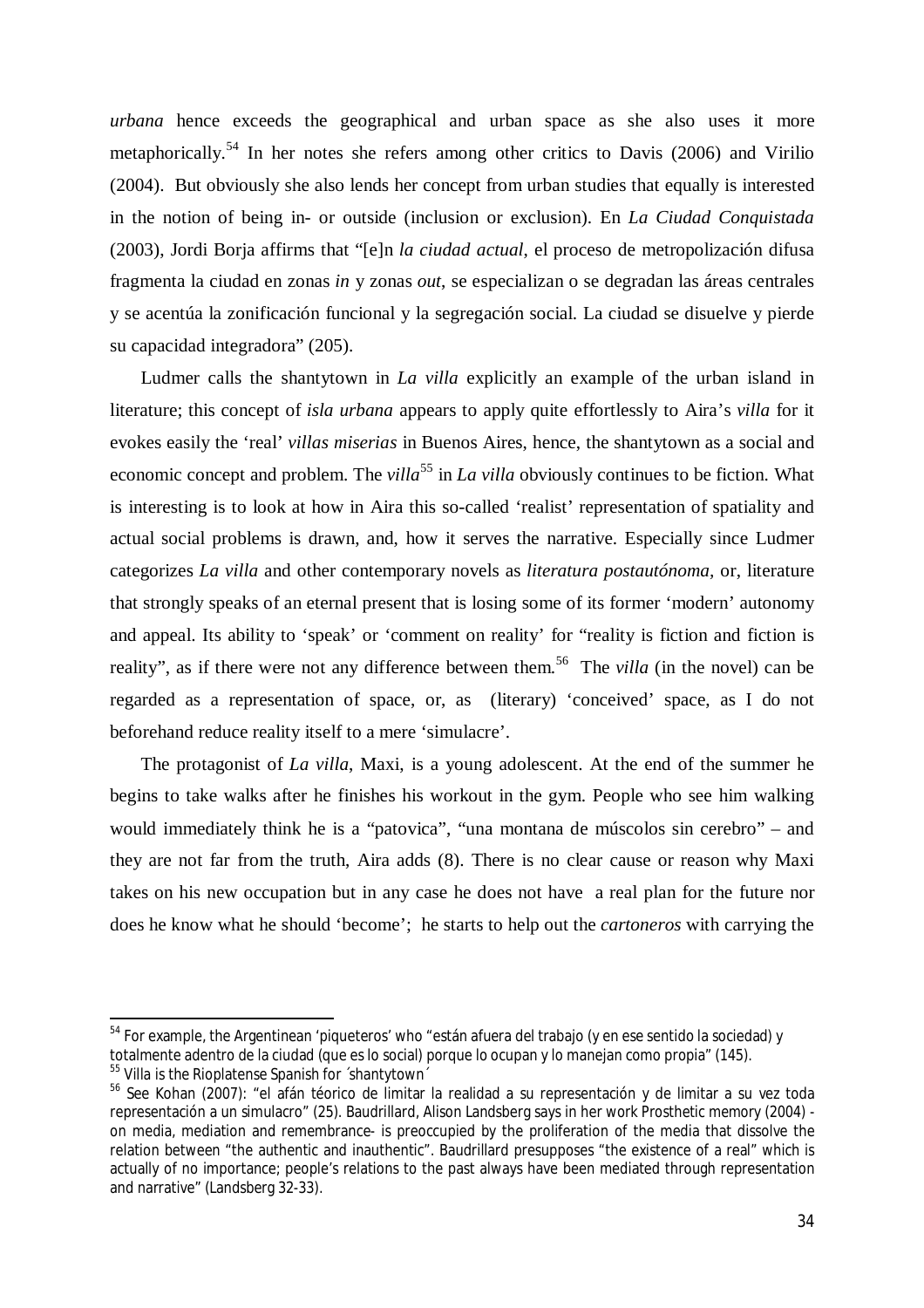*urbana* hence exceeds the geographical and urban space as she also uses it more metaphorically.<sup>54</sup> In her notes she refers among other critics to Davis (2006) and Virilio (2004). But obviously she also lends her concept from urban studies that equally is interested in the notion of being in- or outside (inclusion or exclusion). En *La Ciudad Conquistada* (2003), Jordi Borja affirms that "[e]n *la ciudad actual*, el proceso de metropolización difusa fragmenta la ciudad en zonas *in* y zonas *out*, se especializan o se degradan las áreas centrales y se acentúa la zonificación funcional y la segregación social. La ciudad se disuelve y pierde su capacidad integradora" (205).

Ludmer calls the shantytown in *La villa* explicitly an example of the urban island in literature; this concept of *isla urbana* appears to apply quite effortlessly to Aira's *villa* for it evokes easily the 'real' *villas miserias* in Buenos Aires, hence, the shantytown as a social and economic concept and problem. The *villa*<sup>55</sup> in *La villa* obviously continues to be fiction. What is interesting is to look at how in Aira this so-called 'realist' representation of spatiality and actual social problems is drawn, and, how it serves the narrative. Especially since Ludmer categorizes *La villa* and other contemporary novels as *literatura postautónoma,* or, literature that strongly speaks of an eternal present that is losing some of its former 'modern' autonomy and appeal. Its ability to 'speak' or 'comment on reality' for "reality is fiction and fiction is reality", as if there were not any difference between them. 56 The *villa* (in the novel) can be regarded as a representation of space, or, as (literary) 'conceived' space, as I do not beforehand reduce reality itself to a mere 'simulacre'.

The protagonist of *La villa*, Maxi, is a young adolescent. At the end of the summer he begins to take walks after he finishes his workout in the gym. People who see him walking would immediately think he is a "patovica", "una montana de múscolos sin cerebro" – and they are not far from the truth, Aira adds (8). There is no clear cause or reason why Maxi takes on his new occupation but in any case he does not have a real plan for the future nor does he know what he should 'become'; he starts to help out the *cartoneros* with carrying the

 $^{\rm 54}$  For example, the Argentinean 'piqueteros' who "están afuera del trabajo (y en ese sentido la sociedad) y totalmente adentro de la ciudad (que es lo social) porque lo ocupan y lo manejan como propia" (145).

<sup>&</sup>lt;sup>55</sup> Villa is the Rioplatense Spanish for ´shantytown´

<sup>&</sup>lt;sup>56</sup> See Kohan (2007): "el afán téorico de limitar la realidad a su representación y de limitar a su vez toda representación a un simulacro" (25). Baudrillard, Alison Landsberg says in her work *Prosthetic memory* (2004) on media, mediation and remembrance- is preoccupied by the proliferation of the media that dissolve the relation between "the authentic and inauthentic". Baudrillard presupposes "the existence of a real" which is actually of no importance; people's relations to the past always have been mediated through representation and narrative" (Landsberg 32-33).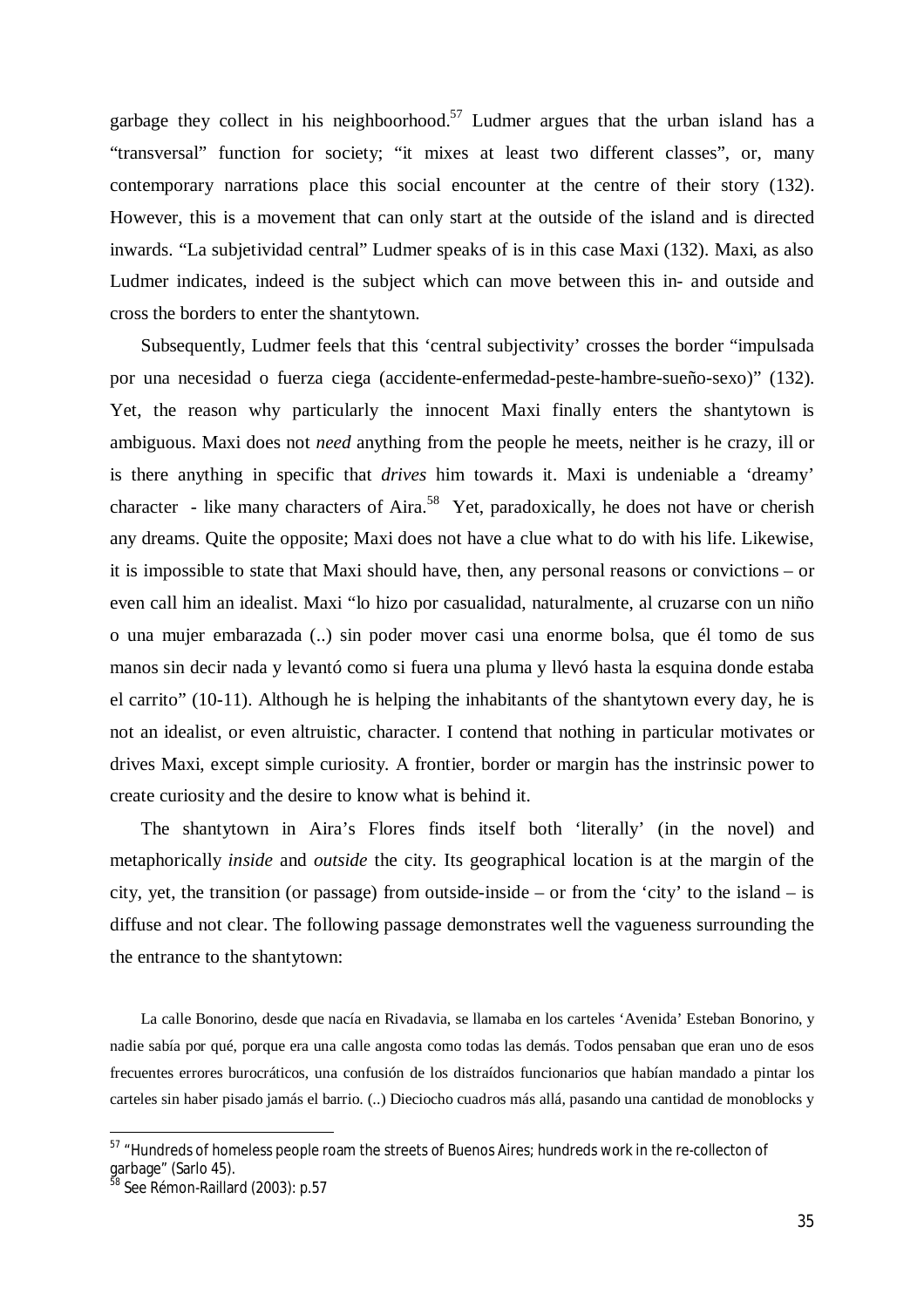garbage they collect in his neighboorhood.<sup>57</sup> Ludmer argues that the urban island has a "transversal" function for society; "it mixes at least two different classes", or, many contemporary narrations place this social encounter at the centre of their story (132). However, this is a movement that can only start at the outside of the island and is directed inwards. "La subjetividad central" Ludmer speaks of is in this case Maxi (132). Maxi, as also Ludmer indicates, indeed is the subject which can move between this in- and outside and cross the borders to enter the shantytown.

Subsequently, Ludmer feels that this 'central subjectivity' crosses the border "impulsada por una necesidad o fuerza ciega (accidente-enfermedad-peste-hambre-sueño-sexo)" (132). Yet, the reason why particularly the innocent Maxi finally enters the shantytown is ambiguous. Maxi does not *need* anything from the people he meets, neither is he crazy, ill or is there anything in specific that *drives* him towards it. Maxi is undeniable a 'dreamy' character - like many characters of Aira.<sup>58</sup> Yet, paradoxically, he does not have or cherish any dreams. Quite the opposite; Maxi does not have a clue what to do with his life. Likewise, it is impossible to state that Maxi should have, then, any personal reasons or convictions – or even call him an idealist. Maxi "lo hizo por casualidad, naturalmente, al cruzarse con un niño o una mujer embarazada (..) sin poder mover casi una enorme bolsa, que él tomo de sus manos sin decir nada y levantó como si fuera una pluma y llevó hasta la esquina donde estaba el carrito" (10-11). Although he is helping the inhabitants of the shantytown every day, he is not an idealist, or even altruistic, character. I contend that nothing in particular motivates or drives Maxi, except simple curiosity*.* A frontier, border or margin has the instrinsic power to create curiosity and the desire to know what is behind it.

The shantytown in Aira's Flores finds itself both 'literally' (in the novel) and metaphorically *inside* and *outside* the city. Its geographical location is at the margin of the city, yet, the transition (or passage) from outside-inside – or from the 'city' to the island – is diffuse and not clear. The following passage demonstrates well the vagueness surrounding the the entrance to the shantytown:

La calle Bonorino, desde que nacía en Rivadavia, se llamaba en los carteles 'Avenida' Esteban Bonorino, y nadie sabía por qué, porque era una calle angosta como todas las demás. Todos pensaban que eran uno de esos frecuentes errores burocráticos, una confusión de los distraídos funcionarios que habían mandado a pintar los carteles sin haber pisado jamás el barrio. (..) Dieciocho cuadros más allá, pasando una cantidad de monoblocks y

<sup>&</sup>lt;sup>57</sup> "Hundreds of homeless people roam the streets of Buenos Aires; hundreds work in the re-collecton of garbage" (Sarlo 45).

See Rémon-Raillard (2003): p.57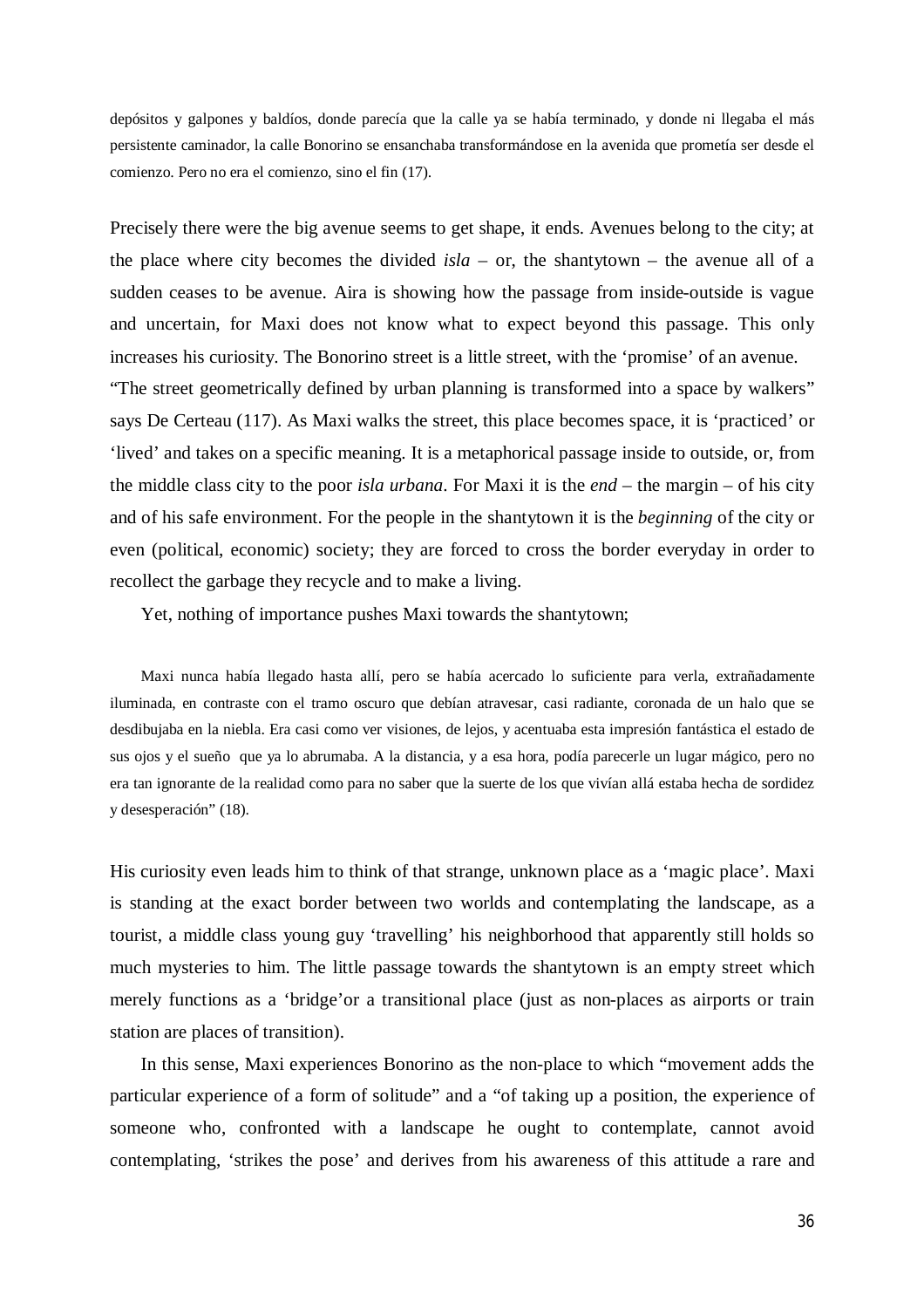depósitos y galpones y baldíos, donde parecía que la calle ya se había terminado, y donde ni llegaba el más persistente caminador, la calle Bonorino se ensanchaba transformándose en la avenida que prometía ser desde el comienzo. Pero no era el comienzo, sino el fin (17).

Precisely there were the big avenue seems to get shape, it ends. Avenues belong to the city; at the place where city becomes the divided  $isla - or$ , the shantytown – the avenue all of a sudden ceases to be avenue. Aira is showing how the passage from inside-outside is vague and uncertain, for Maxi does not know what to expect beyond this passage. This only increases his curiosity. The Bonorino street is a little street, with the 'promise' of an avenue. "The street geometrically defined by urban planning is transformed into a space by walkers" says De Certeau (117). As Maxi walks the street, this place becomes space, it is 'practiced' or 'lived' and takes on a specific meaning. It is a metaphorical passage inside to outside, or, from the middle class city to the poor *isla urbana*. For Maxi it is the *end* – the margin – of his city and of his safe environment. For the people in the shantytown it is the *beginning* of the city or even (political, economic) society; they are forced to cross the border everyday in order to recollect the garbage they recycle and to make a living.

Yet, nothing of importance pushes Maxi towards the shantytown;

Maxi nunca había llegado hasta allí, pero se había acercado lo suficiente para verla, extrañadamente iluminada, en contraste con el tramo oscuro que debían atravesar, casi radiante, coronada de un halo que se desdibujaba en la niebla. Era casi como ver visiones, de lejos, y acentuaba esta impresión fantástica el estado de sus ojos y el sueño que ya lo abrumaba. A la distancia, y a esa hora, podía parecerle un lugar mágico, pero no era tan ignorante de la realidad como para no saber que la suerte de los que vivían allá estaba hecha de sordidez y desesperación" (18).

His curiosity even leads him to think of that strange, unknown place as a 'magic place'. Maxi is standing at the exact border between two worlds and contemplating the landscape, as a tourist, a middle class young guy 'travelling' his neighborhood that apparently still holds so much mysteries to him. The little passage towards the shantytown is an empty street which merely functions as a 'bridge'or a transitional place (just as non-places as airports or train station are places of transition).

In this sense, Maxi experiences Bonorino as the non-place to which "movement adds the particular experience of a form of solitude" and a "of taking up a position, the experience of someone who, confronted with a landscape he ought to contemplate, cannot avoid contemplating, 'strikes the pose' and derives from his awareness of this attitude a rare and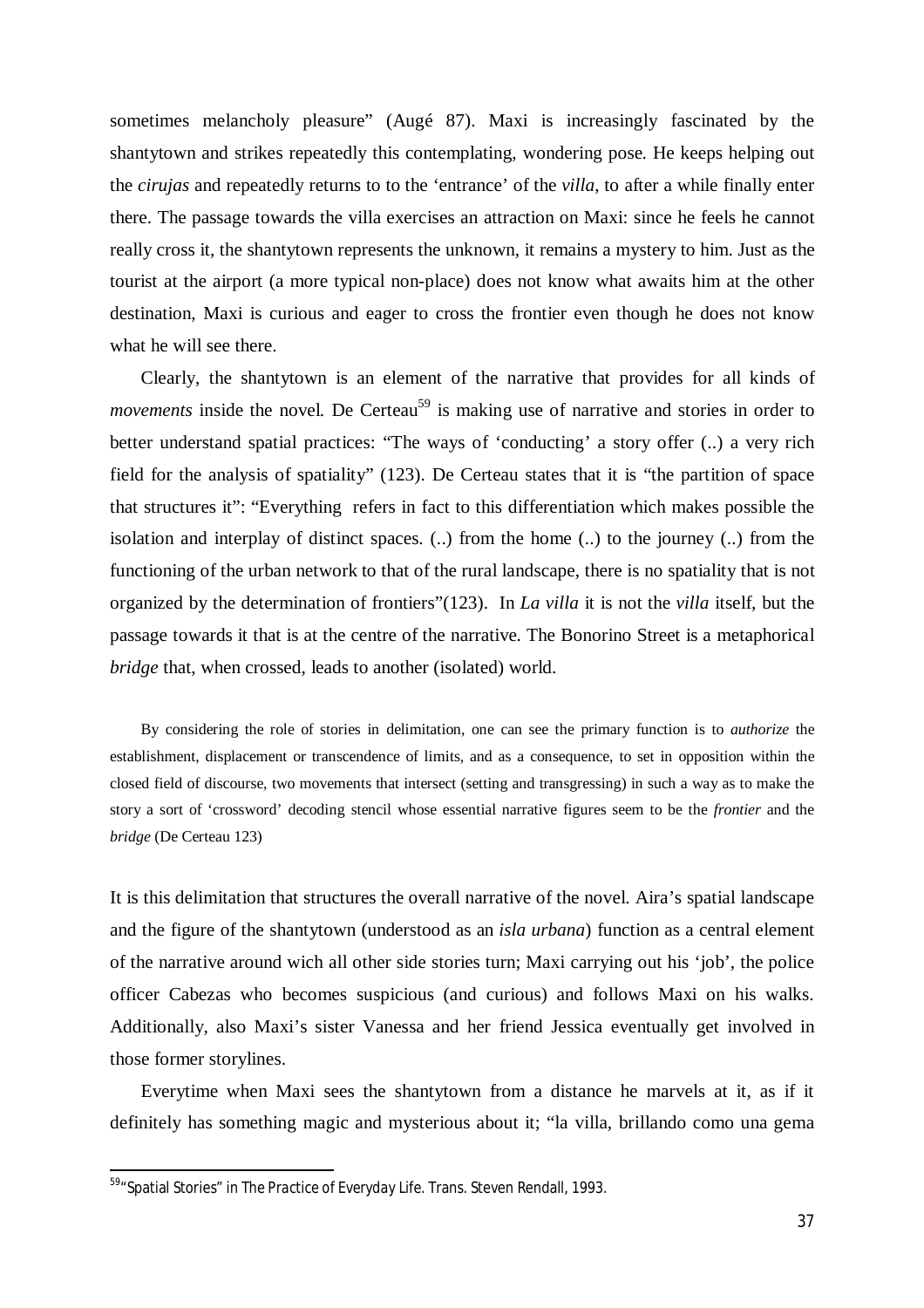sometimes melancholy pleasure" (Augé 87). Maxi is increasingly fascinated by the shantytown and strikes repeatedly this contemplating, wondering pose. He keeps helping out the *cirujas* and repeatedly returns to to the 'entrance' of the *villa*, to after a while finally enter there. The passage towards the villa exercises an attraction on Maxi: since he feels he cannot really cross it, the shantytown represents the unknown, it remains a mystery to him. Just as the tourist at the airport (a more typical non-place) does not know what awaits him at the other destination, Maxi is curious and eager to cross the frontier even though he does not know what he will see there.

Clearly, the shantytown is an element of the narrative that provides for all kinds of *movements* inside the novel. De Certeau<sup>59</sup> is making use of narrative and stories in order to better understand spatial practices: "The ways of 'conducting' a story offer (..) a very rich field for the analysis of spatiality" (123). De Certeau states that it is "the partition of space that structures it": "Everything refers in fact to this differentiation which makes possible the isolation and interplay of distinct spaces. (..) from the home (..) to the journey (..) from the functioning of the urban network to that of the rural landscape, there is no spatiality that is not organized by the determination of frontiers"(123). In *La villa* it is not the *villa* itself, but the passage towards it that is at the centre of the narrative. The Bonorino Street is a metaphorical *bridge* that, when crossed, leads to another (isolated) world.

By considering the role of stories in delimitation, one can see the primary function is to *authorize* the establishment, displacement or transcendence of limits, and as a consequence, to set in opposition within the closed field of discourse, two movements that intersect (setting and transgressing) in such a way as to make the story a sort of 'crossword' decoding stencil whose essential narrative figures seem to be the *frontier* and the *bridge* (De Certeau 123)

It is this delimitation that structures the overall narrative of the novel. Aira's spatial landscape and the figure of the shantytown (understood as an *isla urbana*) function as a central element of the narrative around wich all other side stories turn; Maxi carrying out his 'job', the police officer Cabezas who becomes suspicious (and curious) and follows Maxi on his walks. Additionally, also Maxi's sister Vanessa and her friend Jessica eventually get involved in those former storylines.

Everytime when Maxi sees the shantytown from a distance he marvels at it, as if it definitely has something magic and mysterious about it; "la villa, brillando como una gema

1

<sup>&</sup>lt;sup>59</sup> "Spatial Stories" in *The Practice of Everyday Life*. Trans. Steven Rendall, 1993.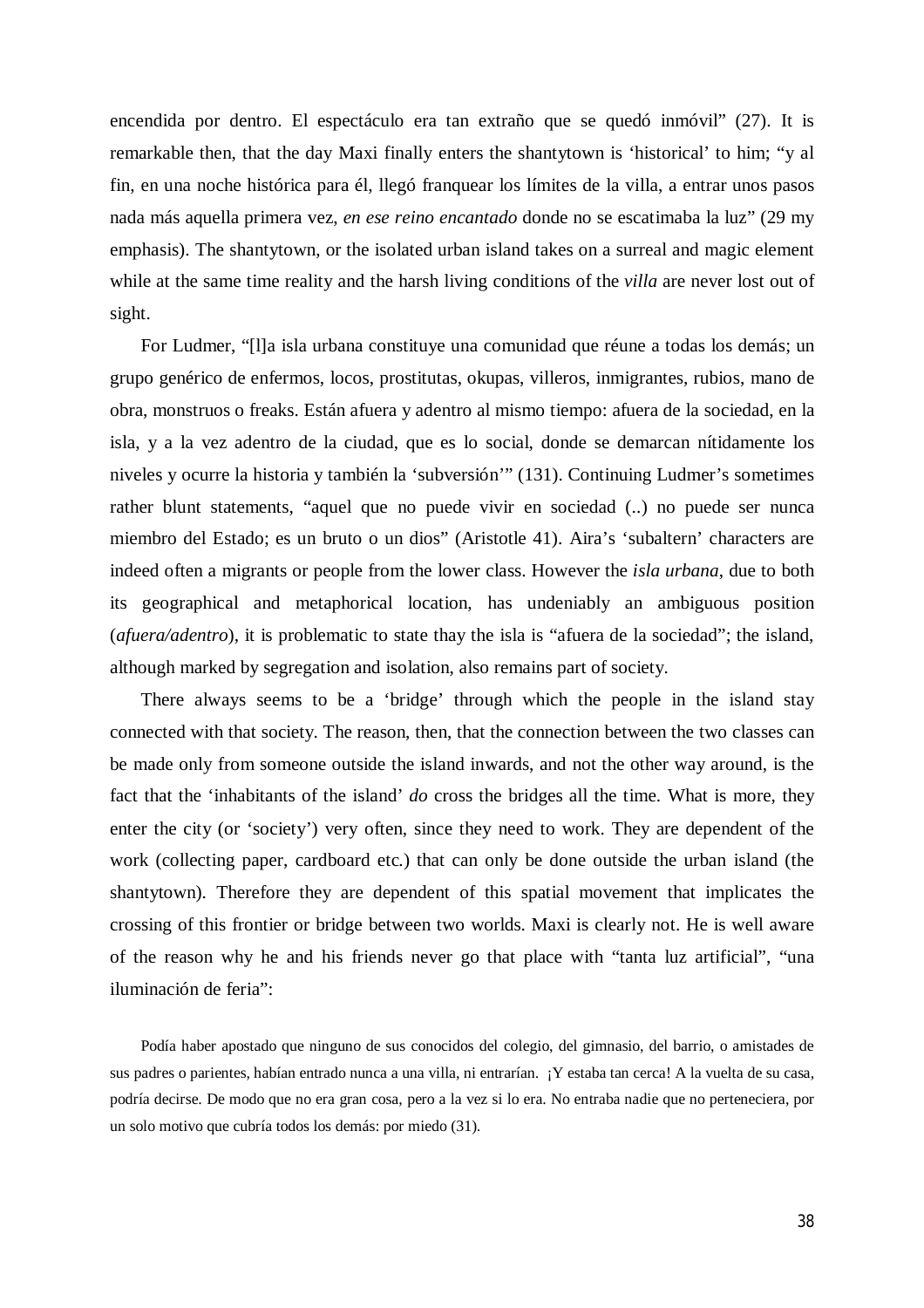encendida por dentro. El espectáculo era tan extraño que se quedó inmóvil" (27). It is remarkable then, that the day Maxi finally enters the shantytown is 'historical' to him; "y al fin, en una noche histórica para él, llegó franquear los límites de la villa, a entrar unos pasos nada más aquella primera vez, *en ese reino encantado* donde no se escatimaba la luz" (29 my emphasis). The shantytown, or the isolated urban island takes on a surreal and magic element while at the same time reality and the harsh living conditions of the *villa* are never lost out of sight.

For Ludmer, "[l]a isla urbana constituye una comunidad que réune a todas los demás; un grupo genérico de enfermos, locos, prostitutas, okupas, villeros, inmigrantes, rubios, mano de obra, monstruos o freaks. Están afuera y adentro al mismo tiempo: afuera de la sociedad, en la isla, y a la vez adentro de la ciudad, que es lo social, donde se demarcan nítidamente los niveles y ocurre la historia y también la 'subversión'" (131). Continuing Ludmer's sometimes rather blunt statements, "aquel que no puede vivir en sociedad (..) no puede ser nunca miembro del Estado; es un bruto o un dios" (Aristotle 41). Aira's 'subaltern' characters are indeed often a migrants or people from the lower class. However the *isla urbana*, due to both its geographical and metaphorical location, has undeniably an ambiguous position (*afuera/adentro*), it is problematic to state thay the isla is "afuera de la sociedad"; the island, although marked by segregation and isolation, also remains part of society.

There always seems to be a 'bridge' through which the people in the island stay connected with that society. The reason, then, that the connection between the two classes can be made only from someone outside the island inwards, and not the other way around, is the fact that the 'inhabitants of the island' *do* cross the bridges all the time. What is more, they enter the city (or 'society') very often, since they need to work. They are dependent of the work (collecting paper, cardboard etc.) that can only be done outside the urban island (the shantytown). Therefore they are dependent of this spatial movement that implicates the crossing of this frontier or bridge between two worlds. Maxi is clearly not. He is well aware of the reason why he and his friends never go that place with "tanta luz artificial", "una iluminación de feria":

Podía haber apostado que ninguno de sus conocidos del colegio, del gimnasio, del barrio, o amistades de sus padres o parientes, habían entrado nunca a una villa, ni entrarían. ¡Y estaba tan cerca! A la vuelta de su casa, podría decirse. De modo que no era gran cosa, pero a la vez si lo era. No entraba nadie que no perteneciera, por un solo motivo que cubría todos los demás: por miedo (31).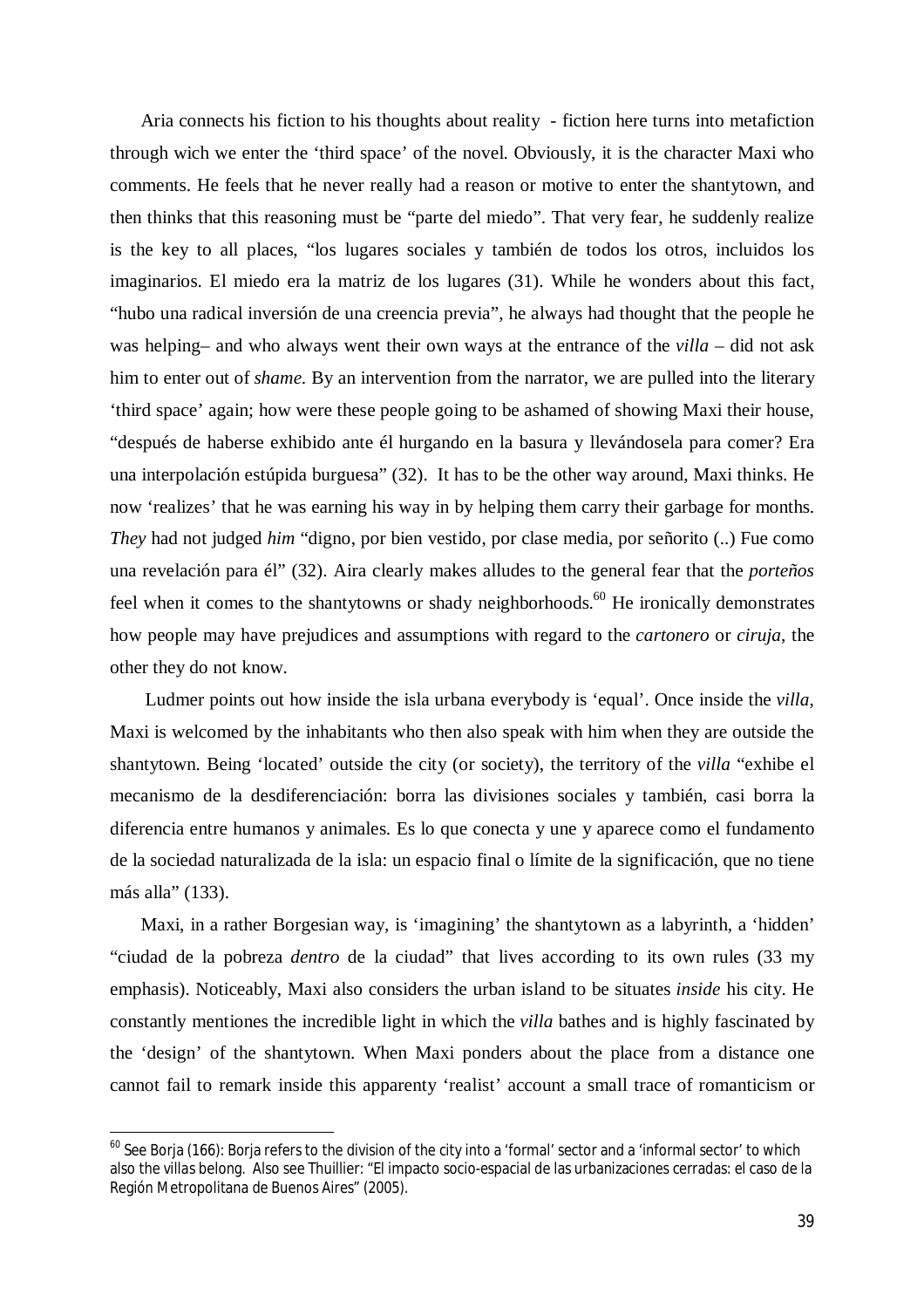Aria connects his fiction to his thoughts about reality - fiction here turns into metafiction through wich we enter the 'third space' of the novel. Obviously, it is the character Maxi who comments. He feels that he never really had a reason or motive to enter the shantytown, and then thinks that this reasoning must be "parte del miedo". That very fear, he suddenly realize is the key to all places, "los lugares sociales y también de todos los otros, incluidos los imaginarios. El miedo era la matriz de los lugares (31). While he wonders about this fact, "hubo una radical inversión de una creencia previa", he always had thought that the people he was helping– and who always went their own ways at the entrance of the *villa* – did not ask him to enter out of *shame.* By an intervention from the narrator, we are pulled into the literary 'third space' again; how were these people going to be ashamed of showing Maxi their house, "después de haberse exhibido ante él hurgando en la basura y llevándosela para comer? Era una interpolación estúpida burguesa" (32). It has to be the other way around, Maxi thinks. He now 'realizes' that he was earning his way in by helping them carry their garbage for months. *They* had not judged *him* "digno, por bien vestido, por clase media, por señorito (..) Fue como una revelación para él" (32). Aira clearly makes alludes to the general fear that the *porteños* feel when it comes to the shantytowns or shady neighborhoods.<sup>60</sup> He ironically demonstrates how people may have prejudices and assumptions with regard to the *cartonero* or *ciruja*, the other they do not know.

Ludmer points out how inside the isla urbana everybody is 'equal'. Once inside the *villa*, Maxi is welcomed by the inhabitants who then also speak with him when they are outside the shantytown. Being 'located' outside the city (or society), the territory of the *villa* "exhibe el mecanismo de la desdiferenciación: borra las divisiones sociales y también, casi borra la diferencia entre humanos y animales. Es lo que conecta y une y aparece como el fundamento de la sociedad naturalizada de la isla: un espacio final o límite de la significación, que no tiene más alla" (133).

Maxi, in a rather Borgesian way, is 'imagining' the shantytown as a labyrinth, a 'hidden' "ciudad de la pobreza *dentro* de la ciudad" that lives according to its own rules (33 my emphasis). Noticeably, Maxi also considers the urban island to be situates *inside* his city. He constantly mentiones the incredible light in which the *villa* bathes and is highly fascinated by the 'design' of the shantytown. When Maxi ponders about the place from a distance one cannot fail to remark inside this apparenty 'realist' account a small trace of romanticism or

 $60$  See Borja (166): Borja refers to the division of the city into a 'formal' sector and a 'informal sector' to which also the *villas* belong. Also see Thuillier: "El impacto socio-espacial de las urbanizaciones cerradas: el caso de la Región Metropolitana de Buenos Aires" (2005).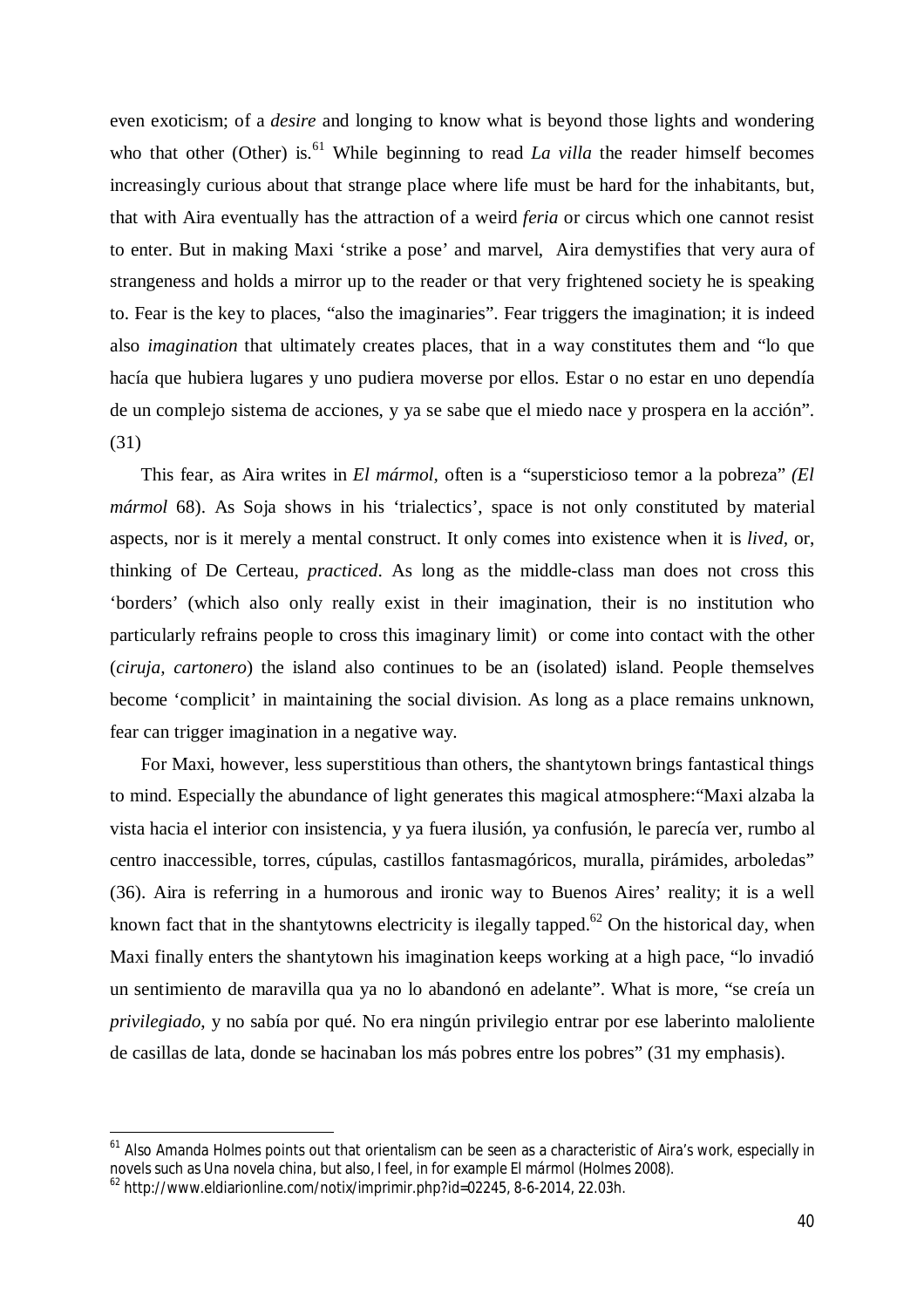even exoticism; of a *desire* and longing to know what is beyond those lights and wondering who that other (Other) is.<sup>61</sup> While beginning to read *La villa* the reader himself becomes increasingly curious about that strange place where life must be hard for the inhabitants, but, that with Aira eventually has the attraction of a weird *feria* or circus which one cannot resist to enter. But in making Maxi 'strike a pose' and marvel, Aira demystifies that very aura of strangeness and holds a mirror up to the reader or that very frightened society he is speaking to. Fear is the key to places, "also the imaginaries". Fear triggers the imagination; it is indeed also *imagination* that ultimately creates places, that in a way constitutes them and "lo que hacía que hubiera lugares y uno pudiera moverse por ellos. Estar o no estar en uno dependía de un complejo sistema de acciones, y ya se sabe que el miedo nace y prospera en la acción". (31)

This fear, as Aira writes in *El mármol,* often is a "supersticioso temor a la pobreza" *(El mármol* 68). As Soja shows in his 'trialectics', space is not only constituted by material aspects, nor is it merely a mental construct. It only comes into existence when it is *lived,* or, thinking of De Certeau, *practiced*. As long as the middle-class man does not cross this 'borders' (which also only really exist in their imagination, their is no institution who particularly refrains people to cross this imaginary limit) or come into contact with the other (*ciruja, cartonero*) the island also continues to be an (isolated) island. People themselves become 'complicit' in maintaining the social division. As long as a place remains unknown, fear can trigger imagination in a negative way.

For Maxi, however, less superstitious than others, the shantytown brings fantastical things to mind. Especially the abundance of light generates this magical atmosphere:"Maxi alzaba la vista hacia el interior con insistencia, y ya fuera ilusión, ya confusión, le parecía ver, rumbo al centro inaccessible, torres, cúpulas, castillos fantasmagóricos, muralla, pirámides, arboledas" (36). Aira is referring in a humorous and ironic way to Buenos Aires' reality; it is a well known fact that in the shantytowns electricity is ilegally tapped.<sup>62</sup> On the historical day, when Maxi finally enters the shantytown his imagination keeps working at a high pace, "lo invadió un sentimiento de maravilla qua ya no lo abandonó en adelante". What is more, "se creía un *privilegiado*, y no sabía por qué. No era ningún privilegio entrar por ese laberinto maloliente de casillas de lata, donde se hacinaban los más pobres entre los pobres" (31 my emphasis).

<sup>&</sup>lt;sup>61</sup> Also Amanda Holmes points out that orientalism can be seen as a characteristic of Aira's work, especially in novels such as *Una novela china*, but also, I feel, in for example *El mármol* (Holmes 2008).

<sup>62</sup> http://www.eldiarionline.com/notix/imprimir.php?id=02245, 8-6-2014, 22.03h.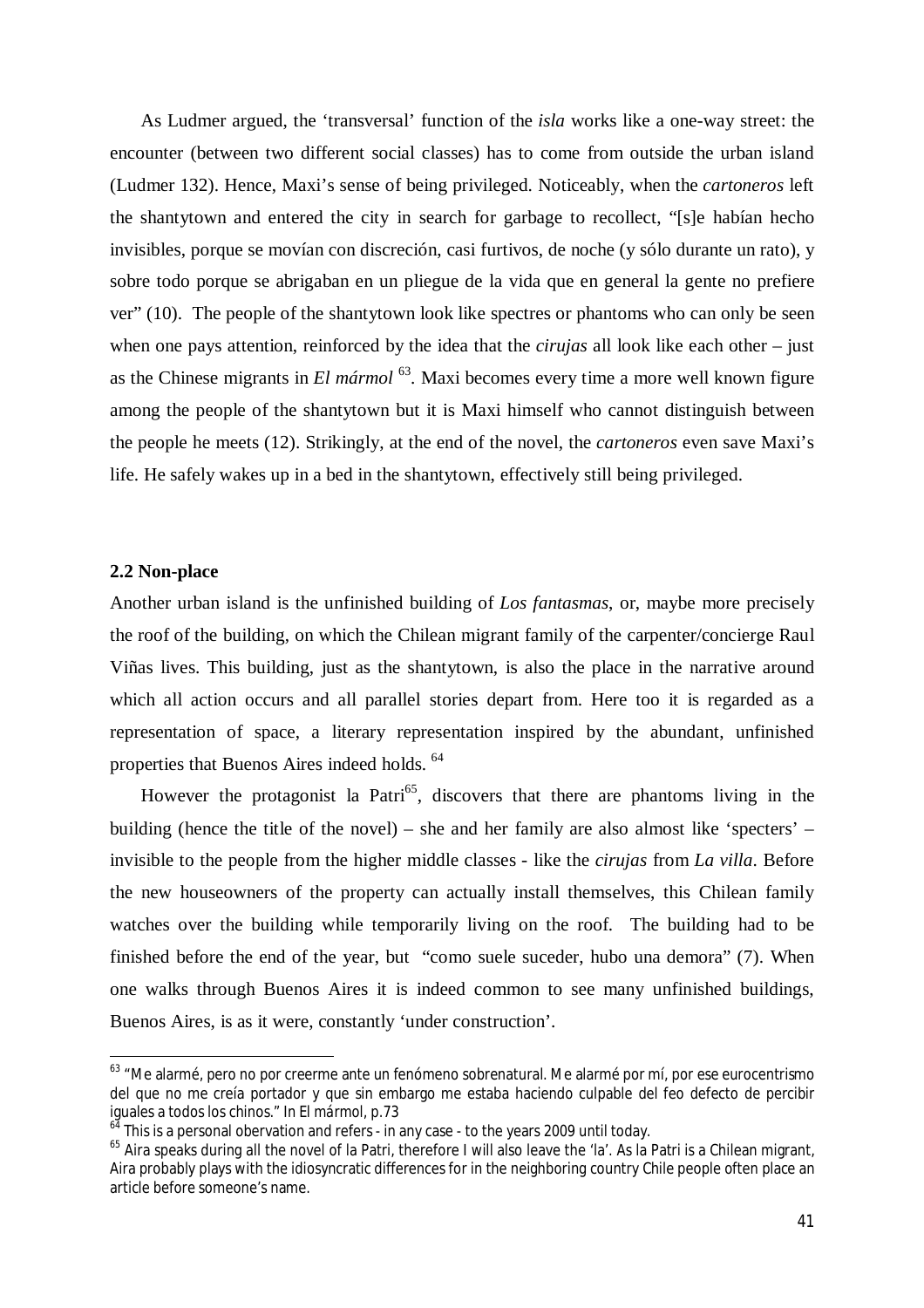As Ludmer argued, the 'transversal' function of the *isla* works like a one-way street: the encounter (between two different social classes) has to come from outside the urban island (Ludmer 132). Hence, Maxi's sense of being privileged. Noticeably, when the *cartoneros* left the shantytown and entered the city in search for garbage to recollect, "[s]e habían hecho invisibles, porque se movían con discreción, casi furtivos, de noche (y sólo durante un rato), y sobre todo porque se abrigaban en un pliegue de la vida que en general la gente no prefiere ver" (10). The people of the shantytown look like spectres or phantoms who can only be seen when one pays attention, reinforced by the idea that the *cirujas* all look like each other – just as the Chinese migrants in *El mármol*<sup>63</sup>. Maxi becomes every time a more well known figure among the people of the shantytown but it is Maxi himself who cannot distinguish between the people he meets (12). Strikingly, at the end of the novel, the *cartoneros* even save Maxi's life. He safely wakes up in a bed in the shantytown, effectively still being privileged.

### **2.2 Non-place**

 $\overline{a}$ 

Another urban island is the unfinished building of *Los fantasmas*, or, maybe more precisely the roof of the building, on which the Chilean migrant family of the carpenter/concierge Raul Viñas lives. This building, just as the shantytown, is also the place in the narrative around which all action occurs and all parallel stories depart from. Here too it is regarded as a representation of space, a literary representation inspired by the abundant, unfinished properties that Buenos Aires indeed holds. <sup>64</sup>

However the protagonist la Patri<sup>65</sup>, discovers that there are phantoms living in the building (hence the title of the novel) – she and her family are also almost like 'specters' – invisible to the people from the higher middle classes - like the *cirujas* from *La villa*. Before the new houseowners of the property can actually install themselves, this Chilean family watches over the building while temporarily living on the roof. The building had to be finished before the end of the year, but "como suele suceder, hubo una demora" (7). When one walks through Buenos Aires it is indeed common to see many unfinished buildings, Buenos Aires, is as it were, constantly 'under construction'.

<sup>&</sup>lt;sup>63</sup> "Me alarmé, pero no por creerme ante un fenómeno sobrenatural. Me alarmé por mí, por ese eurocentrismo del que no me creía portador y que sin embargo me estaba haciendo culpable del feo defecto de percibir iguales a todos los chinos." In *El mármol*, p.73

 $64$  This is a personal obervation and refers - in any case - to the years 2009 until today.

<sup>&</sup>lt;sup>65</sup> Aira speaks during all the novel of la Patri, therefore I will also leave the 'la'. As la Patri is a Chilean migrant, Aira probably plays with the idiosyncratic differences for in the neighboring country Chile people often place an article before someone's name.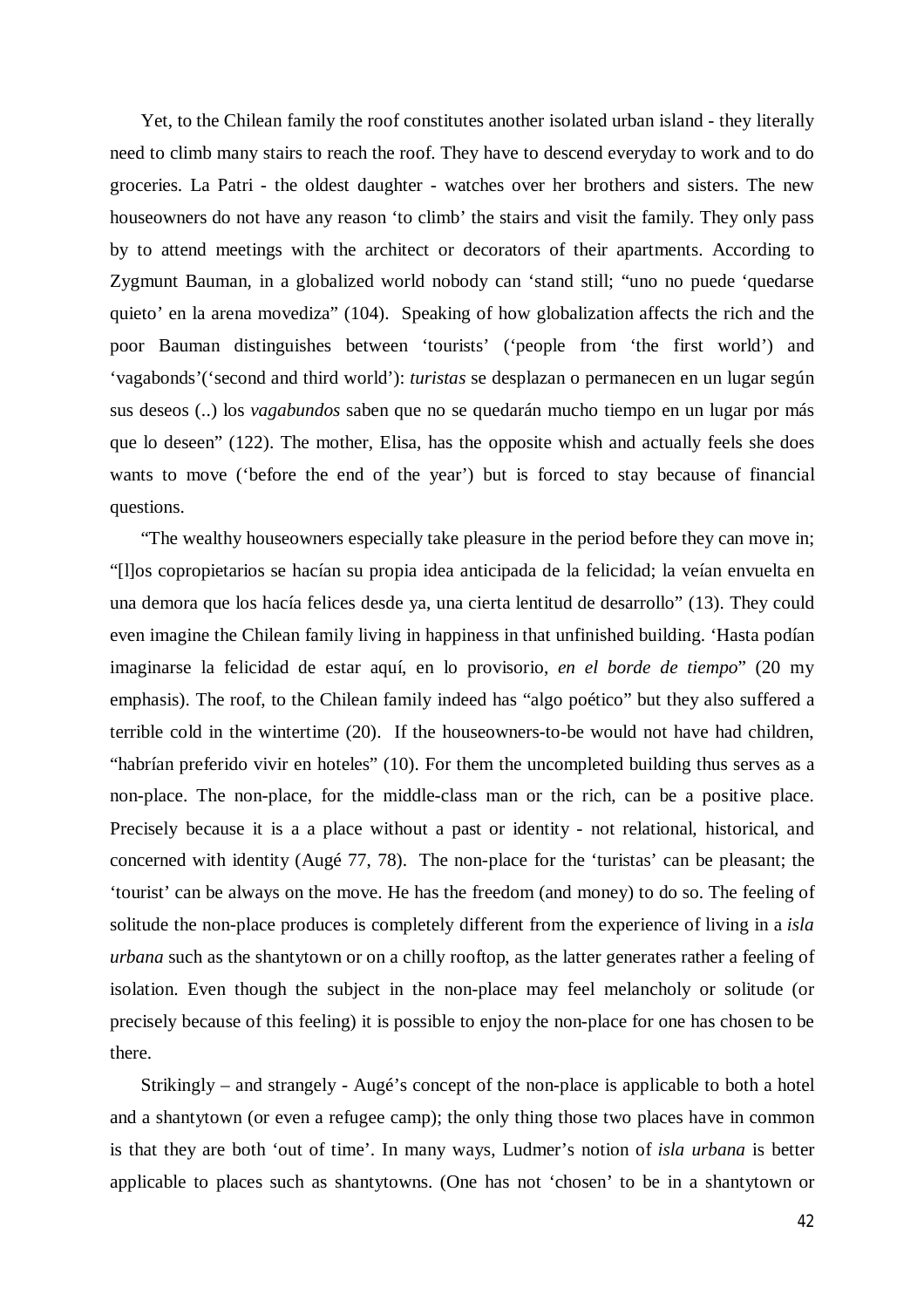Yet, to the Chilean family the roof constitutes another isolated urban island - they literally need to climb many stairs to reach the roof. They have to descend everyday to work and to do groceries. La Patri - the oldest daughter - watches over her brothers and sisters. The new houseowners do not have any reason 'to climb' the stairs and visit the family. They only pass by to attend meetings with the architect or decorators of their apartments. According to Zygmunt Bauman, in a globalized world nobody can 'stand still; "uno no puede 'quedarse quieto' en la arena movediza" (104). Speaking of how globalization affects the rich and the poor Bauman distinguishes between 'tourists' ('people from 'the first world') and 'vagabonds'('second and third world'): *turistas* se desplazan o permanecen en un lugar según sus deseos (..) los *vagabundos* saben que no se quedarán mucho tiempo en un lugar por más que lo deseen" (122). The mother, Elisa, has the opposite whish and actually feels she does wants to move ('before the end of the year') but is forced to stay because of financial questions.

"The wealthy houseowners especially take pleasure in the period before they can move in; "[l]os copropietarios se hacían su propia idea anticipada de la felicidad; la veían envuelta en una demora que los hacía felices desde ya, una cierta lentitud de desarrollo" (13). They could even imagine the Chilean family living in happiness in that unfinished building. 'Hasta podían imaginarse la felicidad de estar aquí, en lo provisorio, *en el borde de tiempo*" (20 my emphasis). The roof, to the Chilean family indeed has "algo poético" but they also suffered a terrible cold in the wintertime (20). If the houseowners-to-be would not have had children, "habrían preferido vivir en hoteles" (10). For them the uncompleted building thus serves as a non-place. The non-place, for the middle-class man or the rich, can be a positive place. Precisely because it is a a place without a past or identity - not relational, historical, and concerned with identity (Augé 77, 78). The non-place for the 'turistas' can be pleasant; the 'tourist' can be always on the move. He has the freedom (and money) to do so. The feeling of solitude the non-place produces is completely different from the experience of living in a *isla urbana* such as the shantytown or on a chilly rooftop, as the latter generates rather a feeling of isolation. Even though the subject in the non-place may feel melancholy or solitude (or precisely because of this feeling) it is possible to enjoy the non-place for one has chosen to be there.

Strikingly – and strangely - Augé's concept of the non-place is applicable to both a hotel and a shantytown (or even a refugee camp); the only thing those two places have in common is that they are both 'out of time'. In many ways, Ludmer's notion of *isla urbana* is better applicable to places such as shantytowns. (One has not 'chosen' to be in a shantytown or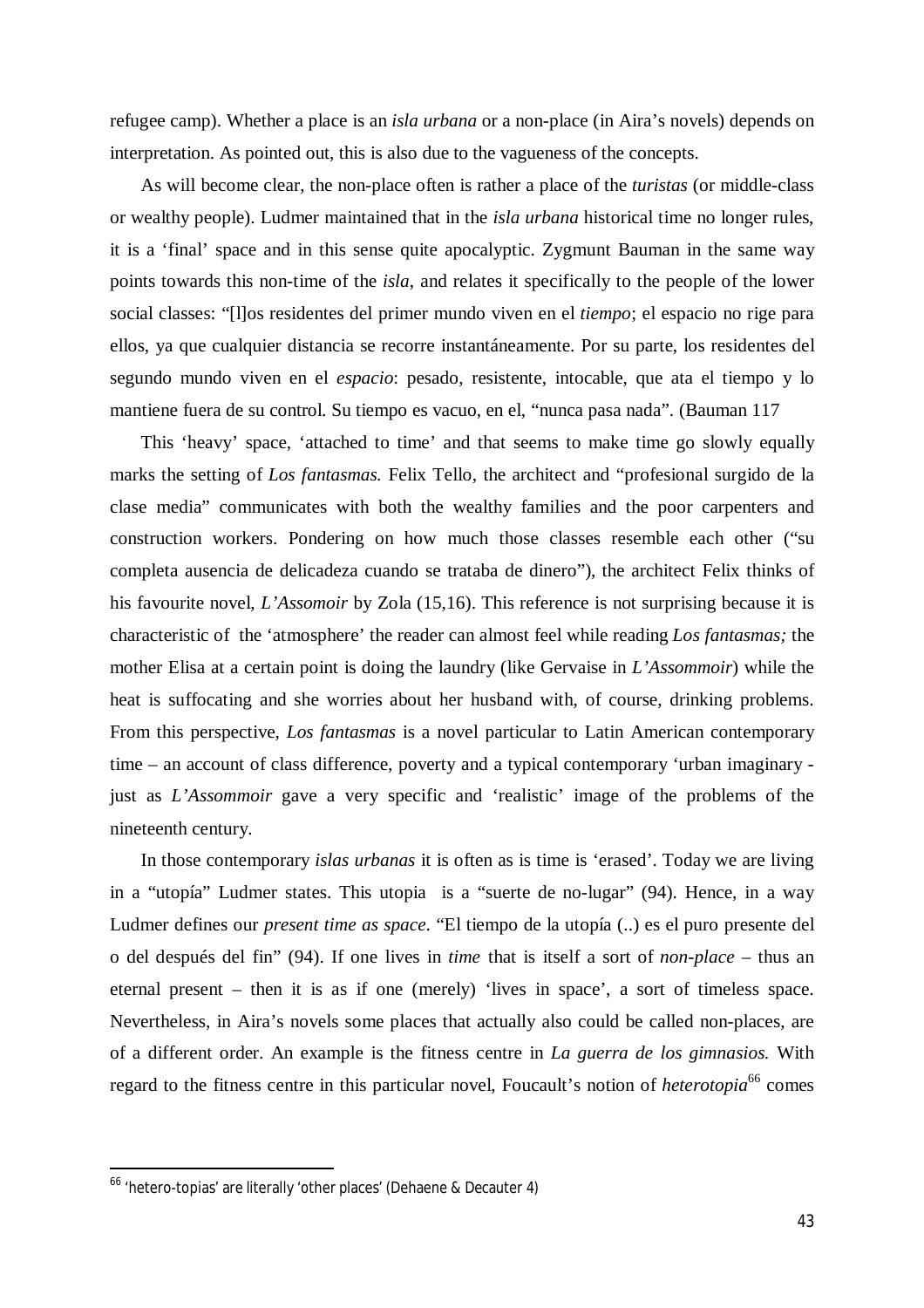refugee camp). Whether a place is an *isla urbana* or a non-place (in Aira's novels) depends on interpretation. As pointed out, this is also due to the vagueness of the concepts.

As will become clear, the non-place often is rather a place of the *turistas* (or middle-class or wealthy people). Ludmer maintained that in the *isla urbana* historical time no longer rules, it is a 'final' space and in this sense quite apocalyptic. Zygmunt Bauman in the same way points towards this non-time of the *isla*, and relates it specifically to the people of the lower social classes: "[l]os residentes del primer mundo viven en el *tiempo*; el espacio no rige para ellos, ya que cualquier distancia se recorre instantáneamente. Por su parte, los residentes del segundo mundo viven en el *espacio*: pesado, resistente, intocable, que ata el tiempo y lo mantiene fuera de su control. Su tiempo es vacuo, en el, "nunca pasa nada". (Bauman 117

This 'heavy' space, 'attached to time' and that seems to make time go slowly equally marks the setting of *Los fantasmas.* Felix Tello, the architect and "profesional surgido de la clase media" communicates with both the wealthy families and the poor carpenters and construction workers. Pondering on how much those classes resemble each other ("su completa ausencia de delicadeza cuando se trataba de dinero"), the architect Felix thinks of his favourite novel, *L'Assomoir* by Zola (15,16). This reference is not surprising because it is characteristic of the 'atmosphere' the reader can almost feel while reading *Los fantasmas;* the mother Elisa at a certain point is doing the laundry (like Gervaise in *L'Assommoir*) while the heat is suffocating and she worries about her husband with, of course, drinking problems. From this perspective, *Los fantasmas* is a novel particular to Latin American contemporary time – an account of class difference, poverty and a typical contemporary 'urban imaginary just as *L'Assommoir* gave a very specific and 'realistic' image of the problems of the nineteenth century.

In those contemporary *islas urbanas* it is often as is time is 'erased'. Today we are living in a "utopía" Ludmer states. This utopia is a "suerte de no-lugar" (94). Hence, in a way Ludmer defines our *present time as space*. "El tiempo de la utopía (..) es el puro presente del o del después del fin" (94). If one lives in *time* that is itself a sort of *non-place* – thus an eternal present – then it is as if one (merely) 'lives in space', a sort of timeless space. Nevertheless, in Aira's novels some places that actually also could be called non-places, are of a different order. An example is the fitness centre in *La guerra de los gimnasios.* With regard to the fitness centre in this particular novel, Foucault's notion of *heterotopia*<sup>66</sup> comes

<sup>66</sup> 'hetero-topias' are literally 'other places' (Dehaene & Decauter 4)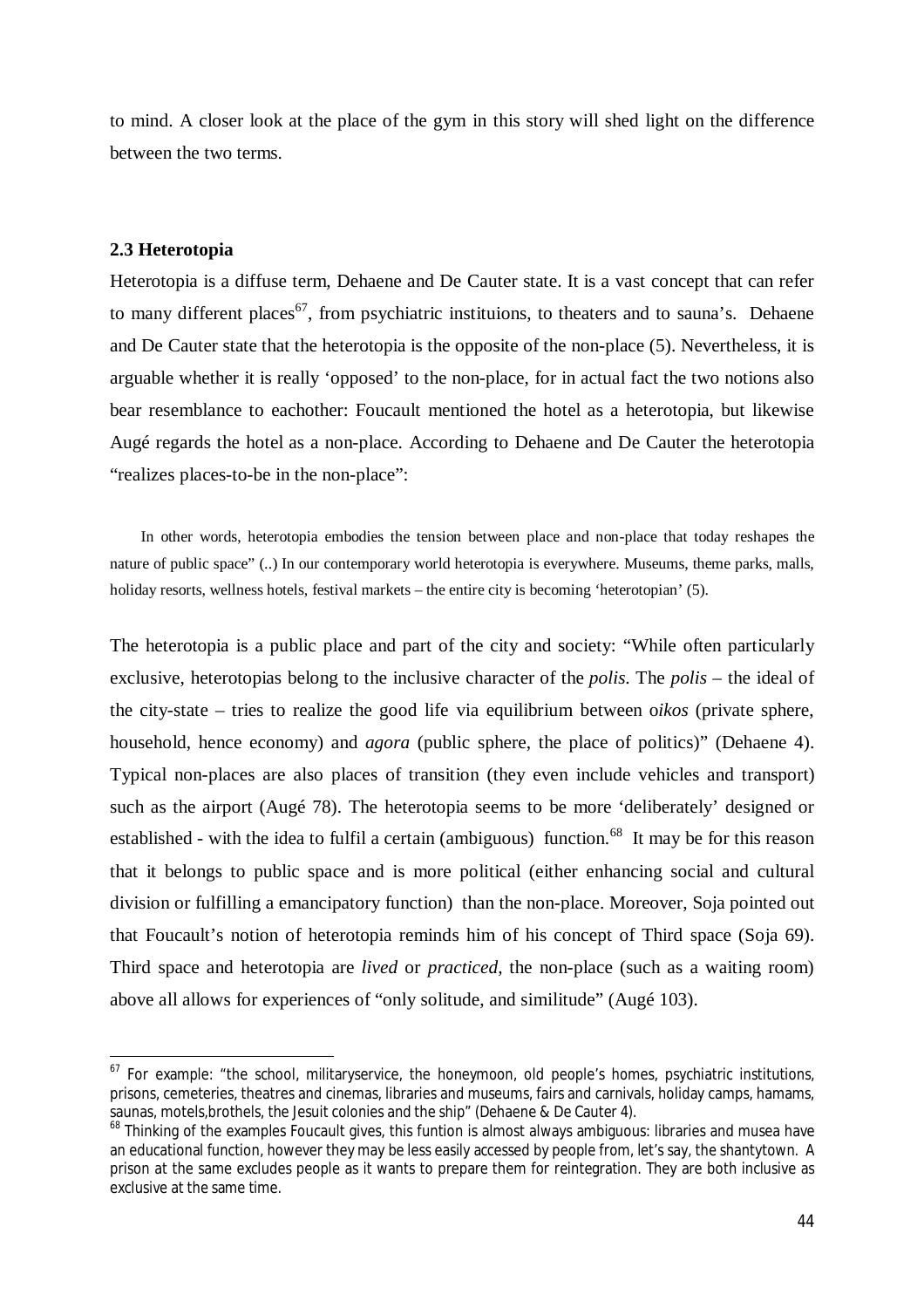to mind. A closer look at the place of the gym in this story will shed light on the difference between the two terms.

## **2.3 Heterotopia**

 $\overline{a}$ 

Heterotopia is a diffuse term, Dehaene and De Cauter state. It is a vast concept that can refer to many different places<sup>67</sup>, from psychiatric instituions, to theaters and to sauna's. Dehaene and De Cauter state that the heterotopia is the opposite of the non-place (5). Nevertheless, it is arguable whether it is really 'opposed' to the non-place, for in actual fact the two notions also bear resemblance to eachother: Foucault mentioned the hotel as a heterotopia, but likewise Augé regards the hotel as a non-place. According to Dehaene and De Cauter the heterotopia "realizes places-to-be in the non-place":

In other words, heterotopia embodies the tension between place and non-place that today reshapes the nature of public space" (..) In our contemporary world heterotopia is everywhere. Museums, theme parks, malls, holiday resorts, wellness hotels, festival markets – the entire city is becoming 'heterotopian' (5).

The heterotopia is a public place and part of the city and society: "While often particularly exclusive, heterotopias belong to the inclusive character of the *polis*. The *polis* – the ideal of the city-state – tries to realize the good life via equilibrium between o*ikos* (private sphere, household, hence economy) and *agora* (public sphere, the place of politics)" (Dehaene 4). Typical non-places are also places of transition (they even include vehicles and transport) such as the airport (Augé 78). The heterotopia seems to be more 'deliberately' designed or established - with the idea to fulfil a certain (ambiguous) function.<sup>68</sup> It may be for this reason that it belongs to public space and is more political (either enhancing social and cultural division or fulfilling a emancipatory function) than the non-place. Moreover, Soja pointed out that Foucault's notion of heterotopia reminds him of his concept of Third space (Soja 69). Third space and heterotopia are *lived* or *practiced,* the non-place (such as a waiting room) above all allows for experiences of "only solitude, and similitude" (Augé 103).

 $67$  For example: "the school, militaryservice, the honeymoon, old people's homes, psychiatric institutions, prisons, cemeteries, theatres and cinemas, libraries and museums, fairs and carnivals, holiday camps, hamams, saunas, motels,brothels, the Jesuit colonies and the ship" (Dehaene & De Cauter 4).

<sup>&</sup>lt;sup>68</sup> Thinking of the examples Foucault gives, this funtion is almost always ambiguous: libraries and musea have an educational function, however they may be less easily accessed by people from, let's say, the shantytown. A prison at the same excludes people as it wants to prepare them for reintegration. They are both inclusive as exclusive at the same time.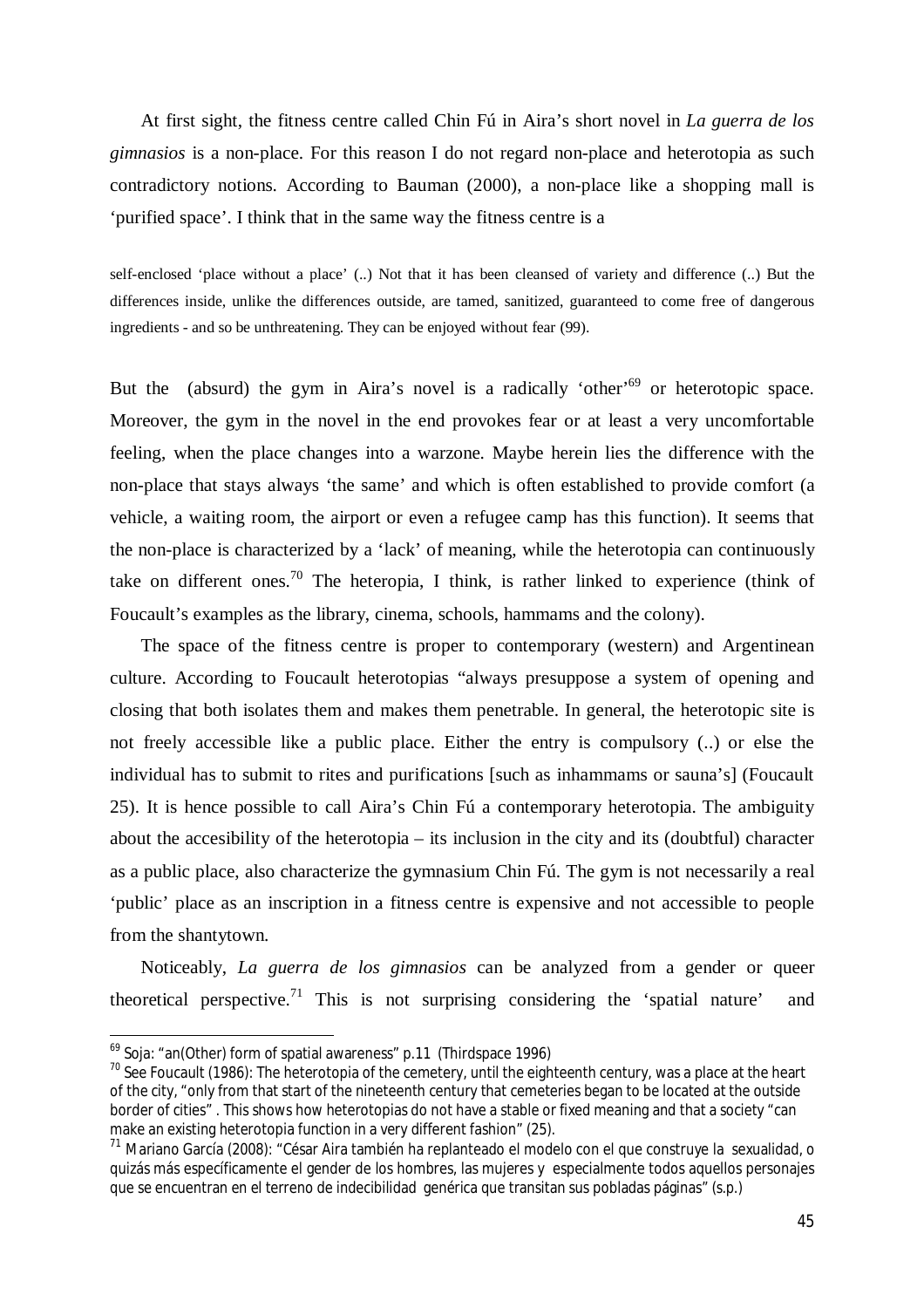At first sight, the fitness centre called Chin Fú in Aira's short novel in *La guerra de los gimnasios* is a non-place. For this reason I do not regard non-place and heterotopia as such contradictory notions. According to Bauman (2000), a non-place like a shopping mall is 'purified space'. I think that in the same way the fitness centre is a

self-enclosed 'place without a place' (..) Not that it has been cleansed of variety and difference (..) But the differences inside, unlike the differences outside, are tamed, sanitized, guaranteed to come free of dangerous ingredients - and so be unthreatening. They can be enjoyed without fear (99).

But the (absurd) the gym in Aira's novel is a radically 'other'<sup>69</sup> or heterotopic space. Moreover, the gym in the novel in the end provokes fear or at least a very uncomfortable feeling, when the place changes into a warzone. Maybe herein lies the difference with the non-place that stays always 'the same' and which is often established to provide comfort (a vehicle, a waiting room, the airport or even a refugee camp has this function). It seems that the non-place is characterized by a 'lack' of meaning, while the heterotopia can continuously take on different ones.<sup>70</sup> The heteropia, I think, is rather linked to experience (think of Foucault's examples as the library, cinema, schools, hammams and the colony).

The space of the fitness centre is proper to contemporary (western) and Argentinean culture. According to Foucault heterotopias "always presuppose a system of opening and closing that both isolates them and makes them penetrable. In general, the heterotopic site is not freely accessible like a public place. Either the entry is compulsory (..) or else the individual has to submit to rites and purifications [such as inhammams or sauna's] (Foucault 25). It is hence possible to call Aira's Chin Fú a contemporary heterotopia. The ambiguity about the accesibility of the heterotopia – its inclusion in the city and its (doubtful) character as a public place, also characterize the gymnasium Chin Fú. The gym is not necessarily a real 'public' place as an inscription in a fitness centre is expensive and not accessible to people from the shantytown.

Noticeably, *La guerra de los gimnasios* can be analyzed from a gender or queer theoretical perspective.<sup>71</sup> This is not surprising considering the 'spatial nature' and

<sup>&</sup>lt;sup>69</sup> Soja: "an(Other) form of spatial awareness" p.11 (Thirdspace 1996)

 $70$  See Foucault (1986): The heterotopia of the cemetery, until the eighteenth century, was a place at the heart of the city, "only from that start of the nineteenth century that cemeteries began to be located at the outside border of cities" . This shows how heterotopias do not have a stable or fixed meaning and that a society "can make an existing heterotopia function in a very different fashion" (25).

<sup>&</sup>lt;sup>71</sup> Mariano García (2008): "César Aira también ha replanteado el modelo con el que construye la sexualidad, o quizás más específicamente el gender de los hombres, las mujeres y especialmente todos aquellos personajes que se encuentran en el terreno de indecibilidad genérica que transitan sus pobladas páginas" (*s.p*.)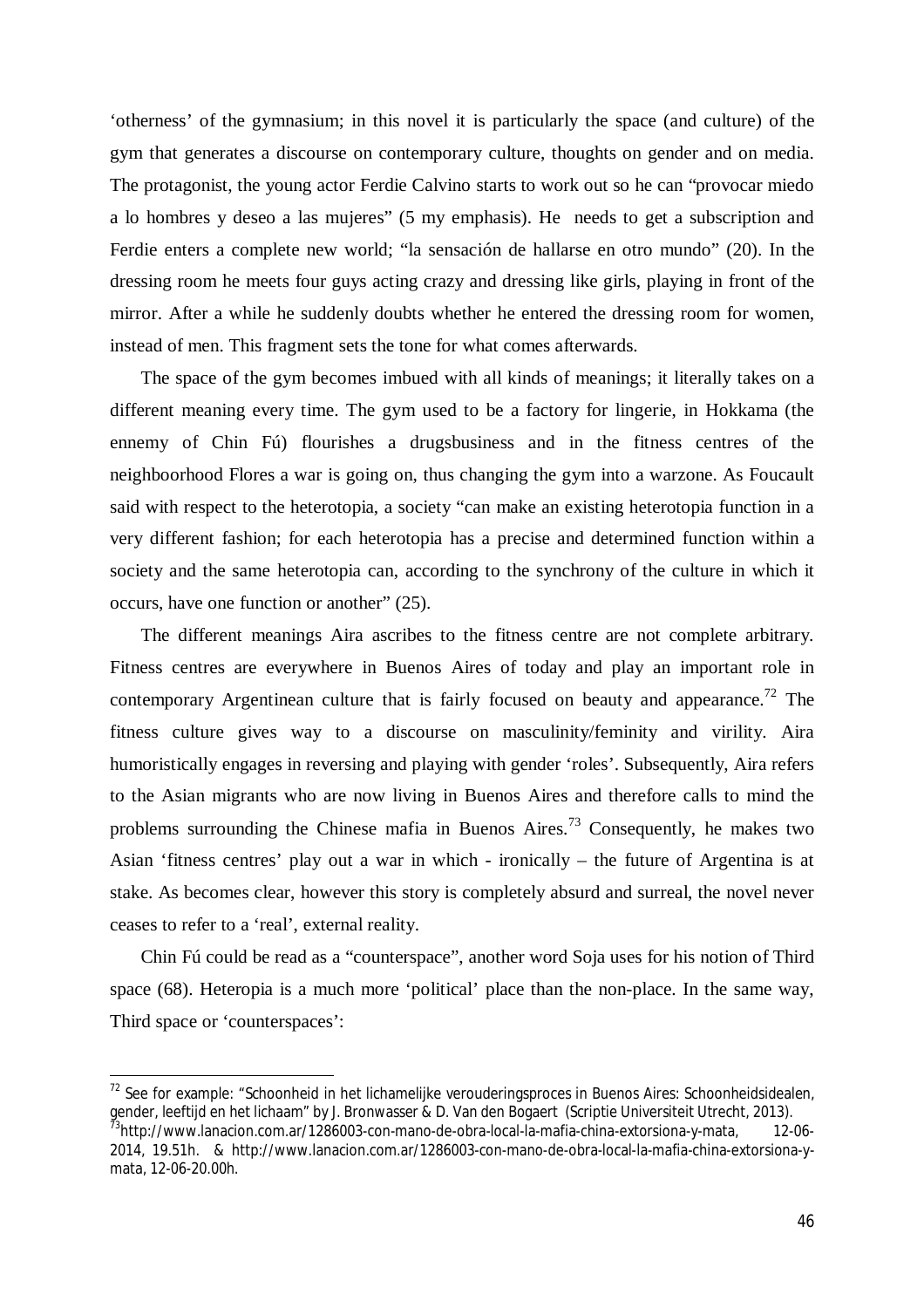'otherness' of the gymnasium; in this novel it is particularly the space (and culture) of the gym that generates a discourse on contemporary culture, thoughts on gender and on media. The protagonist, the young actor Ferdie Calvino starts to work out so he can "provocar miedo a lo hombres y deseo a las mujeres" (5 my emphasis). He needs to get a subscription and Ferdie enters a complete new world; "la sensación de hallarse en otro mundo" (20). In the dressing room he meets four guys acting crazy and dressing like girls, playing in front of the mirror. After a while he suddenly doubts whether he entered the dressing room for women, instead of men. This fragment sets the tone for what comes afterwards.

The space of the gym becomes imbued with all kinds of meanings; it literally takes on a different meaning every time. The gym used to be a factory for lingerie, in Hokkama (the ennemy of Chin Fú) flourishes a drugsbusiness and in the fitness centres of the neighboorhood Flores a war is going on, thus changing the gym into a warzone. As Foucault said with respect to the heterotopia, a society "can make an existing heterotopia function in a very different fashion; for each heterotopia has a precise and determined function within a society and the same heterotopia can, according to the synchrony of the culture in which it occurs, have one function or another" (25).

The different meanings Aira ascribes to the fitness centre are not complete arbitrary. Fitness centres are everywhere in Buenos Aires of today and play an important role in contemporary Argentinean culture that is fairly focused on beauty and appearance.<sup>72</sup> The fitness culture gives way to a discourse on masculinity/feminity and virility. Aira humoristically engages in reversing and playing with gender 'roles'. Subsequently, Aira refers to the Asian migrants who are now living in Buenos Aires and therefore calls to mind the problems surrounding the Chinese mafia in Buenos Aires.<sup>73</sup> Consequently, he makes two Asian 'fitness centres' play out a war in which - ironically – the future of Argentina is at stake. As becomes clear, however this story is completely absurd and surreal, the novel never ceases to refer to a 'real', external reality.

Chin Fú could be read as a "counterspace", another word Soja uses for his notion of Third space (68). Heteropia is a much more 'political' place than the non-place. In the same way, Third space or 'counterspaces':

<sup>&</sup>lt;sup>72</sup> See for example: "Schoonheid in het lichamelijke verouderingsproces in Buenos Aires: Schoonheidsidealen, gender, leeftijd en het lichaam" by J. Bronwasser & D. Van den Bogaert (Scriptie Universiteit Utrecht, 2013).

<sup>&</sup>lt;sup>73</sup>http://www.lanacion.com.ar/1286003-con-mano-de-obra-local-la-mafia-china-extorsiona-y-mata, 12-06-2014, 19.51h. & http://www.lanacion.com.ar/1286003-con-mano-de-obra-local-la-mafia-china-extorsiona-ymata, 12-06-20.00h.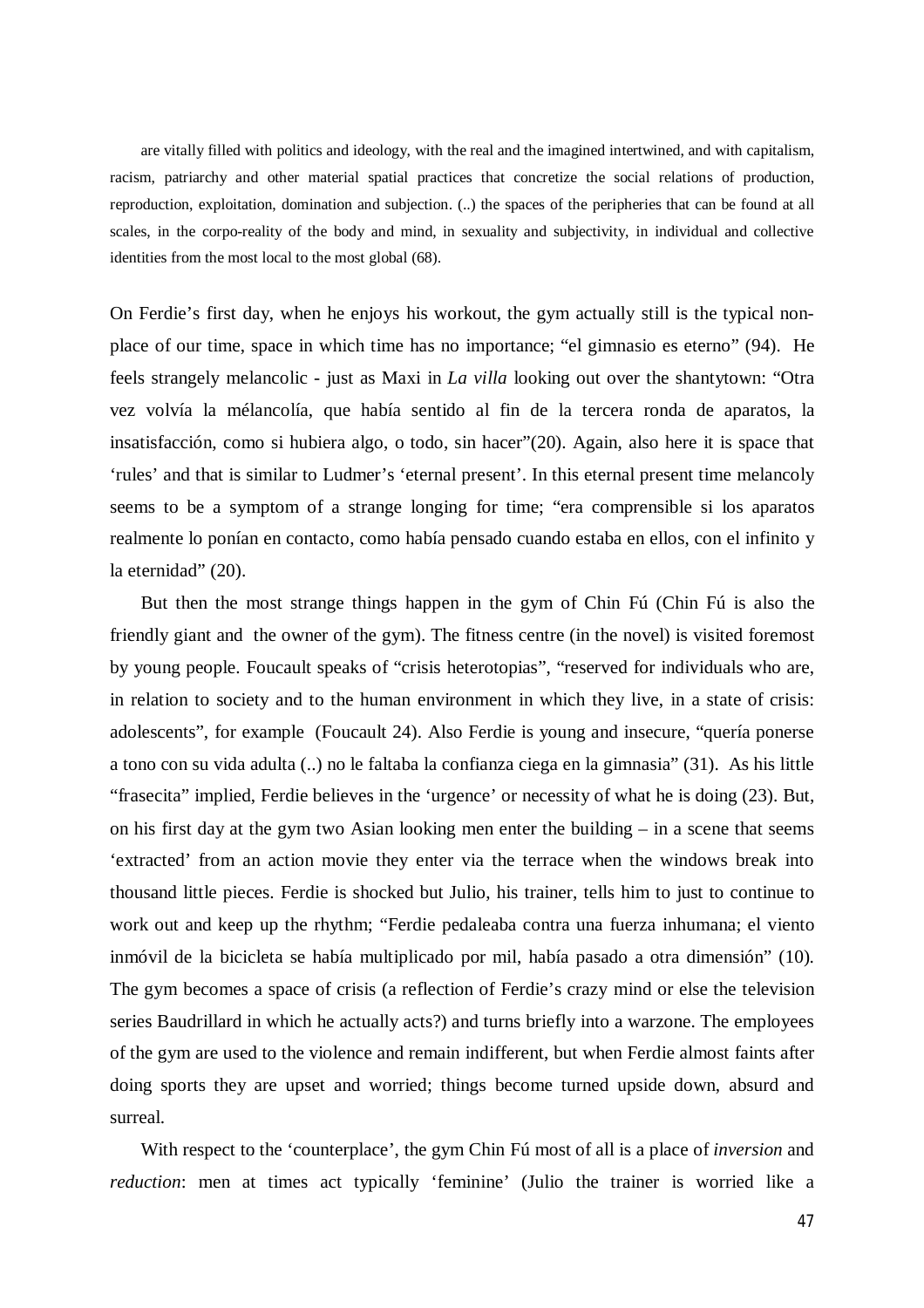are vitally filled with politics and ideology, with the real and the imagined intertwined, and with capitalism, racism, patriarchy and other material spatial practices that concretize the social relations of production, reproduction, exploitation, domination and subjection. (..) the spaces of the peripheries that can be found at all scales, in the corpo-reality of the body and mind, in sexuality and subjectivity, in individual and collective identities from the most local to the most global (68).

On Ferdie's first day, when he enjoys his workout, the gym actually still is the typical nonplace of our time, space in which time has no importance; "el gimnasio es eterno" (94). He feels strangely melancolic - just as Maxi in *La villa* looking out over the shantytown: "Otra vez volvía la mélancolía, que había sentido al fin de la tercera ronda de aparatos, la insatisfacción, como si hubiera algo, o todo, sin hacer"(20). Again, also here it is space that 'rules' and that is similar to Ludmer's 'eternal present'. In this eternal present time melancoly seems to be a symptom of a strange longing for time; "era comprensible si los aparatos realmente lo ponían en contacto, como había pensado cuando estaba en ellos, con el infinito y la eternidad" (20).

But then the most strange things happen in the gym of Chin Fú (Chin Fú is also the friendly giant and the owner of the gym). The fitness centre (in the novel) is visited foremost by young people. Foucault speaks of "crisis heterotopias", "reserved for individuals who are, in relation to society and to the human environment in which they live, in a state of crisis: adolescents", for example (Foucault 24). Also Ferdie is young and insecure, "quería ponerse a tono con su vida adulta (..) no le faltaba la confianza ciega en la gimnasia" (31). As his little "frasecita" implied, Ferdie believes in the 'urgence' or necessity of what he is doing (23). But, on his first day at the gym two Asian looking men enter the building – in a scene that seems 'extracted' from an action movie they enter via the terrace when the windows break into thousand little pieces. Ferdie is shocked but Julio, his trainer, tells him to just to continue to work out and keep up the rhythm; "Ferdie pedaleaba contra una fuerza inhumana; el viento inmóvil de la bicicleta se había multiplicado por mil, había pasado a otra dimensión" (10). The gym becomes a space of crisis (a reflection of Ferdie's crazy mind or else the television series Baudrillard in which he actually acts?) and turns briefly into a warzone. The employees of the gym are used to the violence and remain indifferent, but when Ferdie almost faints after doing sports they are upset and worried; things become turned upside down, absurd and surreal.

With respect to the 'counterplace', the gym Chin Fú most of all is a place of *inversion* and *reduction*: men at times act typically 'feminine' (Julio the trainer is worried like a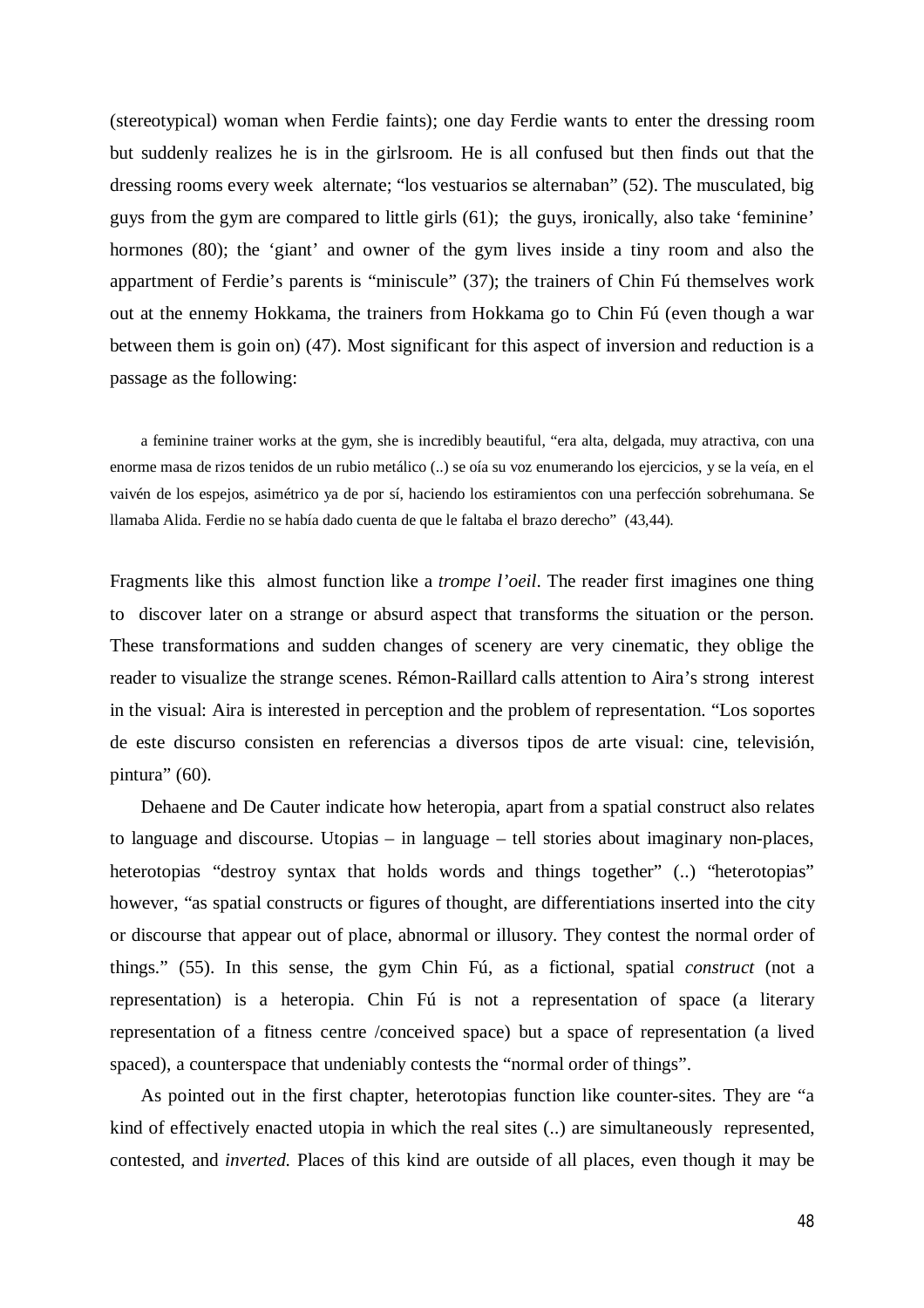(stereotypical) woman when Ferdie faints); one day Ferdie wants to enter the dressing room but suddenly realizes he is in the girlsroom. He is all confused but then finds out that the dressing rooms every week alternate; "los vestuarios se alternaban" (52). The musculated, big guys from the gym are compared to little girls (61); the guys, ironically, also take 'feminine' hormones (80); the 'giant' and owner of the gym lives inside a tiny room and also the appartment of Ferdie's parents is "miniscule" (37); the trainers of Chin Fú themselves work out at the ennemy Hokkama, the trainers from Hokkama go to Chin Fú (even though a war between them is goin on) (47). Most significant for this aspect of inversion and reduction is a passage as the following:

a feminine trainer works at the gym, she is incredibly beautiful, "era alta, delgada, muy atractiva, con una enorme masa de rizos tenidos de un rubio metálico (..) se oía su voz enumerando los ejercicios, y se la veía, en el vaivén de los espejos, asimétrico ya de por sí, haciendo los estiramientos con una perfección sobrehumana. Se llamaba Alida. Ferdie no se había dado cuenta de que le faltaba el brazo derecho" (43,44).

Fragments like this almost function like a *trompe l'oeil*. The reader first imagines one thing to discover later on a strange or absurd aspect that transforms the situation or the person. These transformations and sudden changes of scenery are very cinematic, they oblige the reader to visualize the strange scenes. Rémon-Raillard calls attention to Aira's strong interest in the visual: Aira is interested in perception and the problem of representation. "Los soportes de este discurso consisten en referencias a diversos tipos de arte visual: cine, televisión, pintura" (60).

Dehaene and De Cauter indicate how heteropia, apart from a spatial construct also relates to language and discourse. Utopias – in language – tell stories about imaginary non-places, heterotopias "destroy syntax that holds words and things together" (..) "heterotopias" however, "as spatial constructs or figures of thought, are differentiations inserted into the city or discourse that appear out of place, abnormal or illusory. They contest the normal order of things." (55). In this sense, the gym Chin Fú, as a fictional, spatial *construct* (not a representation) is a heteropia. Chin Fú is not a representation of space (a literary representation of a fitness centre /conceived space) but a space of representation (a lived spaced), a counterspace that undeniably contests the "normal order of things".

As pointed out in the first chapter, heterotopias function like counter-sites. They are "a kind of effectively enacted utopia in which the real sites (..) are simultaneously represented, contested, and *inverted.* Places of this kind are outside of all places, even though it may be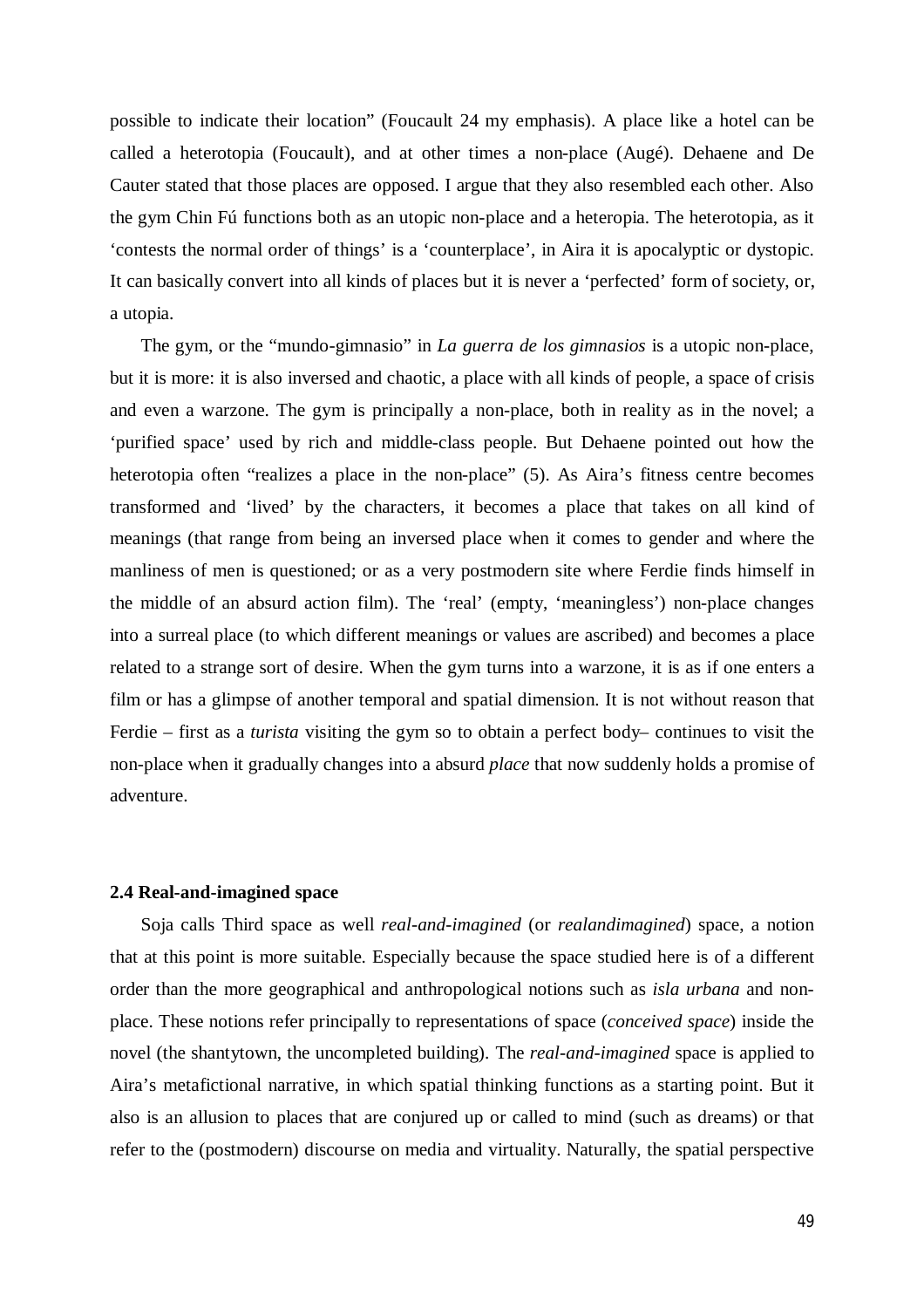possible to indicate their location" (Foucault 24 my emphasis). A place like a hotel can be called a heterotopia (Foucault), and at other times a non-place (Augé). Dehaene and De Cauter stated that those places are opposed. I argue that they also resembled each other. Also the gym Chin Fú functions both as an utopic non-place and a heteropia. The heterotopia, as it 'contests the normal order of things' is a 'counterplace', in Aira it is apocalyptic or dystopic. It can basically convert into all kinds of places but it is never a 'perfected' form of society, or, a utopia.

The gym, or the "mundo-gimnasio" in *La guerra de los gimnasios* is a utopic non-place, but it is more: it is also inversed and chaotic, a place with all kinds of people, a space of crisis and even a warzone. The gym is principally a non-place, both in reality as in the novel; a 'purified space' used by rich and middle-class people. But Dehaene pointed out how the heterotopia often "realizes a place in the non-place" (5). As Aira's fitness centre becomes transformed and 'lived' by the characters, it becomes a place that takes on all kind of meanings (that range from being an inversed place when it comes to gender and where the manliness of men is questioned; or as a very postmodern site where Ferdie finds himself in the middle of an absurd action film). The 'real' (empty, 'meaningless') non-place changes into a surreal place (to which different meanings or values are ascribed) and becomes a place related to a strange sort of desire. When the gym turns into a warzone, it is as if one enters a film or has a glimpse of another temporal and spatial dimension. It is not without reason that Ferdie – first as a *turista* visiting the gym so to obtain a perfect body– continues to visit the non-place when it gradually changes into a absurd *place* that now suddenly holds a promise of adventure.

## **2.4 Real-and-imagined space**

Soja calls Third space as well *real-and-imagined* (or *realandimagined*) space, a notion that at this point is more suitable. Especially because the space studied here is of a different order than the more geographical and anthropological notions such as *isla urbana* and nonplace. These notions refer principally to representations of space (*conceived space*) inside the novel (the shantytown, the uncompleted building). The *real-and-imagined* space is applied to Aira's metafictional narrative, in which spatial thinking functions as a starting point. But it also is an allusion to places that are conjured up or called to mind (such as dreams) or that refer to the (postmodern) discourse on media and virtuality. Naturally, the spatial perspective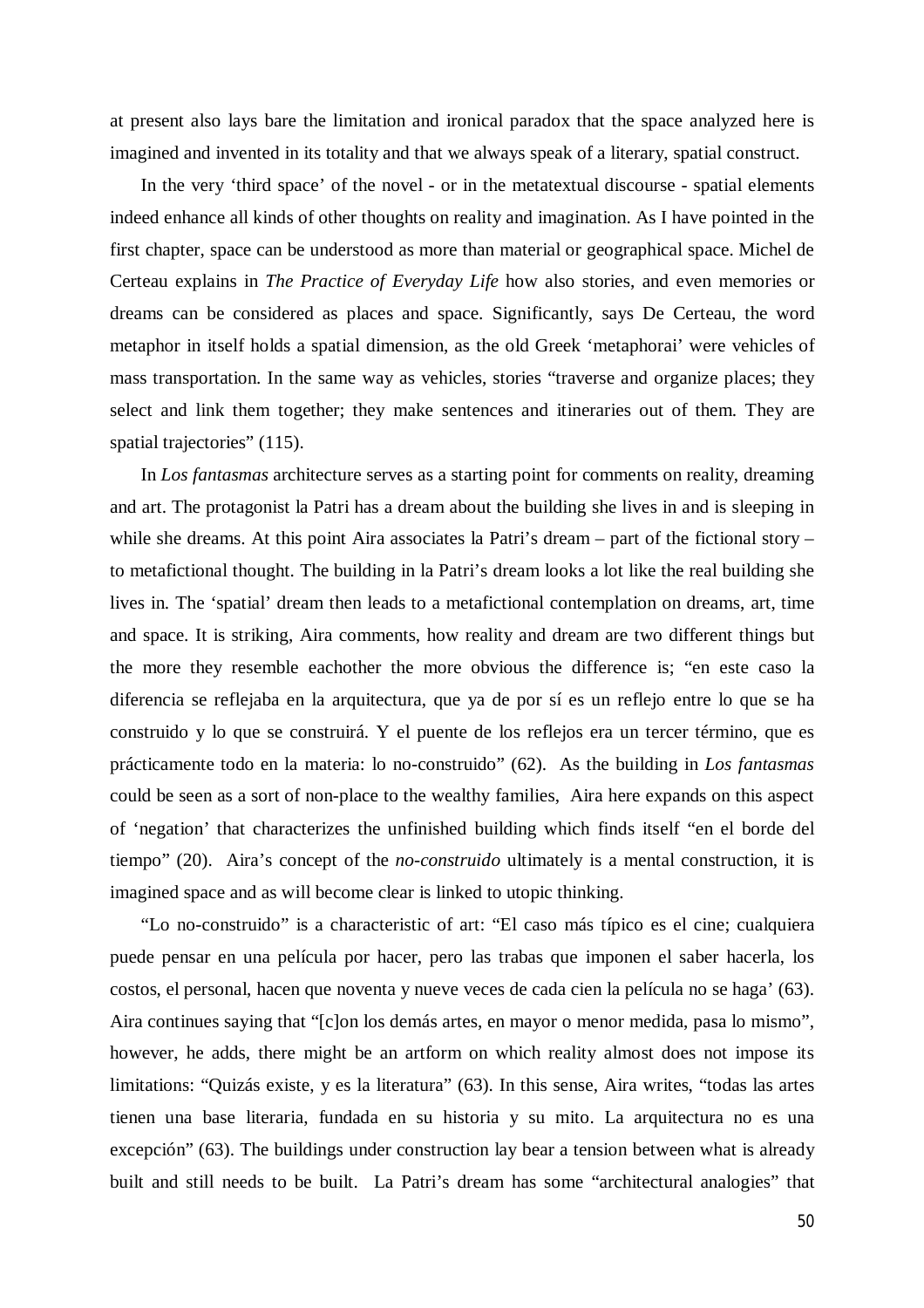at present also lays bare the limitation and ironical paradox that the space analyzed here is imagined and invented in its totality and that we always speak of a literary, spatial construct.

In the very 'third space' of the novel - or in the metatextual discourse - spatial elements indeed enhance all kinds of other thoughts on reality and imagination. As I have pointed in the first chapter, space can be understood as more than material or geographical space. Michel de Certeau explains in *The Practice of Everyday Life* how also stories, and even memories or dreams can be considered as places and space. Significantly, says De Certeau, the word metaphor in itself holds a spatial dimension, as the old Greek 'metaphorai' were vehicles of mass transportation. In the same way as vehicles, stories "traverse and organize places; they select and link them together; they make sentences and itineraries out of them. They are spatial trajectories" (115).

In *Los fantasmas* architecture serves as a starting point for comments on reality, dreaming and art. The protagonist la Patri has a dream about the building she lives in and is sleeping in while she dreams. At this point Aira associates la Patri's dream – part of the fictional story – to metafictional thought. The building in la Patri's dream looks a lot like the real building she lives in. The 'spatial' dream then leads to a metafictional contemplation on dreams, art, time and space. It is striking, Aira comments, how reality and dream are two different things but the more they resemble eachother the more obvious the difference is; "en este caso la diferencia se reflejaba en la arquitectura, que ya de por sí es un reflejo entre lo que se ha construido y lo que se construirá. Y el puente de los reflejos era un tercer término, que es prácticamente todo en la materia: lo no-construido" (62). As the building in *Los fantasmas* could be seen as a sort of non-place to the wealthy families, Aira here expands on this aspect of 'negation' that characterizes the unfinished building which finds itself "en el borde del tiempo" (20). Aira's concept of the *no-construido* ultimately is a mental construction, it is imagined space and as will become clear is linked to utopic thinking.

"Lo no-construido" is a characteristic of art: "El caso más típico es el cine; cualquiera puede pensar en una película por hacer, pero las trabas que imponen el saber hacerla, los costos, el personal, hacen que noventa y nueve veces de cada cien la película no se haga' (63). Aira continues saying that "[c]on los demás artes, en mayor o menor medida, pasa lo mismo", however, he adds, there might be an artform on which reality almost does not impose its limitations: "Quizás existe, y es la literatura" (63). In this sense, Aira writes, "todas las artes tienen una base literaria, fundada en su historia y su mito. La arquitectura no es una excepción" (63). The buildings under construction lay bear a tension between what is already built and still needs to be built. La Patri's dream has some "architectural analogies" that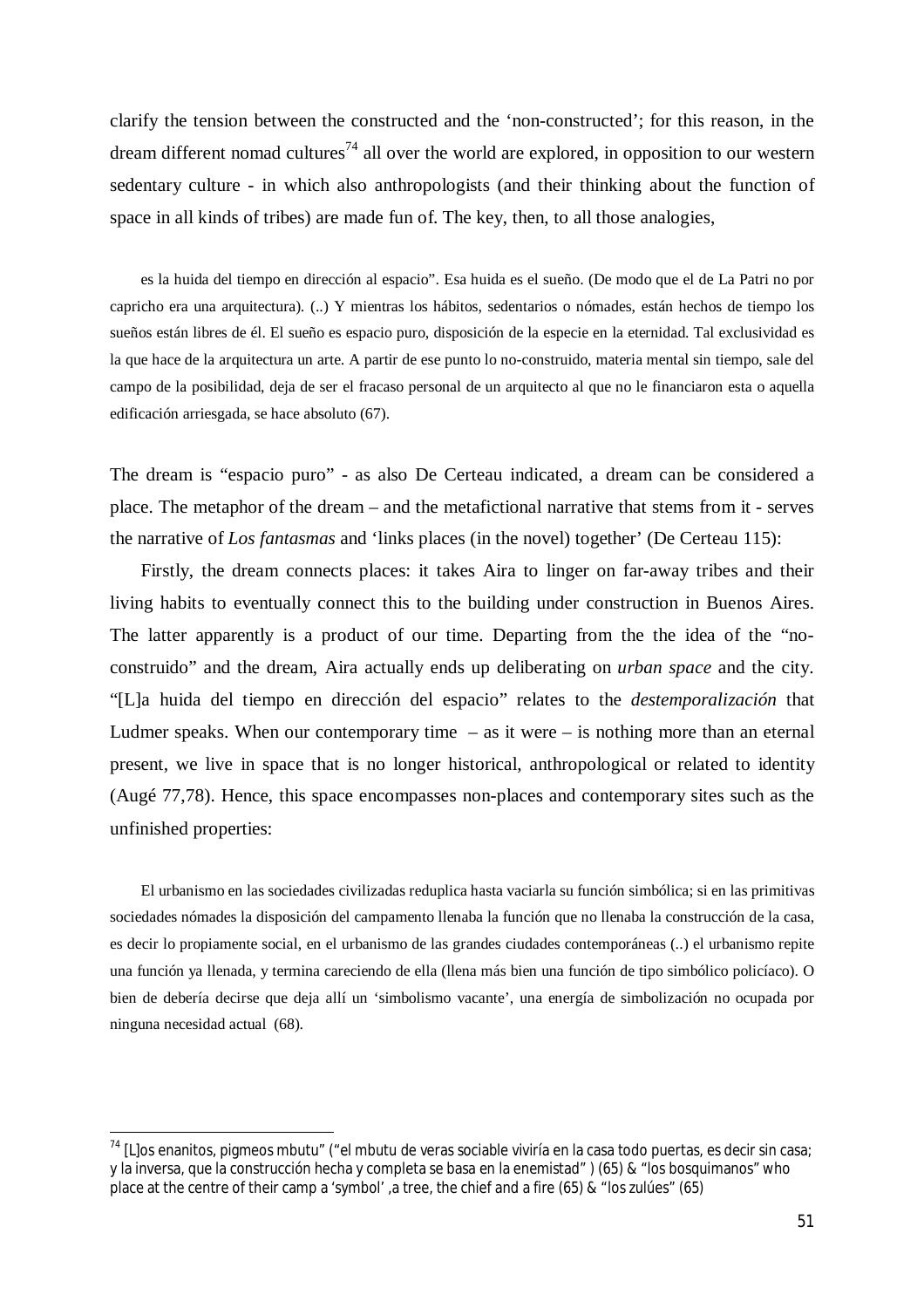clarify the tension between the constructed and the 'non-constructed'; for this reason, in the dream different nomad cultures<sup>74</sup> all over the world are explored, in opposition to our western sedentary culture - in which also anthropologists (and their thinking about the function of space in all kinds of tribes) are made fun of. The key, then, to all those analogies,

es la huida del tiempo en dirección al espacio". Esa huida es el sueño. (De modo que el de La Patri no por capricho era una arquitectura). (..) Y mientras los hábitos, sedentarios o nómades, están hechos de tiempo los sueños están libres de él. El sueño es espacio puro, disposición de la especie en la eternidad. Tal exclusividad es la que hace de la arquitectura un arte. A partir de ese punto lo no-construido, materia mental sin tiempo, sale del campo de la posibilidad, deja de ser el fracaso personal de un arquitecto al que no le financiaron esta o aquella edificación arriesgada, se hace absoluto (67).

The dream is "espacio puro" - as also De Certeau indicated, a dream can be considered a place. The metaphor of the dream – and the metafictional narrative that stems from it - serves the narrative of *Los fantasmas* and 'links places (in the novel) together' (De Certeau 115):

Firstly, the dream connects places: it takes Aira to linger on far-away tribes and their living habits to eventually connect this to the building under construction in Buenos Aires. The latter apparently is a product of our time. Departing from the the idea of the "noconstruido" and the dream, Aira actually ends up deliberating on *urban space* and the city. "[L]a huida del tiempo en dirección del espacio" relates to the *destemporalización* that Ludmer speaks. When our contemporary time  $-$  as it were  $-$  is nothing more than an eternal present, we live in space that is no longer historical, anthropological or related to identity (Augé 77,78). Hence, this space encompasses non-places and contemporary sites such as the unfinished properties:

El urbanismo en las sociedades civilizadas reduplica hasta vaciarla su función simbólica; si en las primitivas sociedades nómades la disposición del campamento llenaba la función que no llenaba la construcción de la casa, es decir lo propiamente social, en el urbanismo de las grandes ciudades contemporáneas (..) el urbanismo repite una función ya llenada, y termina careciendo de ella (llena más bien una función de tipo simbólico policíaco). O bien de debería decirse que deja allí un 'simbolismo vacante', una energía de simbolización no ocupada por ninguna necesidad actual (68).

 $74$  [L]os enanitos, pigmeos mbutu" ("el mbutu de veras sociable viviría en la casa todo puertas, es decir sin casa; y la inversa, que la construcción hecha y completa se basa en la enemistad" ) (65) & "los bosquimanos" who place at the centre of their camp a 'symbol' ,a tree, the chief and a fire (65) & "los zulúes" (65)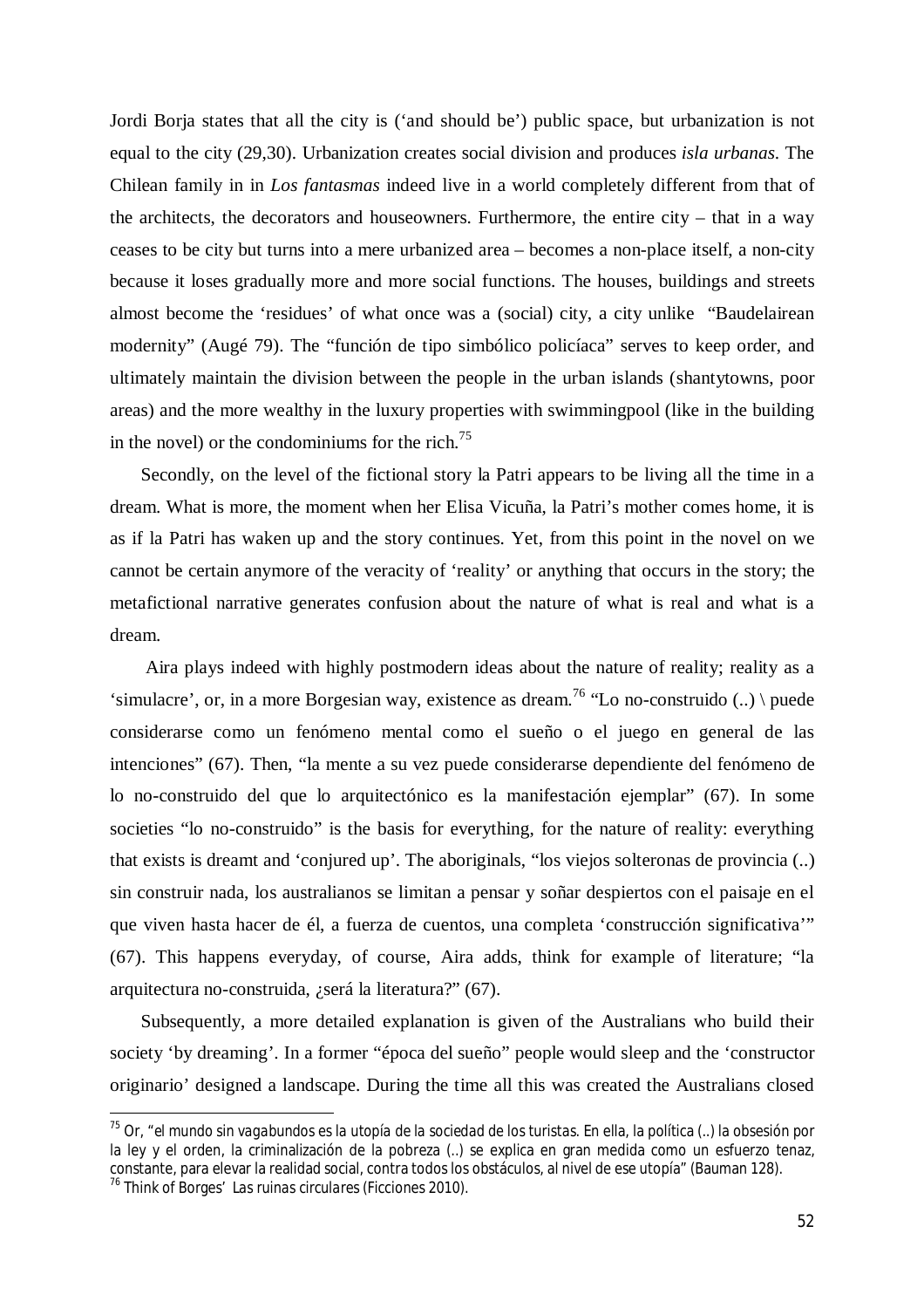Jordi Borja states that all the city is ('and should be') public space, but urbanization is not equal to the city (29,30). Urbanization creates social division and produces *isla urbanas*. The Chilean family in in *Los fantasmas* indeed live in a world completely different from that of the architects, the decorators and houseowners. Furthermore, the entire city – that in a way ceases to be city but turns into a mere urbanized area – becomes a non-place itself, a non-city because it loses gradually more and more social functions. The houses, buildings and streets almost become the 'residues' of what once was a (social) city, a city unlike "Baudelairean modernity" (Augé 79). The "función de tipo simbólico policíaca" serves to keep order, and ultimately maintain the division between the people in the urban islands (shantytowns, poor areas) and the more wealthy in the luxury properties with swimmingpool (like in the building in the novel) or the condominiums for the rich.<sup>75</sup>

Secondly, on the level of the fictional story la Patri appears to be living all the time in a dream. What is more, the moment when her Elisa Vicuña, la Patri's mother comes home, it is as if la Patri has waken up and the story continues. Yet, from this point in the novel on we cannot be certain anymore of the veracity of 'reality' or anything that occurs in the story; the metafictional narrative generates confusion about the nature of what is real and what is a dream.

Aira plays indeed with highly postmodern ideas about the nature of reality; reality as a 'simulacre', or, in a more Borgesian way, existence as dream.<sup>76</sup> "Lo no-construido (..) \ puede considerarse como un fenómeno mental como el sueño o el juego en general de las intenciones" (67). Then, "la mente a su vez puede considerarse dependiente del fenómeno de lo no-construido del que lo arquitectónico es la manifestación ejemplar" (67). In some societies "lo no-construido" is the basis for everything, for the nature of reality: everything that exists is dreamt and 'conjured up'. The aboriginals, "los viejos solteronas de provincia (..) sin construir nada, los australianos se limitan a pensar y soñar despiertos con el paisaje en el que viven hasta hacer de él, a fuerza de cuentos, una completa 'construcción significativa'" (67). This happens everyday, of course, Aira adds, think for example of literature; "la arquitectura no-construida, ¿será la literatura?" (67).

Subsequently, a more detailed explanation is given of the Australians who build their society 'by dreaming'. In a former "época del sueño" people would sleep and the 'constructor originario' designed a landscape. During the time all this was created the Australians closed

<sup>75</sup> Or, "*el mundo sin vagabundos es la utopía de la sociedad de los turistas.* En ella, la política (..) la obsesión por la ley y el orden, la criminalización de la pobreza (..) se explica en gran medida como un esfuerzo tenaz, constante, para elevar la realidad social, contra todos los obstáculos, al nivel de ese utopía" (Bauman 128).

<sup>76</sup> Think of Borges' *Las ruinas circulares (*Ficciones 2010).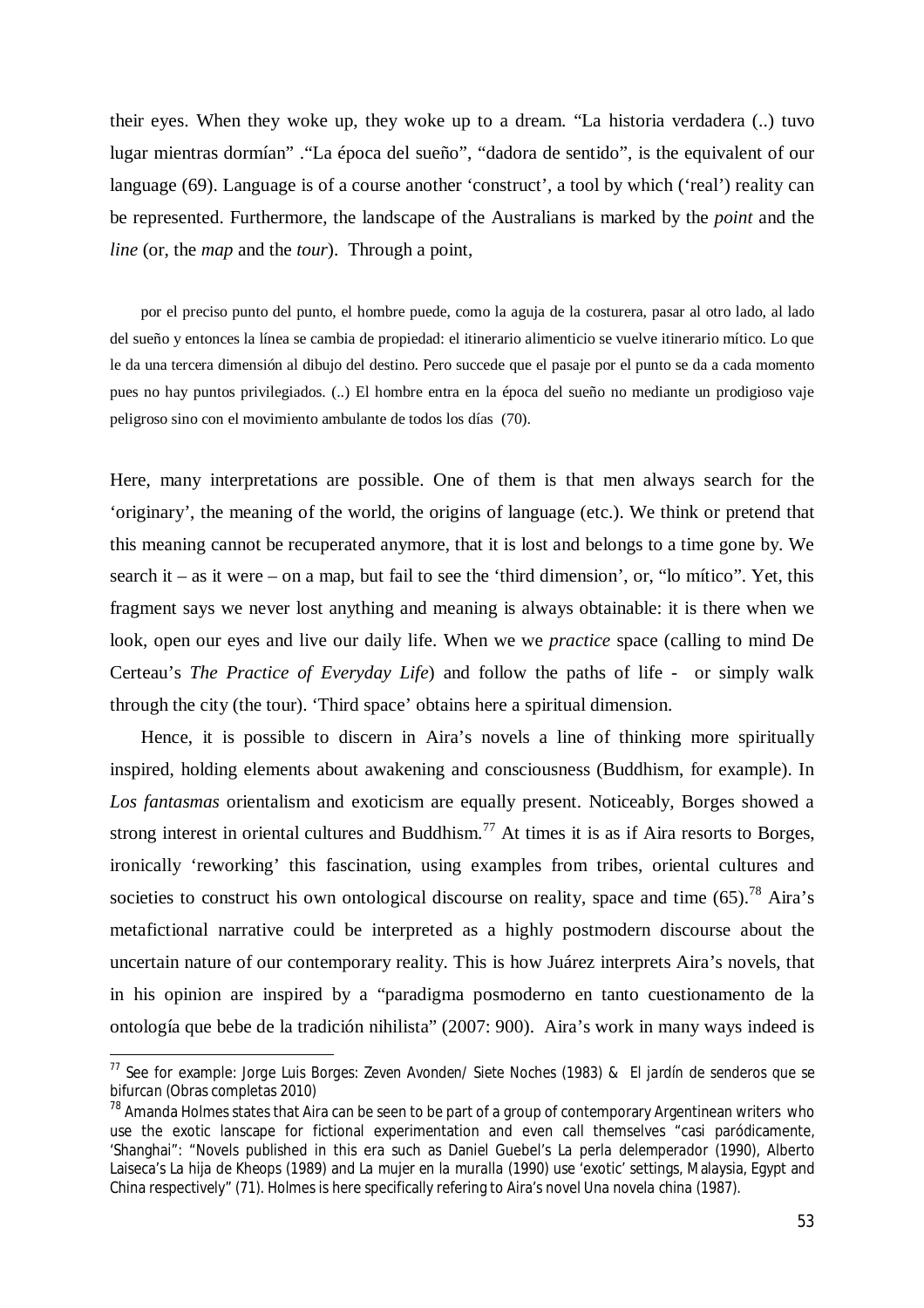their eyes. When they woke up, they woke up to a dream. "La historia verdadera (..) tuvo lugar mientras dormían" ."La época del sueño", "dadora de sentido", is the equivalent of our language (69). Language is of a course another 'construct', a tool by which ('real') reality can be represented. Furthermore, the landscape of the Australians is marked by the *point* and the *line* (or, the *map* and the *tour*). Through a point,

por el preciso punto del punto, el hombre puede, como la aguja de la costurera, pasar al otro lado, al lado del sueño y entonces la línea se cambia de propiedad: el itinerario alimenticio se vuelve itinerario mítico. Lo que le da una tercera dimensión al dibujo del destino. Pero succede que el pasaje por el punto se da a cada momento pues no hay puntos privilegiados. (..) El hombre entra en la época del sueño no mediante un prodigioso vaje peligroso sino con el movimiento ambulante de todos los días (70).

Here, many interpretations are possible. One of them is that men always search for the 'originary', the meaning of the world, the origins of language (etc.). We think or pretend that this meaning cannot be recuperated anymore, that it is lost and belongs to a time gone by. We search it – as it were – on a map, but fail to see the 'third dimension', or, "lo mítico". Yet, this fragment says we never lost anything and meaning is always obtainable: it is there when we look, open our eyes and live our daily life. When we we *practice* space (calling to mind De Certeau's *The Practice of Everyday Life*) and follow the paths of life - or simply walk through the city (the tour). 'Third space' obtains here a spiritual dimension.

Hence, it is possible to discern in Aira's novels a line of thinking more spiritually inspired, holding elements about awakening and consciousness (Buddhism, for example). In *Los fantasmas* orientalism and exoticism are equally present. Noticeably, Borges showed a strong interest in oriental cultures and Buddhism.<sup>77</sup> At times it is as if Aira resorts to Borges, ironically 'reworking' this fascination, using examples from tribes, oriental cultures and societies to construct his own ontological discourse on reality, space and time  $(65)$ .<sup>78</sup> Aira's metafictional narrative could be interpreted as a highly postmodern discourse about the uncertain nature of our contemporary reality. This is how Juárez interprets Aira's novels, that in his opinion are inspired by a "paradigma posmoderno en tanto cuestionamento de la ontología que bebe de la tradición nihilista" (2007: 900). Aira's work in many ways indeed is

<sup>77</sup> See for example: *Jorge Luis Borges: Zeven Avonden/ Siete Noches* (1983) & *El jardín de senderos que se bifurcan* (Obras completas 2010)

 $78$  Amanda Holmes states that Aira can be seen to be part of a group of contemporary Argentinean writers who use the exotic lanscape for fictional experimentation and even call themselves "casi paródicamente, 'Shanghai": "Novels published in this era such as Daniel Guebel's *La perla delemperador* (1990), Alberto Laiseca's *La hija de Kheops* (1989) and *La mujer en la muralla* (1990) use 'exotic' settings, Malaysia, Egypt and China respectively" (71). Holmes is here specifically refering to Aira's novel *Una novela china (*1987).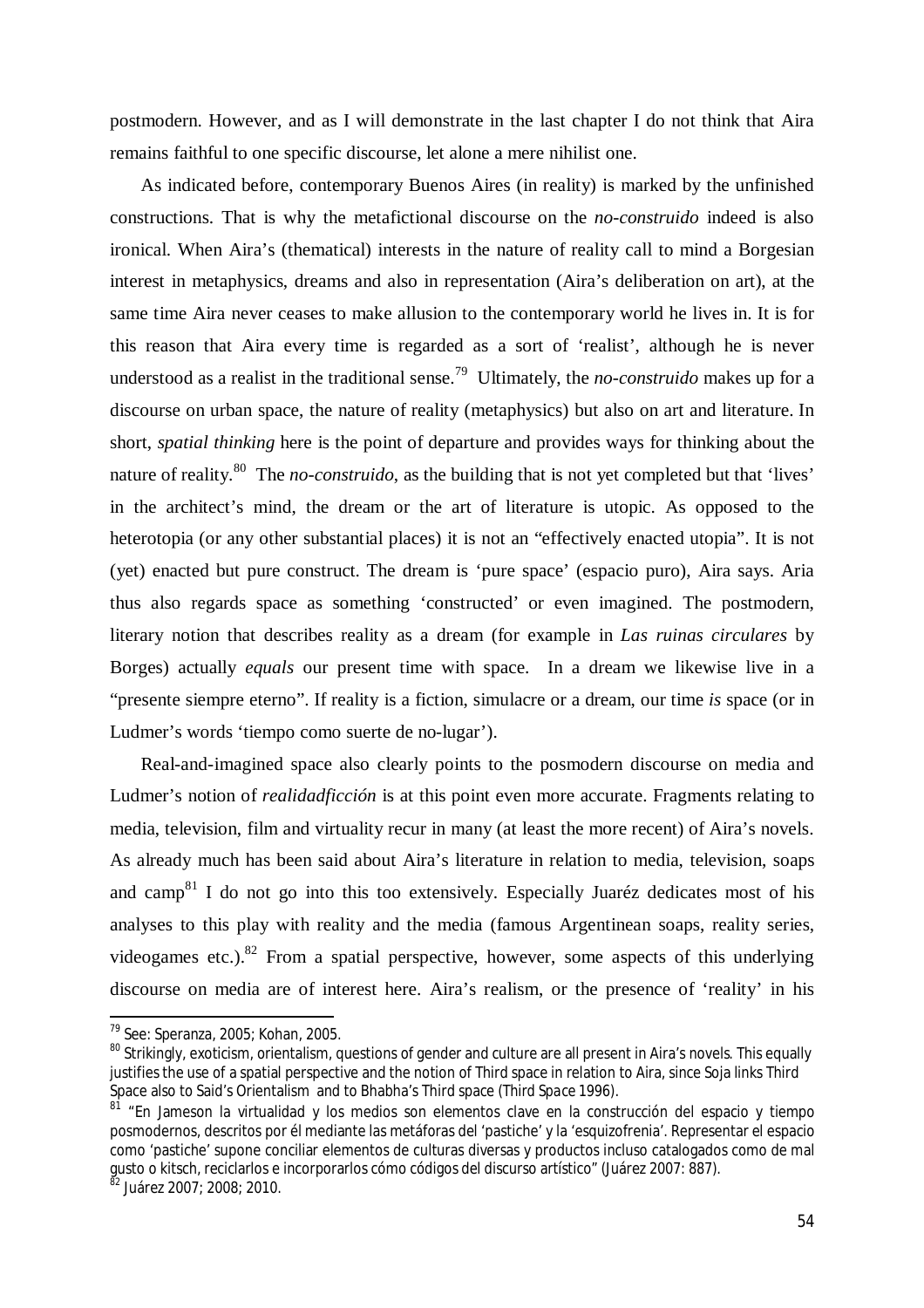postmodern. However, and as I will demonstrate in the last chapter I do not think that Aira remains faithful to one specific discourse, let alone a mere nihilist one.

As indicated before, contemporary Buenos Aires (in reality) is marked by the unfinished constructions. That is why the metafictional discourse on the *no-construido* indeed is also ironical. When Aira's (thematical) interests in the nature of reality call to mind a Borgesian interest in metaphysics, dreams and also in representation (Aira's deliberation on art), at the same time Aira never ceases to make allusion to the contemporary world he lives in. It is for this reason that Aira every time is regarded as a sort of 'realist', although he is never understood as a realist in the traditional sense.<sup>79</sup> Ultimately, the *no-construido* makes up for a discourse on urban space, the nature of reality (metaphysics) but also on art and literature. In short, *spatial thinking* here is the point of departure and provides ways for thinking about the nature of reality. <sup>80</sup> The *no-construido*, as the building that is not yet completed but that 'lives' in the architect's mind, the dream or the art of literature is utopic. As opposed to the heterotopia (or any other substantial places) it is not an "effectively enacted utopia". It is not (yet) enacted but pure construct. The dream is 'pure space' (espacio puro), Aira says. Aria thus also regards space as something 'constructed' or even imagined. The postmodern, literary notion that describes reality as a dream (for example in *Las ruinas circulares* by Borges) actually *equals* our present time with space. In a dream we likewise live in a "presente siempre eterno". If reality is a fiction, simulacre or a dream, our time *is* space (or in Ludmer's words 'tiempo como suerte de no-lugar').

Real-and-imagined space also clearly points to the posmodern discourse on media and Ludmer's notion of *realidadficción* is at this point even more accurate. Fragments relating to media, television, film and virtuality recur in many (at least the more recent) of Aira's novels. As already much has been said about Aira's literature in relation to media, television, soaps and camp<sup>81</sup> I do not go into this too extensively. Especially Juaréz dedicates most of his analyses to this play with reality and the media (famous Argentinean soaps, reality series, videogames etc.).<sup>82</sup> From a spatial perspective, however, some aspects of this underlying discourse on media are of interest here. Aira's realism, or the presence of 'reality' in his

<sup>79</sup> See: Speranza, 2005; Kohan, 2005.

<sup>&</sup>lt;sup>80</sup> Strikingly, exoticism, orientalism, questions of gender and culture are all present in Aira's novels. This equally justifies the use of a spatial perspective and the notion of Third space in relation to Aira, since Soja links Third Space also to Said's Orientalism and to Bhabha's Third space (*Third Space* 1996).

<sup>&</sup>lt;sup>81</sup> "En Jameson la virtualidad y los medios son elementos clave en la construcción del espacio y tiempo posmodernos, descritos por él mediante las metáforas del 'pastiche' y la 'esquizofrenia'. Representar el espacio como 'pastiche' supone conciliar elementos de culturas diversas y productos incluso catalogados como de mal gusto o kitsch, reciclarlos e incorporarlos cómo códigos del discurso artístico" (Juárez 2007: 887).

<sup>82</sup> Juárez 2007; 2008; 2010.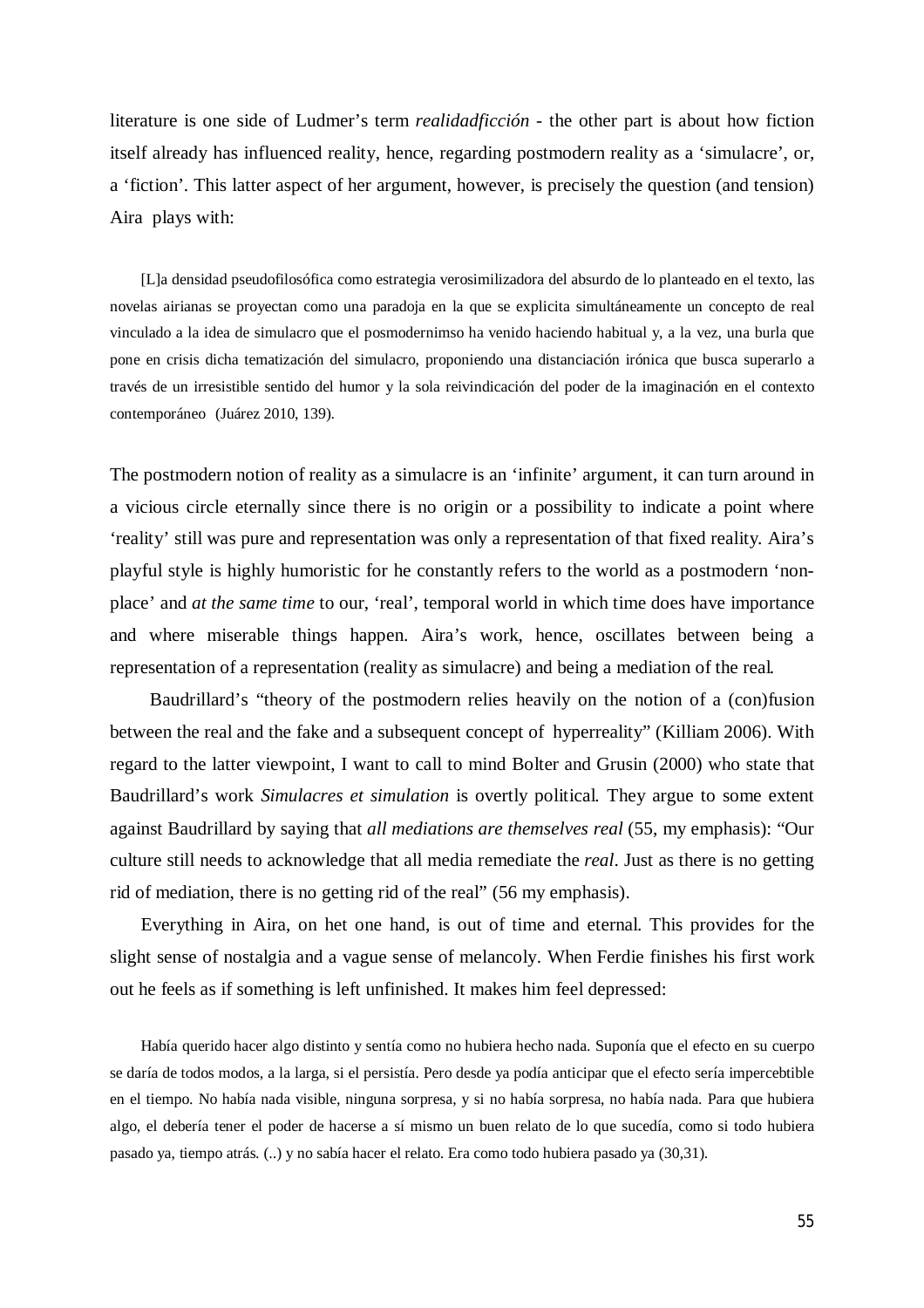literature is one side of Ludmer's term *realidadficción* - the other part is about how fiction itself already has influenced reality, hence, regarding postmodern reality as a 'simulacre', or, a 'fiction'. This latter aspect of her argument, however, is precisely the question (and tension) Aira plays with:

[L]a densidad pseudofilosófica como estrategia verosimilizadora del absurdo de lo planteado en el texto, las novelas airianas se proyectan como una paradoja en la que se explicita simultáneamente un concepto de real vinculado a la idea de simulacro que el posmodernimso ha venido haciendo habitual y, a la vez, una burla que pone en crisis dicha tematización del simulacro, proponiendo una distanciación irónica que busca superarlo a través de un irresistible sentido del humor y la sola reivindicación del poder de la imaginación en el contexto contemporáneo (Juárez 2010, 139).

The postmodern notion of reality as a simulacre is an 'infinite' argument, it can turn around in a vicious circle eternally since there is no origin or a possibility to indicate a point where 'reality' still was pure and representation was only a representation of that fixed reality. Aira's playful style is highly humoristic for he constantly refers to the world as a postmodern 'nonplace' and *at the same time* to our, 'real', temporal world in which time does have importance and where miserable things happen. Aira's work, hence, oscillates between being a representation of a representation (reality as simulacre) and being a mediation of the real*.*

Baudrillard's "theory of the postmodern relies heavily on the notion of a (con)fusion between the real and the fake and a subsequent concept of hyperreality" (Killiam 2006). With regard to the latter viewpoint, I want to call to mind Bolter and Grusin (2000) who state that Baudrillard's work *Simulacres et simulation* is overtly political*.* They argue to some extent against Baudrillard by saying that *all mediations are themselves real* (55, my emphasis): "Our culture still needs to acknowledge that all media remediate the *real*. Just as there is no getting rid of mediation, there is no getting rid of the real" (56 my emphasis).

Everything in Aira, on het one hand, is out of time and eternal. This provides for the slight sense of nostalgia and a vague sense of melancoly. When Ferdie finishes his first work out he feels as if something is left unfinished. It makes him feel depressed:

Había querido hacer algo distinto y sentía como no hubiera hecho nada. Suponía que el efecto en su cuerpo se daría de todos modos, a la larga, si el persistía. Pero desde ya podía anticipar que el efecto sería impercebtible en el tiempo. No había nada visible, ninguna sorpresa, y si no había sorpresa, no había nada. Para que hubiera algo, el debería tener el poder de hacerse a sí mismo un buen relato de lo que sucedía, como si todo hubiera pasado ya, tiempo atrás. (..) y no sabía hacer el relato. Era como todo hubiera pasado ya (30,31).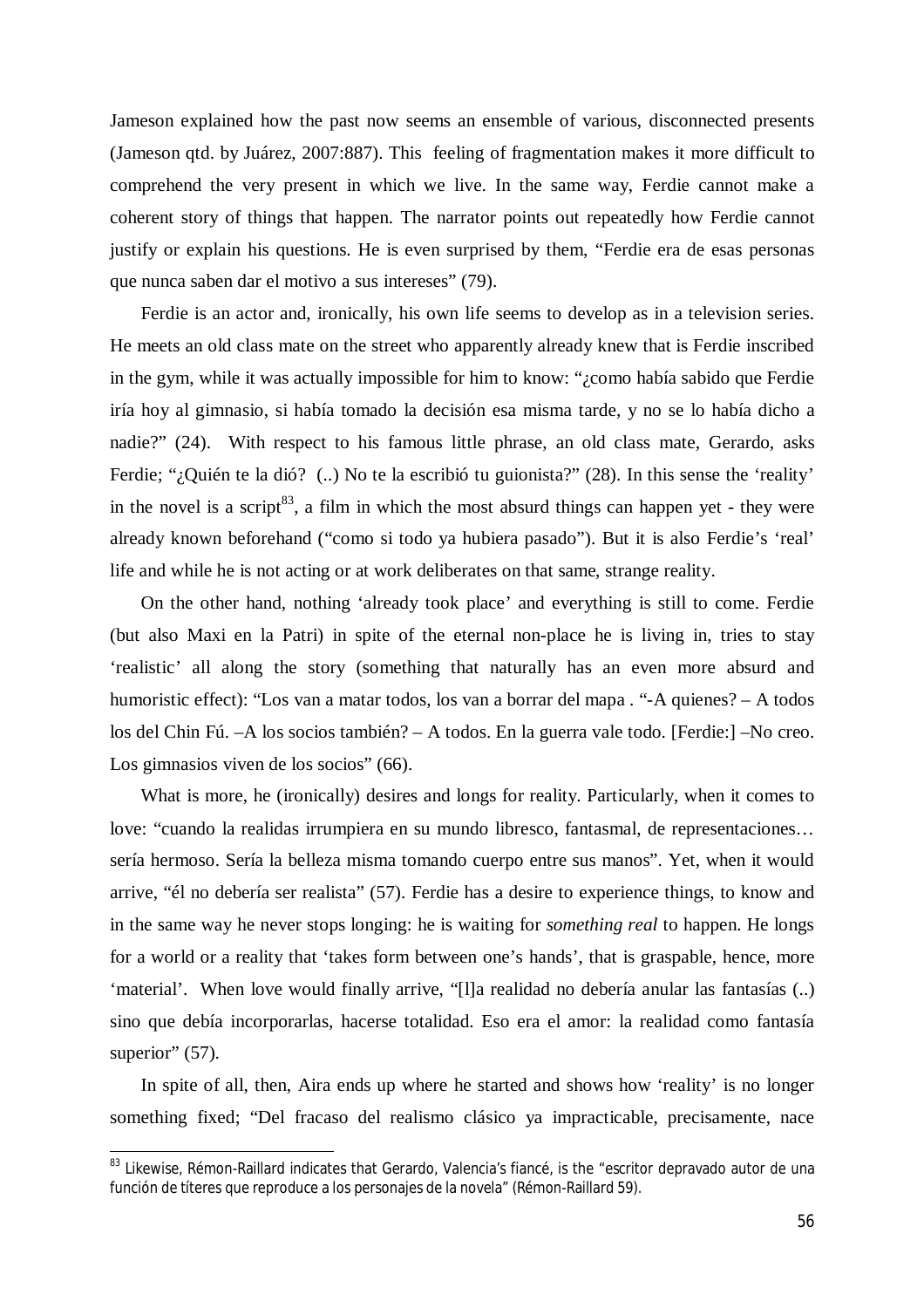Jameson explained how the past now seems an ensemble of various, disconnected presents (Jameson qtd. by Juárez, 2007:887). This feeling of fragmentation makes it more difficult to comprehend the very present in which we live. In the same way, Ferdie cannot make a coherent story of things that happen. The narrator points out repeatedly how Ferdie cannot justify or explain his questions. He is even surprised by them, "Ferdie era de esas personas que nunca saben dar el motivo a sus intereses" (79).

Ferdie is an actor and, ironically, his own life seems to develop as in a television series. He meets an old class mate on the street who apparently already knew that is Ferdie inscribed in the gym, while it was actually impossible for him to know: "¿como había sabido que Ferdie iría hoy al gimnasio, si había tomado la decisión esa misma tarde, y no se lo había dicho a nadie?" (24). With respect to his famous little phrase, an old class mate, Gerardo, asks Ferdie; "¿Quién te la dió? (..) No te la escribió tu guionista?" (28). In this sense the 'reality' in the novel is a script<sup>83</sup>, a film in which the most absurd things can happen yet - they were already known beforehand ("como si todo ya hubiera pasado"). But it is also Ferdie's 'real' life and while he is not acting or at work deliberates on that same, strange reality.

On the other hand*,* nothing 'already took place' and everything is still to come. Ferdie (but also Maxi en la Patri) in spite of the eternal non-place he is living in, tries to stay 'realistic' all along the story (something that naturally has an even more absurd and humoristic effect): "Los van a matar todos, los van a borrar del mapa . "-A quienes? – A todos los del Chin Fú. –A los socios también? – A todos. En la guerra vale todo. [Ferdie:] –No creo. Los gimnasios viven de los socios" (66).

What is more, he (ironically) desires and longs for reality. Particularly, when it comes to love: "cuando la realidas irrumpiera en su mundo libresco, fantasmal, de representaciones… sería hermoso. Sería la belleza misma tomando cuerpo entre sus manos". Yet, when it would arrive, "él no debería ser realista" (57). Ferdie has a desire to experience things, to know and in the same way he never stops longing: he is waiting for *something real* to happen. He longs for a world or a reality that 'takes form between one's hands', that is graspable, hence, more 'material'. When love would finally arrive, "[l]a realidad no debería anular las fantasías (..) sino que debía incorporarlas, hacerse totalidad. Eso era el amor: la realidad como fantasía superior" (57).

In spite of all, then, Aira ends up where he started and shows how 'reality' is no longer something fixed; "Del fracaso del realismo clásico ya impracticable, precisamente, nace

<sup>&</sup>lt;sup>83</sup> Likewise, Rémon-Raillard indicates that Gerardo, Valencia's fiancé, is the "escritor depravado autor de una función de títeres que reproduce a los personajes de la novela" (Rémon-Raillard 59).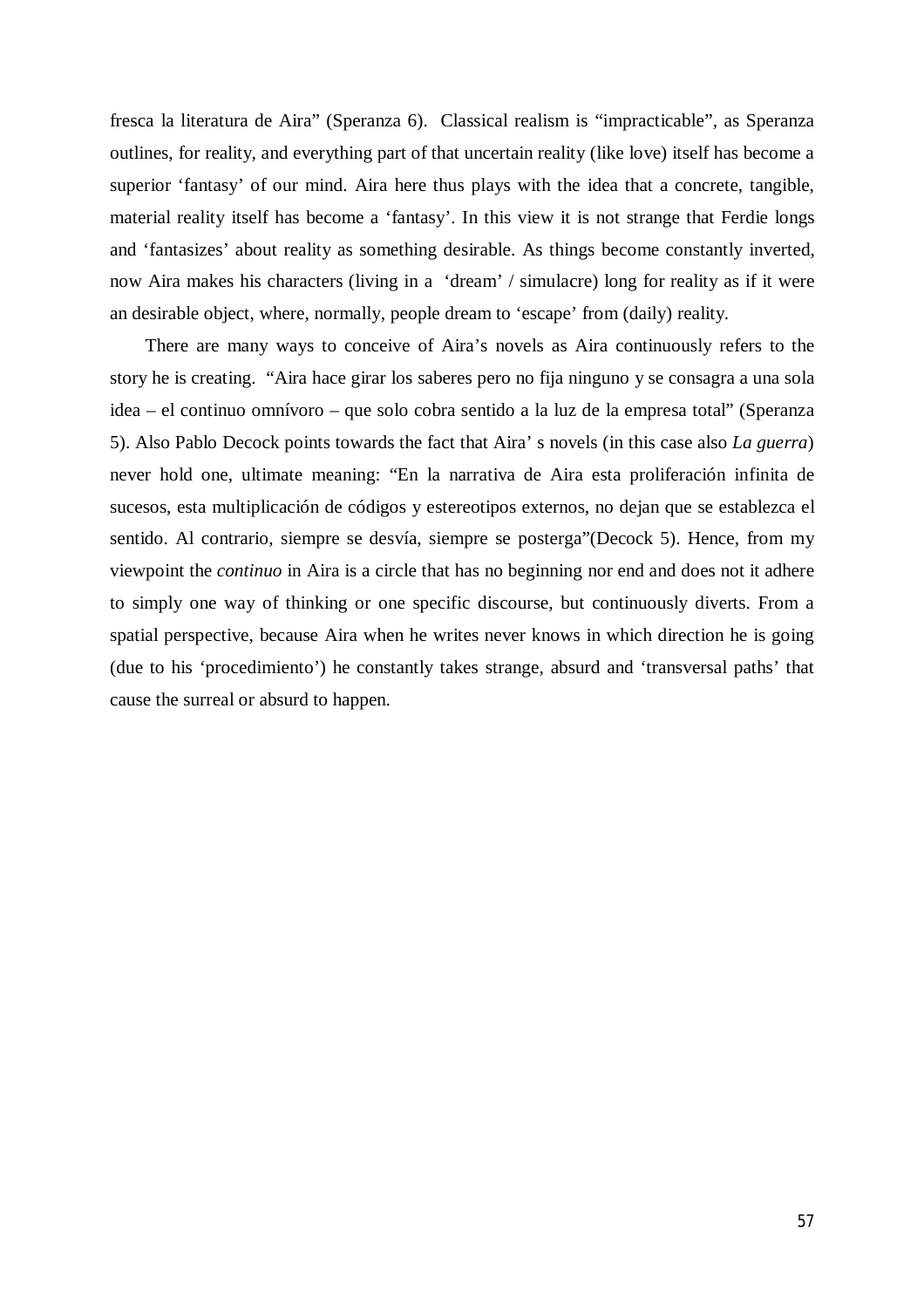fresca la literatura de Aira" (Speranza 6). Classical realism is "impracticable", as Speranza outlines, for reality, and everything part of that uncertain reality (like love) itself has become a superior 'fantasy' of our mind. Aira here thus plays with the idea that a concrete, tangible, material reality itself has become a 'fantasy'. In this view it is not strange that Ferdie longs and 'fantasizes' about reality as something desirable. As things become constantly inverted, now Aira makes his characters (living in a 'dream' / simulacre) long for reality as if it were an desirable object, where, normally, people dream to 'escape' from (daily) reality.

There are many ways to conceive of Aira's novels as Aira continuously refers to the story he is creating. "Aira hace girar los saberes pero no fija ninguno y se consagra a una sola idea – el continuo omnívoro – que solo cobra sentido a la luz de la empresa total" (Speranza 5). Also Pablo Decock points towards the fact that Aira' s novels (in this case also *La guerra*) never hold one, ultimate meaning: "En la narrativa de Aira esta proliferación infinita de sucesos, esta multiplicación de códigos y estereotipos externos, no dejan que se establezca el sentido. Al contrario, siempre se desvía, siempre se posterga"(Decock 5). Hence, from my viewpoint the *continuo* in Aira is a circle that has no beginning nor end and does not it adhere to simply one way of thinking or one specific discourse, but continuously diverts. From a spatial perspective, because Aira when he writes never knows in which direction he is going (due to his 'procedimiento') he constantly takes strange, absurd and 'transversal paths' that cause the surreal or absurd to happen.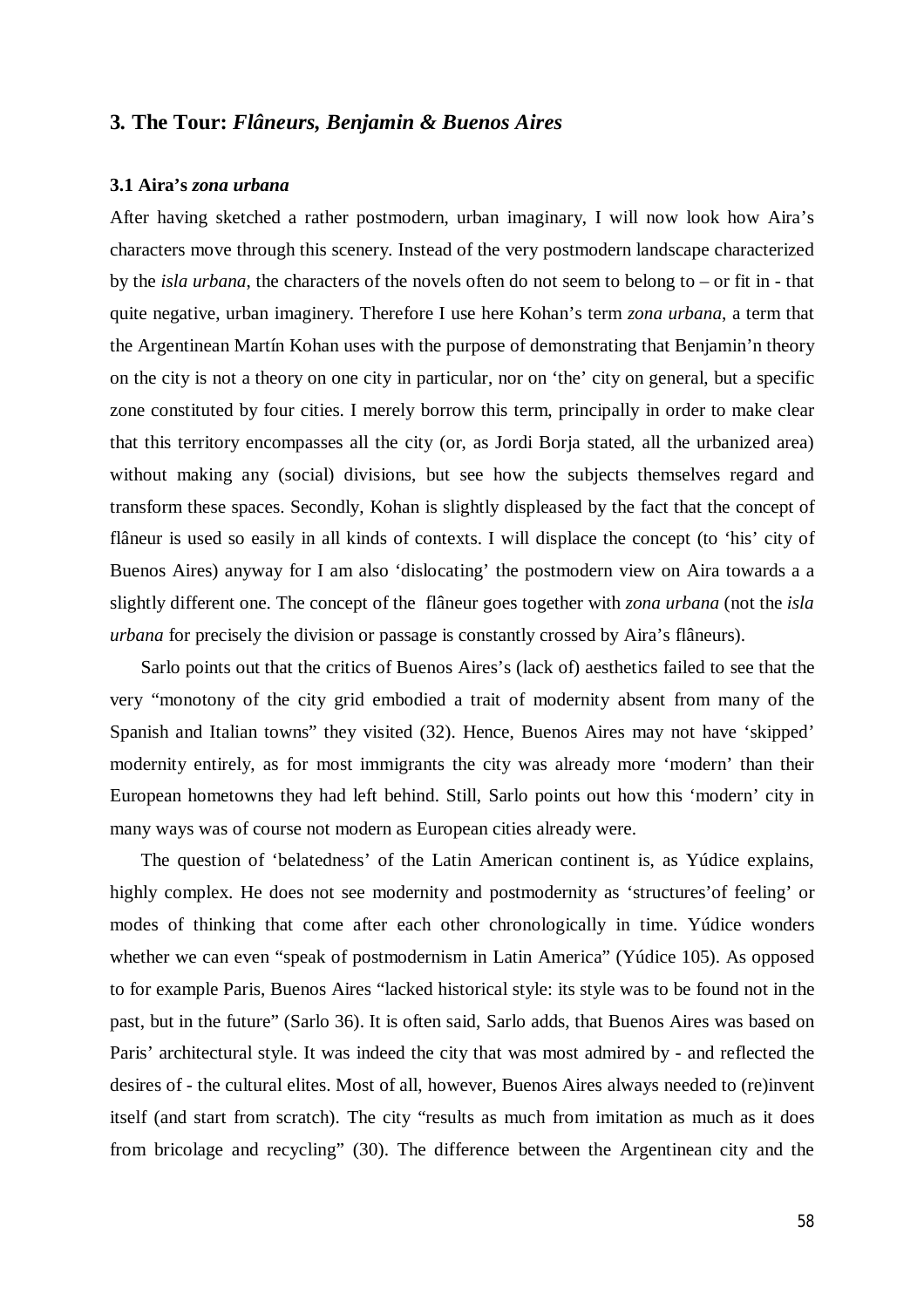# **3***.* **The Tour:** *Flâneurs, Benjamin & Buenos Aires*

## **3.1 Aira's** *zona urbana*

After having sketched a rather postmodern, urban imaginary, I will now look how Aira's characters move through this scenery. Instead of the very postmodern landscape characterized by the *isla urbana*, the characters of the novels often do not seem to belong to – or fit in - that quite negative, urban imaginery. Therefore I use here Kohan's term *zona urbana*, a term that the Argentinean Martín Kohan uses with the purpose of demonstrating that Benjamin'n theory on the city is not a theory on one city in particular, nor on 'the' city on general, but a specific zone constituted by four cities. I merely borrow this term, principally in order to make clear that this territory encompasses all the city (or, as Jordi Borja stated, all the urbanized area) without making any (social) divisions, but see how the subjects themselves regard and transform these spaces. Secondly, Kohan is slightly displeased by the fact that the concept of flâneur is used so easily in all kinds of contexts. I will displace the concept (to 'his' city of Buenos Aires) anyway for I am also 'dislocating' the postmodern view on Aira towards a a slightly different one. The concept of the flâneur goes together with *zona urbana* (not the *isla urbana* for precisely the division or passage is constantly crossed by Aira's flâneurs).

Sarlo points out that the critics of Buenos Aires's (lack of) aesthetics failed to see that the very "monotony of the city grid embodied a trait of modernity absent from many of the Spanish and Italian towns" they visited (32). Hence, Buenos Aires may not have 'skipped' modernity entirely, as for most immigrants the city was already more 'modern' than their European hometowns they had left behind. Still, Sarlo points out how this 'modern' city in many ways was of course not modern as European cities already were.

The question of 'belatedness' of the Latin American continent is, as Yúdice explains, highly complex. He does not see modernity and postmodernity as 'structures'of feeling' or modes of thinking that come after each other chronologically in time. Yúdice wonders whether we can even "speak of postmodernism in Latin America" (Yúdice 105). As opposed to for example Paris, Buenos Aires "lacked historical style: its style was to be found not in the past, but in the future" (Sarlo 36). It is often said, Sarlo adds, that Buenos Aires was based on Paris' architectural style. It was indeed the city that was most admired by - and reflected the desires of - the cultural elites. Most of all, however, Buenos Aires always needed to (re)invent itself (and start from scratch). The city "results as much from imitation as much as it does from bricolage and recycling" (30). The difference between the Argentinean city and the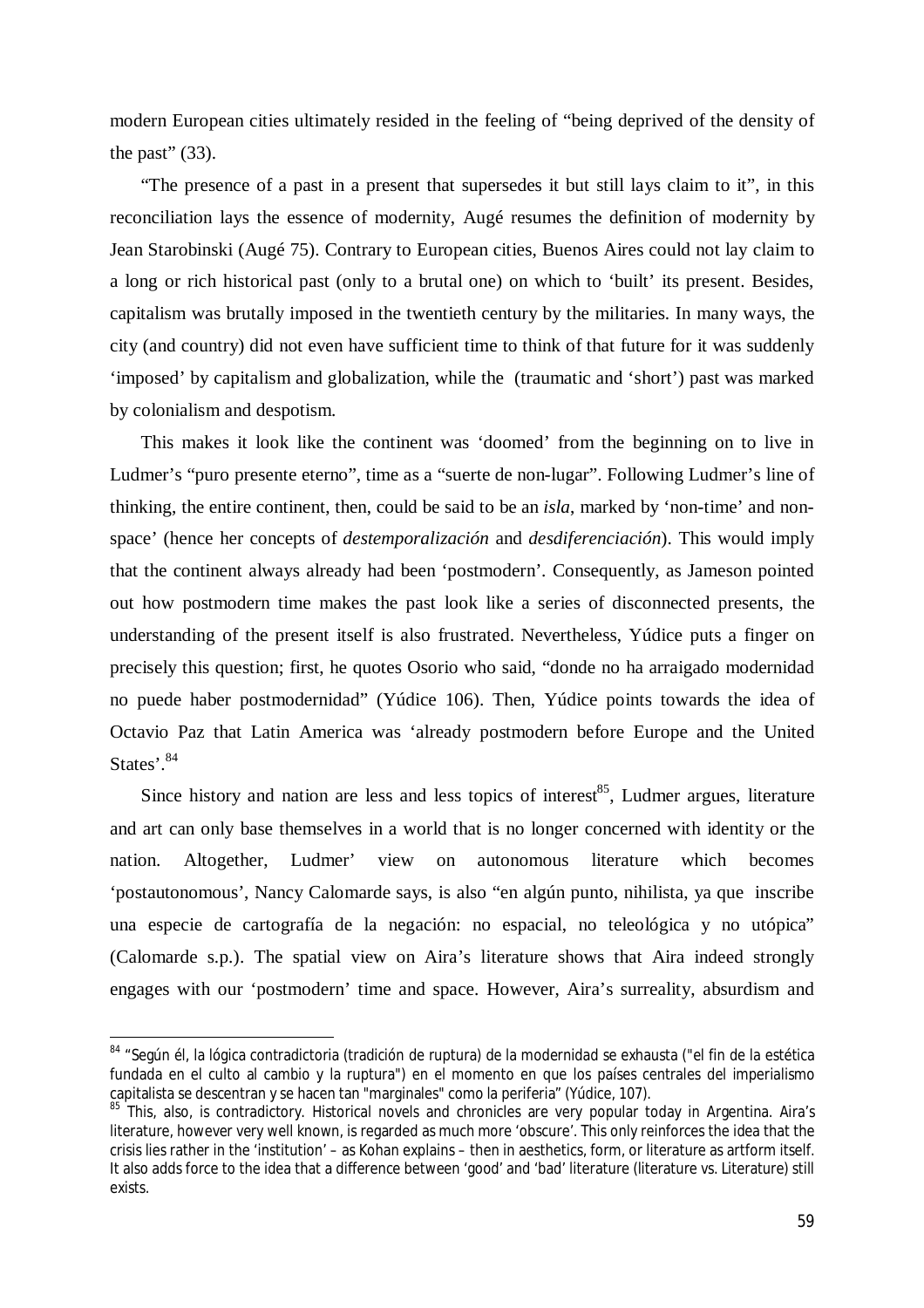modern European cities ultimately resided in the feeling of "being deprived of the density of the past"  $(33)$ .

"The presence of a past in a present that supersedes it but still lays claim to it", in this reconciliation lays the essence of modernity, Augé resumes the definition of modernity by Jean Starobinski (Augé 75). Contrary to European cities, Buenos Aires could not lay claim to a long or rich historical past (only to a brutal one) on which to 'built' its present. Besides, capitalism was brutally imposed in the twentieth century by the militaries. In many ways, the city (and country) did not even have sufficient time to think of that future for it was suddenly 'imposed' by capitalism and globalization, while the (traumatic and 'short') past was marked by colonialism and despotism.

This makes it look like the continent was 'doomed' from the beginning on to live in Ludmer's "puro presente eterno", time as a "suerte de non-lugar". Following Ludmer's line of thinking, the entire continent, then, could be said to be an *isla*, marked by 'non-time' and nonspace' (hence her concepts of *destemporalización* and *desdiferenciación*). This would imply that the continent always already had been 'postmodern'. Consequently, as Jameson pointed out how postmodern time makes the past look like a series of disconnected presents, the understanding of the present itself is also frustrated. Nevertheless, Yúdice puts a finger on precisely this question; first, he quotes Osorio who said, "donde no ha arraigado modernidad no puede haber postmodernidad" (Yúdice 106). Then, Yúdice points towards the idea of Octavio Paz that Latin America was 'already postmodern before Europe and the United States'.<sup>84</sup>

Since history and nation are less and less topics of interest<sup>85</sup>, Ludmer argues, literature and art can only base themselves in a world that is no longer concerned with identity or the nation. Altogether, Ludmer' view on autonomous literature which becomes 'postautonomous', Nancy Calomarde says, is also "en algún punto, nihilista, ya que inscribe una especie de cartografía de la negación: no espacial, no teleológica y no utópica" (Calomarde s.p.). The spatial view on Aira's literature shows that Aira indeed strongly engages with our 'postmodern' time and space. However, Aira's surreality, absurdism and

<sup>&</sup>lt;sup>84</sup> "Según él, la lógica contradictoria (tradición de ruptura) de la modernidad se exhausta ("el fin de la estética fundada en el culto al cambio y la ruptura") en el momento en que los países centrales del imperialismo capitalista se descentran y se hacen tan "marginales" como la periferia" (Yúdice, 107).

<sup>&</sup>lt;sup>85</sup> This. also, is contradictory. Historical novels and chronicles are very popular today in Argentina. Aira's literature, however very well known, is regarded as much more 'obscure'. This only reinforces the idea that the crisis lies rather in the 'institution' – as Kohan explains – then in aesthetics, form, or literature as artform itself. It also adds force to the idea that a difference between 'good' and 'bad' literature (literature vs. Literature) still exists.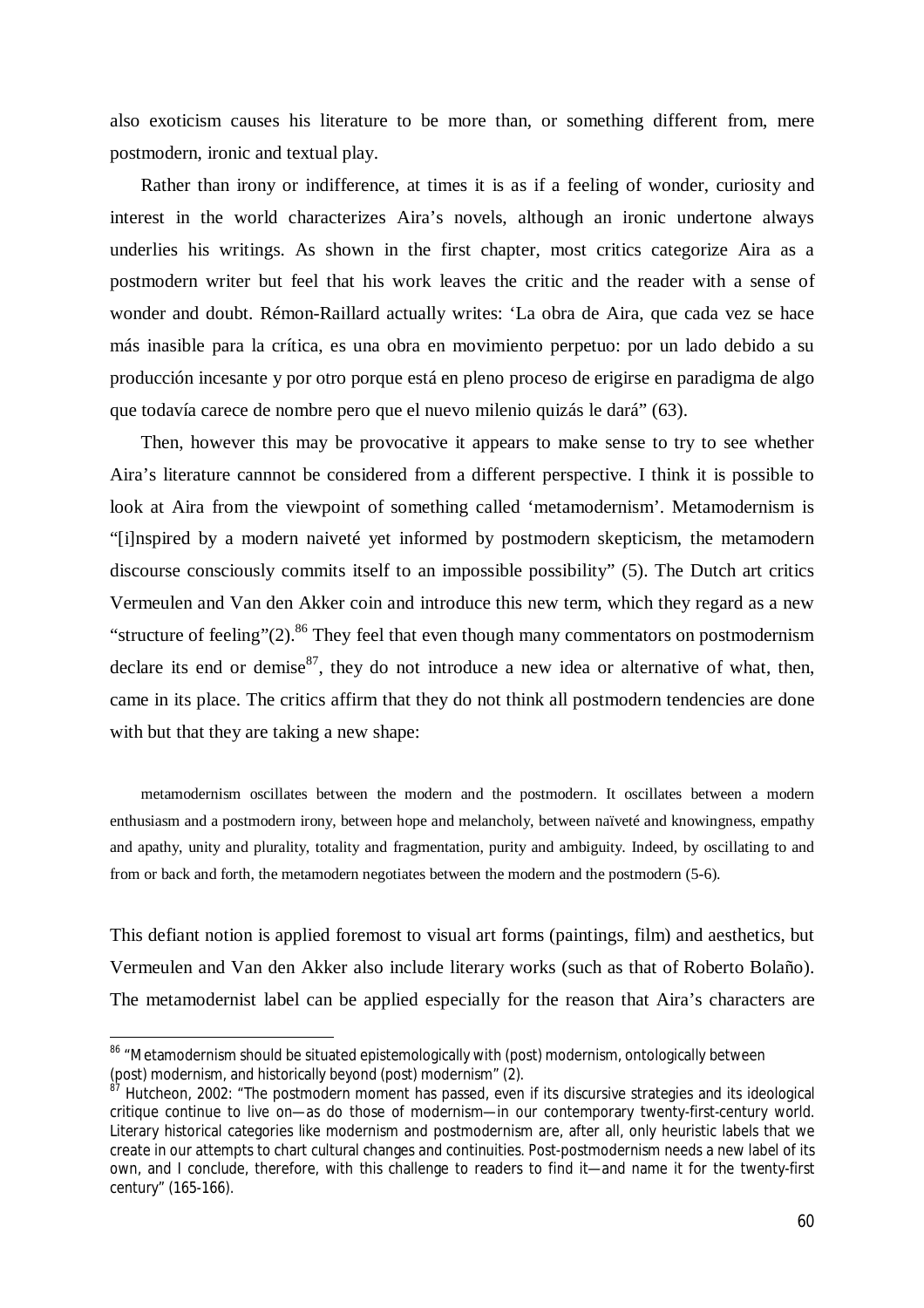also exoticism causes his literature to be more than, or something different from, mere postmodern, ironic and textual play.

Rather than irony or indifference, at times it is as if a feeling of wonder, curiosity and interest in the world characterizes Aira's novels, although an ironic undertone always underlies his writings. As shown in the first chapter, most critics categorize Aira as a postmodern writer but feel that his work leaves the critic and the reader with a sense of wonder and doubt. Rémon-Raillard actually writes: 'La obra de Aira, que cada vez se hace más inasible para la crítica, es una obra en movimiento perpetuo: por un lado debido a su producción incesante y por otro porque está en pleno proceso de erigirse en paradigma de algo que todavía carece de nombre pero que el nuevo milenio quizás le dará" (63).

Then, however this may be provocative it appears to make sense to try to see whether Aira's literature cannnot be considered from a different perspective. I think it is possible to look at Aira from the viewpoint of something called 'metamodernism'. Metamodernism is "[i]nspired by a modern naiveté yet informed by postmodern skepticism, the metamodern discourse consciously commits itself to an impossible possibility" (5). The Dutch art critics Vermeulen and Van den Akker coin and introduce this new term, which they regard as a new "structure of feeling"(2).<sup>86</sup> They feel that even though many commentators on postmodernism declare its end or demise $87$ , they do not introduce a new idea or alternative of what, then, came in its place. The critics affirm that they do not think all postmodern tendencies are done with but that they are taking a new shape:

metamodernism oscillates between the modern and the postmodern. It oscillates between a modern enthusiasm and a postmodern irony, between hope and melancholy, between naïveté and knowingness, empathy and apathy, unity and plurality, totality and fragmentation, purity and ambiguity. Indeed, by oscillating to and from or back and forth, the metamodern negotiates between the modern and the postmodern (5-6).

This defiant notion is applied foremost to visual art forms (paintings, film) and aesthetics, but Vermeulen and Van den Akker also include literary works (such as that of Roberto Bolaño). The metamodernist label can be applied especially for the reason that Aira's characters are

<sup>&</sup>lt;sup>86</sup> "Metamodernism should be situated epistemologically with (post) modernism, ontologically between (post) modernism, and historically beyond (post) modernism" (2).

<sup>&</sup>lt;sup>87</sup> Hutcheon, 2002: "The postmodern moment has passed, even if its discursive strategies and its ideological critique continue to live on—as do those of modernism—in our contemporary twenty-first-century world. Literary historical categories like modernism and postmodernism are, after all, only heuristic labels that we create in our attempts to chart cultural changes and continuities. Post-postmodernism needs a new label of its own, and I conclude, therefore, with this challenge to readers to find it—and name it for the twenty-first century" (165-166).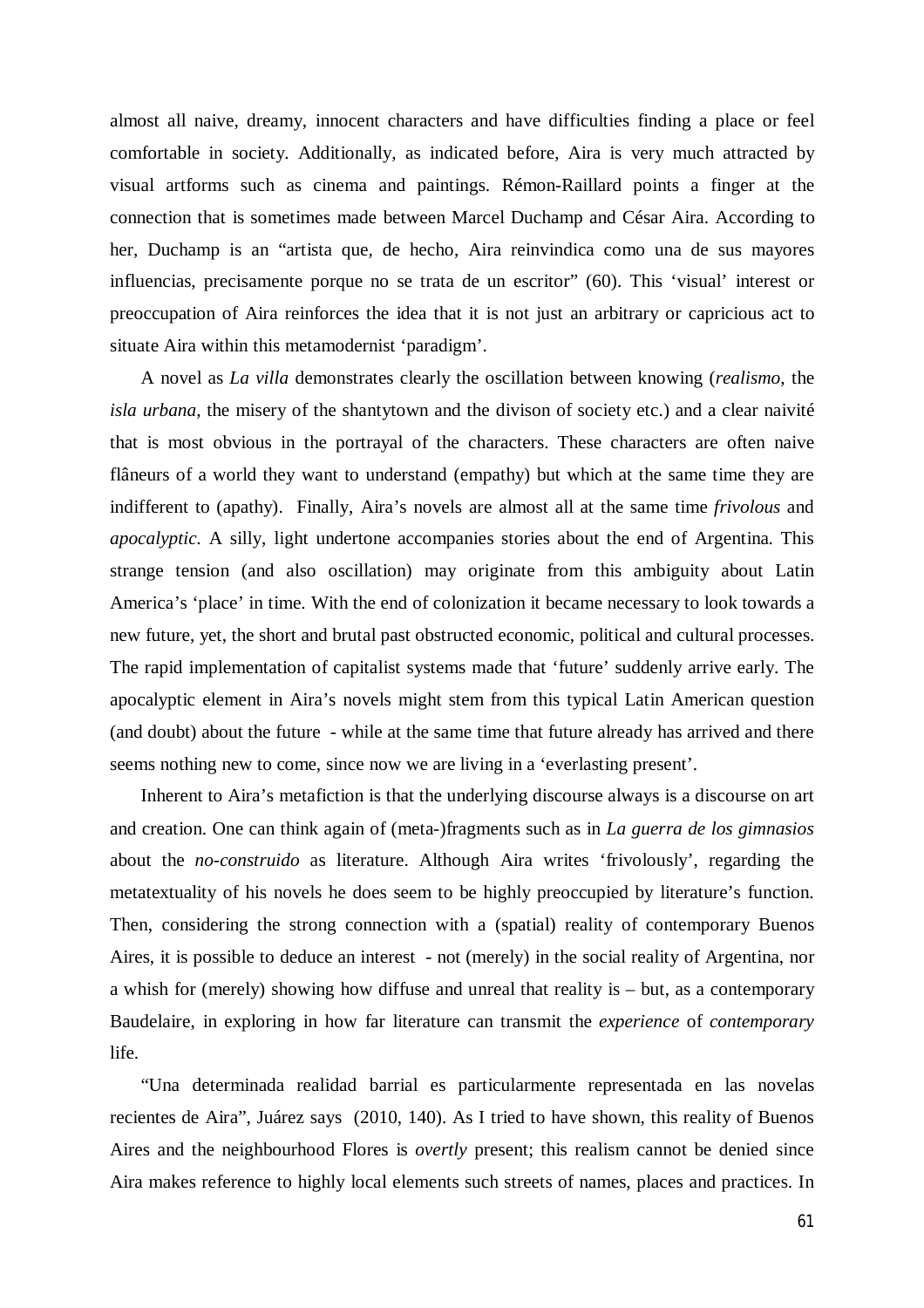almost all naive, dreamy, innocent characters and have difficulties finding a place or feel comfortable in society. Additionally, as indicated before, Aira is very much attracted by visual artforms such as cinema and paintings. Rémon-Raillard points a finger at the connection that is sometimes made between Marcel Duchamp and César Aira. According to her, Duchamp is an "artista que, de hecho, Aira reinvindica como una de sus mayores influencias, precisamente porque no se trata de un escritor" (60). This 'visual' interest or preoccupation of Aira reinforces the idea that it is not just an arbitrary or capricious act to situate Aira within this metamodernist 'paradigm'.

A novel as *La villa* demonstrates clearly the oscillation between knowing (*realismo*, the *isla urbana*, the misery of the shantytown and the divison of society etc.) and a clear naivité that is most obvious in the portrayal of the characters. These characters are often naive flâneurs of a world they want to understand (empathy) but which at the same time they are indifferent to (apathy). Finally, Aira's novels are almost all at the same time *frivolous* and *apocalyptic.* A silly, light undertone accompanies stories about the end of Argentina. This strange tension (and also oscillation) may originate from this ambiguity about Latin America's 'place' in time. With the end of colonization it became necessary to look towards a new future, yet, the short and brutal past obstructed economic, political and cultural processes. The rapid implementation of capitalist systems made that 'future' suddenly arrive early. The apocalyptic element in Aira's novels might stem from this typical Latin American question (and doubt) about the future - while at the same time that future already has arrived and there seems nothing new to come, since now we are living in a 'everlasting present'.

Inherent to Aira's metafiction is that the underlying discourse always is a discourse on art and creation. One can think again of (meta-)fragments such as in *La guerra de los gimnasios*  about the *no-construido* as literature. Although Aira writes 'frivolously', regarding the metatextuality of his novels he does seem to be highly preoccupied by literature's function. Then, considering the strong connection with a (spatial) reality of contemporary Buenos Aires, it is possible to deduce an interest - not (merely) in the social reality of Argentina, nor a whish for (merely) showing how diffuse and unreal that reality is – but, as a contemporary Baudelaire, in exploring in how far literature can transmit the *experience* of *contemporary* life.

"Una determinada realidad barrial es particularmente representada en las novelas recientes de Aira", Juárez says (2010, 140). As I tried to have shown, this reality of Buenos Aires and the neighbourhood Flores is *overtly* present; this realism cannot be denied since Aira makes reference to highly local elements such streets of names, places and practices. In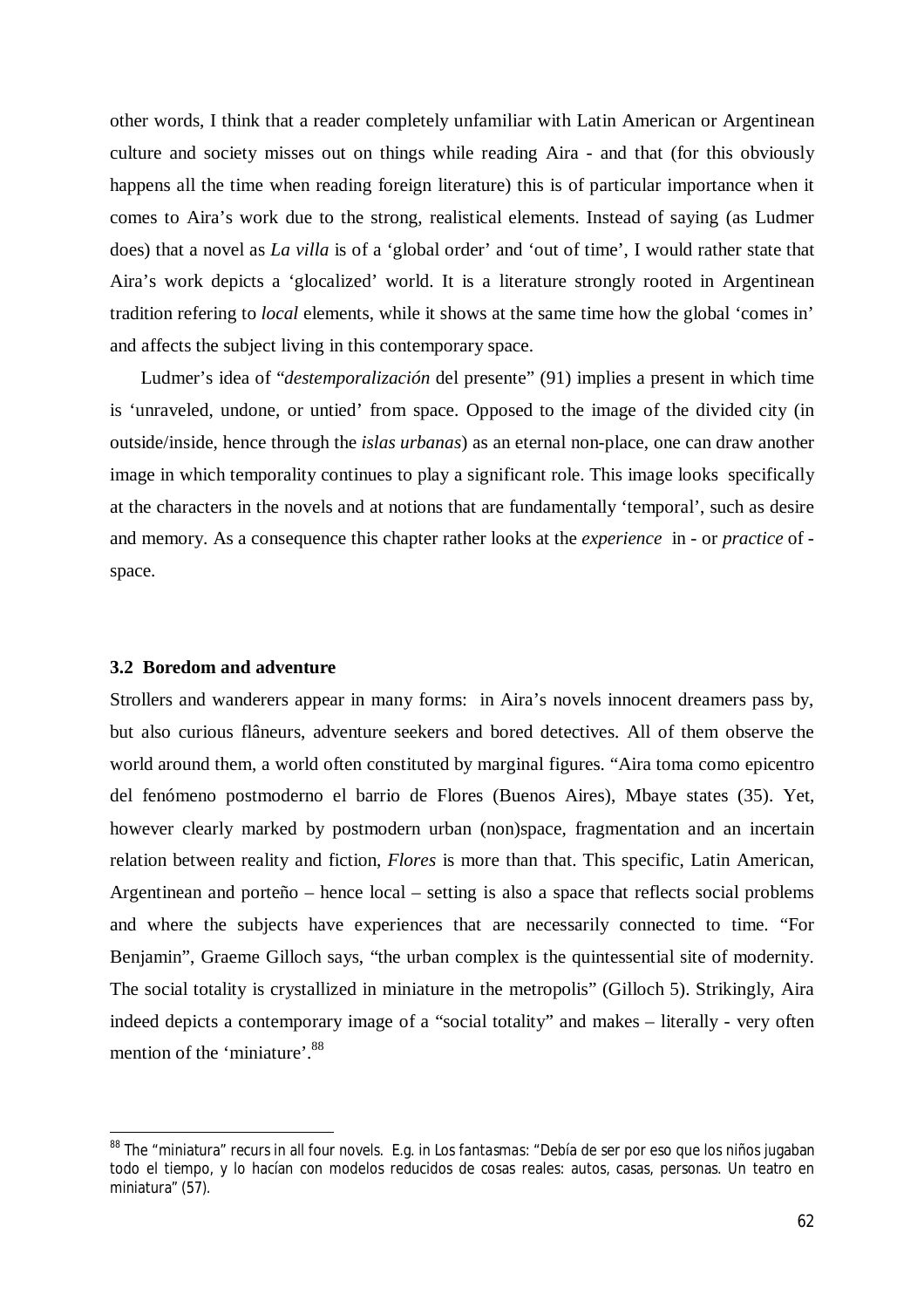other words, I think that a reader completely unfamiliar with Latin American or Argentinean culture and society misses out on things while reading Aira - and that (for this obviously happens all the time when reading foreign literature) this is of particular importance when it comes to Aira's work due to the strong, realistical elements. Instead of saying (as Ludmer does) that a novel as *La villa* is of a 'global order' and 'out of time', I would rather state that Aira's work depicts a 'glocalized' world. It is a literature strongly rooted in Argentinean tradition refering to *local* elements, while it shows at the same time how the global 'comes in' and affects the subject living in this contemporary space.

Ludmer's idea of "*destemporalización* del presente" (91) implies a present in which time is 'unraveled, undone, or untied' from space. Opposed to the image of the divided city (in outside/inside, hence through the *islas urbanas*) as an eternal non-place, one can draw another image in which temporality continues to play a significant role. This image looks specifically at the characters in the novels and at notions that are fundamentally 'temporal', such as desire and memory. As a consequence this chapter rather looks at the *experience* in - or *practice* of space.

### **3.2 Boredom and adventure**

 $\ddot{\phantom{a}}$ 

Strollers and wanderers appear in many forms: in Aira's novels innocent dreamers pass by, but also curious flâneurs, adventure seekers and bored detectives. All of them observe the world around them, a world often constituted by marginal figures. "Aira toma como epicentro del fenómeno postmoderno el barrio de Flores (Buenos Aires), Mbaye states (35). Yet, however clearly marked by postmodern urban (non)space, fragmentation and an incertain relation between reality and fiction, *Flores* is more than that. This specific, Latin American, Argentinean and porteño – hence local – setting is also a space that reflects social problems and where the subjects have experiences that are necessarily connected to time. "For Benjamin", Graeme Gilloch says, "the urban complex is the quintessential site of modernity. The social totality is crystallized in miniature in the metropolis" (Gilloch 5). Strikingly, Aira indeed depicts a contemporary image of a "social totality" and makes – literally - very often mention of the 'miniature'.<sup>88</sup>

<sup>88</sup> The "miniatura" recurs in all four novels. E.g. in *Los fantasmas*: "Debía de ser por eso que los niños jugaban todo el tiempo, y lo hacían con modelos reducidos de cosas reales: autos, casas, personas. Un teatro en miniatura" (57).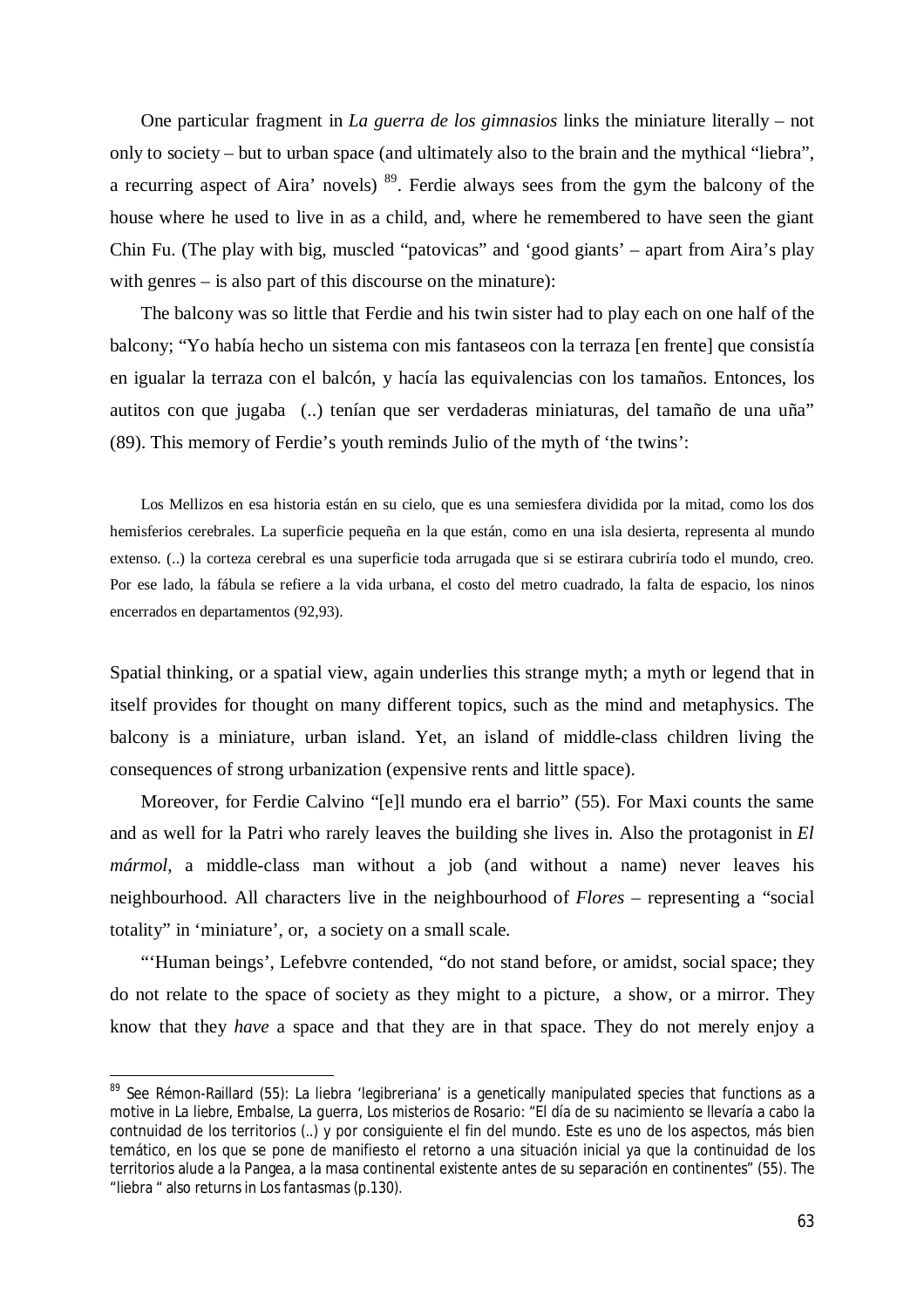One particular fragment in *La guerra de los gimnasios* links the miniature literally – not only to society – but to urban space (and ultimately also to the brain and the mythical "liebra", a recurring aspect of Aira' novels)  $89$ . Ferdie always sees from the gym the balcony of the house where he used to live in as a child, and, where he remembered to have seen the giant Chin Fu. (The play with big, muscled "patovicas" and 'good giants' – apart from Aira's play with genres – is also part of this discourse on the minature):

The balcony was so little that Ferdie and his twin sister had to play each on one half of the balcony; "Yo había hecho un sistema con mis fantaseos con la terraza [en frente] que consistía en igualar la terraza con el balcón, y hacía las equivalencias con los tamaños. Entonces, los autitos con que jugaba (..) tenían que ser verdaderas miniaturas, del tamaño de una uña" (89). This memory of Ferdie's youth reminds Julio of the myth of 'the twins':

Los Mellizos en esa historia están en su cielo, que es una semiesfera dividida por la mitad, como los dos hemisferios cerebrales. La superficie pequeña en la que están, como en una isla desierta, representa al mundo extenso. (..) la corteza cerebral es una superficie toda arrugada que si se estirara cubriría todo el mundo, creo. Por ese lado, la fábula se refiere a la vida urbana, el costo del metro cuadrado, la falta de espacio, los ninos encerrados en departamentos (92,93).

Spatial thinking, or a spatial view, again underlies this strange myth; a myth or legend that in itself provides for thought on many different topics, such as the mind and metaphysics. The balcony is a miniature, urban island. Yet, an island of middle-class children living the consequences of strong urbanization (expensive rents and little space).

Moreover, for Ferdie Calvino "[e]l mundo era el barrio" (55). For Maxi counts the same and as well for la Patri who rarely leaves the building she lives in. Also the protagonist in *El mármol*, a middle-class man without a job (and without a name) never leaves his neighbourhood. All characters live in the neighbourhood of *Flores* – representing a "social totality" in 'miniature', or, a society on a small scale.

"'Human beings', Lefebvre contended, "do not stand before, or amidst, social space; they do not relate to the space of society as they might to a picture, a show, or a mirror. They know that they *have* a space and that they are in that space. They do not merely enjoy a

<sup>&</sup>lt;sup>89</sup> See Rémon-Raillard (55): La liebra 'legibreriana' is a genetically manipulated species that functions as a motive in *La liebre*, *Embalse*, *La guerra*, *Los misterios de Rosario*: "El día de su nacimiento se llevaría a cabo la contnuidad de los territorios (..) y por consiguiente el fin del mundo. Este es uno de los aspectos, más bien temático, en los que se pone de manifiesto el retorno a una situación inicial ya que la continuidad de los territorios alude a la Pangea, a la masa continental existente antes de su separación en continentes" (55). The "liebra " also returns in *Los fantasmas* (p.130).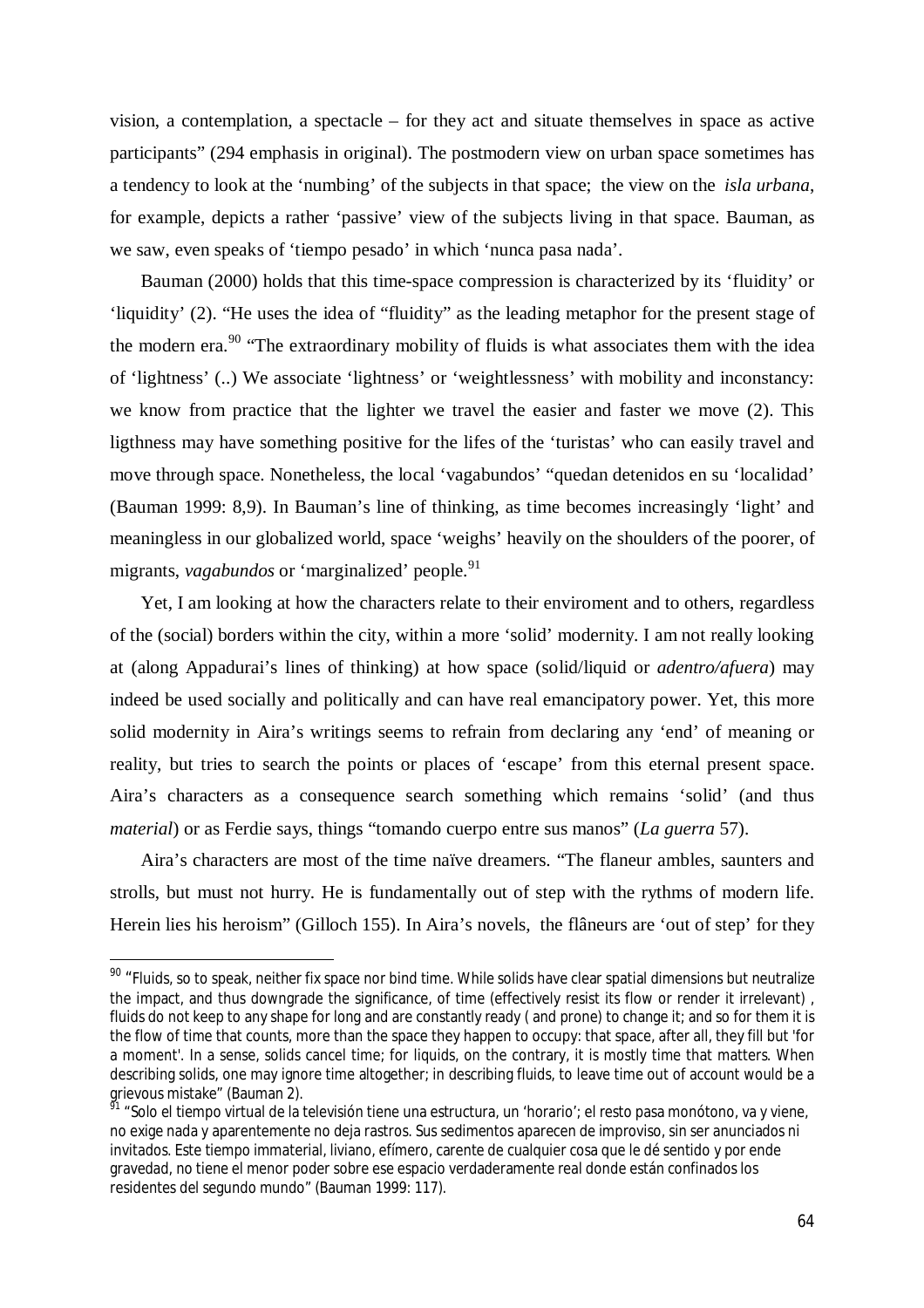vision, a contemplation, a spectacle – for they act and situate themselves in space as active participants" (294 emphasis in original). The postmodern view on urban space sometimes has a tendency to look at the 'numbing' of the subjects in that space; the view on the *isla urbana*, for example, depicts a rather 'passive' view of the subjects living in that space. Bauman, as we saw, even speaks of 'tiempo pesado' in which 'nunca pasa nada'.

Bauman (2000) holds that this time-space compression is characterized by its 'fluidity' or 'liquidity' (2). "He uses the idea of "fluidity" as the leading metaphor for the present stage of the modern era.<sup>90</sup> "The extraordinary mobility of fluids is what associates them with the idea of 'lightness' (..) We associate 'lightness' or 'weightlessness' with mobility and inconstancy: we know from practice that the lighter we travel the easier and faster we move (2). This ligthness may have something positive for the lifes of the 'turistas' who can easily travel and move through space. Nonetheless, the local 'vagabundos' "quedan detenidos en su 'localidad' (Bauman 1999: 8,9). In Bauman's line of thinking, as time becomes increasingly 'light' and meaningless in our globalized world, space 'weighs' heavily on the shoulders of the poorer, of migrants, *vagabundos* or 'marginalized' people. 91

Yet, I am looking at how the characters relate to their enviroment and to others, regardless of the (social) borders within the city, within a more 'solid' modernity. I am not really looking at (along Appadurai's lines of thinking) at how space (solid/liquid or *adentro/afuera*) may indeed be used socially and politically and can have real emancipatory power. Yet, this more solid modernity in Aira's writings seems to refrain from declaring any 'end' of meaning or reality, but tries to search the points or places of 'escape' from this eternal present space. Aira's characters as a consequence search something which remains 'solid' (and thus *material*) or as Ferdie says, things "tomando cuerpo entre sus manos" (*La guerra* 57).

Aira's characters are most of the time naïve dreamers. "The flaneur ambles, saunters and strolls, but must not hurry. He is fundamentally out of step with the rythms of modern life. Herein lies his heroism" (Gilloch 155). In Aira's novels, the flâneurs are 'out of step' for they

<sup>&</sup>lt;sup>90</sup> "Fluids, so to speak, neither fix space nor bind time. While solids have clear spatial dimensions but neutralize the impact, and thus downgrade the significance, of time (effectively resist its flow or render it irrelevant) , fluids do not keep to any shape for long and are constantly ready ( and prone) to change it; and so for them it is the flow of time that counts, more than the space they happen to occupy: that space, after all, they fill but 'for a moment'. In a sense, solids cancel time; for liquids, on the contrary, it is mostly time that matters. When describing solids, one may ignore time altogether; in describing fluids, to leave time out of account would be a grievous mistake" (Bauman 2).

<sup>&</sup>lt;sup>91</sup> "Solo el tiempo virtual de la televisión tiene una estructura, un 'horario'; el resto pasa monótono, va y viene, no exige nada y aparentemente no deja rastros. Sus sedimentos aparecen de improviso, sin ser anunciados ni invitados. Este tiempo immaterial, liviano, efímero, carente de cualquier cosa que le dé sentido y por ende gravedad, no tiene el menor poder sobre ese espacio verdaderamente real donde están confinados los residentes del segundo mundo" (Bauman 1999: 117).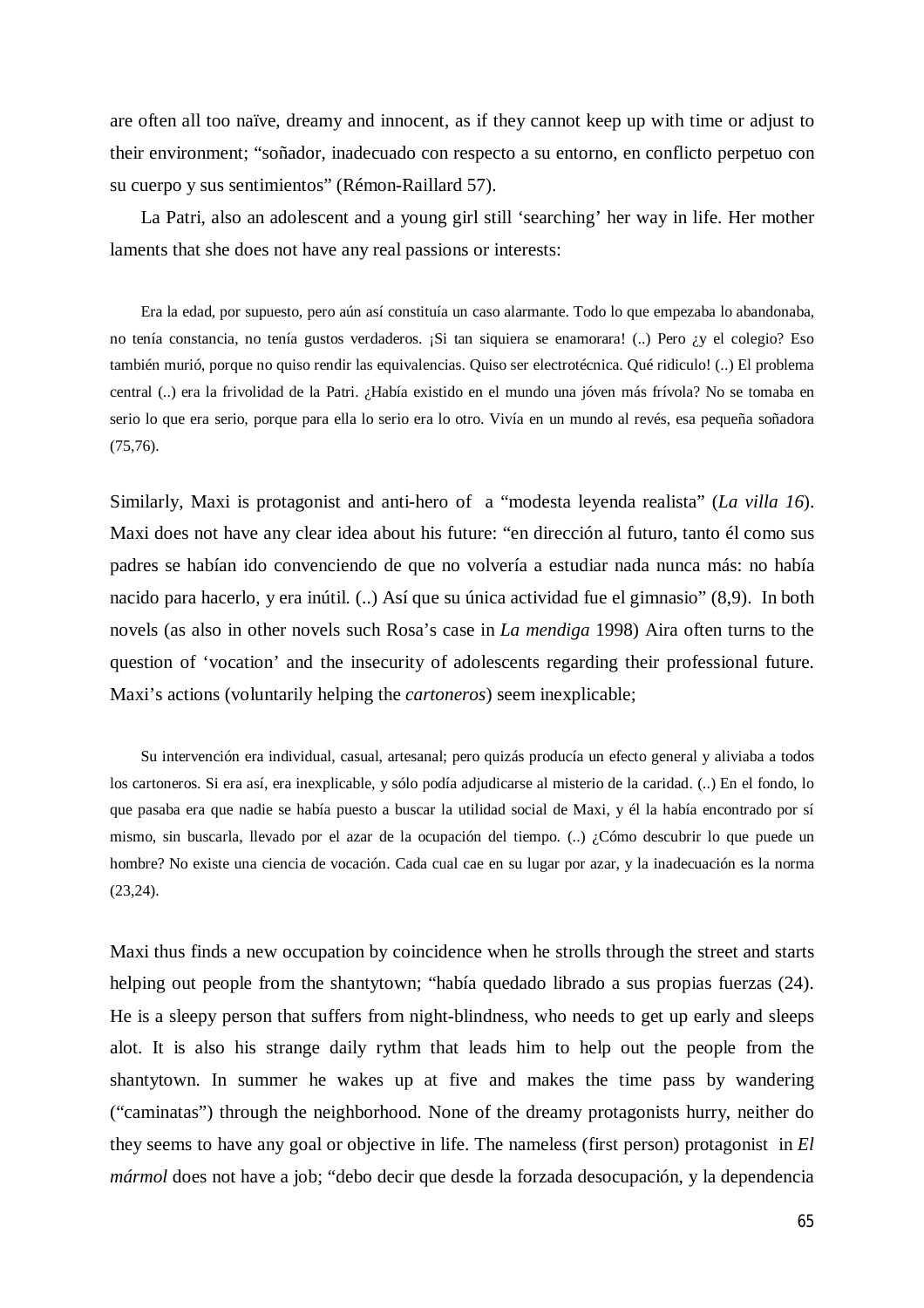are often all too naïve, dreamy and innocent, as if they cannot keep up with time or adjust to their environment; "soñador, inadecuado con respecto a su entorno, en conflicto perpetuo con su cuerpo y sus sentimientos" (Rémon-Raillard 57).

La Patri, also an adolescent and a young girl still 'searching' her way in life. Her mother laments that she does not have any real passions or interests:

Era la edad, por supuesto, pero aún así constituía un caso alarmante. Todo lo que empezaba lo abandonaba, no tenía constancia, no tenía gustos verdaderos. ¡Si tan siquiera se enamorara! (..) Pero ¿y el colegio? Eso también murió, porque no quiso rendir las equivalencias. Quiso ser electrotécnica. Qué ridiculo! (..) El problema central (..) era la frivolidad de la Patri. ¿Había existido en el mundo una jóven más frívola? No se tomaba en serio lo que era serio, porque para ella lo serio era lo otro. Vivía en un mundo al revés, esa pequeña soñadora (75,76).

Similarly, Maxi is protagonist and anti-hero of a "modesta leyenda realista" (*La villa 16*). Maxi does not have any clear idea about his future: "en dirección al futuro, tanto él como sus padres se habían ido convenciendo de que no volvería a estudiar nada nunca más: no había nacido para hacerlo, y era inútil. (..) Así que su única actividad fue el gimnasio" (8,9). In both novels (as also in other novels such Rosa's case in *La mendiga* 1998) Aira often turns to the question of 'vocation' and the insecurity of adolescents regarding their professional future. Maxi's actions (voluntarily helping the *cartoneros*) seem inexplicable;

Su intervención era individual, casual, artesanal; pero quizás producía un efecto general y aliviaba a todos los cartoneros. Si era así, era inexplicable, y sólo podía adjudicarse al misterio de la caridad. (..) En el fondo, lo que pasaba era que nadie se había puesto a buscar la utilidad social de Maxi, y él la había encontrado por sí mismo, sin buscarla, llevado por el azar de la ocupación del tiempo. (..) ¿Cómo descubrir lo que puede un hombre? No existe una ciencia de vocación. Cada cual cae en su lugar por azar, y la inadecuación es la norma (23,24).

Maxi thus finds a new occupation by coincidence when he strolls through the street and starts helping out people from the shantytown; "había quedado librado a sus propias fuerzas (24). He is a sleepy person that suffers from night-blindness, who needs to get up early and sleeps alot. It is also his strange daily rythm that leads him to help out the people from the shantytown. In summer he wakes up at five and makes the time pass by wandering ("caminatas") through the neighborhood. None of the dreamy protagonists hurry, neither do they seems to have any goal or objective in life. The nameless (first person) protagonist in *El mármol* does not have a job; "debo decir que desde la forzada desocupación, y la dependencia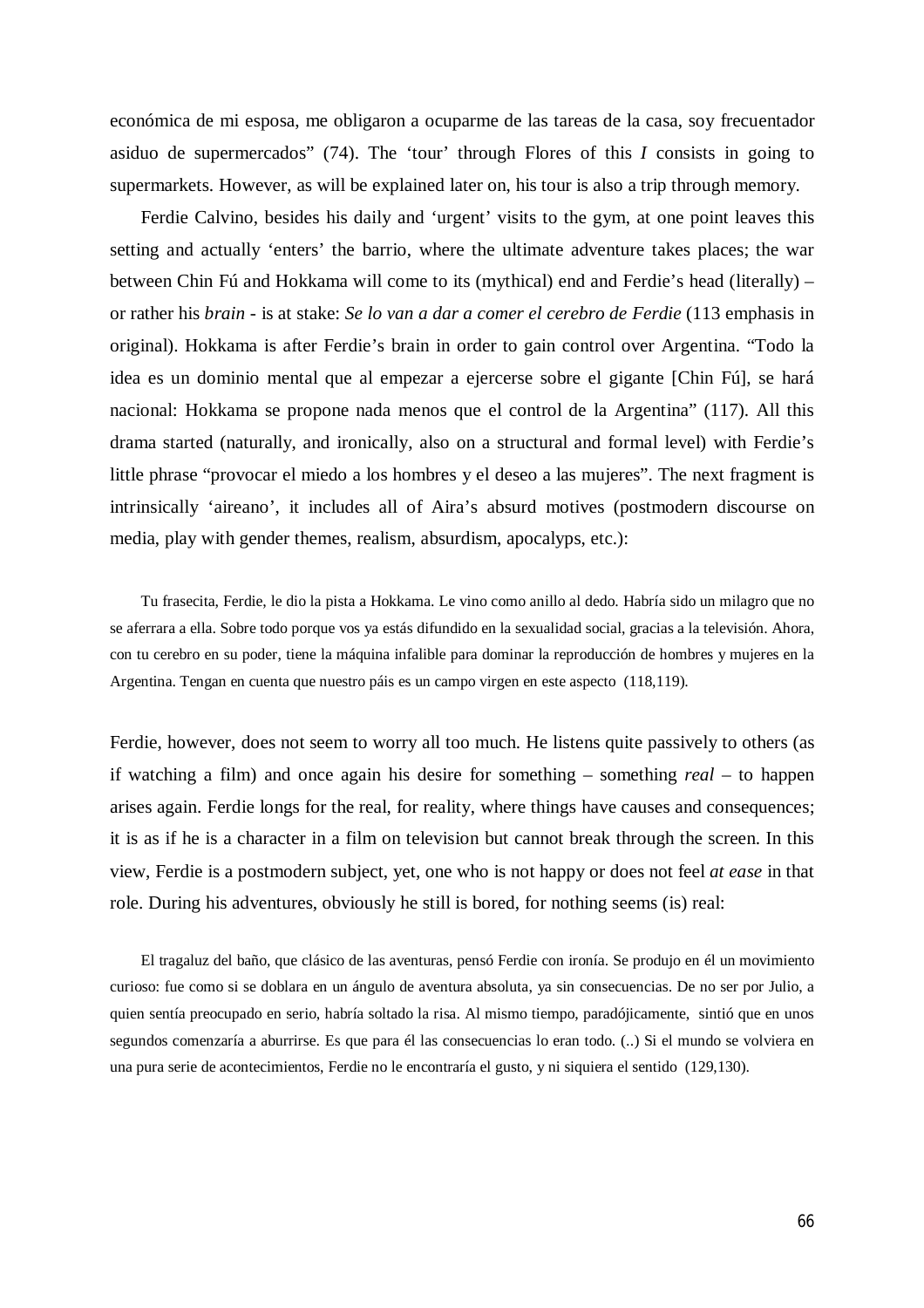económica de mi esposa, me obligaron a ocuparme de las tareas de la casa, soy frecuentador asiduo de supermercados" (74). The 'tour' through Flores of this *I* consists in going to supermarkets. However, as will be explained later on, his tour is also a trip through memory.

Ferdie Calvino, besides his daily and 'urgent' visits to the gym, at one point leaves this setting and actually 'enters' the barrio, where the ultimate adventure takes places; the war between Chin Fú and Hokkama will come to its (mythical) end and Ferdie's head (literally) – or rather his *brain* - is at stake: *Se lo van a dar a comer el cerebro de Ferdie* (113 emphasis in original). Hokkama is after Ferdie's brain in order to gain control over Argentina. "Todo la idea es un dominio mental que al empezar a ejercerse sobre el gigante [Chin Fú], se hará nacional: Hokkama se propone nada menos que el control de la Argentina" (117). All this drama started (naturally, and ironically, also on a structural and formal level) with Ferdie's little phrase "provocar el miedo a los hombres y el deseo a las mujeres". The next fragment is intrinsically 'aireano', it includes all of Aira's absurd motives (postmodern discourse on media, play with gender themes, realism, absurdism, apocalyps, etc.):

Tu frasecita, Ferdie, le dio la pista a Hokkama. Le vino como anillo al dedo. Habría sido un milagro que no se aferrara a ella. Sobre todo porque vos ya estás difundido en la sexualidad social, gracias a la televisión. Ahora, con tu cerebro en su poder, tiene la máquina infalible para dominar la reproducción de hombres y mujeres en la Argentina. Tengan en cuenta que nuestro páis es un campo virgen en este aspecto (118,119).

Ferdie, however, does not seem to worry all too much. He listens quite passively to others (as if watching a film) and once again his desire for something – something *real* – to happen arises again. Ferdie longs for the real, for reality, where things have causes and consequences; it is as if he is a character in a film on television but cannot break through the screen. In this view, Ferdie is a postmodern subject, yet, one who is not happy or does not feel *at ease* in that role. During his adventures, obviously he still is bored, for nothing seems (is) real:

El tragaluz del baño, que clásico de las aventuras, pensó Ferdie con ironía. Se produjo en él un movimiento curioso: fue como si se doblara en un ángulo de aventura absoluta, ya sin consecuencias. De no ser por Julio, a quien sentía preocupado en serio, habría soltado la risa. Al mismo tiempo, paradójicamente, sintió que en unos segundos comenzaría a aburrirse. Es que para él las consecuencias lo eran todo. (..) Si el mundo se volviera en una pura serie de acontecimientos, Ferdie no le encontraría el gusto, y ni siquiera el sentido (129,130).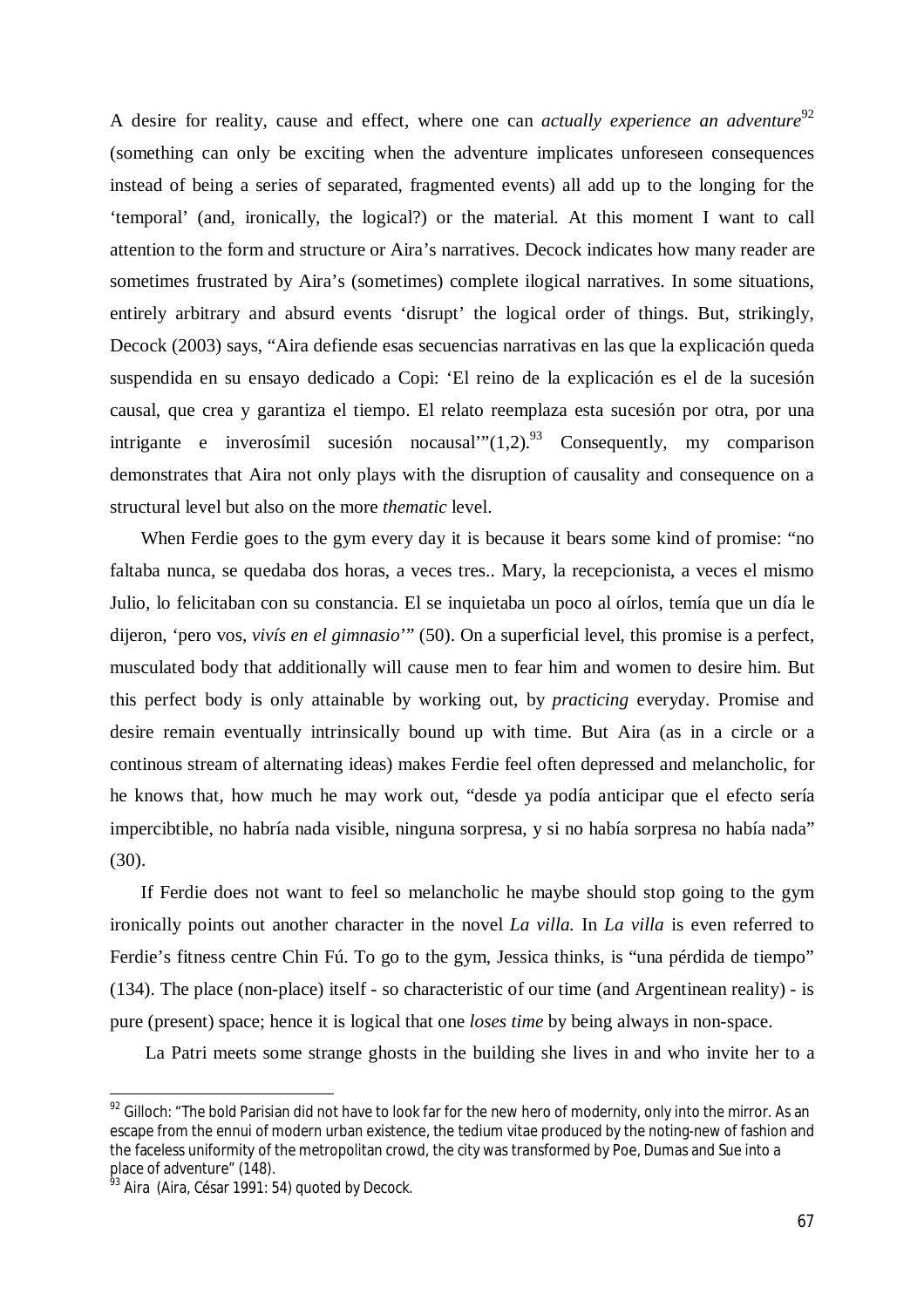A desire for reality, cause and effect, where one can *actually experience an adventure*<sup>92</sup> (something can only be exciting when the adventure implicates unforeseen consequences instead of being a series of separated, fragmented events) all add up to the longing for the 'temporal' (and, ironically, the logical?) or the material. At this moment I want to call attention to the form and structure or Aira's narratives. Decock indicates how many reader are sometimes frustrated by Aira's (sometimes) complete ilogical narratives. In some situations, entirely arbitrary and absurd events 'disrupt' the logical order of things. But, strikingly, Decock (2003) says, "Aira defiende esas secuencias narrativas en las que la explicación queda suspendida en su ensayo dedicado a Copi: 'El reino de la explicación es el de la sucesión causal, que crea y garantiza el tiempo. El relato reemplaza esta sucesión por otra, por una intrigante e inverosímil sucesión nocausal" $(1,2)$ .<sup>93</sup> Consequently, my comparison demonstrates that Aira not only plays with the disruption of causality and consequence on a structural level but also on the more *thematic* level.

When Ferdie goes to the gym every day it is because it bears some kind of promise: "no faltaba nunca, se quedaba dos horas, a veces tres.. Mary, la recepcionista, a veces el mismo Julio, lo felicitaban con su constancia. El se inquietaba un poco al oírlos, temía que un día le dijeron, 'pero vos, *vivís en el gimnasio*'" (50). On a superficial level, this promise is a perfect, musculated body that additionally will cause men to fear him and women to desire him. But this perfect body is only attainable by working out, by *practicing* everyday. Promise and desire remain eventually intrinsically bound up with time. But Aira (as in a circle or a continous stream of alternating ideas) makes Ferdie feel often depressed and melancholic, for he knows that, how much he may work out, "desde ya podía anticipar que el efecto sería impercibtible, no habría nada visible, ninguna sorpresa, y si no había sorpresa no había nada" (30).

If Ferdie does not want to feel so melancholic he maybe should stop going to the gym ironically points out another character in the novel *La villa.* In *La villa* is even referred to Ferdie's fitness centre Chin Fú. To go to the gym, Jessica thinks, is "una pérdida de tiempo" (134). The place (non-place) itself - so characteristic of our time (and Argentinean reality) - is pure (present) space; hence it is logical that one *loses time* by being always in non-space.

La Patri meets some strange ghosts in the building she lives in and who invite her to a

 $92$  Gilloch: "The bold Parisian did not have to look far for the new hero of modernity, only into the mirror. As an escape from the ennui of modern urban existence, the tedium vitae produced by the noting-new of fashion and the faceless uniformity of the metropolitan crowd, the city was transformed by Poe, Dumas and Sue into a place of adventure" (148).

<sup>&</sup>lt;sup>93</sup> Aira (Aira, César 1991: 54) quoted by Decock.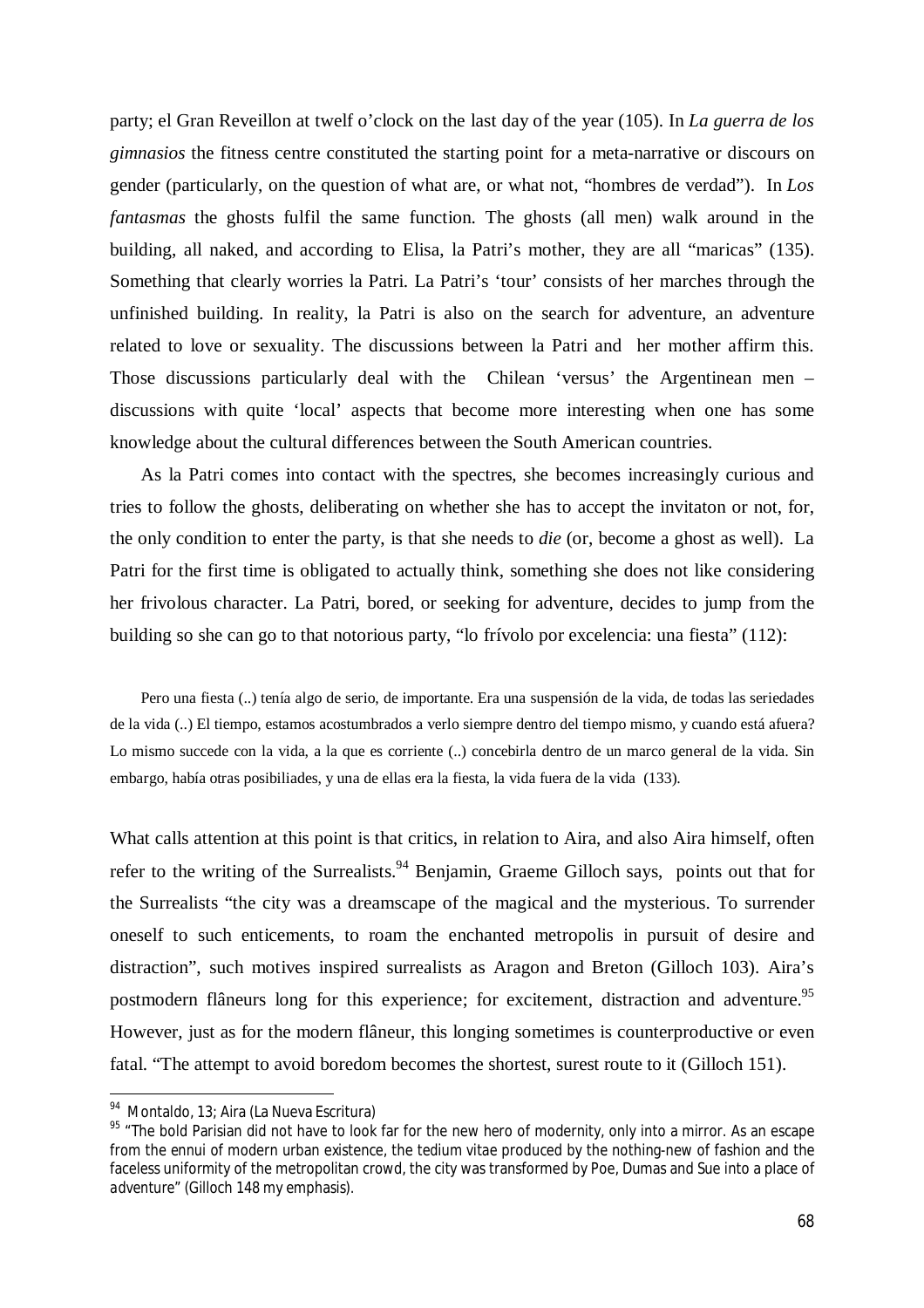party; el Gran Reveillon at twelf o'clock on the last day of the year (105). In *La guerra de los gimnasios* the fitness centre constituted the starting point for a meta-narrative or discours on gender (particularly, on the question of what are, or what not, "hombres de verdad"). In *Los fantasmas* the ghosts fulfil the same function. The ghosts (all men) walk around in the building, all naked, and according to Elisa, la Patri's mother, they are all "maricas" (135). Something that clearly worries la Patri. La Patri's 'tour' consists of her marches through the unfinished building. In reality, la Patri is also on the search for adventure, an adventure related to love or sexuality. The discussions between la Patri and her mother affirm this. Those discussions particularly deal with the Chilean 'versus' the Argentinean men – discussions with quite 'local' aspects that become more interesting when one has some knowledge about the cultural differences between the South American countries.

As la Patri comes into contact with the spectres, she becomes increasingly curious and tries to follow the ghosts, deliberating on whether she has to accept the invitaton or not, for, the only condition to enter the party, is that she needs to *die* (or, become a ghost as well). La Patri for the first time is obligated to actually think, something she does not like considering her frivolous character. La Patri, bored, or seeking for adventure, decides to jump from the building so she can go to that notorious party, "lo frívolo por excelencia: una fiesta" (112):

Pero una fiesta (..) tenía algo de serio, de importante. Era una suspensión de la vida, de todas las seriedades de la vida (..) El tiempo, estamos acostumbrados a verlo siempre dentro del tiempo mismo, y cuando está afuera? Lo mismo succede con la vida, a la que es corriente (..) concebirla dentro de un marco general de la vida. Sin embargo, había otras posibiliades, y una de ellas era la fiesta, la vida fuera de la vida (133).

What calls attention at this point is that critics, in relation to Aira, and also Aira himself, often refer to the writing of the Surrealists.<sup>94</sup> Benjamin, Graeme Gilloch says, points out that for the Surrealists "the city was a dreamscape of the magical and the mysterious. To surrender oneself to such enticements, to roam the enchanted metropolis in pursuit of desire and distraction", such motives inspired surrealists as Aragon and Breton (Gilloch 103). Aira's postmodern flâneurs long for this experience; for excitement, distraction and adventure.<sup>95</sup> However, just as for the modern flâneur, this longing sometimes is counterproductive or even fatal. "The attempt to avoid boredom becomes the shortest, surest route to it (Gilloch 151).

<sup>&</sup>lt;sup>94</sup> Montaldo, 13; Aira (La Nueva Escritura)

 $95$  "The bold Parisian did not have to look far for the new hero of modernity, only into a mirror. As an escape from the *ennui* of modern urban existence, the *tedium vitae* produced by the nothing-new of fashion and the faceless uniformity of the metropolitan crowd, the city was transformed by Poe, Dumas and Sue into a place of *adventure*" (Gilloch 148 my emphasis).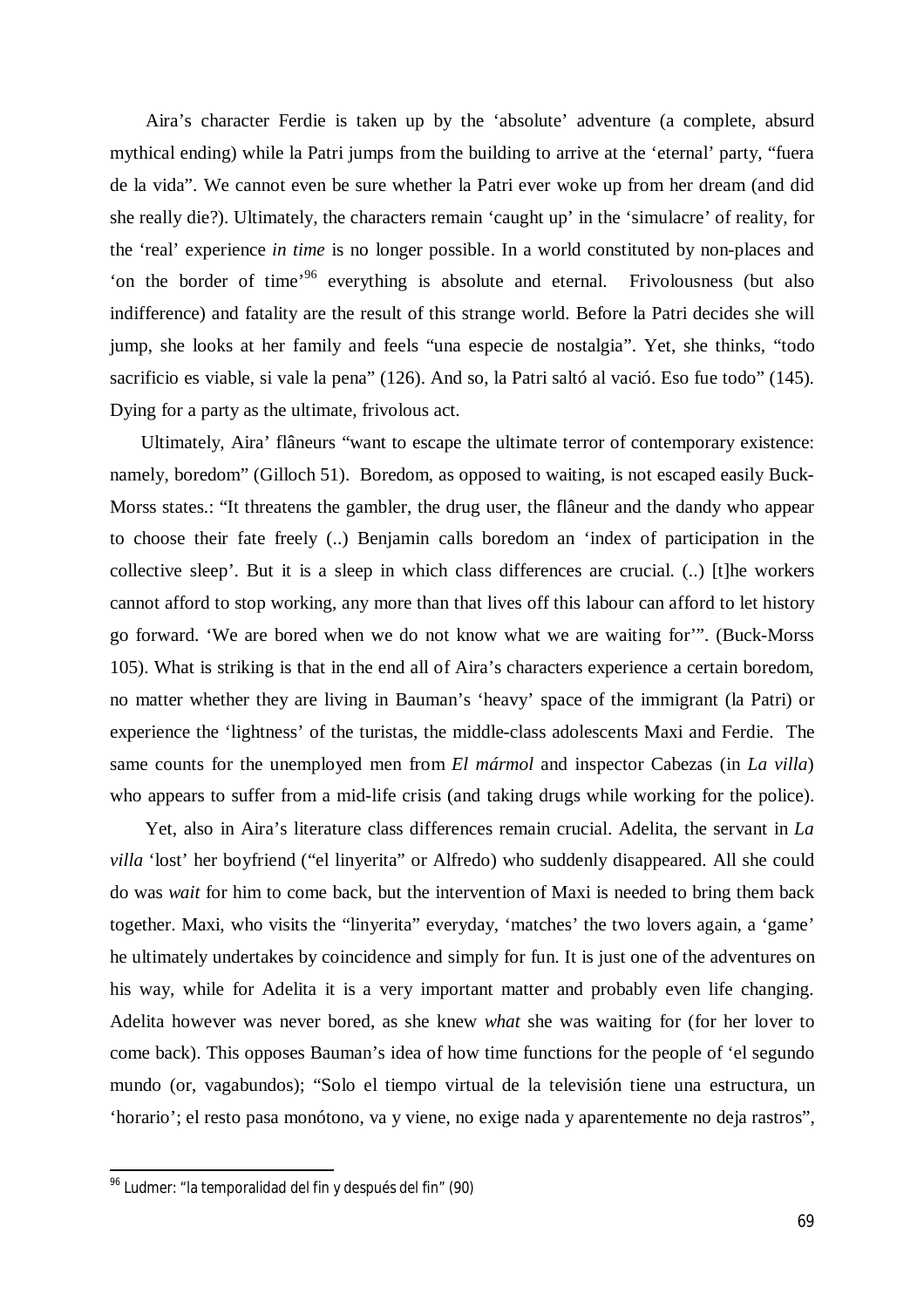Aira's character Ferdie is taken up by the 'absolute' adventure (a complete, absurd mythical ending) while la Patri jumps from the building to arrive at the 'eternal' party, "fuera de la vida". We cannot even be sure whether la Patri ever woke up from her dream (and did she really die?). Ultimately, the characters remain 'caught up' in the 'simulacre' of reality, for the 'real' experience *in time* is no longer possible. In a world constituted by non-places and 'on the border of time'<sup>96</sup> everything is absolute and eternal. Frivolousness (but also indifference) and fatality are the result of this strange world. Before la Patri decides she will jump, she looks at her family and feels "una especie de nostalgia". Yet, she thinks, "todo sacrificio es viable, si vale la pena" (126). And so, la Patri saltó al vació. Eso fue todo" (145). Dying for a party as the ultimate, frivolous act.

Ultimately, Aira' flâneurs "want to escape the ultimate terror of contemporary existence: namely, boredom" (Gilloch 51). Boredom, as opposed to waiting, is not escaped easily Buck-Morss states.: "It threatens the gambler, the drug user, the flâneur and the dandy who appear to choose their fate freely (..) Benjamin calls boredom an 'index of participation in the collective sleep'. But it is a sleep in which class differences are crucial. (..) [t]he workers cannot afford to stop working, any more than that lives off this labour can afford to let history go forward. 'We are bored when we do not know what we are waiting for'". (Buck-Morss 105). What is striking is that in the end all of Aira's characters experience a certain boredom, no matter whether they are living in Bauman's 'heavy' space of the immigrant (la Patri) or experience the 'lightness' of the turistas, the middle-class adolescents Maxi and Ferdie. The same counts for the unemployed men from *El mármol* and inspector Cabezas (in *La villa*) who appears to suffer from a mid-life crisis (and taking drugs while working for the police).

Yet, also in Aira's literature class differences remain crucial. Adelita, the servant in *La villa* 'lost' her boyfriend ("el linyerita" or Alfredo) who suddenly disappeared. All she could do was *wait* for him to come back, but the intervention of Maxi is needed to bring them back together. Maxi, who visits the "linyerita" everyday, 'matches' the two lovers again, a 'game' he ultimately undertakes by coincidence and simply for fun. It is just one of the adventures on his way, while for Adelita it is a very important matter and probably even life changing. Adelita however was never bored, as she knew *what* she was waiting for (for her lover to come back). This opposes Bauman's idea of how time functions for the people of 'el segundo mundo (or, vagabundos); "Solo el tiempo virtual de la televisión tiene una estructura, un 'horario'; el resto pasa monótono, va y viene, no exige nada y aparentemente no deja rastros",

1

<sup>&</sup>lt;sup>96</sup> Ludmer: "la temporalidad del fin y después del fin" (90)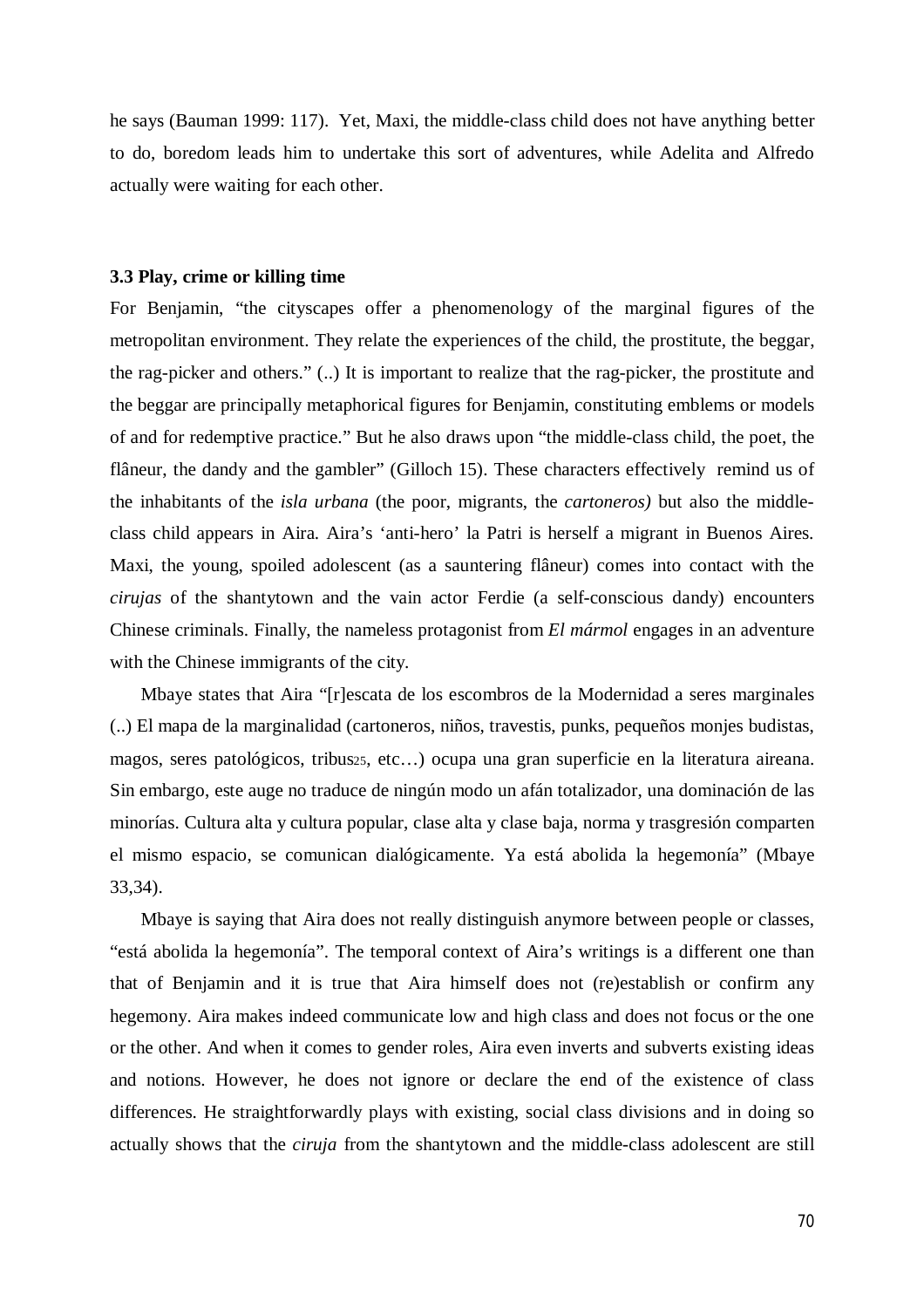he says (Bauman 1999: 117). Yet, Maxi, the middle-class child does not have anything better to do, boredom leads him to undertake this sort of adventures, while Adelita and Alfredo actually were waiting for each other.

#### **3.3 Play, crime or killing time**

For Benjamin, "the cityscapes offer a phenomenology of the marginal figures of the metropolitan environment. They relate the experiences of the child, the prostitute, the beggar, the rag-picker and others." (..) It is important to realize that the rag-picker, the prostitute and the beggar are principally metaphorical figures for Benjamin, constituting emblems or models of and for redemptive practice." But he also draws upon "the middle-class child, the poet, the flâneur, the dandy and the gambler" (Gilloch 15). These characters effectively remind us of the inhabitants of the *isla urbana* (the poor, migrants, the *cartoneros)* but also the middleclass child appears in Aira*.* Aira's 'anti-hero' la Patri is herself a migrant in Buenos Aires. Maxi, the young, spoiled adolescent (as a sauntering flâneur) comes into contact with the *cirujas* of the shantytown and the vain actor Ferdie (a self-conscious dandy) encounters Chinese criminals. Finally, the nameless protagonist from *El mármol* engages in an adventure with the Chinese immigrants of the city.

Mbaye states that Aira "[r]escata de los escombros de la Modernidad a seres marginales (..) El mapa de la marginalidad (cartoneros, niños, travestis, punks, pequeños monjes budistas, magos, seres patológicos, tribus25, etc…) ocupa una gran superficie en la literatura aireana. Sin embargo, este auge no traduce de ningún modo un afán totalizador, una dominación de las minorías. Cultura alta y cultura popular, clase alta y clase baja, norma y trasgresión comparten el mismo espacio, se comunican dialógicamente. Ya está abolida la hegemonía" (Mbaye 33,34).

Mbaye is saying that Aira does not really distinguish anymore between people or classes, "está abolida la hegemonía". The temporal context of Aira's writings is a different one than that of Benjamin and it is true that Aira himself does not (re)establish or confirm any hegemony. Aira makes indeed communicate low and high class and does not focus or the one or the other. And when it comes to gender roles, Aira even inverts and subverts existing ideas and notions. However, he does not ignore or declare the end of the existence of class differences. He straightforwardly plays with existing, social class divisions and in doing so actually shows that the *ciruja* from the shantytown and the middle-class adolescent are still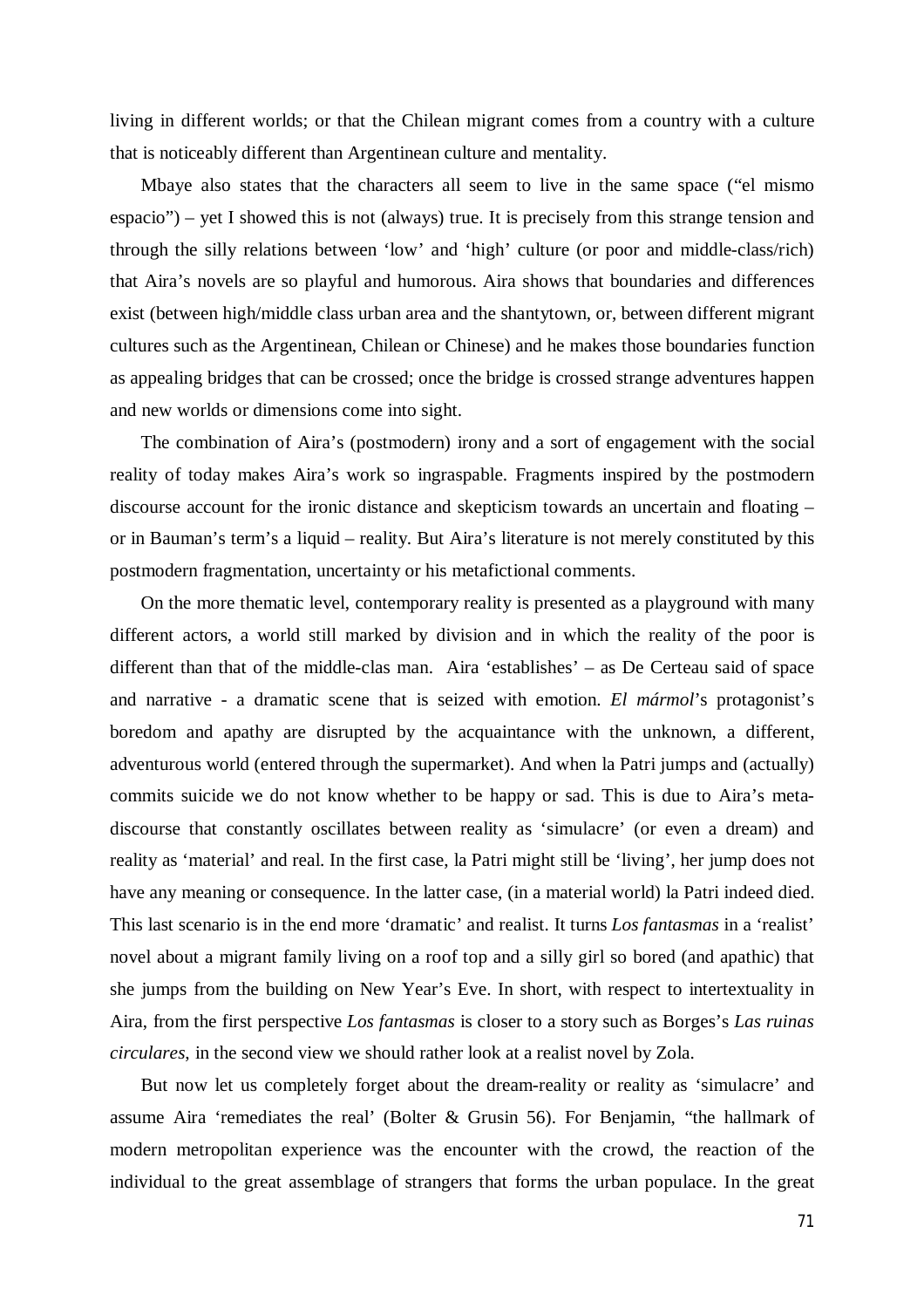living in different worlds; or that the Chilean migrant comes from a country with a culture that is noticeably different than Argentinean culture and mentality.

Mbaye also states that the characters all seem to live in the same space ("el mismo espacio") – yet I showed this is not (always) true. It is precisely from this strange tension and through the silly relations between 'low' and 'high' culture (or poor and middle-class/rich) that Aira's novels are so playful and humorous. Aira shows that boundaries and differences exist (between high/middle class urban area and the shantytown, or, between different migrant cultures such as the Argentinean, Chilean or Chinese) and he makes those boundaries function as appealing bridges that can be crossed; once the bridge is crossed strange adventures happen and new worlds or dimensions come into sight.

The combination of Aira's (postmodern) irony and a sort of engagement with the social reality of today makes Aira's work so ingraspable. Fragments inspired by the postmodern discourse account for the ironic distance and skepticism towards an uncertain and floating – or in Bauman's term's a liquid – reality. But Aira's literature is not merely constituted by this postmodern fragmentation, uncertainty or his metafictional comments.

On the more thematic level, contemporary reality is presented as a playground with many different actors, a world still marked by division and in which the reality of the poor is different than that of the middle-clas man. Aira 'establishes' – as De Certeau said of space and narrative - a dramatic scene that is seized with emotion. *El mármol*'s protagonist's boredom and apathy are disrupted by the acquaintance with the unknown, a different, adventurous world (entered through the supermarket). And when la Patri jumps and (actually) commits suicide we do not know whether to be happy or sad. This is due to Aira's metadiscourse that constantly oscillates between reality as 'simulacre' (or even a dream) and reality as 'material' and real. In the first case, la Patri might still be 'living', her jump does not have any meaning or consequence. In the latter case, (in a material world) la Patri indeed died. This last scenario is in the end more 'dramatic' and realist. It turns *Los fantasmas* in a 'realist' novel about a migrant family living on a roof top and a silly girl so bored (and apathic) that she jumps from the building on New Year's Eve. In short, with respect to intertextuality in Aira, from the first perspective *Los fantasmas* is closer to a story such as Borges's *Las ruinas circulares*, in the second view we should rather look at a realist novel by Zola.

But now let us completely forget about the dream-reality or reality as 'simulacre' and assume Aira 'remediates the real' (Bolter & Grusin 56). For Benjamin, "the hallmark of modern metropolitan experience was the encounter with the crowd, the reaction of the individual to the great assemblage of strangers that forms the urban populace. In the great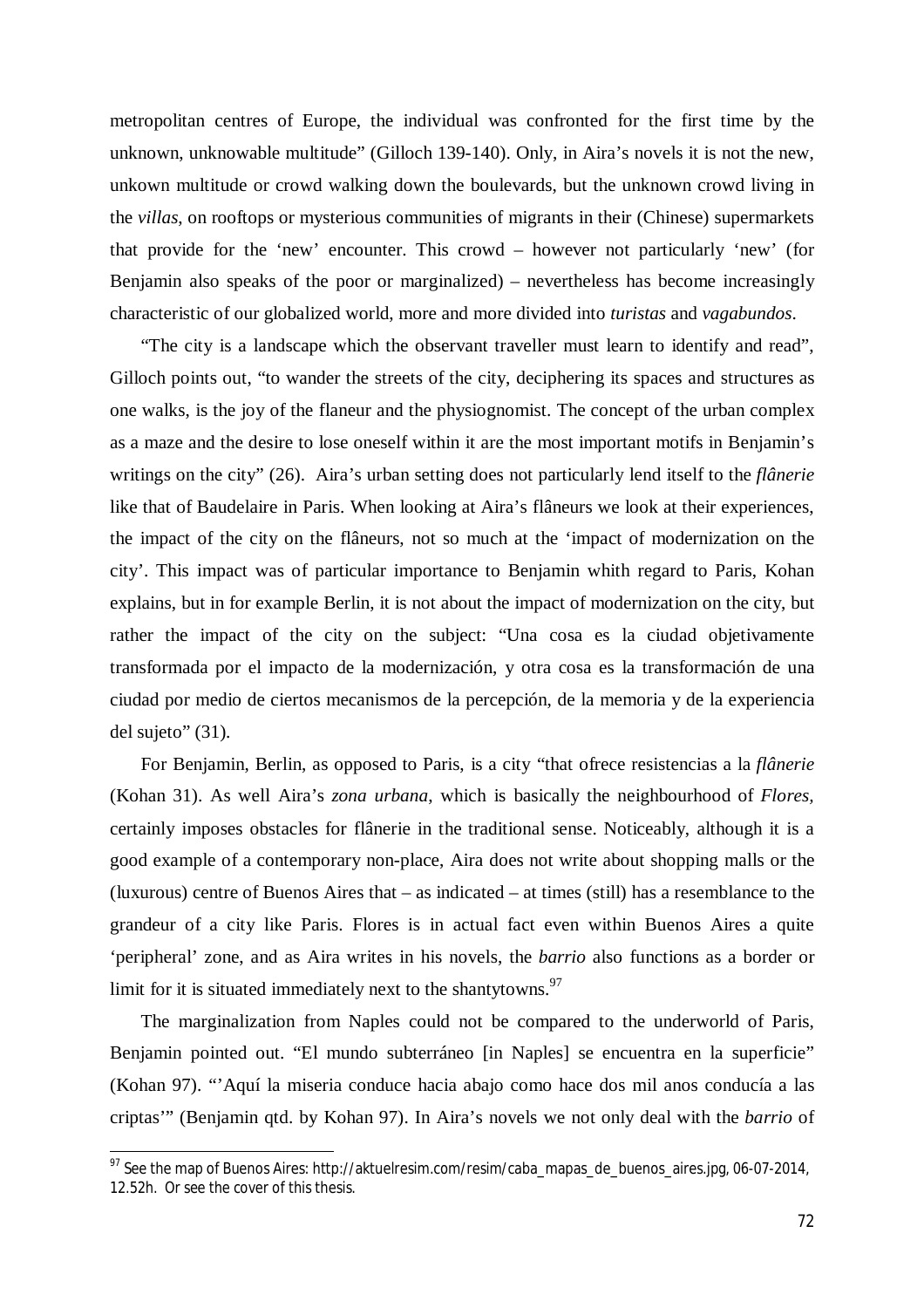metropolitan centres of Europe, the individual was confronted for the first time by the unknown, unknowable multitude" (Gilloch 139-140). Only, in Aira's novels it is not the new, unkown multitude or crowd walking down the boulevards, but the unknown crowd living in the *villas*, on rooftops or mysterious communities of migrants in their (Chinese) supermarkets that provide for the 'new' encounter. This crowd – however not particularly 'new' (for Benjamin also speaks of the poor or marginalized) – nevertheless has become increasingly characteristic of our globalized world, more and more divided into *turistas* and *vagabundos*.

"The city is a landscape which the observant traveller must learn to identify and read", Gilloch points out, "to wander the streets of the city, deciphering its spaces and structures as one walks, is the joy of the flaneur and the physiognomist. The concept of the urban complex as a maze and the desire to lose oneself within it are the most important motifs in Benjamin's writings on the city" (26). Aira's urban setting does not particularly lend itself to the *flânerie* like that of Baudelaire in Paris. When looking at Aira's flâneurs we look at their experiences, the impact of the city on the flâneurs, not so much at the 'impact of modernization on the city'. This impact was of particular importance to Benjamin whith regard to Paris, Kohan explains, but in for example Berlin, it is not about the impact of modernization on the city, but rather the impact of the city on the subject: "Una cosa es la ciudad objetivamente transformada por el impacto de la modernización, y otra cosa es la transformación de una ciudad por medio de ciertos mecanismos de la percepción, de la memoria y de la experiencia del sujeto" (31).

For Benjamin, Berlin, as opposed to Paris, is a city "that ofrece resistencias a la *flânerie*  (Kohan 31). As well Aira's *zona urbana*, which is basically the neighbourhood of *Flores,*  certainly imposes obstacles for flânerie in the traditional sense. Noticeably, although it is a good example of a contemporary non-place, Aira does not write about shopping malls or the (luxurous) centre of Buenos Aires that – as indicated – at times (still) has a resemblance to the grandeur of a city like Paris. Flores is in actual fact even within Buenos Aires a quite 'peripheral' zone, and as Aira writes in his novels, the *barrio* also functions as a border or limit for it is situated immediately next to the shantytowns. $97$ 

The marginalization from Naples could not be compared to the underworld of Paris, Benjamin pointed out. "El mundo subterráneo [in Naples] se encuentra en la superficie" (Kohan 97). "'Aquí la miseria conduce hacia abajo como hace dos mil anos conducía a las criptas'" (Benjamin qtd. by Kohan 97). In Aira's novels we not only deal with the *barrio* of

 $97$  See the map of Buenos Aires: http://aktuelresim.com/resim/caba\_mapas\_de\_buenos\_aires.jpg, 06-07-2014, 12.52h. Or see the cover of this thesis.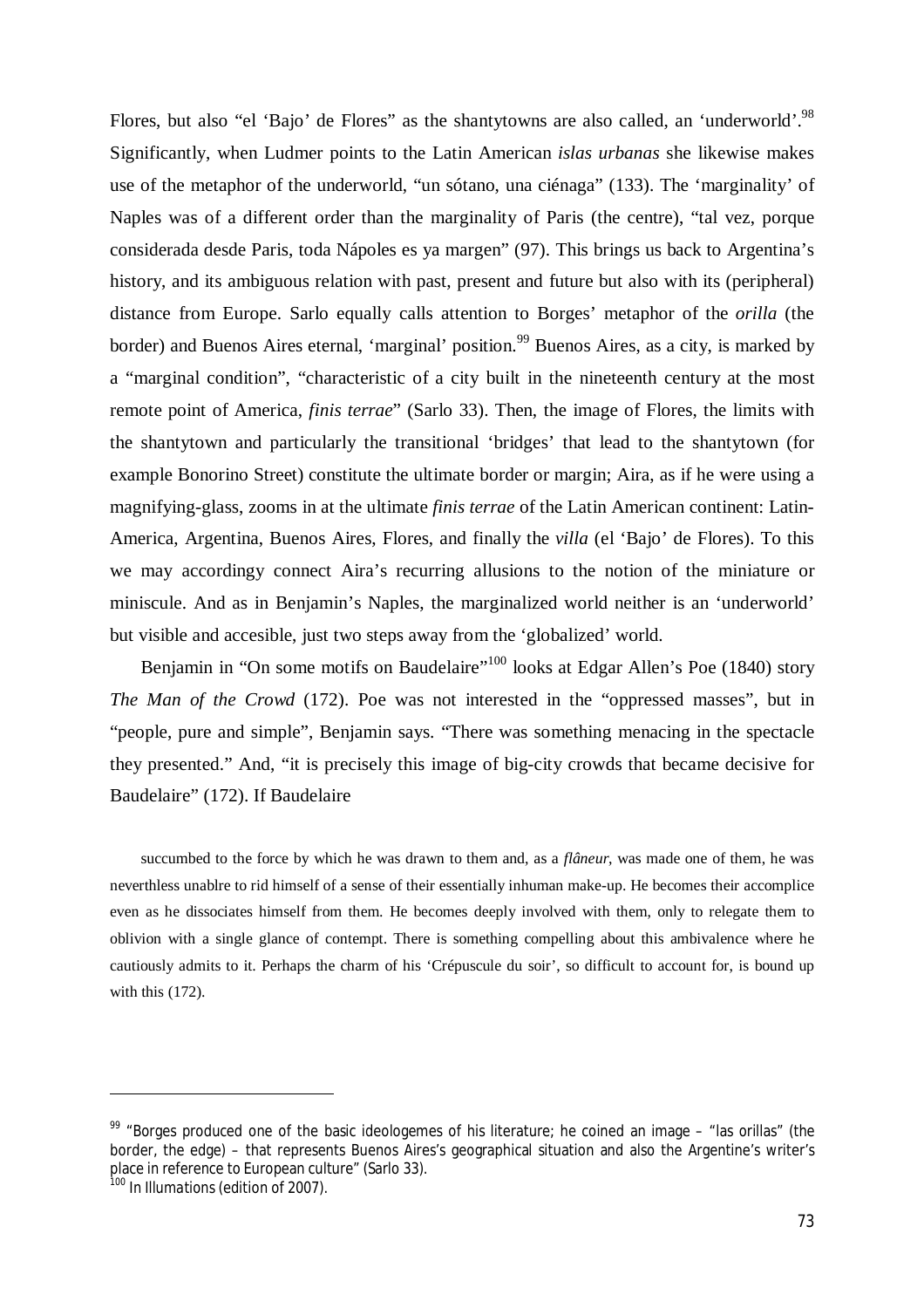Flores, but also "el 'Bajo' de Flores" as the shantytowns are also called, an 'underworld'.<sup>98</sup> Significantly, when Ludmer points to the Latin American *islas urbanas* she likewise makes use of the metaphor of the underworld, "un sótano, una ciénaga" (133). The 'marginality' of Naples was of a different order than the marginality of Paris (the centre), "tal vez, porque considerada desde Paris, toda Nápoles es ya margen" (97). This brings us back to Argentina's history, and its ambiguous relation with past, present and future but also with its (peripheral) distance from Europe. Sarlo equally calls attention to Borges' metaphor of the *orilla* (the border) and Buenos Aires eternal, 'marginal' position.<sup>99</sup> Buenos Aires, as a city, is marked by a "marginal condition", "characteristic of a city built in the nineteenth century at the most remote point of America, *finis terrae*" (Sarlo 33). Then, the image of Flores, the limits with the shantytown and particularly the transitional 'bridges' that lead to the shantytown (for example Bonorino Street) constitute the ultimate border or margin; Aira, as if he were using a magnifying-glass, zooms in at the ultimate *finis terrae* of the Latin American continent: Latin-America, Argentina, Buenos Aires, Flores, and finally the *villa* (el 'Bajo' de Flores). To this we may accordingy connect Aira's recurring allusions to the notion of the miniature or miniscule. And as in Benjamin's Naples, the marginalized world neither is an 'underworld' but visible and accesible, just two steps away from the 'globalized' world.

Benjamin in "On some motifs on Baudelaire"<sup>100</sup> looks at Edgar Allen's Poe (1840) story *The Man of the Crowd* (172). Poe was not interested in the "oppressed masses", but in "people, pure and simple", Benjamin says. "There was something menacing in the spectacle they presented." And, "it is precisely this image of big-city crowds that became decisive for Baudelaire" (172). If Baudelaire

succumbed to the force by which he was drawn to them and, as a *flâneur*, was made one of them, he was neverthless unablre to rid himself of a sense of their essentially inhuman make-up. He becomes their accomplice even as he dissociates himself from them. He becomes deeply involved with them, only to relegate them to oblivion with a single glance of contempt. There is something compelling about this ambivalence where he cautiously admits to it. Perhaps the charm of his 'Crépuscule du soir', so difficult to account for, is bound up with this  $(172)$ .

 $\overline{a}$ 

 $99$  "Borges produced one of the basic ideologemes of his literature; he coined an image – "las orillas" (the border, the edge) – that represents Buenos Aires's geographical situation and also the Argentine's writer's place in reference to European culture" (Sarlo 33).

<sup>100</sup> In *Illumations* (edition of 2007).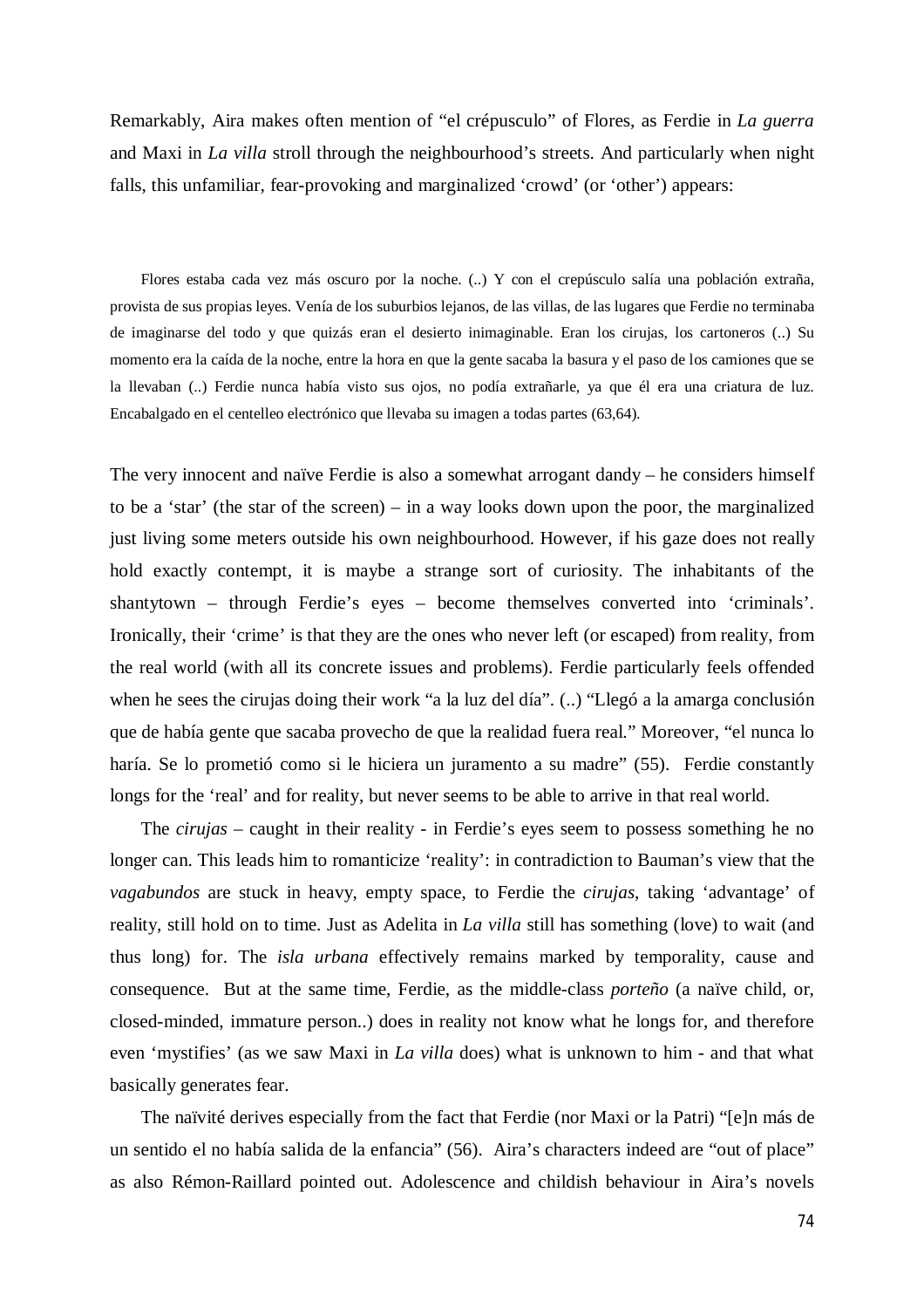Remarkably, Aira makes often mention of "el crépusculo" of Flores, as Ferdie in *La guerra* and Maxi in *La villa* stroll through the neighbourhood's streets. And particularly when night falls, this unfamiliar, fear-provoking and marginalized 'crowd' (or 'other') appears:

Flores estaba cada vez más oscuro por la noche. (..) Y con el crepúsculo salía una población extraña, provista de sus propias leyes. Venía de los suburbios lejanos, de las villas, de las lugares que Ferdie no terminaba de imaginarse del todo y que quizás eran el desierto inimaginable. Eran los cirujas, los cartoneros (..) Su momento era la caída de la noche, entre la hora en que la gente sacaba la basura y el paso de los camiones que se la llevaban (..) Ferdie nunca había visto sus ojos, no podía extrañarle, ya que él era una criatura de luz. Encabalgado en el centelleo electrónico que llevaba su imagen a todas partes (63,64).

The very innocent and naïve Ferdie is also a somewhat arrogant dandy – he considers himself to be a 'star' (the star of the screen) – in a way looks down upon the poor, the marginalized just living some meters outside his own neighbourhood. However, if his gaze does not really hold exactly contempt, it is maybe a strange sort of curiosity. The inhabitants of the shantytown – through Ferdie's eyes – become themselves converted into 'criminals'. Ironically, their 'crime' is that they are the ones who never left (or escaped) from reality, from the real world (with all its concrete issues and problems). Ferdie particularly feels offended when he sees the cirujas doing their work "a la luz del día". (..) "Llegó a la amarga conclusión que de había gente que sacaba provecho de que la realidad fuera real." Moreover, "el nunca lo haría. Se lo prometió como si le hiciera un juramento a su madre" (55). Ferdie constantly longs for the 'real' and for reality, but never seems to be able to arrive in that real world.

The *cirujas* – caught in their reality - in Ferdie's eyes seem to possess something he no longer can. This leads him to romanticize 'reality': in contradiction to Bauman's view that the *vagabundos* are stuck in heavy, empty space, to Ferdie the *cirujas*, taking 'advantage' of reality, still hold on to time. Just as Adelita in *La villa* still has something (love) to wait (and thus long) for. The *isla urbana* effectively remains marked by temporality, cause and consequence. But at the same time, Ferdie, as the middle-class *porteño* (a naïve child, or, closed-minded, immature person..) does in reality not know what he longs for, and therefore even 'mystifies' (as we saw Maxi in *La villa* does) what is unknown to him - and that what basically generates fear.

The naïvité derives especially from the fact that Ferdie (nor Maxi or la Patri) "[e]n más de un sentido el no había salida de la enfancia" (56). Aira's characters indeed are "out of place" as also Rémon-Raillard pointed out. Adolescence and childish behaviour in Aira's novels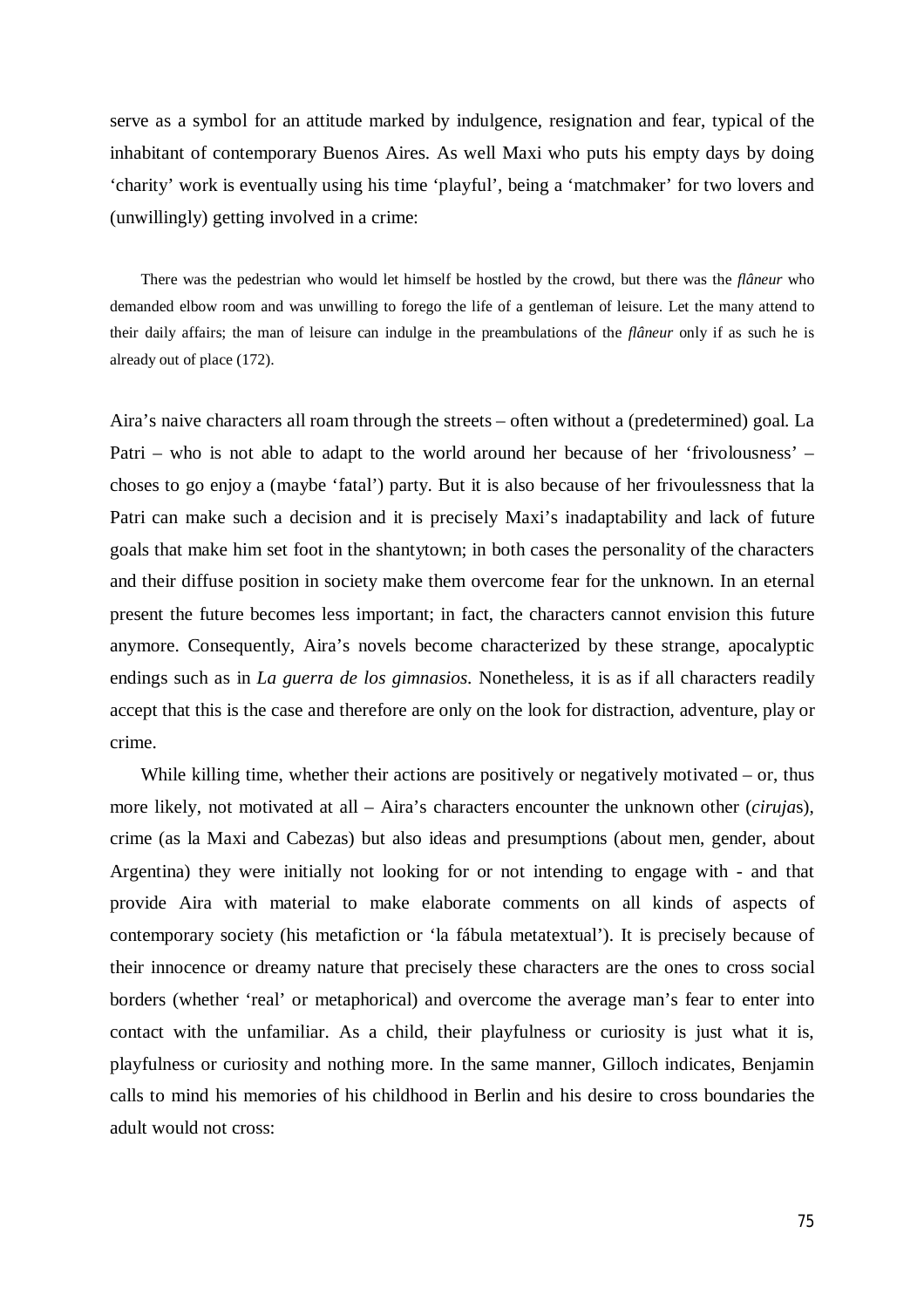serve as a symbol for an attitude marked by indulgence, resignation and fear, typical of the inhabitant of contemporary Buenos Aires. As well Maxi who puts his empty days by doing 'charity' work is eventually using his time 'playful', being a 'matchmaker' for two lovers and (unwillingly) getting involved in a crime:

There was the pedestrian who would let himself be hostled by the crowd, but there was the *flâneur* who demanded elbow room and was unwilling to forego the life of a gentleman of leisure. Let the many attend to their daily affairs; the man of leisure can indulge in the preambulations of the *flâneur* only if as such he is already out of place (172).

Aira's naive characters all roam through the streets – often without a (predetermined) goal. La Patri – who is not able to adapt to the world around her because of her 'frivolousness' – choses to go enjoy a (maybe 'fatal') party. But it is also because of her frivoulessness that la Patri can make such a decision and it is precisely Maxi's inadaptability and lack of future goals that make him set foot in the shantytown; in both cases the personality of the characters and their diffuse position in society make them overcome fear for the unknown. In an eternal present the future becomes less important; in fact, the characters cannot envision this future anymore. Consequently, Aira's novels become characterized by these strange, apocalyptic endings such as in *La guerra de los gimnasios*. Nonetheless, it is as if all characters readily accept that this is the case and therefore are only on the look for distraction, adventure, play or crime.

While killing time, whether their actions are positively or negatively motivated  $-$  or, thus more likely, not motivated at all – Aira's characters encounter the unknown other (*ciruja*s), crime (as la Maxi and Cabezas) but also ideas and presumptions (about men, gender, about Argentina) they were initially not looking for or not intending to engage with - and that provide Aira with material to make elaborate comments on all kinds of aspects of contemporary society (his metafiction or 'la fábula metatextual'). It is precisely because of their innocence or dreamy nature that precisely these characters are the ones to cross social borders (whether 'real' or metaphorical) and overcome the average man's fear to enter into contact with the unfamiliar. As a child, their playfulness or curiosity is just what it is, playfulness or curiosity and nothing more. In the same manner, Gilloch indicates, Benjamin calls to mind his memories of his childhood in Berlin and his desire to cross boundaries the adult would not cross: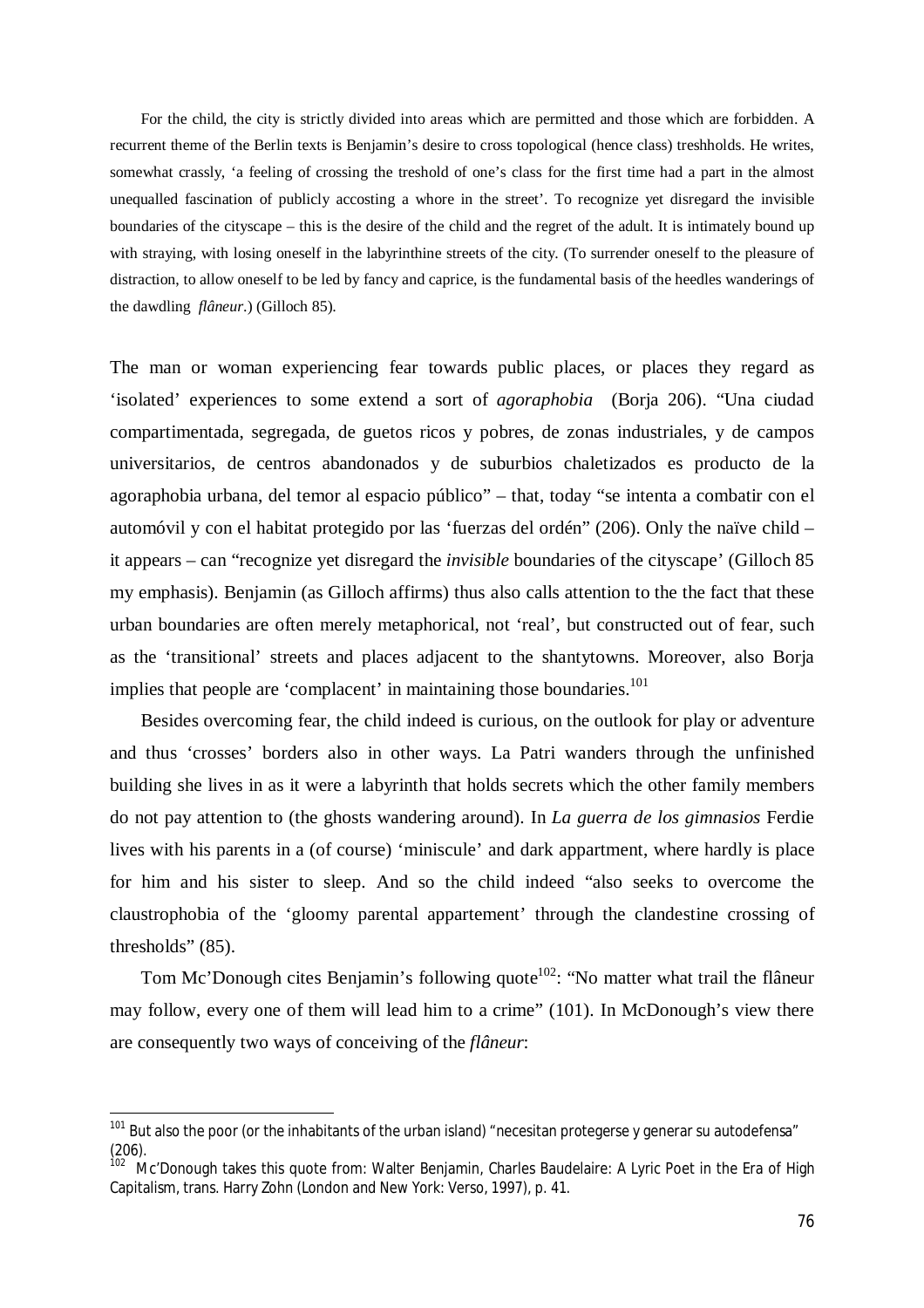For the child, the city is strictly divided into areas which are permitted and those which are forbidden. A recurrent theme of the Berlin texts is Benjamin's desire to cross topological (hence class) treshholds. He writes, somewhat crassly, 'a feeling of crossing the treshold of one's class for the first time had a part in the almost unequalled fascination of publicly accosting a whore in the street'. To recognize yet disregard the invisible boundaries of the cityscape – this is the desire of the child and the regret of the adult. It is intimately bound up with straying, with losing oneself in the labyrinthine streets of the city. (To surrender oneself to the pleasure of distraction, to allow oneself to be led by fancy and caprice, is the fundamental basis of the heedles wanderings of the dawdling *flâneur*.) (Gilloch 85).

The man or woman experiencing fear towards public places, or places they regard as 'isolated' experiences to some extend a sort of *agoraphobia* (Borja 206). "Una ciudad compartimentada, segregada, de guetos ricos y pobres, de zonas industriales, y de campos universitarios, de centros abandonados y de suburbios chaletizados es producto de la agoraphobia urbana, del temor al espacio público" – that, today "se intenta a combatir con el automóvil y con el habitat protegido por las 'fuerzas del ordén" (206). Only the naïve child – it appears – can "recognize yet disregard the *invisible* boundaries of the cityscape' (Gilloch 85 my emphasis). Benjamin (as Gilloch affirms) thus also calls attention to the the fact that these urban boundaries are often merely metaphorical, not 'real', but constructed out of fear, such as the 'transitional' streets and places adjacent to the shantytowns. Moreover, also Borja implies that people are 'complacent' in maintaining those boundaries.<sup>101</sup>

Besides overcoming fear, the child indeed is curious, on the outlook for play or adventure and thus 'crosses' borders also in other ways. La Patri wanders through the unfinished building she lives in as it were a labyrinth that holds secrets which the other family members do not pay attention to (the ghosts wandering around). In *La guerra de los gimnasios* Ferdie lives with his parents in a (of course) 'miniscule' and dark appartment, where hardly is place for him and his sister to sleep. And so the child indeed "also seeks to overcome the claustrophobia of the 'gloomy parental appartement' through the clandestine crossing of thresholds" (85).

Tom Mc'Donough cites Benjamin's following quote<sup>102</sup>: "No matter what trail the flâneur may follow, every one of them will lead him to a crime" (101). In McDonough's view there are consequently two ways of conceiving of the *flâneur*:

 $\overline{a}$ 

 $101$  But also the poor (or the inhabitants of the urban island) "necesitan protegerse y generar su autodefensa" (206).

<sup>102</sup> Mc'Donough takes this quote from: Walter Benjamin, Charles Baudelaire: A Lyric Poet in the Era of High Capitalism, trans. Harry Zohn (London and New York: Verso, 1997), p. 41.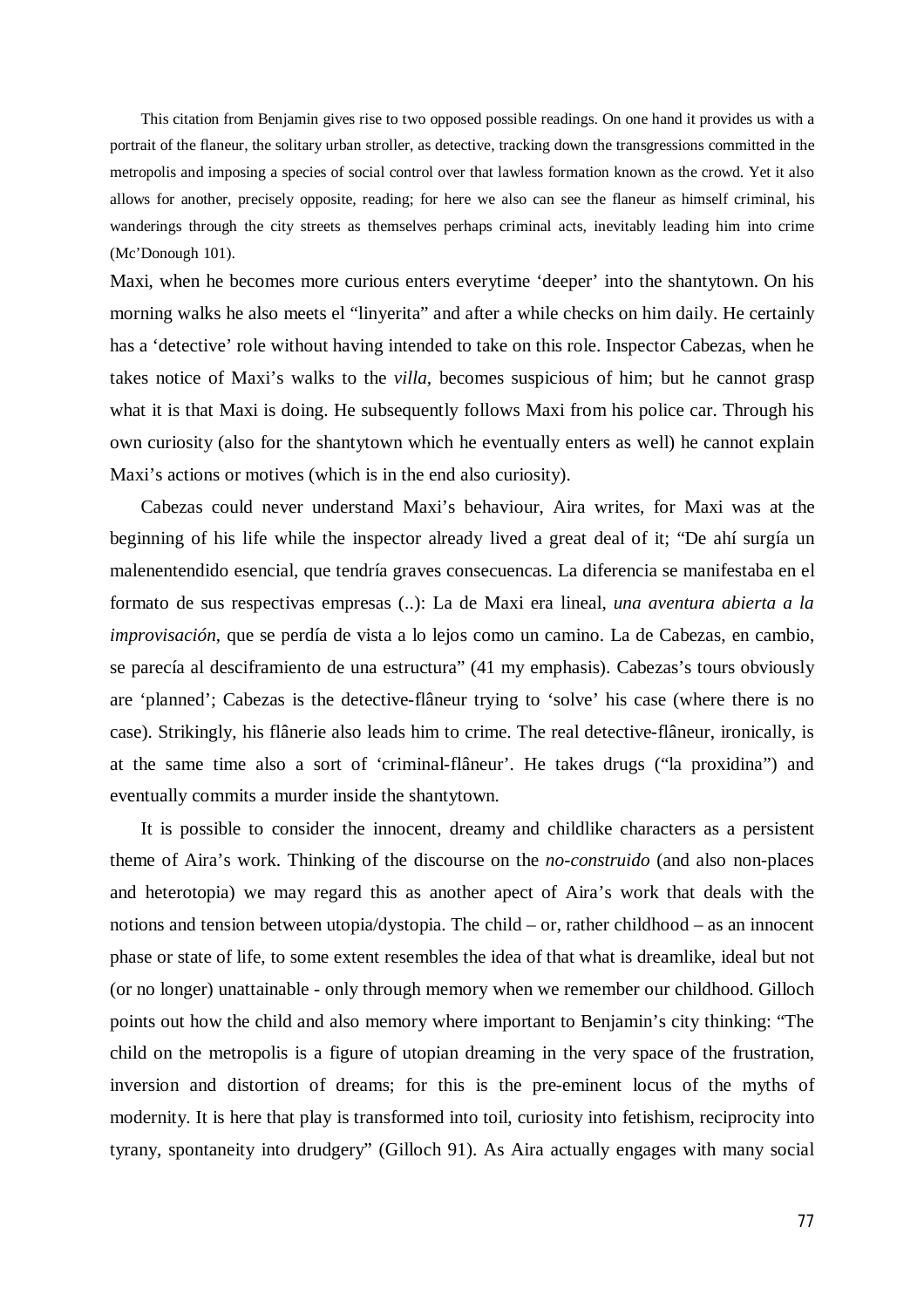This citation from Benjamin gives rise to two opposed possible readings. On one hand it provides us with a portrait of the flaneur, the solitary urban stroller, as detective, tracking down the transgressions committed in the metropolis and imposing a species of social control over that lawless formation known as the crowd. Yet it also allows for another, precisely opposite, reading; for here we also can see the flaneur as himself criminal, his wanderings through the city streets as themselves perhaps criminal acts, inevitably leading him into crime (Mc'Donough 101).

Maxi, when he becomes more curious enters everytime 'deeper' into the shantytown. On his morning walks he also meets el "linyerita" and after a while checks on him daily. He certainly has a 'detective' role without having intended to take on this role. Inspector Cabezas, when he takes notice of Maxi's walks to the *villa,* becomes suspicious of him; but he cannot grasp what it is that Maxi is doing. He subsequently follows Maxi from his police car. Through his own curiosity (also for the shantytown which he eventually enters as well) he cannot explain Maxi's actions or motives (which is in the end also curiosity).

Cabezas could never understand Maxi's behaviour, Aira writes, for Maxi was at the beginning of his life while the inspector already lived a great deal of it; "De ahí surgía un malenentendido esencial, que tendría graves consecuencas. La diferencia se manifestaba en el formato de sus respectivas empresas (..): La de Maxi era lineal, *una aventura abierta a la improvisación*, que se perdía de vista a lo lejos como un camino. La de Cabezas, en cambio, se parecía al desciframiento de una estructura" (41 my emphasis). Cabezas's tours obviously are 'planned'; Cabezas is the detective-flâneur trying to 'solve' his case (where there is no case). Strikingly, his flânerie also leads him to crime. The real detective-flâneur, ironically, is at the same time also a sort of 'criminal-flâneur'. He takes drugs ("la proxidina") and eventually commits a murder inside the shantytown.

It is possible to consider the innocent, dreamy and childlike characters as a persistent theme of Aira's work. Thinking of the discourse on the *no-construido* (and also non-places and heterotopia) we may regard this as another apect of Aira's work that deals with the notions and tension between utopia/dystopia. The child – or, rather childhood – as an innocent phase or state of life, to some extent resembles the idea of that what is dreamlike, ideal but not (or no longer) unattainable - only through memory when we remember our childhood. Gilloch points out how the child and also memory where important to Benjamin's city thinking: "The child on the metropolis is a figure of utopian dreaming in the very space of the frustration, inversion and distortion of dreams; for this is the pre-eminent locus of the myths of modernity. It is here that play is transformed into toil, curiosity into fetishism, reciprocity into tyrany, spontaneity into drudgery" (Gilloch 91). As Aira actually engages with many social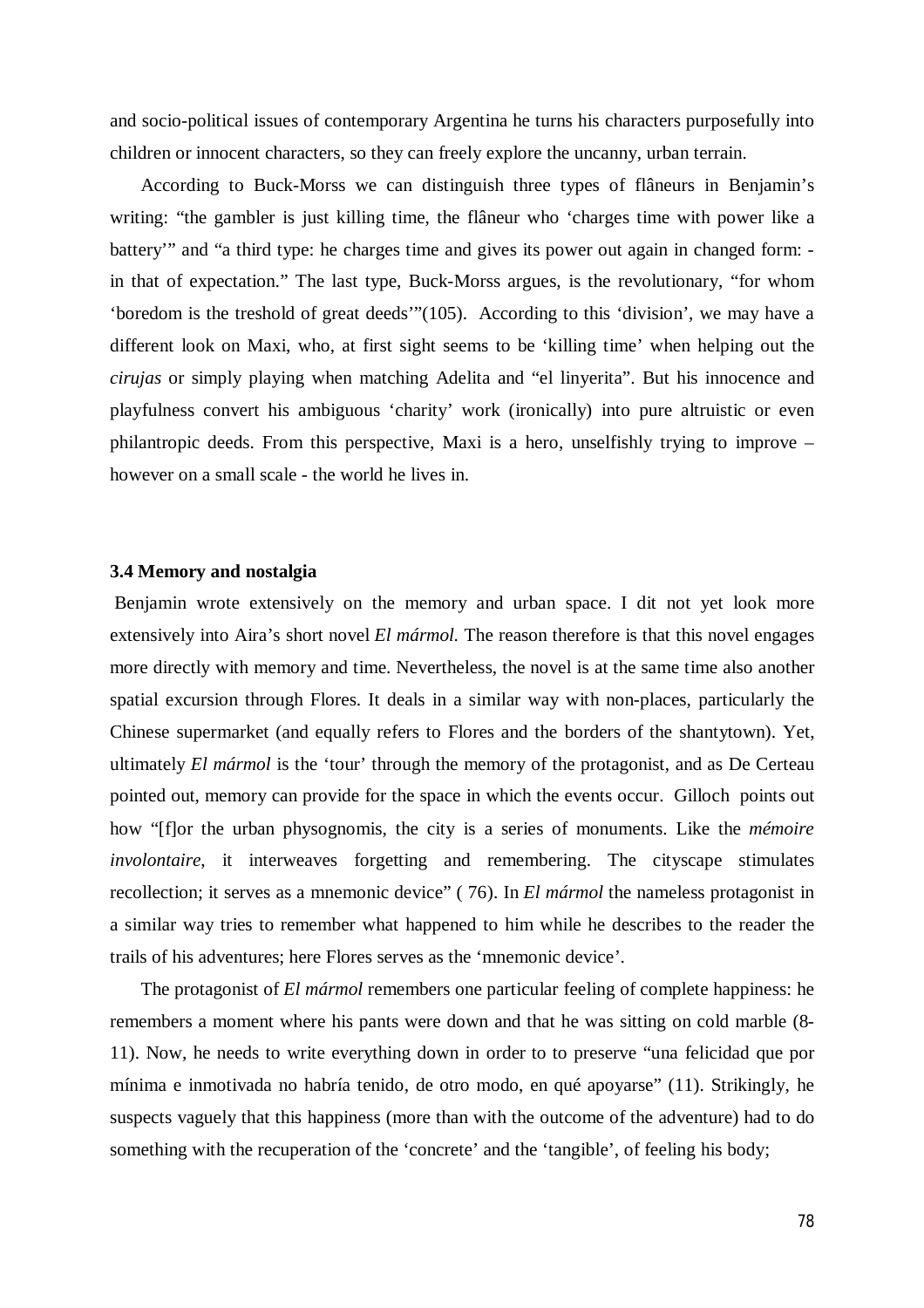and socio-political issues of contemporary Argentina he turns his characters purposefully into children or innocent characters, so they can freely explore the uncanny, urban terrain.

According to Buck-Morss we can distinguish three types of flâneurs in Benjamin's writing: "the gambler is just killing time, the flâneur who 'charges time with power like a battery" and "a third type: he charges time and gives its power out again in changed form: in that of expectation." The last type, Buck-Morss argues, is the revolutionary, "for whom 'boredom is the treshold of great deeds'"(105). According to this 'division', we may have a different look on Maxi, who, at first sight seems to be 'killing time' when helping out the *cirujas* or simply playing when matching Adelita and "el linyerita". But his innocence and playfulness convert his ambiguous 'charity' work (ironically) into pure altruistic or even philantropic deeds. From this perspective, Maxi is a hero, unselfishly trying to improve – however on a small scale - the world he lives in.

## **3.4 Memory and nostalgia**

Benjamin wrote extensively on the memory and urban space. I dit not yet look more extensively into Aira's short novel *El mármol.* The reason therefore is that this novel engages more directly with memory and time. Nevertheless, the novel is at the same time also another spatial excursion through Flores. It deals in a similar way with non-places, particularly the Chinese supermarket (and equally refers to Flores and the borders of the shantytown). Yet, ultimately *El mármol* is the 'tour' through the memory of the protagonist, and as De Certeau pointed out, memory can provide for the space in which the events occur. Gilloch points out how "[f]or the urban physognomis, the city is a series of monuments. Like the *mémoire involontaire*, it interweaves forgetting and remembering. The cityscape stimulates recollection; it serves as a mnemonic device" ( 76). In *El mármol* the nameless protagonist in a similar way tries to remember what happened to him while he describes to the reader the trails of his adventures; here Flores serves as the 'mnemonic device'.

The protagonist of *El mármol* remembers one particular feeling of complete happiness: he remembers a moment where his pants were down and that he was sitting on cold marble (8- 11). Now, he needs to write everything down in order to to preserve "una felicidad que por mínima e inmotivada no habría tenido, de otro modo, en qué apoyarse" (11). Strikingly, he suspects vaguely that this happiness (more than with the outcome of the adventure) had to do something with the recuperation of the 'concrete' and the 'tangible', of feeling his body;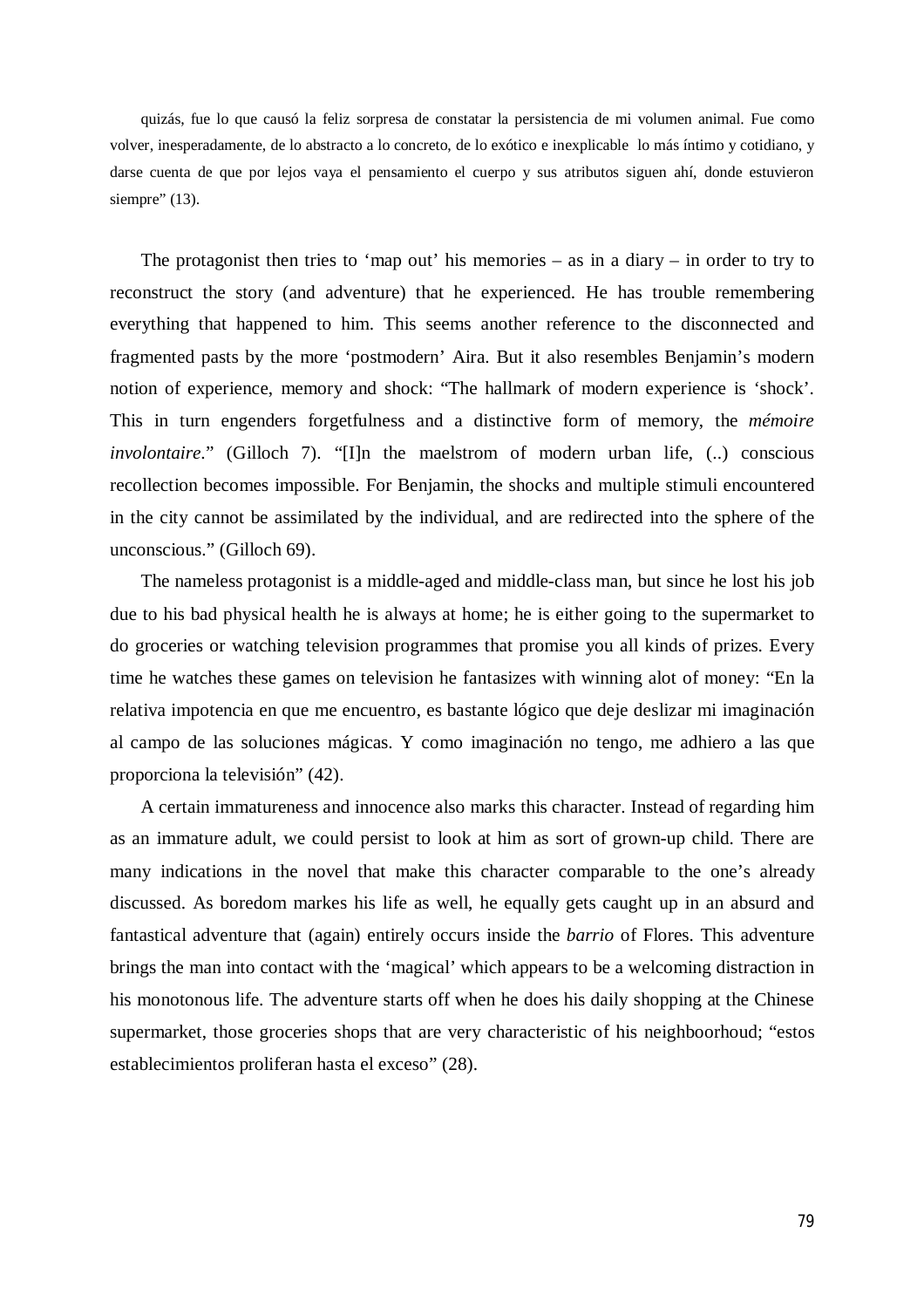quizás, fue lo que causó la feliz sorpresa de constatar la persistencia de mi volumen animal. Fue como volver, inesperadamente, de lo abstracto a lo concreto, de lo exótico e inexplicable lo más íntimo y cotidiano, y darse cuenta de que por lejos vaya el pensamiento el cuerpo y sus atributos siguen ahí, donde estuvieron siempre" (13).

The protagonist then tries to 'map out' his memories – as in a diary – in order to try to reconstruct the story (and adventure) that he experienced. He has trouble remembering everything that happened to him. This seems another reference to the disconnected and fragmented pasts by the more 'postmodern' Aira. But it also resembles Benjamin's modern notion of experience, memory and shock: "The hallmark of modern experience is 'shock'. This in turn engenders forgetfulness and a distinctive form of memory, the *mémoire involontaire*." (Gilloch 7). "[I]n the maelstrom of modern urban life, (..) conscious recollection becomes impossible. For Benjamin, the shocks and multiple stimuli encountered in the city cannot be assimilated by the individual, and are redirected into the sphere of the unconscious." (Gilloch 69).

The nameless protagonist is a middle-aged and middle-class man, but since he lost his job due to his bad physical health he is always at home; he is either going to the supermarket to do groceries or watching television programmes that promise you all kinds of prizes. Every time he watches these games on television he fantasizes with winning alot of money: "En la relativa impotencia en que me encuentro, es bastante lógico que deje deslizar mi imaginación al campo de las soluciones mágicas. Y como imaginación no tengo, me adhiero a las que proporciona la televisión" (42).

A certain immatureness and innocence also marks this character. Instead of regarding him as an immature adult, we could persist to look at him as sort of grown-up child. There are many indications in the novel that make this character comparable to the one's already discussed. As boredom markes his life as well, he equally gets caught up in an absurd and fantastical adventure that (again) entirely occurs inside the *barrio* of Flores. This adventure brings the man into contact with the 'magical' which appears to be a welcoming distraction in his monotonous life. The adventure starts off when he does his daily shopping at the Chinese supermarket, those groceries shops that are very characteristic of his neighboorhoud; "estos establecimientos proliferan hasta el exceso" (28).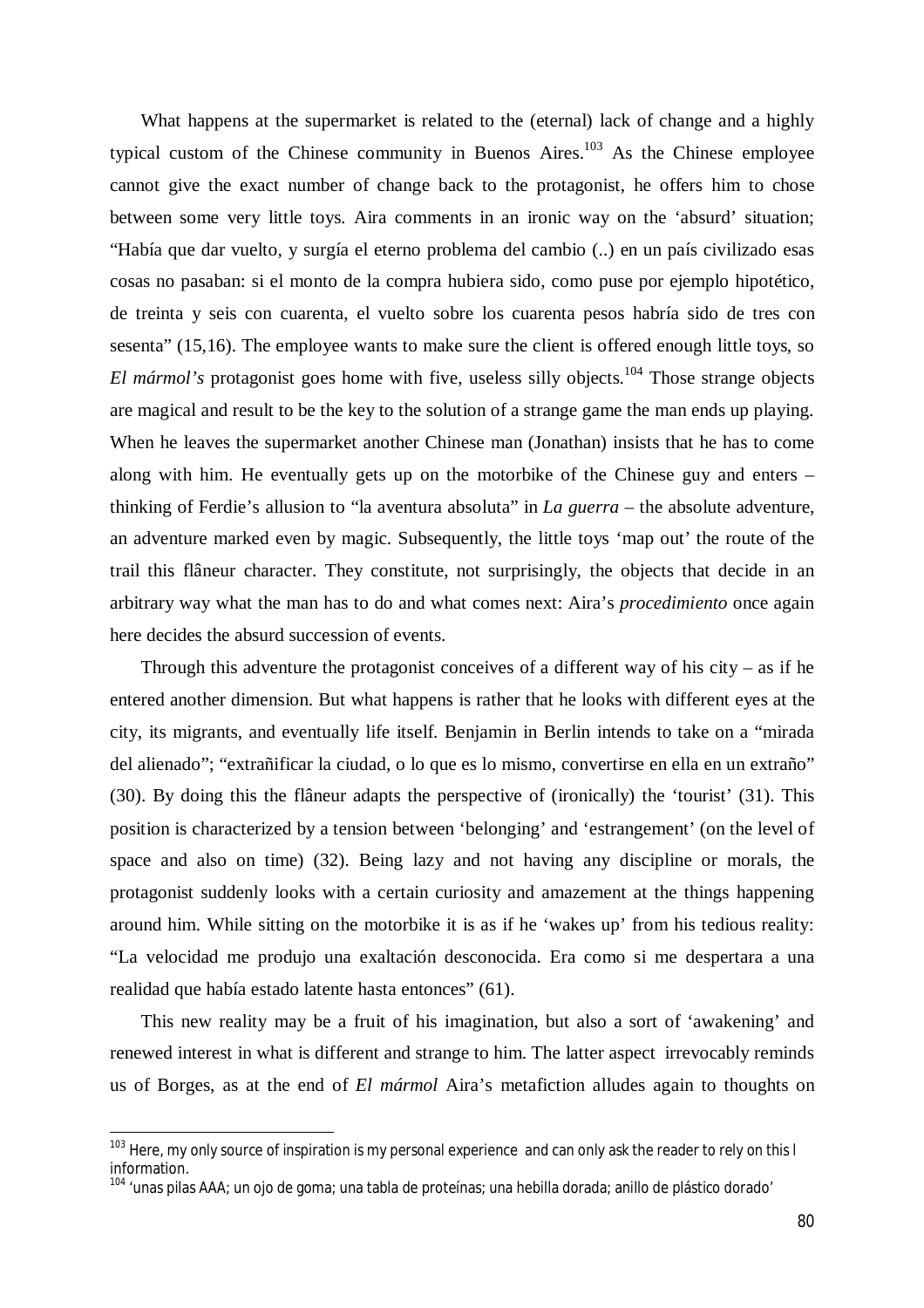What happens at the supermarket is related to the (eternal) lack of change and a highly typical custom of the Chinese community in Buenos Aires.<sup>103</sup> As the Chinese employee cannot give the exact number of change back to the protagonist, he offers him to chose between some very little toys. Aira comments in an ironic way on the 'absurd' situation; "Había que dar vuelto, y surgía el eterno problema del cambio (..) en un país civilizado esas cosas no pasaban: si el monto de la compra hubiera sido, como puse por ejemplo hipotético, de treinta y seis con cuarenta, el vuelto sobre los cuarenta pesos habría sido de tres con sesenta" (15,16). The employee wants to make sure the client is offered enough little toys, so El mármol's protagonist goes home with five, useless silly objects.<sup>104</sup> Those strange objects are magical and result to be the key to the solution of a strange game the man ends up playing. When he leaves the supermarket another Chinese man (Jonathan) insists that he has to come along with him. He eventually gets up on the motorbike of the Chinese guy and enters – thinking of Ferdie's allusion to "la aventura absoluta" in *La guerra* – the absolute adventure, an adventure marked even by magic. Subsequently, the little toys 'map out' the route of the trail this flâneur character. They constitute, not surprisingly, the objects that decide in an arbitrary way what the man has to do and what comes next: Aira's *procedimiento* once again here decides the absurd succession of events.

Through this adventure the protagonist conceives of a different way of his city – as if he entered another dimension. But what happens is rather that he looks with different eyes at the city, its migrants, and eventually life itself. Benjamin in Berlin intends to take on a "mirada del alienado"; "extrañificar la ciudad, o lo que es lo mismo, convertirse en ella en un extraño" (30). By doing this the flâneur adapts the perspective of (ironically) the 'tourist' (31). This position is characterized by a tension between 'belonging' and 'estrangement' (on the level of space and also on time) (32). Being lazy and not having any discipline or morals, the protagonist suddenly looks with a certain curiosity and amazement at the things happening around him. While sitting on the motorbike it is as if he 'wakes up' from his tedious reality: "La velocidad me produjo una exaltación desconocida. Era como si me despertara a una realidad que había estado latente hasta entonces" (61).

This new reality may be a fruit of his imagination, but also a sort of 'awakening' and renewed interest in what is different and strange to him. The latter aspect irrevocably reminds us of Borges, as at the end of *El mármol* Aira's metafiction alludes again to thoughts on

 $\overline{a}$ 

<sup>&</sup>lt;sup>103</sup> Here, my only source of inspiration is my personal experience and can only ask the reader to rely on this l information.

<sup>&</sup>lt;sup>104</sup> 'unas pilas AAA; un ojo de goma; una tabla de proteínas; una hebilla dorada; anillo de plástico dorado'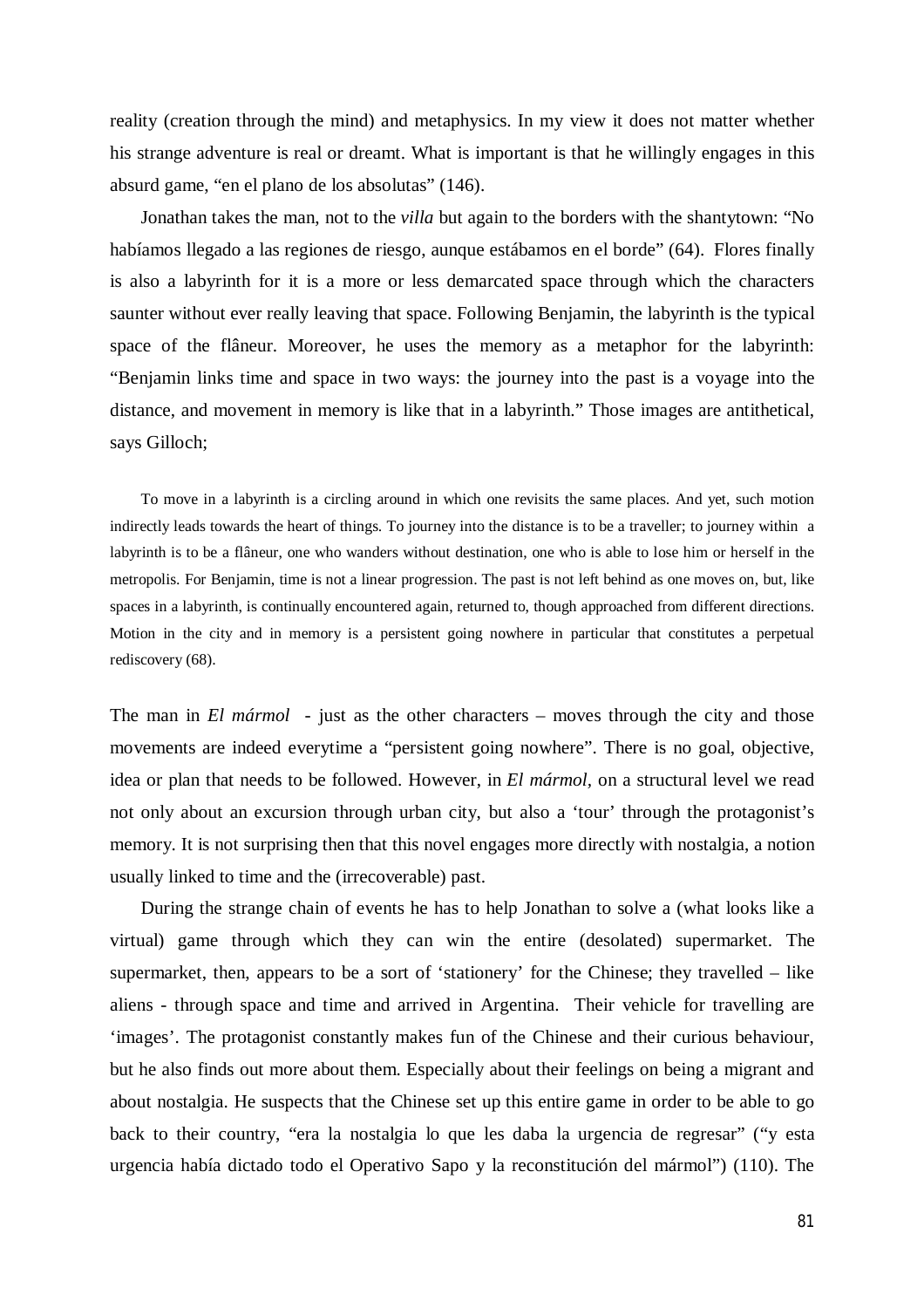reality (creation through the mind) and metaphysics. In my view it does not matter whether his strange adventure is real or dreamt. What is important is that he willingly engages in this absurd game, "en el plano de los absolutas" (146).

Jonathan takes the man, not to the *villa* but again to the borders with the shantytown: "No habíamos llegado a las regiones de riesgo, aunque estábamos en el borde" (64). Flores finally is also a labyrinth for it is a more or less demarcated space through which the characters saunter without ever really leaving that space. Following Benjamin, the labyrinth is the typical space of the flâneur. Moreover, he uses the memory as a metaphor for the labyrinth: "Benjamin links time and space in two ways: the journey into the past is a voyage into the distance, and movement in memory is like that in a labyrinth." Those images are antithetical, says Gilloch;

To move in a labyrinth is a circling around in which one revisits the same places. And yet, such motion indirectly leads towards the heart of things. To journey into the distance is to be a traveller; to journey within a labyrinth is to be a flâneur, one who wanders without destination, one who is able to lose him or herself in the metropolis. For Benjamin, time is not a linear progression. The past is not left behind as one moves on, but, like spaces in a labyrinth, is continually encountered again, returned to, though approached from different directions. Motion in the city and in memory is a persistent going nowhere in particular that constitutes a perpetual rediscovery (68).

The man in *El mármol* - just as the other characters – moves through the city and those movements are indeed everytime a "persistent going nowhere". There is no goal, objective, idea or plan that needs to be followed. However, in *El mármol,* on a structural level we read not only about an excursion through urban city, but also a 'tour' through the protagonist's memory. It is not surprising then that this novel engages more directly with nostalgia, a notion usually linked to time and the (irrecoverable) past.

During the strange chain of events he has to help Jonathan to solve a (what looks like a virtual) game through which they can win the entire (desolated) supermarket. The supermarket, then, appears to be a sort of 'stationery' for the Chinese; they travelled – like aliens - through space and time and arrived in Argentina. Their vehicle for travelling are 'images'. The protagonist constantly makes fun of the Chinese and their curious behaviour, but he also finds out more about them. Especially about their feelings on being a migrant and about nostalgia. He suspects that the Chinese set up this entire game in order to be able to go back to their country, "era la nostalgia lo que les daba la urgencia de regresar" ("y esta urgencia había dictado todo el Operativo Sapo y la reconstitución del mármol") (110). The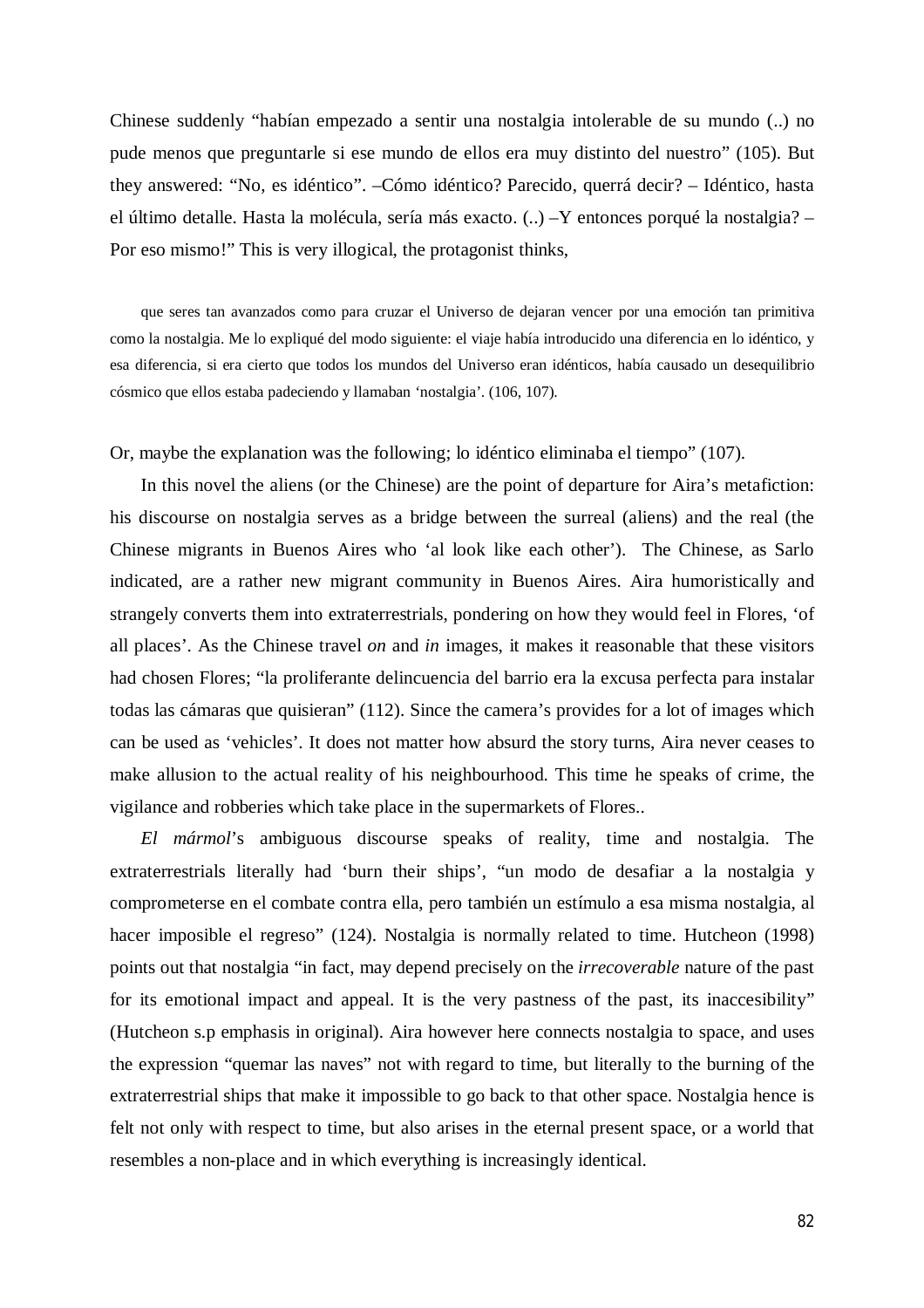Chinese suddenly "habían empezado a sentir una nostalgia intolerable de su mundo (..) no pude menos que preguntarle si ese mundo de ellos era muy distinto del nuestro" (105). But they answered: "No, es idéntico". –Cómo idéntico? Parecido, querrá decir? – Idéntico, hasta el último detalle. Hasta la molécula, sería más exacto. (..) –Y entonces porqué la nostalgia? – Por eso mismo!" This is very illogical, the protagonist thinks,

que seres tan avanzados como para cruzar el Universo de dejaran vencer por una emoción tan primitiva como la nostalgia. Me lo expliqué del modo siguiente: el viaje había introducido una diferencia en lo idéntico, y esa diferencia, si era cierto que todos los mundos del Universo eran idénticos, había causado un desequilibrio cósmico que ellos estaba padeciendo y llamaban 'nostalgia'. (106, 107).

Or, maybe the explanation was the following; lo idéntico eliminaba el tiempo" (107).

In this novel the aliens (or the Chinese) are the point of departure for Aira's metafiction: his discourse on nostalgia serves as a bridge between the surreal (aliens) and the real (the Chinese migrants in Buenos Aires who 'al look like each other'). The Chinese, as Sarlo indicated, are a rather new migrant community in Buenos Aires. Aira humoristically and strangely converts them into extraterrestrials, pondering on how they would feel in Flores, 'of all places'. As the Chinese travel *on* and *in* images, it makes it reasonable that these visitors had chosen Flores; "la proliferante delincuencia del barrio era la excusa perfecta para instalar todas las cámaras que quisieran" (112). Since the camera's provides for a lot of images which can be used as 'vehicles'. It does not matter how absurd the story turns, Aira never ceases to make allusion to the actual reality of his neighbourhood. This time he speaks of crime, the vigilance and robberies which take place in the supermarkets of Flores..

*El mármol*'s ambiguous discourse speaks of reality, time and nostalgia. The extraterrestrials literally had 'burn their ships', "un modo de desafiar a la nostalgia y comprometerse en el combate contra ella, pero también un estímulo a esa misma nostalgia, al hacer imposible el regreso" (124). Nostalgia is normally related to time. Hutcheon (1998) points out that nostalgia "in fact, may depend precisely on the *irrecoverable* nature of the past for its emotional impact and appeal. It is the very pastness of the past, its inaccesibility" (Hutcheon s.p emphasis in original). Aira however here connects nostalgia to space, and uses the expression "quemar las naves" not with regard to time, but literally to the burning of the extraterrestrial ships that make it impossible to go back to that other space. Nostalgia hence is felt not only with respect to time, but also arises in the eternal present space, or a world that resembles a non-place and in which everything is increasingly identical.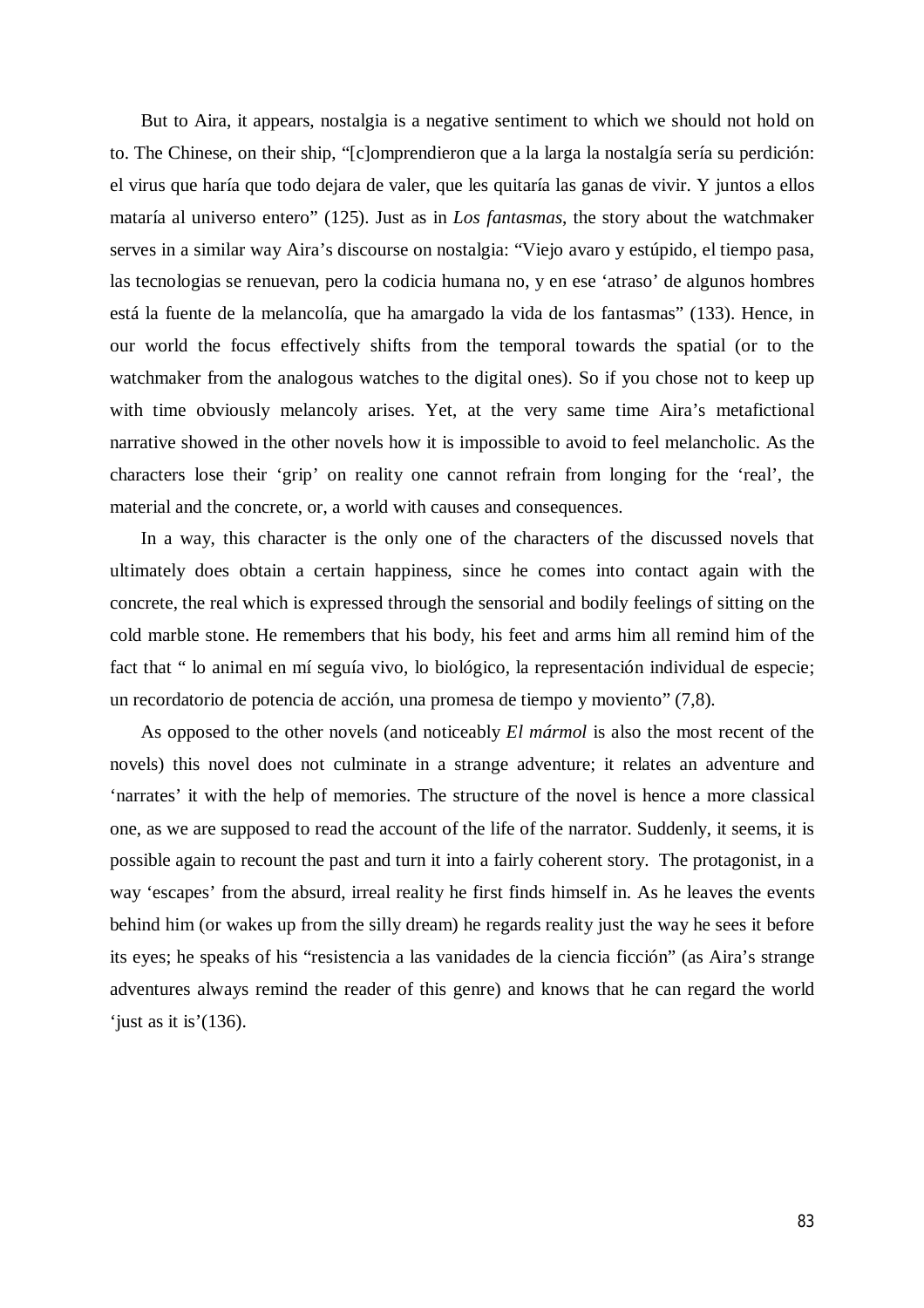But to Aira, it appears, nostalgia is a negative sentiment to which we should not hold on to. The Chinese, on their ship, "[c]omprendieron que a la larga la nostalgía sería su perdición: el virus que haría que todo dejara de valer, que les quitaría las ganas de vivir. Y juntos a ellos mataría al universo entero" (125). Just as in *Los fantasmas*, the story about the watchmaker serves in a similar way Aira's discourse on nostalgia: "Viejo avaro y estúpido, el tiempo pasa, las tecnologias se renuevan, pero la codicia humana no, y en ese 'atraso' de algunos hombres está la fuente de la melancolía, que ha amargado la vida de los fantasmas" (133). Hence, in our world the focus effectively shifts from the temporal towards the spatial (or to the watchmaker from the analogous watches to the digital ones). So if you chose not to keep up with time obviously melancoly arises. Yet, at the very same time Aira's metafictional narrative showed in the other novels how it is impossible to avoid to feel melancholic. As the characters lose their 'grip' on reality one cannot refrain from longing for the 'real', the material and the concrete, or, a world with causes and consequences.

In a way, this character is the only one of the characters of the discussed novels that ultimately does obtain a certain happiness, since he comes into contact again with the concrete, the real which is expressed through the sensorial and bodily feelings of sitting on the cold marble stone. He remembers that his body, his feet and arms him all remind him of the fact that " lo animal en mí seguía vivo, lo biológico, la representación individual de especie; un recordatorio de potencia de acción, una promesa de tiempo y moviento" (7,8).

As opposed to the other novels (and noticeably *El mármol* is also the most recent of the novels) this novel does not culminate in a strange adventure; it relates an adventure and 'narrates' it with the help of memories. The structure of the novel is hence a more classical one, as we are supposed to read the account of the life of the narrator. Suddenly, it seems, it is possible again to recount the past and turn it into a fairly coherent story. The protagonist, in a way 'escapes' from the absurd, irreal reality he first finds himself in. As he leaves the events behind him (or wakes up from the silly dream) he regards reality just the way he sees it before its eyes; he speaks of his "resistencia a las vanidades de la ciencia ficción" (as Aira's strange adventures always remind the reader of this genre) and knows that he can regard the world 'just as it is'(136).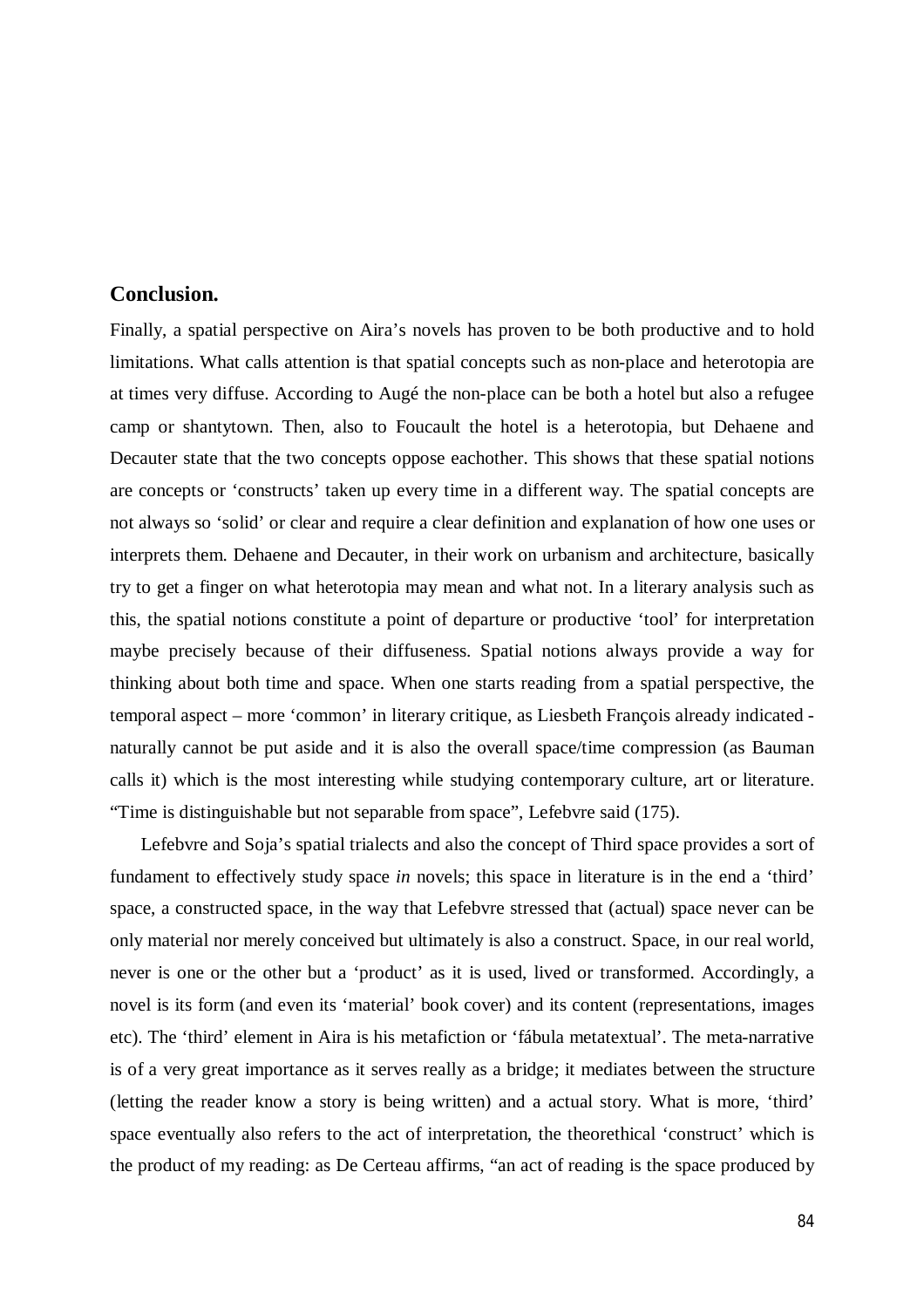## **Conclusion.**

Finally, a spatial perspective on Aira's novels has proven to be both productive and to hold limitations. What calls attention is that spatial concepts such as non-place and heterotopia are at times very diffuse. According to Augé the non-place can be both a hotel but also a refugee camp or shantytown. Then, also to Foucault the hotel is a heterotopia, but Dehaene and Decauter state that the two concepts oppose eachother. This shows that these spatial notions are concepts or 'constructs' taken up every time in a different way. The spatial concepts are not always so 'solid' or clear and require a clear definition and explanation of how one uses or interprets them. Dehaene and Decauter, in their work on urbanism and architecture, basically try to get a finger on what heterotopia may mean and what not. In a literary analysis such as this, the spatial notions constitute a point of departure or productive 'tool' for interpretation maybe precisely because of their diffuseness. Spatial notions always provide a way for thinking about both time and space. When one starts reading from a spatial perspective, the temporal aspect – more 'common' in literary critique, as Liesbeth François already indicated naturally cannot be put aside and it is also the overall space/time compression (as Bauman calls it) which is the most interesting while studying contemporary culture, art or literature. "Time is distinguishable but not separable from space", Lefebvre said (175).

Lefebvre and Soja's spatial trialects and also the concept of Third space provides a sort of fundament to effectively study space *in* novels; this space in literature is in the end a 'third' space, a constructed space, in the way that Lefebvre stressed that (actual) space never can be only material nor merely conceived but ultimately is also a construct. Space, in our real world, never is one or the other but a 'product' as it is used, lived or transformed. Accordingly, a novel is its form (and even its 'material' book cover) and its content (representations, images etc). The 'third' element in Aira is his metafiction or 'fábula metatextual'. The meta-narrative is of a very great importance as it serves really as a bridge; it mediates between the structure (letting the reader know a story is being written) and a actual story. What is more, 'third' space eventually also refers to the act of interpretation, the theorethical 'construct' which is the product of my reading: as De Certeau affirms, "an act of reading is the space produced by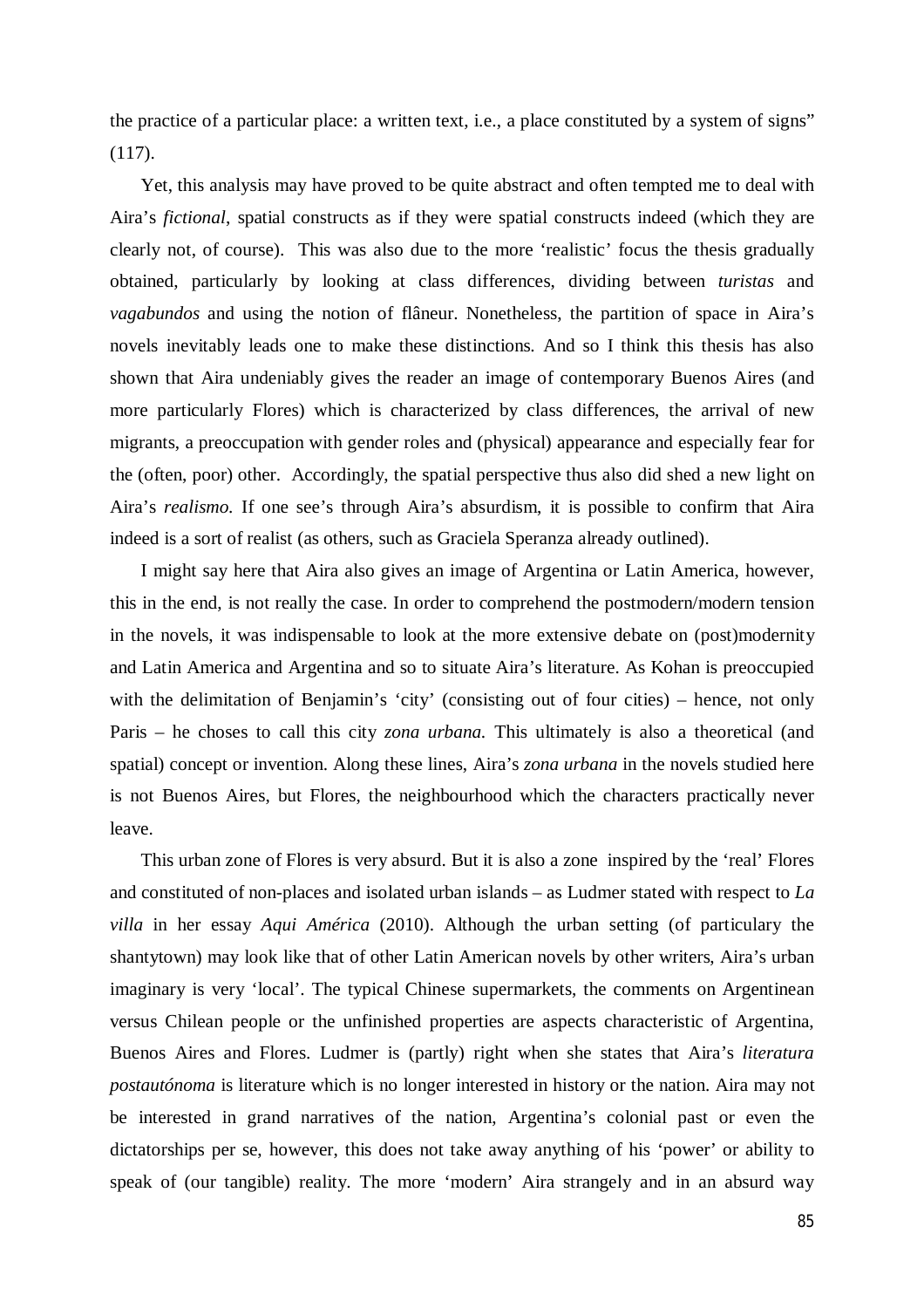the practice of a particular place: a written text, i.e., a place constituted by a system of signs" (117).

Yet, this analysis may have proved to be quite abstract and often tempted me to deal with Aira's *fictional*, spatial constructs as if they were spatial constructs indeed (which they are clearly not, of course). This was also due to the more 'realistic' focus the thesis gradually obtained, particularly by looking at class differences, dividing between *turistas* and *vagabundos* and using the notion of flâneur. Nonetheless, the partition of space in Aira's novels inevitably leads one to make these distinctions. And so I think this thesis has also shown that Aira undeniably gives the reader an image of contemporary Buenos Aires (and more particularly Flores) which is characterized by class differences, the arrival of new migrants, a preoccupation with gender roles and (physical) appearance and especially fear for the (often, poor) other. Accordingly, the spatial perspective thus also did shed a new light on Aira's *realismo.* If one see's through Aira's absurdism, it is possible to confirm that Aira indeed is a sort of realist (as others, such as Graciela Speranza already outlined).

I might say here that Aira also gives an image of Argentina or Latin America, however, this in the end, is not really the case. In order to comprehend the postmodern/modern tension in the novels, it was indispensable to look at the more extensive debate on (post)modernity and Latin America and Argentina and so to situate Aira's literature. As Kohan is preoccupied with the delimitation of Benjamin's 'city' (consisting out of four cities) – hence, not only Paris – he choses to call this city *zona urbana.* This ultimately is also a theoretical (and spatial) concept or invention. Along these lines, Aira's *zona urbana* in the novels studied here is not Buenos Aires, but Flores, the neighbourhood which the characters practically never leave.

This urban zone of Flores is very absurd. But it is also a zone inspired by the 'real' Flores and constituted of non-places and isolated urban islands – as Ludmer stated with respect to *La villa* in her essay *Aqui América* (2010). Although the urban setting (of particulary the shantytown) may look like that of other Latin American novels by other writers, Aira's urban imaginary is very 'local'. The typical Chinese supermarkets, the comments on Argentinean versus Chilean people or the unfinished properties are aspects characteristic of Argentina, Buenos Aires and Flores. Ludmer is (partly) right when she states that Aira's *literatura postautónoma* is literature which is no longer interested in history or the nation. Aira may not be interested in grand narratives of the nation, Argentina's colonial past or even the dictatorships per se, however, this does not take away anything of his 'power' or ability to speak of (our tangible) reality. The more 'modern' Aira strangely and in an absurd way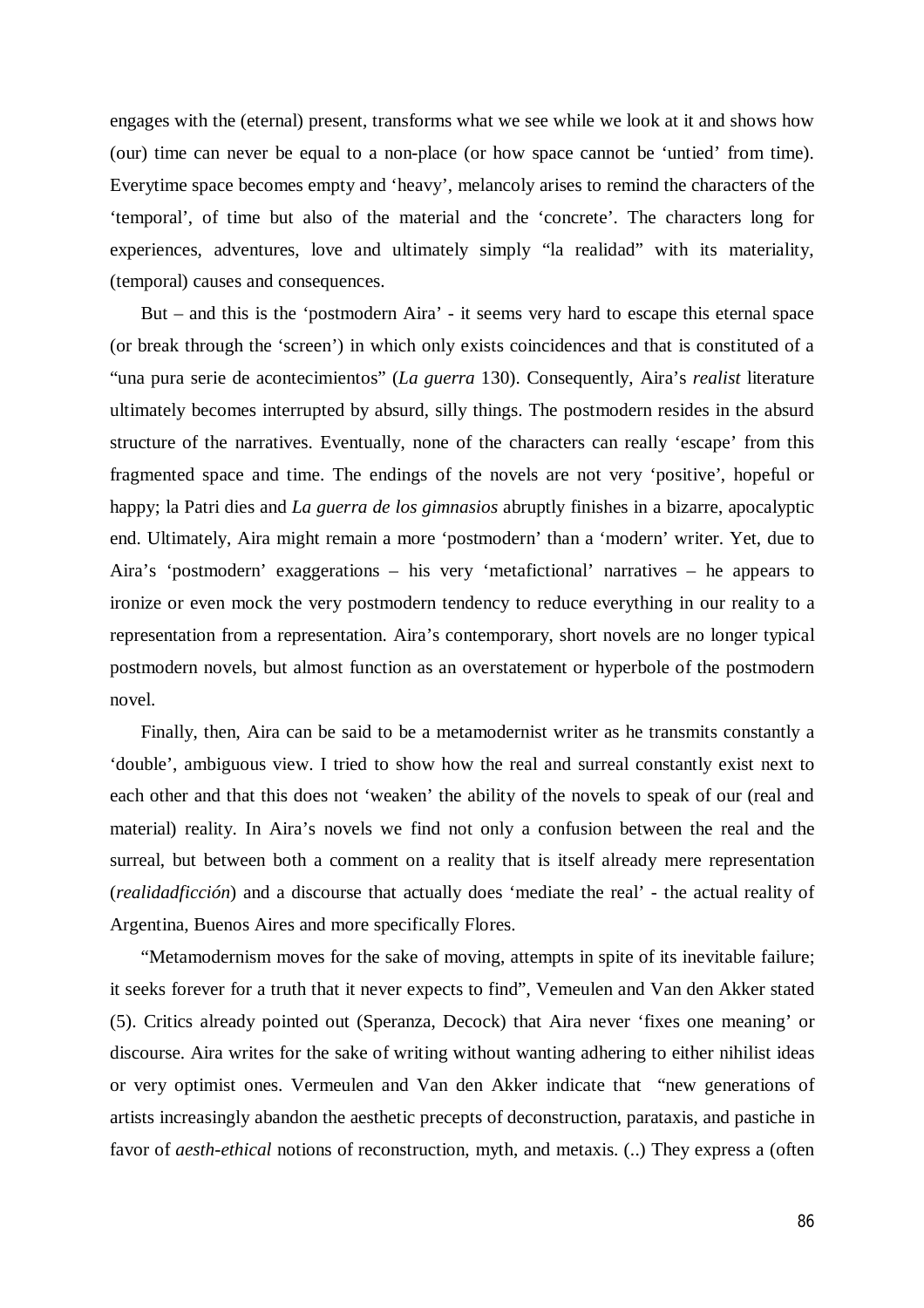engages with the (eternal) present, transforms what we see while we look at it and shows how (our) time can never be equal to a non-place (or how space cannot be 'untied' from time). Everytime space becomes empty and 'heavy', melancoly arises to remind the characters of the 'temporal', of time but also of the material and the 'concrete'. The characters long for experiences, adventures, love and ultimately simply "la realidad" with its materiality, (temporal) causes and consequences.

But – and this is the 'postmodern Aira' - it seems very hard to escape this eternal space (or break through the 'screen') in which only exists coincidences and that is constituted of a "una pura serie de acontecimientos" (*La guerra* 130). Consequently, Aira's *realist* literature ultimately becomes interrupted by absurd, silly things. The postmodern resides in the absurd structure of the narratives. Eventually, none of the characters can really 'escape' from this fragmented space and time. The endings of the novels are not very 'positive', hopeful or happy; la Patri dies and *La guerra de los gimnasios* abruptly finishes in a bizarre, apocalyptic end. Ultimately, Aira might remain a more 'postmodern' than a 'modern' writer. Yet, due to Aira's 'postmodern' exaggerations – his very 'metafictional' narratives – he appears to ironize or even mock the very postmodern tendency to reduce everything in our reality to a representation from a representation. Aira's contemporary, short novels are no longer typical postmodern novels, but almost function as an overstatement or hyperbole of the postmodern novel.

Finally, then, Aira can be said to be a metamodernist writer as he transmits constantly a 'double', ambiguous view. I tried to show how the real and surreal constantly exist next to each other and that this does not 'weaken' the ability of the novels to speak of our (real and material) reality. In Aira's novels we find not only a confusion between the real and the surreal, but between both a comment on a reality that is itself already mere representation (*realidadficción*) and a discourse that actually does 'mediate the real' - the actual reality of Argentina, Buenos Aires and more specifically Flores.

"Metamodernism moves for the sake of moving, attempts in spite of its inevitable failure; it seeks forever for a truth that it never expects to find", Vemeulen and Van den Akker stated (5). Critics already pointed out (Speranza, Decock) that Aira never 'fixes one meaning' or discourse. Aira writes for the sake of writing without wanting adhering to either nihilist ideas or very optimist ones. Vermeulen and Van den Akker indicate that "new generations of artists increasingly abandon the aesthetic precepts of deconstruction, parataxis, and pastiche in favor of *aesth-ethical* notions of reconstruction, myth, and metaxis. (..) They express a (often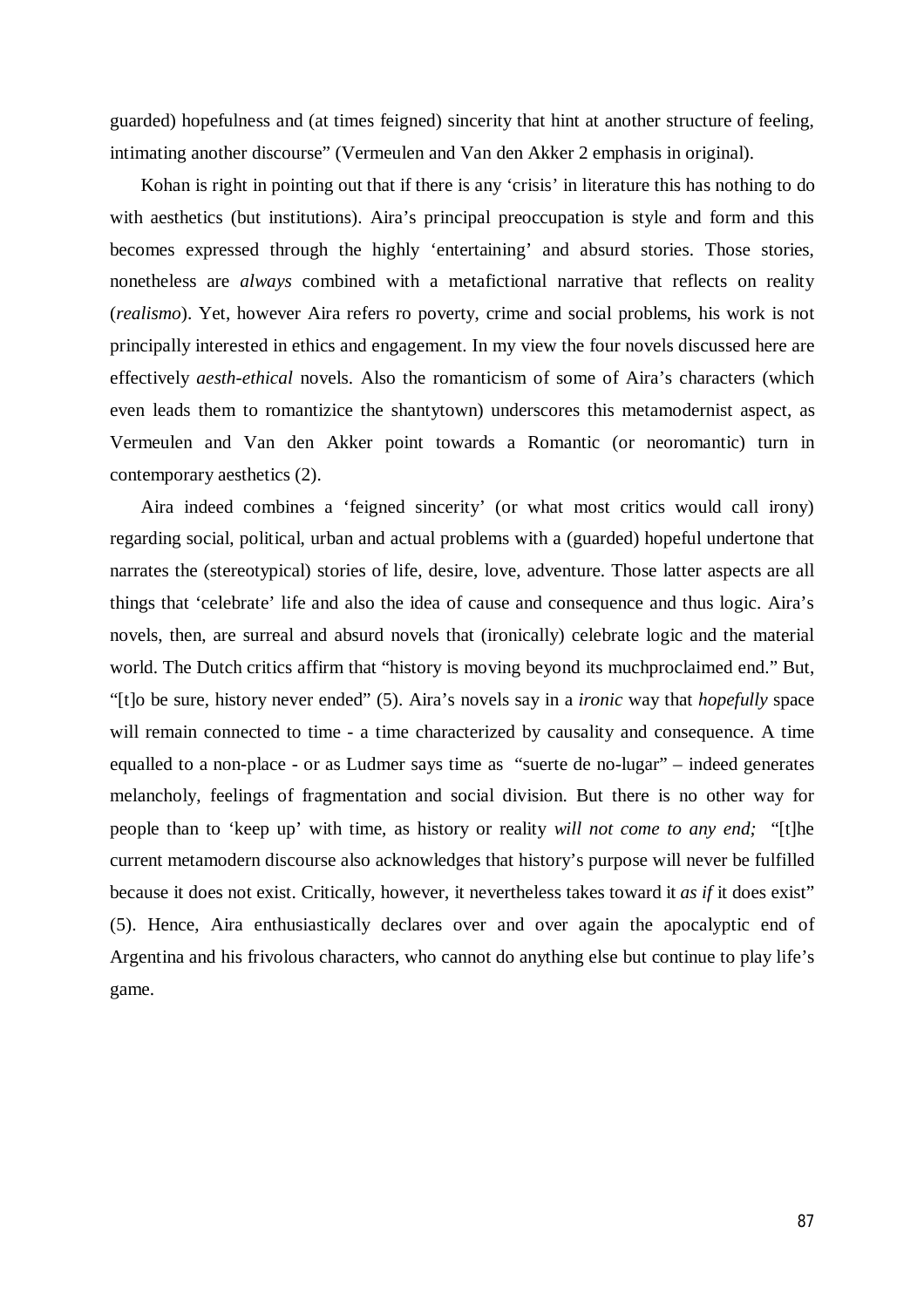guarded) hopefulness and (at times feigned) sincerity that hint at another structure of feeling, intimating another discourse" (Vermeulen and Van den Akker 2 emphasis in original).

Kohan is right in pointing out that if there is any 'crisis' in literature this has nothing to do with aesthetics (but institutions). Aira's principal preoccupation is style and form and this becomes expressed through the highly 'entertaining' and absurd stories. Those stories, nonetheless are *always* combined with a metafictional narrative that reflects on reality (*realismo*). Yet, however Aira refers ro poverty, crime and social problems, his work is not principally interested in ethics and engagement. In my view the four novels discussed here are effectively *aesth-ethical* novels. Also the romanticism of some of Aira's characters (which even leads them to romantizice the shantytown) underscores this metamodernist aspect, as Vermeulen and Van den Akker point towards a Romantic (or neoromantic) turn in contemporary aesthetics (2).

Aira indeed combines a 'feigned sincerity' (or what most critics would call irony) regarding social, political, urban and actual problems with a (guarded) hopeful undertone that narrates the (stereotypical) stories of life, desire, love, adventure. Those latter aspects are all things that 'celebrate' life and also the idea of cause and consequence and thus logic. Aira's novels, then, are surreal and absurd novels that (ironically) celebrate logic and the material world. The Dutch critics affirm that "history is moving beyond its muchproclaimed end." But, "[t]o be sure, history never ended" (5). Aira's novels say in a *ironic* way that *hopefully* space will remain connected to time - a time characterized by causality and consequence. A time equalled to a non-place - or as Ludmer says time as "suerte de no-lugar" – indeed generates melancholy, feelings of fragmentation and social division. But there is no other way for people than to 'keep up' with time, as history or reality *will not come to any end;* "[t]he current metamodern discourse also acknowledges that history's purpose will never be fulfilled because it does not exist. Critically, however, it nevertheless takes toward it *as if* it does exist" (5). Hence, Aira enthusiastically declares over and over again the apocalyptic end of Argentina and his frivolous characters, who cannot do anything else but continue to play life's game.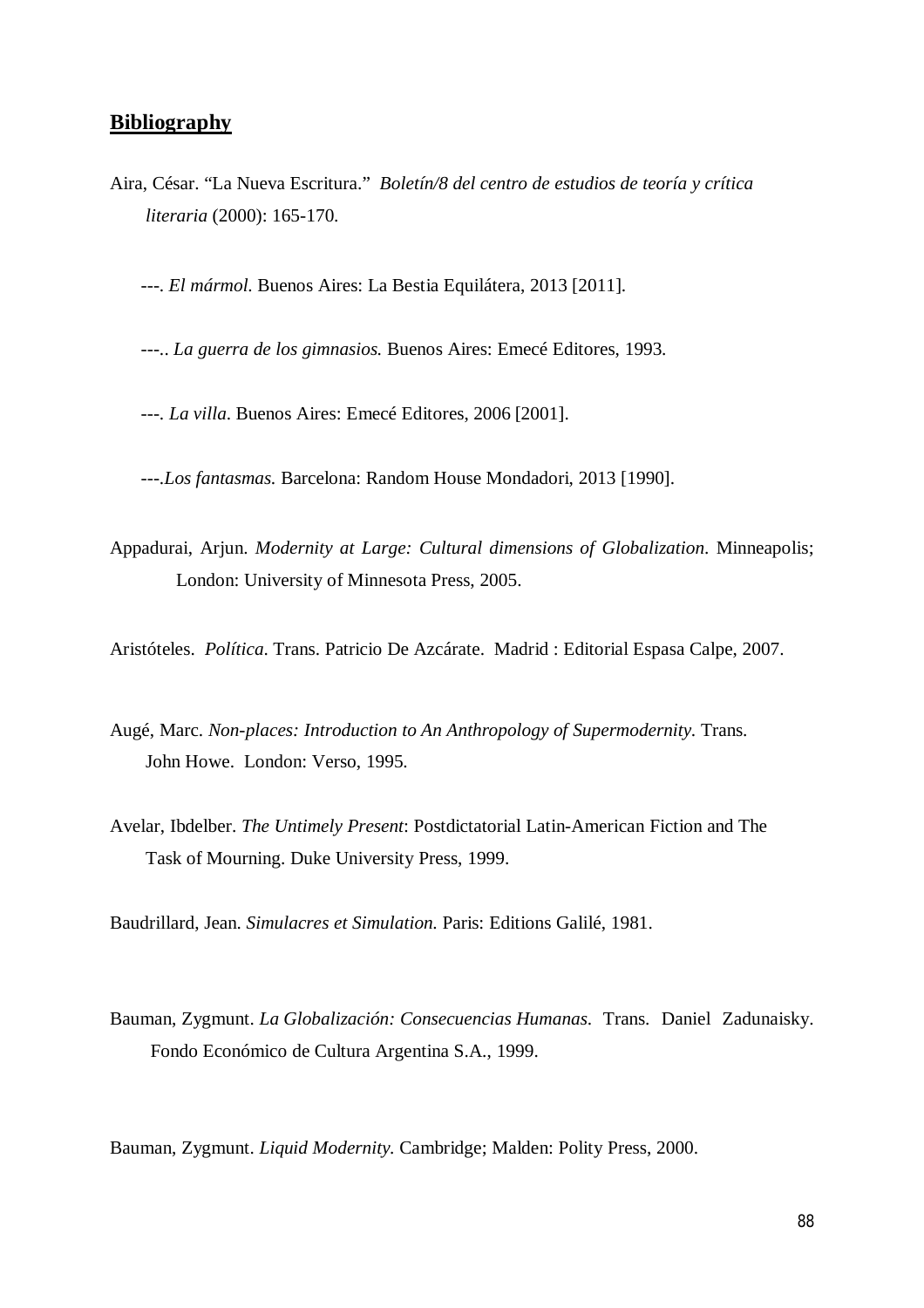## **Bibliography**

Aira, César. "La Nueva Escritura." *Boletín/8 del centro de estudios de teoría y crítica literaria* (2000): 165-170.

---. *El mármol.* Buenos Aires: La Bestia Equilátera, 2013 [2011].

---.. *La guerra de los gimnasios.* Buenos Aires: Emecé Editores, 1993.

---. *La villa*. Buenos Aires: Emecé Editores, 2006 [2001].

---.*Los fantasmas.* Barcelona: Random House Mondadori, 2013 [1990].

Appadurai, Arjun. *Modernity at Large: Cultural dimensions of Globalization*. Minneapolis; London: University of Minnesota Press, 2005.

Aristóteles. *Política*. Trans. Patricio De Azcárate. Madrid : Editorial Espasa Calpe, 2007.

- Augé, Marc. *Non-places: Introduction to An Anthropology of Supermodernity.* Trans. John Howe. London: Verso, 1995.
- Avelar, Ibdelber. *The Untimely Present*: Postdictatorial Latin-American Fiction and The Task of Mourning. Duke University Press, 1999.

Baudrillard, Jean. *Simulacres et Simulation.* Paris: Editions Galilé, 1981.

Bauman, Zygmunt. *La Globalización: Consecuencias Humanas*. Trans. Daniel Zadunaisky. Fondo Económico de Cultura Argentina S.A., 1999.

Bauman, Zygmunt. *Liquid Modernity.* Cambridge; Malden: Polity Press, 2000.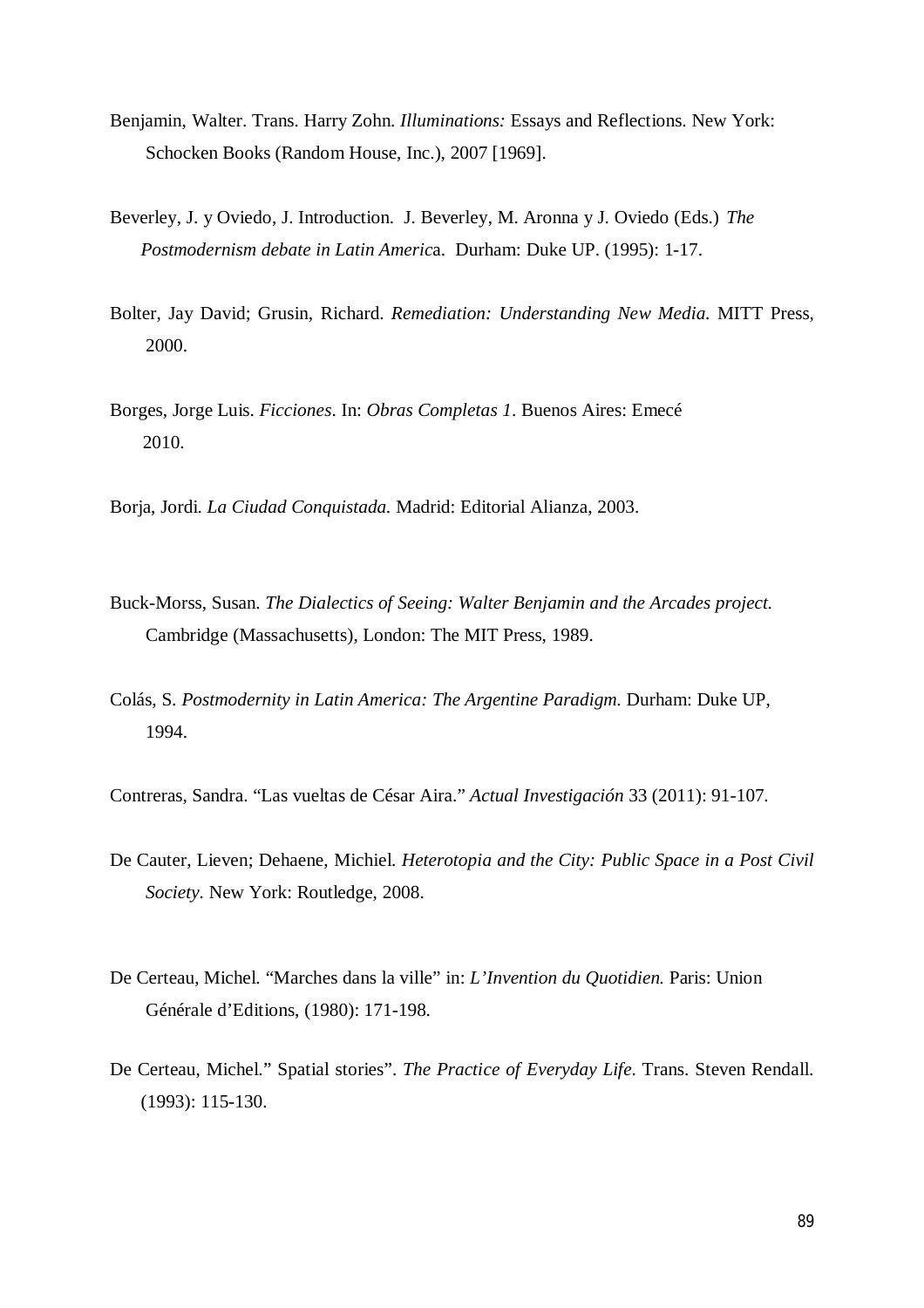- Benjamin, Walter. Trans. Harry Zohn. *Illuminations:* Essays and Reflections. New York: Schocken Books (Random House, Inc.), 2007 [1969].
- Beverley, J. y Oviedo, J. Introduction. J. Beverley, M. Aronna y J. Oviedo (Eds.) *The Postmodernism debate in Latin Americ*a. Durham: Duke UP. (1995): 1-17.
- Bolter, Jay David; Grusin, Richard. *Remediation: Understanding New Media.* MITT Press, 2000.
- Borges, Jorge Luis. *Ficciones*. In: *Obras Completas 1*. Buenos Aires: Emecé 2010.
- Borja, Jordi. *La Ciudad Conquistada.* Madrid: Editorial Alianza, 2003.
- Buck-Morss, Susan. *The Dialectics of Seeing: Walter Benjamin and the Arcades project.* Cambridge (Massachusetts), London: The MIT Press, 1989.
- Colás, S*. Postmodernity in Latin America: The Argentine Paradigm.* Durham: Duke UP, 1994.

Contreras, Sandra. "Las vueltas de César Aira." *Actual Investigación* 33 (2011): 91-107.

- De Cauter, Lieven; Dehaene, Michiel. *Heterotopia and the City: Public Space in a Post Civil Society*. New York: Routledge, 2008.
- De Certeau, Michel. "Marches dans la ville" in: *L'Invention du Quotidien.* Paris: Union Générale d'Editions, (1980): 171-198.
- De Certeau, Michel." Spatial stories". *The Practice of Everyday Life*. Trans. Steven Rendall. (1993): 115-130.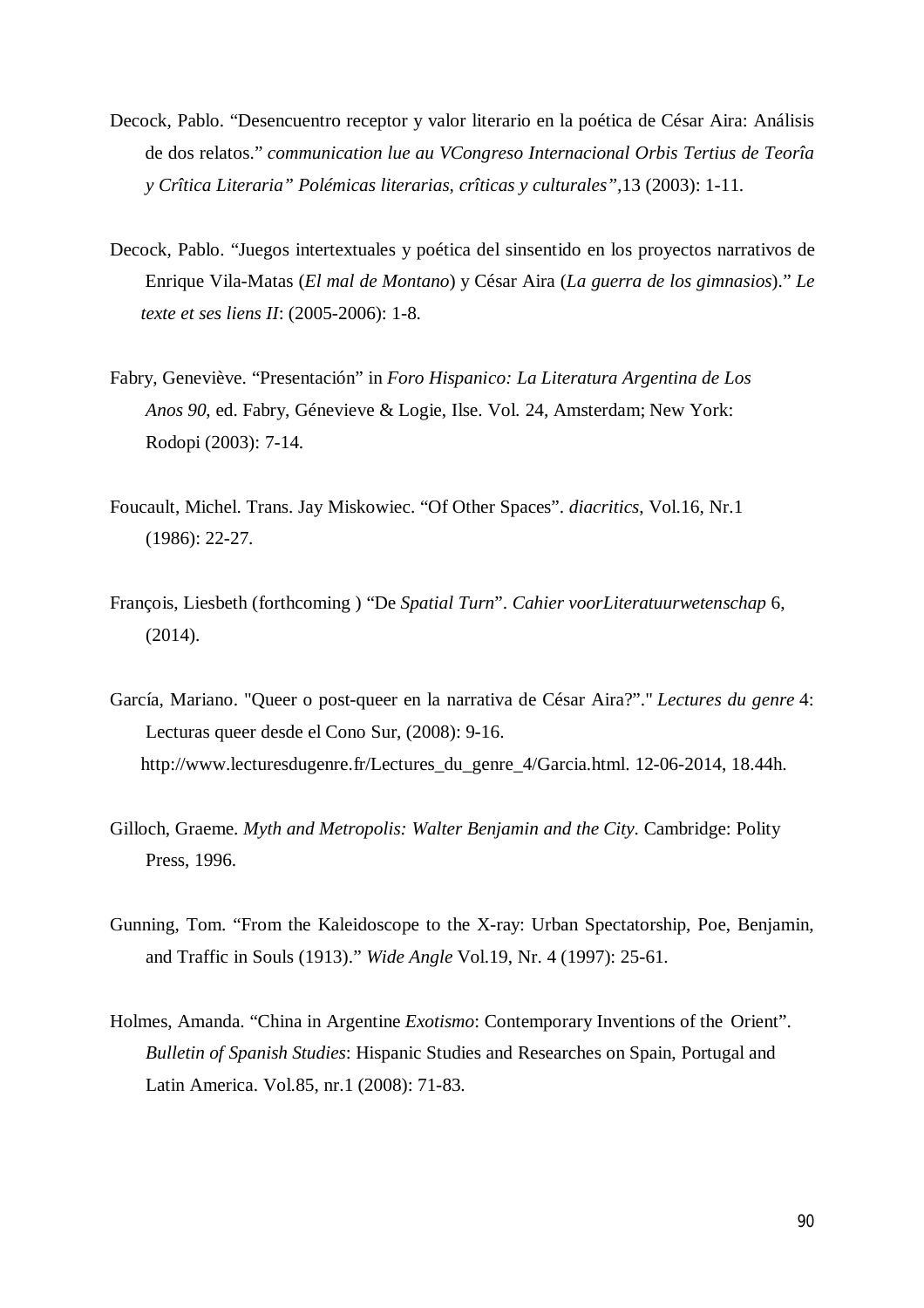- Decock, Pablo. "Desencuentro receptor y valor literario en la poética de César Aira: Análisis de dos relatos." *communication lue au VCongreso Internacional Orbis Tertius de Teorîa y Crîtica Literaria" Polémicas literarias, crîticas y culturales",*13 (2003): 1-11.
- Decock, Pablo. "Juegos intertextuales y poética del sinsentido en los proyectos narrativos de Enrique Vila-Matas (*El mal de Montano*) y César Aira (*La guerra de los gimnasios*)." *Le texte et ses liens II*: (2005-2006): 1-8.
- Fabry, Geneviève. "Presentación" in *Foro Hispanico: La Literatura Argentina de Los Anos 90*, ed. Fabry, Génevieve & Logie, Ilse. Vol. 24, Amsterdam; New York: Rodopi (2003): 7-14.
- Foucault, Michel. Trans. Jay Miskowiec. "Of Other Spaces". *diacritics*, Vol.16, Nr.1 (1986): 22-27.
- François, Liesbeth (forthcoming ) "De *Spatial Turn*". *Cahier voorLiteratuurwetenschap* 6, (2014).
- García, Mariano. "Queer o post-queer en la narrativa de César Aira?"." *Lectures du genre* 4: Lecturas queer desde el Cono Sur, (2008): 9-16. http://www.lecturesdugenre.fr/Lectures\_du\_genre\_4/Garcia.html. 12-06-2014, 18.44h.
- Gilloch, Graeme. *Myth and Metropolis: Walter Benjamin and the City*. Cambridge: Polity Press, 1996.
- Gunning, Tom. "From the Kaleidoscope to the X-ray: Urban Spectatorship, Poe, Benjamin, and Traffic in Souls (1913)." *Wide Angle* Vol.19, Nr. 4 (1997): 25-61.
- Holmes, Amanda. "China in Argentine *Exotismo*: Contemporary Inventions of the Orient". *Bulletin of Spanish Studies*: Hispanic Studies and Researches on Spain, Portugal and Latin America. Vol.85, nr.1 (2008): 71-83.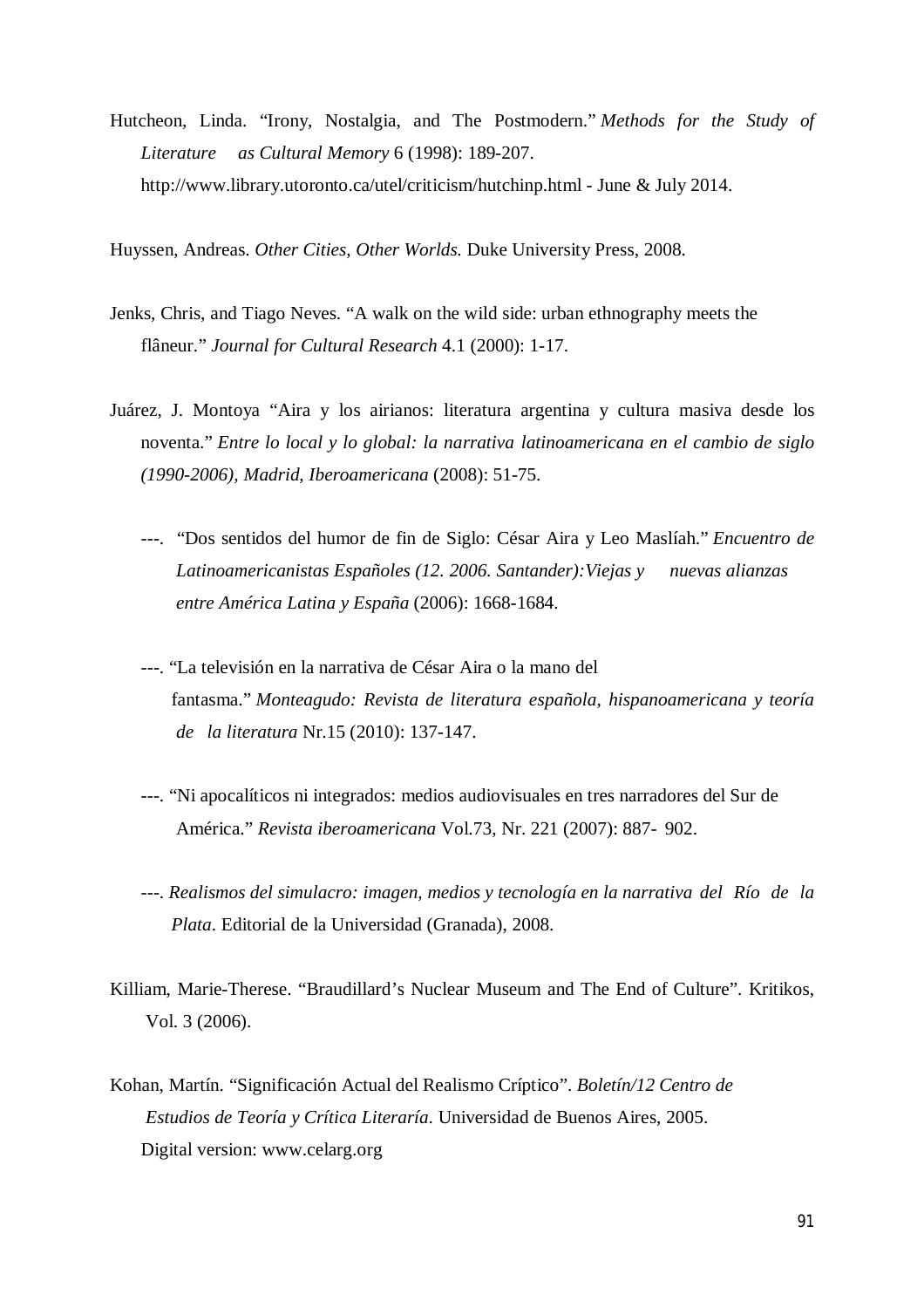Hutcheon, Linda. "Irony, Nostalgia, and The Postmodern." *Methods for the Study of Literature as Cultural Memory* 6 (1998): 189-207. http://www.library.utoronto.ca/utel/criticism/hutchinp.html - June & July 2014.

Huyssen, Andreas. *Other Cities, Other Worlds.* Duke University Press, 2008.

- Jenks, Chris, and Tiago Neves. "A walk on the wild side: urban ethnography meets the flâneur." *Journal for Cultural Research* 4.1 (2000): 1-17.
- Juárez, J. Montoya "Aira y los airianos: literatura argentina y cultura masiva desde los noventa." *Entre lo local y lo global: la narrativa latinoamericana en el cambio de siglo (1990-2006), Madrid, Iberoamericana* (2008): 51-75.
	- ---. "Dos sentidos del humor de fin de Siglo: César Aira y Leo Maslíah." *Encuentro de Latinoamericanistas Españoles (12. 2006. Santander):Viejas y nuevas alianzas entre América Latina y España* (2006): 1668-1684.
	- ---. "La televisión en la narrativa de César Aira o la mano del fantasma." *Monteagudo: Revista de literatura española, hispanoamericana y teoría de la literatura* Nr.15 (2010): 137-147.
	- ---. "Ni apocalíticos ni integrados: medios audiovisuales en tres narradores del Sur de América." *Revista iberoamericana* Vol.73, Nr. 221 (2007): 887- 902.
	- ---. *Realismos del simulacro: imagen, medios y tecnología en la narrativa del Río de la Plata*. Editorial de la Universidad (Granada), 2008.
- Killiam, Marie-Therese. "Braudillard's Nuclear Museum and The End of Culture". Kritikos, Vol. 3 (2006).
- Kohan, Martín. "Significación Actual del Realismo Críptico". *Boletín/12 Centro de Estudios de Teoría y Crítica Literaría*. Universidad de Buenos Aires, 2005. Digital version: www.celarg.org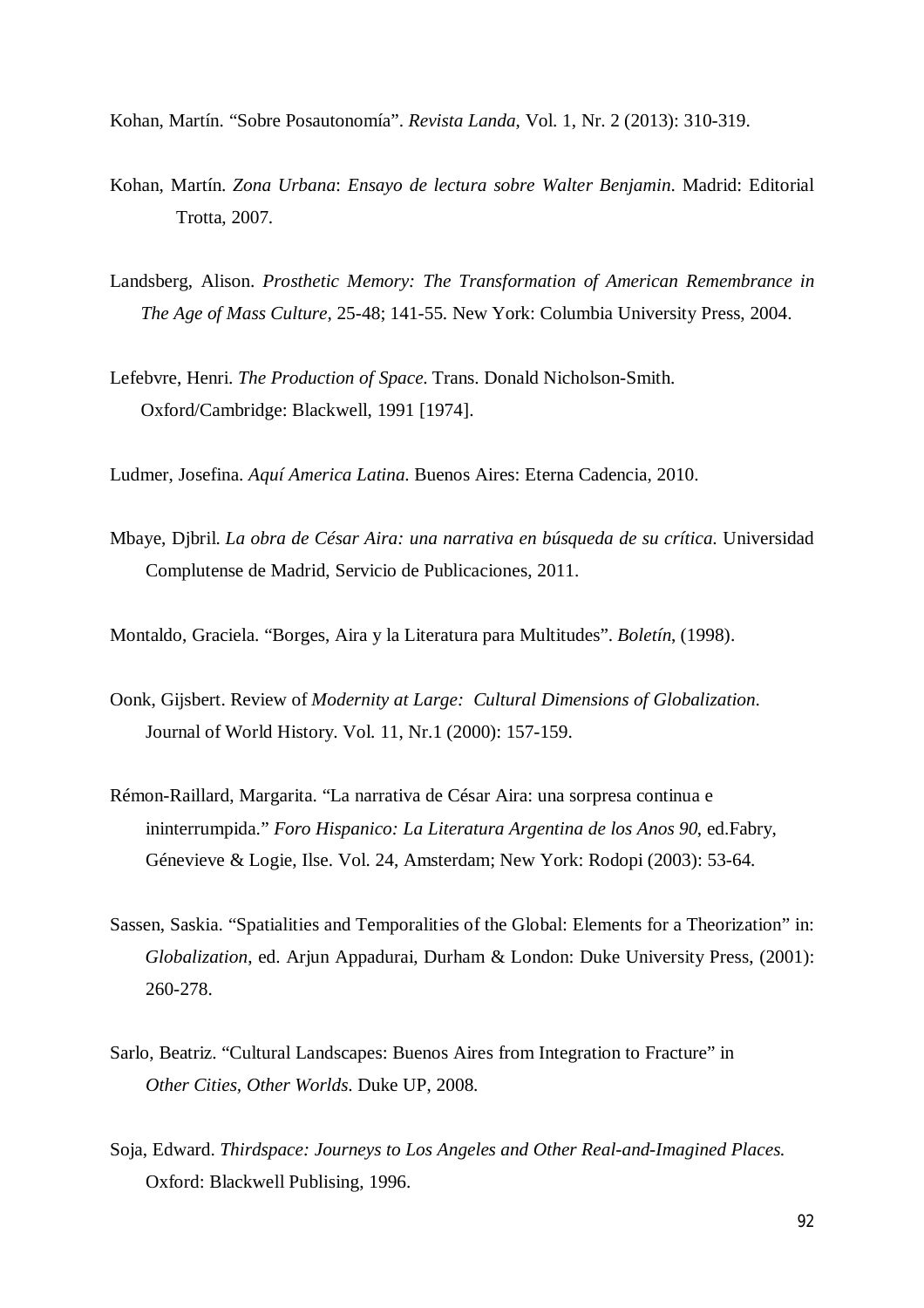Kohan, Martín. "Sobre Posautonomía". *Revista Landa*, Vol. 1, Nr. 2 (2013): 310-319.

- Kohan, Martín. *Zona Urbana*: *Ensayo de lectura sobre Walter Benjamin*. Madrid: Editorial Trotta, 2007.
- Landsberg, Alison. *Prosthetic Memory: The Transformation of American Remembrance in The Age of Mass Culture,* 25-48; 141-55. New York: Columbia University Press, 2004.
- Lefebvre, Henri. *The Production of Space*. Trans. Donald Nicholson-Smith. Oxford/Cambridge: Blackwell, 1991 [1974].

Ludmer, Josefina. *Aquí America Latina.* Buenos Aires: Eterna Cadencia, 2010.

Mbaye, Djbril. *La obra de César Aira: una narrativa en búsqueda de su crítica*. Universidad Complutense de Madrid, Servicio de Publicaciones, 2011.

Montaldo, Graciela. "Borges, Aira y la Literatura para Multitudes". *Boletín*, (1998).

- Oonk, Gijsbert. Review of *Modernity at Large: Cultural Dimensions of Globalization*. Journal of World History. Vol. 11, Nr.1 (2000): 157-159.
- Rémon-Raillard, Margarita. "La narrativa de César Aira: una sorpresa continua e ininterrumpida." *Foro Hispanico: La Literatura Argentina de los Anos 90*, ed.Fabry, Génevieve & Logie, Ilse. Vol. 24, Amsterdam; New York: Rodopi (2003): 53-64.
- Sassen, Saskia. "Spatialities and Temporalities of the Global: Elements for a Theorization" in: *Globalization*, ed. Arjun Appadurai, Durham & London: Duke University Press, (2001): 260-278.
- Sarlo, Beatriz. "Cultural Landscapes: Buenos Aires from Integration to Fracture" in *Other Cities, Other Worlds*. Duke UP, 2008.
- Soja, Edward. *Thirdspace: Journeys to Los Angeles and Other Real-and-Imagined Places.* Oxford: Blackwell Publising, 1996.